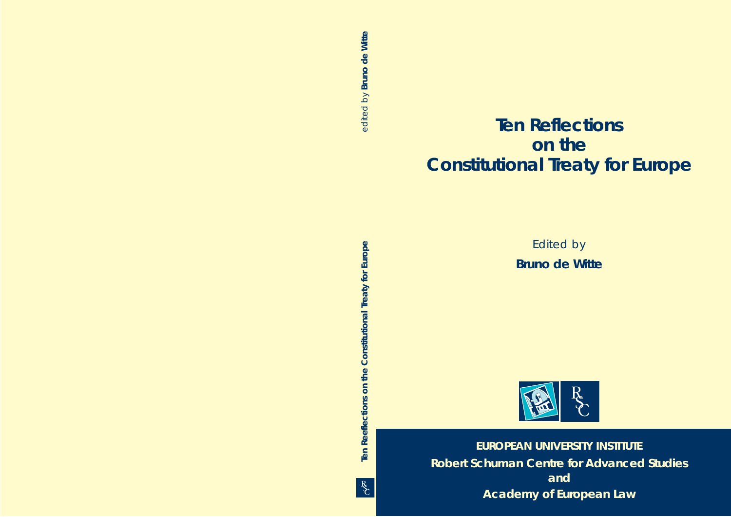# **Ten Reflections on the Constitutional Treaty for Europe**

*Edited by* **Bruno de Witte**



**EUROPEAN UNIVERSITY INSTITUTE Robert Schuman Centre for Advanced Studies and Academy of European Law**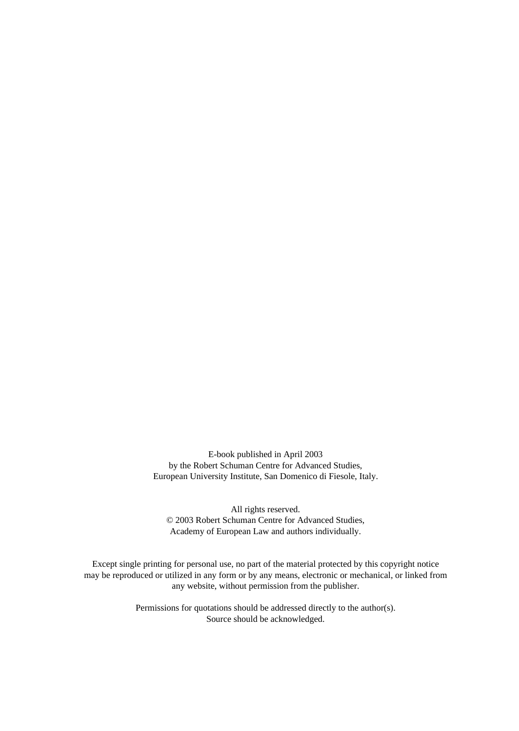E-book published in April 2003 by the Robert Schuman Centre for Advanced Studies, European University Institute, San Domenico di Fiesole, Italy.

All rights reserved. © 2003 Robert Schuman Centre for Advanced Studies, Academy of European Law and authors individually.

Except single printing for personal use, no part of the material protected by this copyright notice may be reproduced or utilized in any form or by any means, electronic or mechanical, or linked from any website, without permission from the publisher.

> Permissions for quotations should be addressed directly to the author(s). Source should be acknowledged.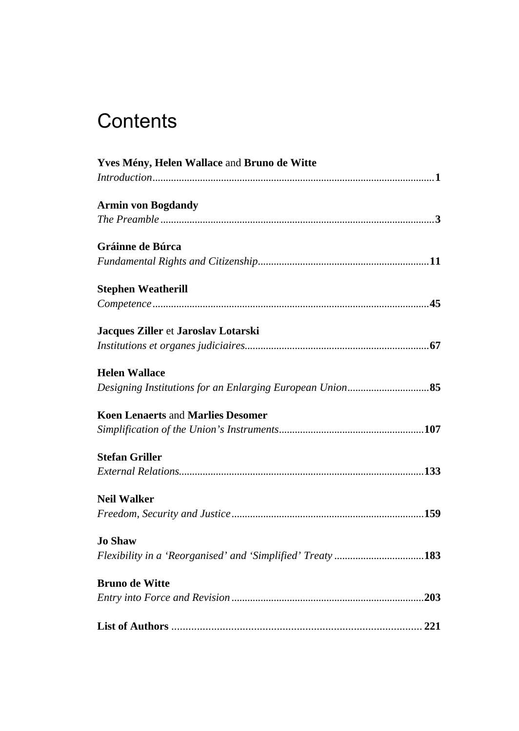# **Contents**

| Yves Mény, Helen Wallace and Bruno de Witte                |  |
|------------------------------------------------------------|--|
|                                                            |  |
| <b>Armin von Bogdandy</b>                                  |  |
|                                                            |  |
| Gráinne de Búrca                                           |  |
|                                                            |  |
| <b>Stephen Weatherill</b>                                  |  |
|                                                            |  |
| Jacques Ziller et Jaroslav Lotarski                        |  |
|                                                            |  |
| <b>Helen Wallace</b>                                       |  |
|                                                            |  |
| <b>Koen Lenaerts and Marlies Desomer</b>                   |  |
|                                                            |  |
| <b>Stefan Griller</b>                                      |  |
|                                                            |  |
| <b>Neil Walker</b>                                         |  |
|                                                            |  |
| <b>Jo Shaw</b>                                             |  |
| Flexibility in a 'Reorganised' and 'Simplified' Treaty 183 |  |
| <b>Bruno de Witte</b>                                      |  |
|                                                            |  |
|                                                            |  |
|                                                            |  |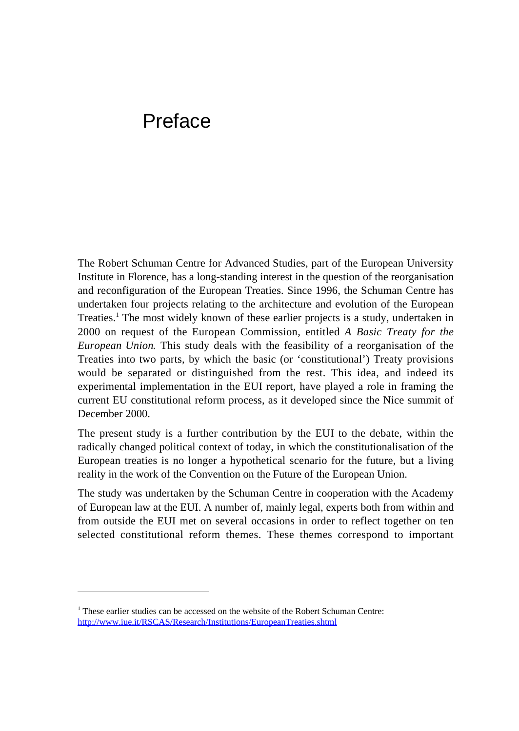## Preface

The Robert Schuman Centre for Advanced Studies, part of the European University Institute in Florence, has a long-standing interest in the question of the reorganisation and reconfiguration of the European Treaties. Since 1996, the Schuman Centre has undertaken four projects relating to the architecture and evolution of the European Treaties.1 The most widely known of these earlier projects is a study, undertaken in 2000 on request of the European Commission, entitled *A Basic Treaty for the European Union.* This study deals with the feasibility of a reorganisation of the Treaties into two parts, by which the basic (or 'constitutional') Treaty provisions would be separated or distinguished from the rest. This idea, and indeed its experimental implementation in the EUI report, have played a role in framing the current EU constitutional reform process, as it developed since the Nice summit of December 2000.

The present study is a further contribution by the EUI to the debate, within the radically changed political context of today, in which the constitutionalisation of the European treaties is no longer a hypothetical scenario for the future, but a living reality in the work of the Convention on the Future of the European Union.

The study was undertaken by the Schuman Centre in cooperation with the Academy of European law at the EUI. A number of, mainly legal, experts both from within and from outside the EUI met on several occasions in order to reflect together on ten selected constitutional reform themes. These themes correspond to important

-

<sup>&</sup>lt;sup>1</sup> These earlier studies can be accessed on the website of the Robert Schuman Centre: <http://www.iue.it/RSCAS/Research/Institutions/EuropeanTreaties.shtml>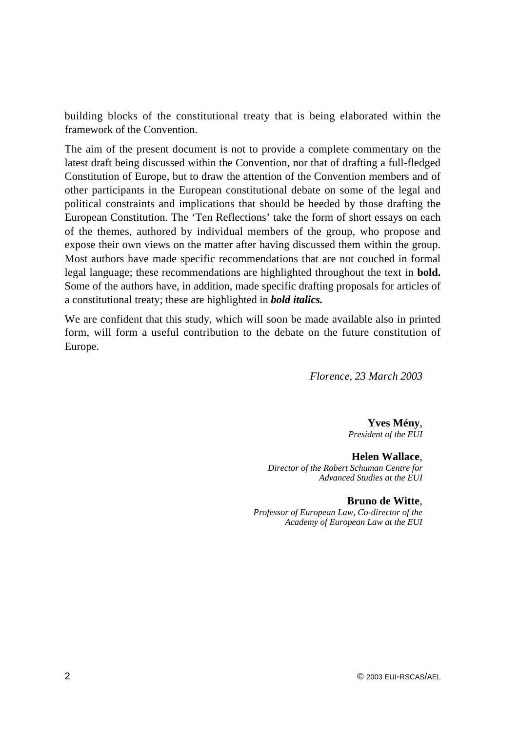building blocks of the constitutional treaty that is being elaborated within the framework of the Convention.

The aim of the present document is not to provide a complete commentary on the latest draft being discussed within the Convention, nor that of drafting a full-fledged Constitution of Europe, but to draw the attention of the Convention members and of other participants in the European constitutional debate on some of the legal and political constraints and implications that should be heeded by those drafting the European Constitution. The 'Ten Reflections' take the form of short essays on each of the themes, authored by individual members of the group, who propose and expose their own views on the matter after having discussed them within the group. Most authors have made specific recommendations that are not couched in formal legal language; these recommendations are highlighted throughout the text in **bold.** Some of the authors have, in addition, made specific drafting proposals for articles of a constitutional treaty; these are highlighted in *bold italics.*

We are confident that this study, which will soon be made available also in printed form, will form a useful contribution to the debate on the future constitution of Europe.

*Florence, 23 March 2003*

**Yves Mény**, *President of the EUI*

**Helen Wallace**,

*Director of the Robert Schuman Centre for Advanced Studies at the EUI*

#### **Bruno de Witte**,

*Professor of European Law, Co-director of the Academy of European Law at the EUI*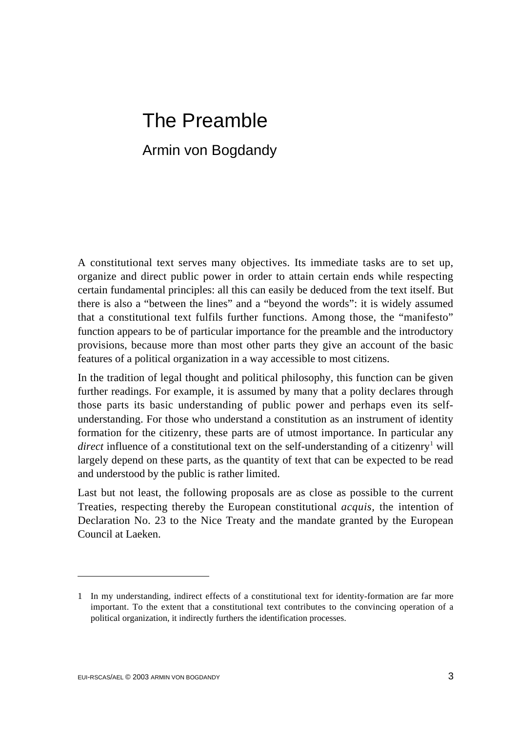# The Preamble

## Armin von Bogdandy

A constitutional text serves many objectives. Its immediate tasks are to set up, organize and direct public power in order to attain certain ends while respecting certain fundamental principles: all this can easily be deduced from the text itself. But there is also a "between the lines" and a "beyond the words": it is widely assumed that a constitutional text fulfils further functions. Among those, the "manifesto" function appears to be of particular importance for the preamble and the introductory provisions, because more than most other parts they give an account of the basic features of a political organization in a way accessible to most citizens.

In the tradition of legal thought and political philosophy, this function can be given further readings. For example, it is assumed by many that a polity declares through those parts its basic understanding of public power and perhaps even its selfunderstanding. For those who understand a constitution as an instrument of identity formation for the citizenry, these parts are of utmost importance. In particular any direct influence of a constitutional text on the self-understanding of a citizenry<sup>1</sup> will largely depend on these parts, as the quantity of text that can be expected to be read and understood by the public is rather limited.

Last but not least, the following proposals are as close as possible to the current Treaties, respecting thereby the European constitutional *acquis,* the intention of Declaration No. 23 to the Nice Treaty and the mandate granted by the European Council at Laeken.

l

<sup>1</sup> In my understanding, indirect effects of a constitutional text for identity-formation are far more important. To the extent that a constitutional text contributes to the convincing operation of a political organization, it indirectly furthers the identification processes.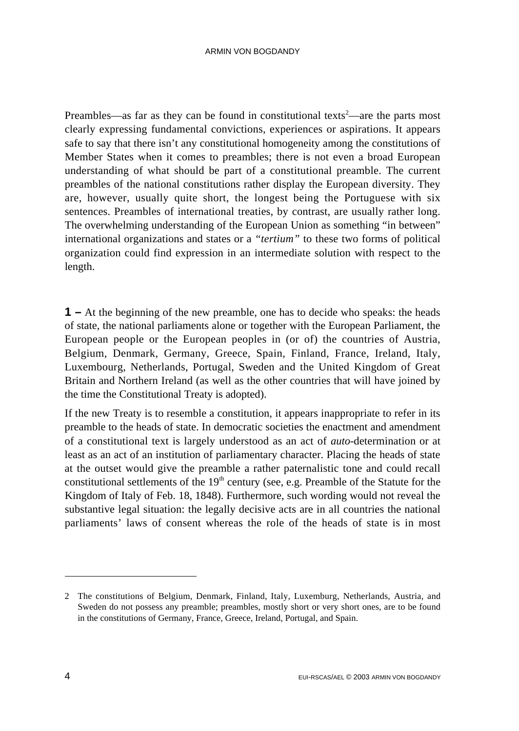Preambles—as far as they can be found in constitutional texts<sup>2</sup>—are the parts most clearly expressing fundamental convictions, experiences or aspirations. It appears safe to say that there isn't any constitutional homogeneity among the constitutions of Member States when it comes to preambles; there is not even a broad European understanding of what should be part of a constitutional preamble. The current preambles of the national constitutions rather display the European diversity. They are, however, usually quite short, the longest being the Portuguese with six sentences. Preambles of international treaties, by contrast, are usually rather long. The overwhelming understanding of the European Union as something "in between" international organizations and states or a *"tertium"* to these two forms of political organization could find expression in an intermediate solution with respect to the length.

**1 –** At the beginning of the new preamble, one has to decide who speaks: the heads of state, the national parliaments alone or together with the European Parliament, the European people or the European peoples in (or of) the countries of Austria, Belgium, Denmark, Germany, Greece, Spain, Finland, France, Ireland, Italy, Luxembourg, Netherlands, Portugal, Sweden and the United Kingdom of Great Britain and Northern Ireland (as well as the other countries that will have joined by the time the Constitutional Treaty is adopted).

If the new Treaty is to resemble a constitution, it appears inappropriate to refer in its preamble to the heads of state. In democratic societies the enactment and amendment of a constitutional text is largely understood as an act of *auto-*determination or at least as an act of an institution of parliamentary character. Placing the heads of state at the outset would give the preamble a rather paternalistic tone and could recall constitutional settlements of the  $19<sup>th</sup>$  century (see, e.g. Preamble of the Statute for the Kingdom of Italy of Feb. 18, 1848). Furthermore, such wording would not reveal the substantive legal situation: the legally decisive acts are in all countries the national parliaments' laws of consent whereas the role of the heads of state is in most

l

<sup>2</sup> The constitutions of Belgium, Denmark, Finland, Italy, Luxemburg, Netherlands, Austria, and Sweden do not possess any preamble; preambles, mostly short or very short ones, are to be found in the constitutions of Germany, France, Greece, Ireland, Portugal, and Spain.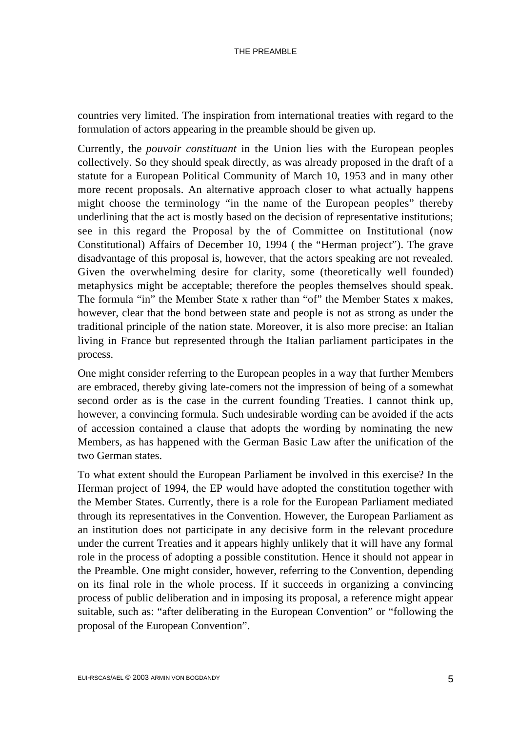countries very limited. The inspiration from international treaties with regard to the formulation of actors appearing in the preamble should be given up.

Currently, the *pouvoir constituant* in the Union lies with the European peoples collectively. So they should speak directly, as was already proposed in the draft of a statute for a European Political Community of March 10, 1953 and in many other more recent proposals. An alternative approach closer to what actually happens might choose the terminology "in the name of the European peoples" thereby underlining that the act is mostly based on the decision of representative institutions; see in this regard the Proposal by the of Committee on Institutional (now Constitutional) Affairs of December 10, 1994 ( the "Herman project"). The grave disadvantage of this proposal is, however, that the actors speaking are not revealed. Given the overwhelming desire for clarity, some (theoretically well founded) metaphysics might be acceptable; therefore the peoples themselves should speak. The formula "in" the Member State x rather than "of" the Member States x makes, however, clear that the bond between state and people is not as strong as under the traditional principle of the nation state. Moreover, it is also more precise: an Italian living in France but represented through the Italian parliament participates in the process.

One might consider referring to the European peoples in a way that further Members are embraced, thereby giving late-comers not the impression of being of a somewhat second order as is the case in the current founding Treaties. I cannot think up, however, a convincing formula. Such undesirable wording can be avoided if the acts of accession contained a clause that adopts the wording by nominating the new Members, as has happened with the German Basic Law after the unification of the two German states.

To what extent should the European Parliament be involved in this exercise? In the Herman project of 1994, the EP would have adopted the constitution together with the Member States. Currently, there is a role for the European Parliament mediated through its representatives in the Convention. However, the European Parliament as an institution does not participate in any decisive form in the relevant procedure under the current Treaties and it appears highly unlikely that it will have any formal role in the process of adopting a possible constitution. Hence it should not appear in the Preamble. One might consider, however, referring to the Convention, depending on its final role in the whole process. If it succeeds in organizing a convincing process of public deliberation and in imposing its proposal, a reference might appear suitable, such as: "after deliberating in the European Convention" or "following the proposal of the European Convention".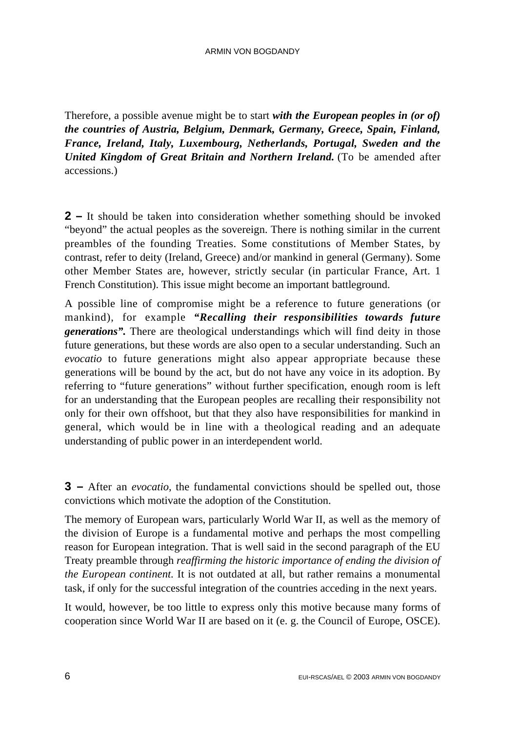Therefore, a possible avenue might be to start *with the European peoples in (or of) the countries of Austria, Belgium, Denmark, Germany, Greece, Spain, Finland, France, Ireland, Italy, Luxembourg, Netherlands, Portugal, Sweden and the United Kingdom of Great Britain and Northern Ireland.* (To be amended after accessions.)

**2 –** It should be taken into consideration whether something should be invoked "beyond" the actual peoples as the sovereign. There is nothing similar in the current preambles of the founding Treaties. Some constitutions of Member States, by contrast, refer to deity (Ireland, Greece) and/or mankind in general (Germany). Some other Member States are, however, strictly secular (in particular France, Art. 1 French Constitution). This issue might become an important battleground.

A possible line of compromise might be a reference to future generations (or mankind), for example *"Recalling their responsibilities towards future generations".* There are theological understandings which will find deity in those future generations, but these words are also open to a secular understanding. Such an *evocatio* to future generations might also appear appropriate because these generations will be bound by the act, but do not have any voice in its adoption. By referring to "future generations" without further specification, enough room is left for an understanding that the European peoples are recalling their responsibility not only for their own offshoot, but that they also have responsibilities for mankind in general, which would be in line with a theological reading and an adequate understanding of public power in an interdependent world.

**3 –** After an *evocatio,* the fundamental convictions should be spelled out, those convictions which motivate the adoption of the Constitution.

The memory of European wars, particularly World War II, as well as the memory of the division of Europe is a fundamental motive and perhaps the most compelling reason for European integration. That is well said in the second paragraph of the EU Treaty preamble through *reaffirming the historic importance of ending the division of the European continent.* It is not outdated at all, but rather remains a monumental task, if only for the successful integration of the countries acceding in the next years.

It would, however, be too little to express only this motive because many forms of cooperation since World War II are based on it (e. g. the Council of Europe, OSCE).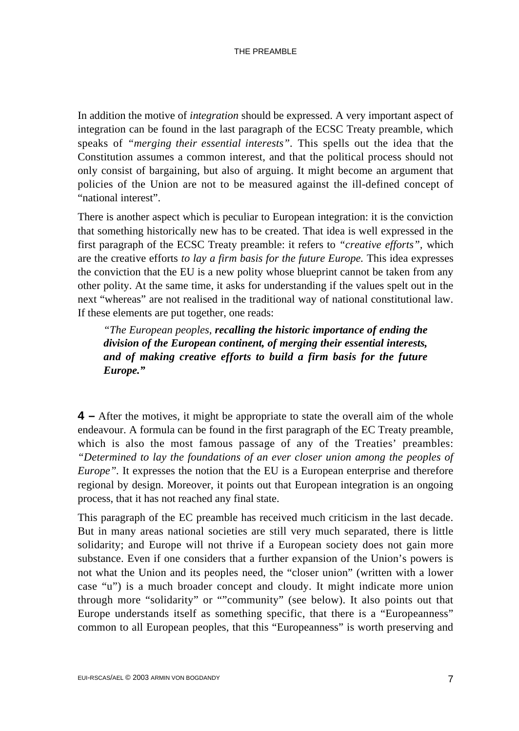In addition the motive of *integration* should be expressed. A very important aspect of integration can be found in the last paragraph of the ECSC Treaty preamble, which speaks of *"merging their essential interests".* This spells out the idea that the Constitution assumes a common interest, and that the political process should not only consist of bargaining, but also of arguing. It might become an argument that policies of the Union are not to be measured against the ill-defined concept of "national interest".

There is another aspect which is peculiar to European integration: it is the conviction that something historically new has to be created. That idea is well expressed in the first paragraph of the ECSC Treaty preamble: it refers to *"creative efforts",* which are the creative efforts *to lay a firm basis for the future Europe.* This idea expresses the conviction that the EU is a new polity whose blueprint cannot be taken from any other polity. At the same time, it asks for understanding if the values spelt out in the next "whereas" are not realised in the traditional way of national constitutional law. If these elements are put together, one reads:

*"The European peoples, recalling the historic importance of ending the division of the European continent, of merging their essential interests, and of making creative efforts to build a firm basis for the future Europe."*

**4 –** After the motives, it might be appropriate to state the overall aim of the whole endeavour. A formula can be found in the first paragraph of the EC Treaty preamble, which is also the most famous passage of any of the Treaties' preambles: *"Determined to lay the foundations of an ever closer union among the peoples of Europe".* It expresses the notion that the EU is a European enterprise and therefore regional by design. Moreover, it points out that European integration is an ongoing process, that it has not reached any final state.

This paragraph of the EC preamble has received much criticism in the last decade. But in many areas national societies are still very much separated, there is little solidarity; and Europe will not thrive if a European society does not gain more substance. Even if one considers that a further expansion of the Union's powers is not what the Union and its peoples need, the "closer union" (written with a lower case "u") is a much broader concept and cloudy. It might indicate more union through more "solidarity" or ""community" (see below). It also points out that Europe understands itself as something specific, that there is a "Europeanness" common to all European peoples, that this "Europeanness" is worth preserving and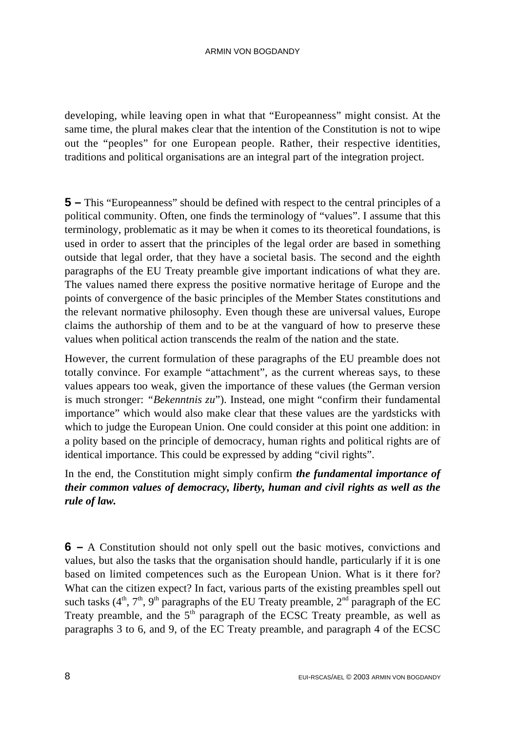#### ARMIN VON BOGDANDY

developing, while leaving open in what that "Europeanness" might consist. At the same time, the plural makes clear that the intention of the Constitution is not to wipe out the "peoples" for one European people. Rather, their respective identities, traditions and political organisations are an integral part of the integration project.

**5 –** This "Europeanness" should be defined with respect to the central principles of a political community. Often, one finds the terminology of "values". I assume that this terminology, problematic as it may be when it comes to its theoretical foundations, is used in order to assert that the principles of the legal order are based in something outside that legal order, that they have a societal basis. The second and the eighth paragraphs of the EU Treaty preamble give important indications of what they are. The values named there express the positive normative heritage of Europe and the points of convergence of the basic principles of the Member States constitutions and the relevant normative philosophy. Even though these are universal values, Europe claims the authorship of them and to be at the vanguard of how to preserve these values when political action transcends the realm of the nation and the state.

However, the current formulation of these paragraphs of the EU preamble does not totally convince. For example "attachment", as the current whereas says, to these values appears too weak, given the importance of these values (the German version is much stronger: *"Bekenntnis zu*"). Instead, one might "confirm their fundamental importance" which would also make clear that these values are the yardsticks with which to judge the European Union. One could consider at this point one addition: in a polity based on the principle of democracy, human rights and political rights are of identical importance. This could be expressed by adding "civil rights".

In the end, the Constitution might simply confirm *the fundamental importance of their common values of democracy, liberty, human and civil rights as well as the rule of law.*

**6 –** A Constitution should not only spell out the basic motives, convictions and values, but also the tasks that the organisation should handle, particularly if it is one based on limited competences such as the European Union. What is it there for? What can the citizen expect? In fact, various parts of the existing preambles spell out such tasks  $(4^{\text{th}}, 7^{\text{th}}, 9^{\text{th}})$  paragraphs of the EU Treaty preamble,  $2^{\text{nd}}$  paragraph of the EC Treaty preamble, and the  $5<sup>th</sup>$  paragraph of the ECSC Treaty preamble, as well as paragraphs 3 to 6, and 9, of the EC Treaty preamble, and paragraph 4 of the ECSC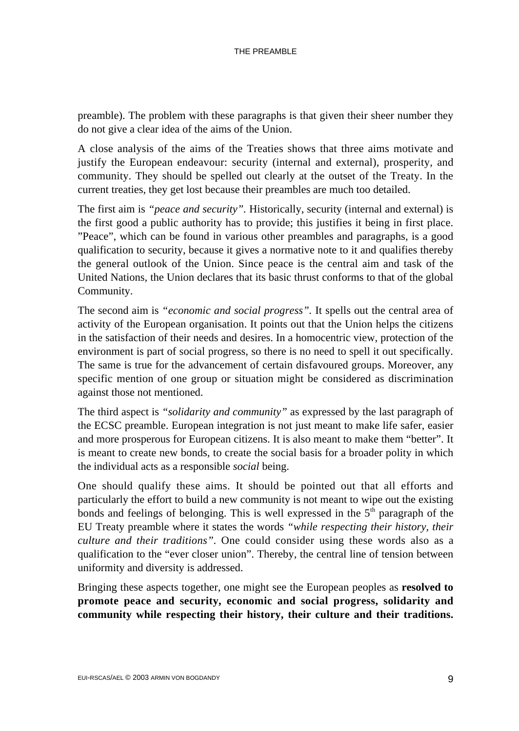preamble). The problem with these paragraphs is that given their sheer number they do not give a clear idea of the aims of the Union.

A close analysis of the aims of the Treaties shows that three aims motivate and justify the European endeavour: security (internal and external), prosperity, and community. They should be spelled out clearly at the outset of the Treaty. In the current treaties, they get lost because their preambles are much too detailed.

The first aim is *"peace and security".* Historically, security (internal and external) is the first good a public authority has to provide; this justifies it being in first place. "Peace", which can be found in various other preambles and paragraphs, is a good qualification to security, because it gives a normative note to it and qualifies thereby the general outlook of the Union. Since peace is the central aim and task of the United Nations, the Union declares that its basic thrust conforms to that of the global Community.

The second aim is *"economic and social progress".* It spells out the central area of activity of the European organisation. It points out that the Union helps the citizens in the satisfaction of their needs and desires. In a homocentric view, protection of the environment is part of social progress, so there is no need to spell it out specifically. The same is true for the advancement of certain disfavoured groups. Moreover, any specific mention of one group or situation might be considered as discrimination against those not mentioned.

The third aspect is *"solidarity and community"* as expressed by the last paragraph of the ECSC preamble. European integration is not just meant to make life safer, easier and more prosperous for European citizens. It is also meant to make them "better". It is meant to create new bonds, to create the social basis for a broader polity in which the individual acts as a responsible *social* being.

One should qualify these aims. It should be pointed out that all efforts and particularly the effort to build a new community is not meant to wipe out the existing bonds and feelings of belonging. This is well expressed in the  $5<sup>th</sup>$  paragraph of the EU Treaty preamble where it states the words *"while respecting their history, their culture and their traditions".* One could consider using these words also as a qualification to the "ever closer union". Thereby, the central line of tension between uniformity and diversity is addressed.

Bringing these aspects together, one might see the European peoples as **resolved to promote peace and security, economic and social progress, solidarity and community while respecting their history, their culture and their traditions.**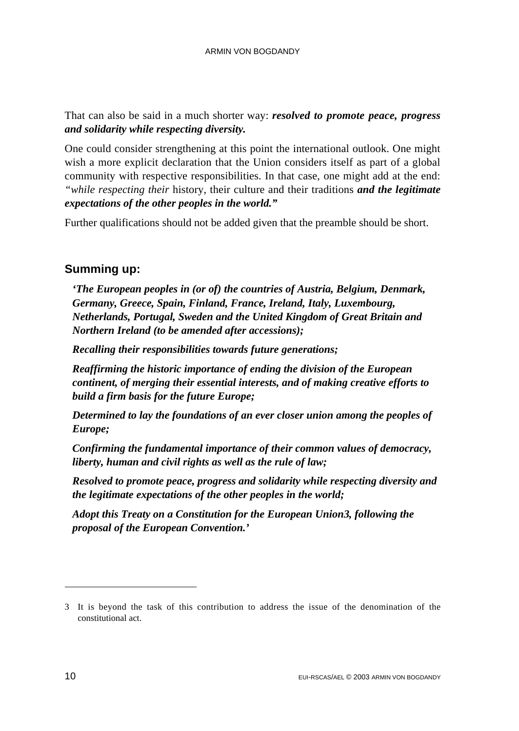That can also be said in a much shorter way: *resolved to promote peace, progress and solidarity while respecting diversity.*

One could consider strengthening at this point the international outlook. One might wish a more explicit declaration that the Union considers itself as part of a global community with respective responsibilities. In that case, one might add at the end: *"while respecting their* history, their culture and their traditions *and the legitimate expectations of the other peoples in the world."*

Further qualifications should not be added given that the preamble should be short.

## **Summing up:**

*'The European peoples in (or of) the countries of Austria, Belgium, Denmark, Germany, Greece, Spain, Finland, France, Ireland, Italy, Luxembourg, Netherlands, Portugal, Sweden and the United Kingdom of Great Britain and Northern Ireland (to be amended after accessions);*

*Recalling their responsibilities towards future generations;*

*Reaffirming the historic importance of ending the division of the European continent, of merging their essential interests, and of making creative efforts to build a firm basis for the future Europe;*

*Determined to lay the foundations of an ever closer union among the peoples of Europe;*

*Confirming the fundamental importance of their common values of democracy, liberty, human and civil rights as well as the rule of law;*

*Resolved to promote peace, progress and solidarity while respecting diversity and the legitimate expectations of the other peoples in the world;*

*Adopt this Treaty on a Constitution for the European Union3, following the proposal of the European Convention.'*

l

<sup>3</sup> It is beyond the task of this contribution to address the issue of the denomination of the constitutional act.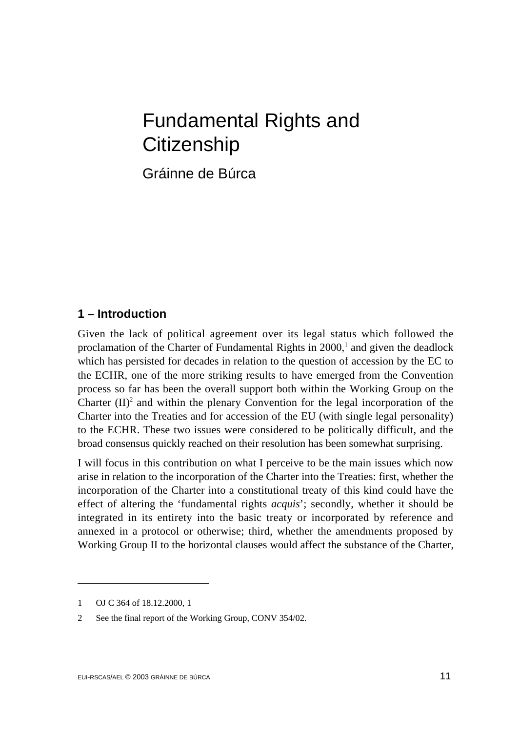## Fundamental Rights and **Citizenship**

Gráinne de Búrca

## **1 – Introduction**

Given the lack of political agreement over its legal status which followed the proclamation of the Charter of Fundamental Rights in  $2000<sup>1</sup>$  and given the deadlock which has persisted for decades in relation to the question of accession by the EC to the ECHR, one of the more striking results to have emerged from the Convention process so far has been the overall support both within the Working Group on the Charter  $(II)^2$  and within the plenary Convention for the legal incorporation of the Charter into the Treaties and for accession of the EU (with single legal personality) to the ECHR. These two issues were considered to be politically difficult, and the broad consensus quickly reached on their resolution has been somewhat surprising.

I will focus in this contribution on what I perceive to be the main issues which now arise in relation to the incorporation of the Charter into the Treaties: first, whether the incorporation of the Charter into a constitutional treaty of this kind could have the effect of altering the 'fundamental rights *acquis*'; secondly, whether it should be integrated in its entirety into the basic treaty or incorporated by reference and annexed in a protocol or otherwise; third, whether the amendments proposed by Working Group II to the horizontal clauses would affect the substance of the Charter,

 $\overline{a}$ 

<sup>1</sup> OJ C 364 of 18.12.2000, 1

<sup>2</sup> See the final report of the Working Group, CONV 354/02.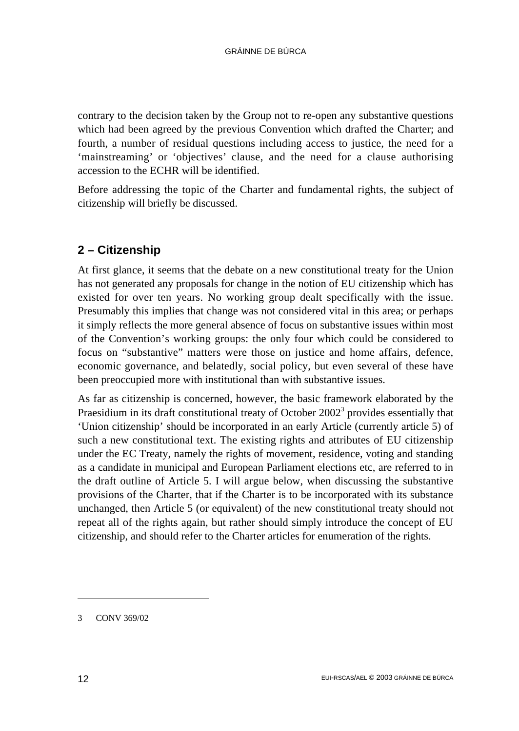contrary to the decision taken by the Group not to re-open any substantive questions which had been agreed by the previous Convention which drafted the Charter; and fourth, a number of residual questions including access to justice, the need for a 'mainstreaming' or 'objectives' clause, and the need for a clause authorising accession to the ECHR will be identified.

Before addressing the topic of the Charter and fundamental rights, the subject of citizenship will briefly be discussed.

## **2 – Citizenship**

At first glance, it seems that the debate on a new constitutional treaty for the Union has not generated any proposals for change in the notion of EU citizenship which has existed for over ten years. No working group dealt specifically with the issue. Presumably this implies that change was not considered vital in this area; or perhaps it simply reflects the more general absence of focus on substantive issues within most of the Convention's working groups: the only four which could be considered to focus on "substantive" matters were those on justice and home affairs, defence, economic governance, and belatedly, social policy, but even several of these have been preoccupied more with institutional than with substantive issues.

As far as citizenship is concerned, however, the basic framework elaborated by the Praesidium in its draft constitutional treaty of October 2002<sup>3</sup> provides essentially that 'Union citizenship' should be incorporated in an early Article (currently article 5) of such a new constitutional text. The existing rights and attributes of EU citizenship under the EC Treaty, namely the rights of movement, residence, voting and standing as a candidate in municipal and European Parliament elections etc, are referred to in the draft outline of Article 5. I will argue below, when discussing the substantive provisions of the Charter, that if the Charter is to be incorporated with its substance unchanged, then Article 5 (or equivalent) of the new constitutional treaty should not repeat all of the rights again, but rather should simply introduce the concept of EU citizenship, and should refer to the Charter articles for enumeration of the rights.

 $\overline{a}$ 

<sup>3</sup> CONV 369/02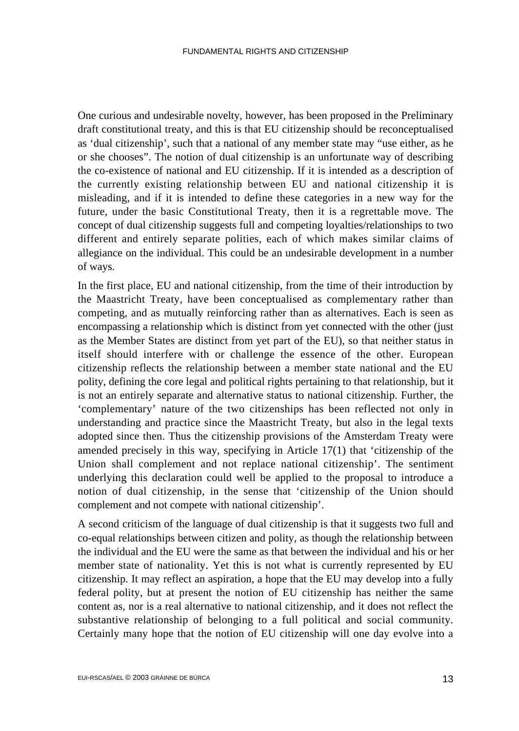One curious and undesirable novelty, however, has been proposed in the Preliminary draft constitutional treaty, and this is that EU citizenship should be reconceptualised as 'dual citizenship', such that a national of any member state may "use either, as he or she chooses". The notion of dual citizenship is an unfortunate way of describing the co-existence of national and EU citizenship. If it is intended as a description of the currently existing relationship between EU and national citizenship it is misleading, and if it is intended to define these categories in a new way for the future, under the basic Constitutional Treaty, then it is a regrettable move. The concept of dual citizenship suggests full and competing loyalties/relationships to two different and entirely separate polities, each of which makes similar claims of allegiance on the individual. This could be an undesirable development in a number of ways.

In the first place, EU and national citizenship, from the time of their introduction by the Maastricht Treaty, have been conceptualised as complementary rather than competing, and as mutually reinforcing rather than as alternatives. Each is seen as encompassing a relationship which is distinct from yet connected with the other (just as the Member States are distinct from yet part of the EU), so that neither status in itself should interfere with or challenge the essence of the other. European citizenship reflects the relationship between a member state national and the EU polity, defining the core legal and political rights pertaining to that relationship, but it is not an entirely separate and alternative status to national citizenship. Further, the 'complementary' nature of the two citizenships has been reflected not only in understanding and practice since the Maastricht Treaty, but also in the legal texts adopted since then. Thus the citizenship provisions of the Amsterdam Treaty were amended precisely in this way, specifying in Article 17(1) that 'citizenship of the Union shall complement and not replace national citizenship'. The sentiment underlying this declaration could well be applied to the proposal to introduce a notion of dual citizenship, in the sense that 'citizenship of the Union should complement and not compete with national citizenship'.

A second criticism of the language of dual citizenship is that it suggests two full and co-equal relationships between citizen and polity, as though the relationship between the individual and the EU were the same as that between the individual and his or her member state of nationality. Yet this is not what is currently represented by EU citizenship. It may reflect an aspiration, a hope that the EU may develop into a fully federal polity, but at present the notion of EU citizenship has neither the same content as, nor is a real alternative to national citizenship, and it does not reflect the substantive relationship of belonging to a full political and social community. Certainly many hope that the notion of EU citizenship will one day evolve into a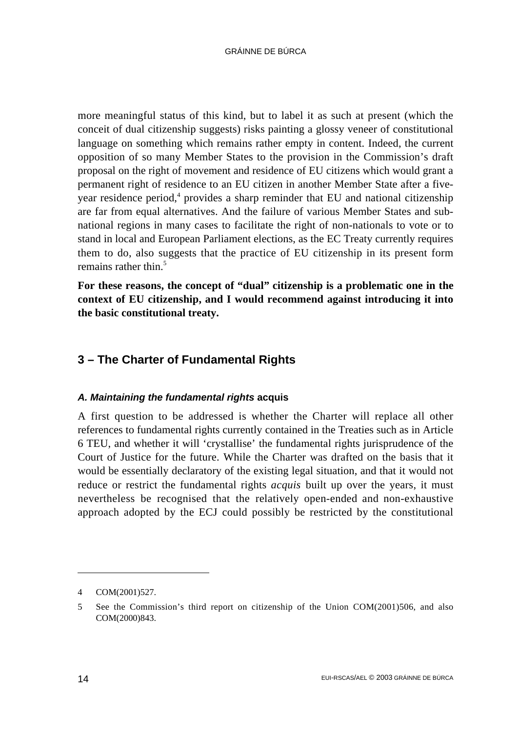more meaningful status of this kind, but to label it as such at present (which the conceit of dual citizenship suggests) risks painting a glossy veneer of constitutional language on something which remains rather empty in content. Indeed, the current opposition of so many Member States to the provision in the Commission's draft proposal on the right of movement and residence of EU citizens which would grant a permanent right of residence to an EU citizen in another Member State after a fiveyear residence period,<sup>4</sup> provides a sharp reminder that EU and national citizenship are far from equal alternatives. And the failure of various Member States and subnational regions in many cases to facilitate the right of non-nationals to vote or to stand in local and European Parliament elections, as the EC Treaty currently requires them to do, also suggests that the practice of EU citizenship in its present form remains rather thin.<sup>5</sup>

**For these reasons, the concept of "dual" citizenship is a problematic one in the context of EU citizenship, and I would recommend against introducing it into the basic constitutional treaty.**

### **3 – The Charter of Fundamental Rights**

#### *A. Maintaining the fundamental rights* **acquis**

A first question to be addressed is whether the Charter will replace all other references to fundamental rights currently contained in the Treaties such as in Article 6 TEU, and whether it will 'crystallise' the fundamental rights jurisprudence of the Court of Justice for the future. While the Charter was drafted on the basis that it would be essentially declaratory of the existing legal situation, and that it would not reduce or restrict the fundamental rights *acquis* built up over the years, it must nevertheless be recognised that the relatively open-ended and non-exhaustive approach adopted by the ECJ could possibly be restricted by the constitutional

l

<sup>4</sup> COM(2001)527.

<sup>5</sup> See the Commission's third report on citizenship of the Union COM(2001)506, and also COM(2000)843.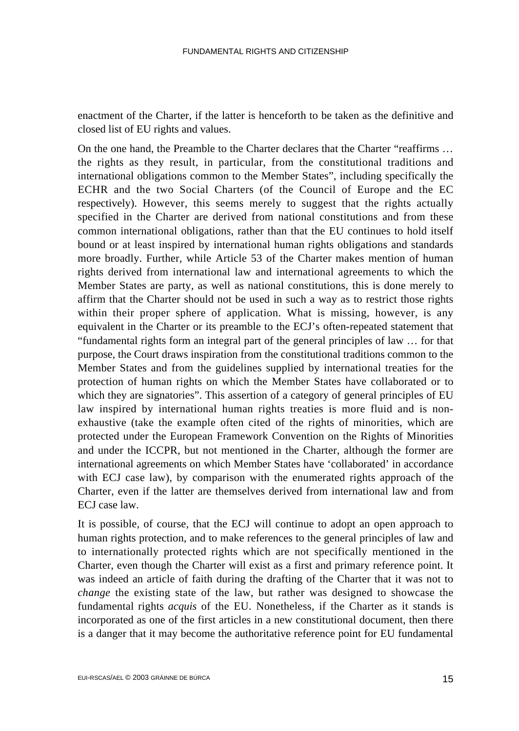enactment of the Charter, if the latter is henceforth to be taken as the definitive and closed list of EU rights and values.

On the one hand, the Preamble to the Charter declares that the Charter "reaffirms … the rights as they result, in particular, from the constitutional traditions and international obligations common to the Member States", including specifically the ECHR and the two Social Charters (of the Council of Europe and the EC respectively). However, this seems merely to suggest that the rights actually specified in the Charter are derived from national constitutions and from these common international obligations, rather than that the EU continues to hold itself bound or at least inspired by international human rights obligations and standards more broadly. Further, while Article 53 of the Charter makes mention of human rights derived from international law and international agreements to which the Member States are party, as well as national constitutions, this is done merely to affirm that the Charter should not be used in such a way as to restrict those rights within their proper sphere of application. What is missing, however, is any equivalent in the Charter or its preamble to the ECJ's often-repeated statement that "fundamental rights form an integral part of the general principles of law … for that purpose, the Court draws inspiration from the constitutional traditions common to the Member States and from the guidelines supplied by international treaties for the protection of human rights on which the Member States have collaborated or to which they are signatories". This assertion of a category of general principles of EU law inspired by international human rights treaties is more fluid and is nonexhaustive (take the example often cited of the rights of minorities, which are protected under the European Framework Convention on the Rights of Minorities and under the ICCPR, but not mentioned in the Charter, although the former are international agreements on which Member States have 'collaborated' in accordance with ECJ case law), by comparison with the enumerated rights approach of the Charter, even if the latter are themselves derived from international law and from ECJ case law.

It is possible, of course, that the ECJ will continue to adopt an open approach to human rights protection, and to make references to the general principles of law and to internationally protected rights which are not specifically mentioned in the Charter, even though the Charter will exist as a first and primary reference point. It was indeed an article of faith during the drafting of the Charter that it was not to *change* the existing state of the law, but rather was designed to showcase the fundamental rights *acquis* of the EU. Nonetheless, if the Charter as it stands is incorporated as one of the first articles in a new constitutional document, then there is a danger that it may become the authoritative reference point for EU fundamental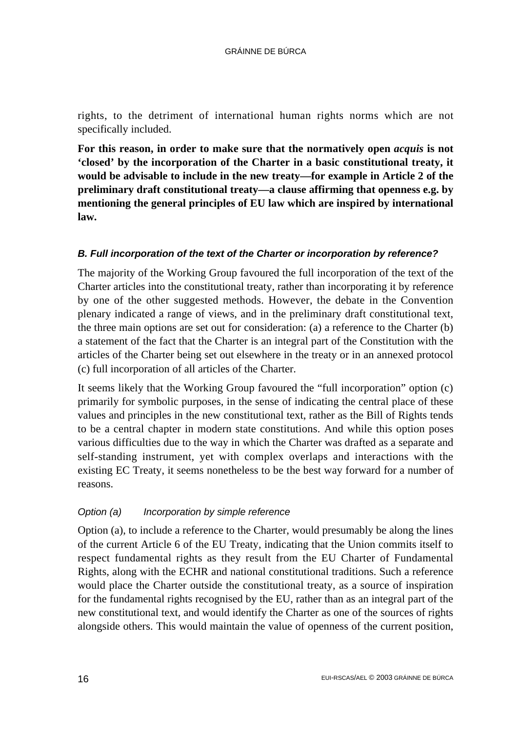rights, to the detriment of international human rights norms which are not specifically included.

**For this reason, in order to make sure that the normatively open** *acquis* **is not 'closed' by the incorporation of the Charter in a basic constitutional treaty, it would be advisable to include in the new treaty—for example in Article 2 of the preliminary draft constitutional treaty—a clause affirming that openness e.g. by mentioning the general principles of EU law which are inspired by international law.**

### *B. Full incorporation of the text of the Charter or incorporation by reference?*

The majority of the Working Group favoured the full incorporation of the text of the Charter articles into the constitutional treaty, rather than incorporating it by reference by one of the other suggested methods. However, the debate in the Convention plenary indicated a range of views, and in the preliminary draft constitutional text, the three main options are set out for consideration: (a) a reference to the Charter (b) a statement of the fact that the Charter is an integral part of the Constitution with the articles of the Charter being set out elsewhere in the treaty or in an annexed protocol (c) full incorporation of all articles of the Charter.

It seems likely that the Working Group favoured the "full incorporation" option (c) primarily for symbolic purposes, in the sense of indicating the central place of these values and principles in the new constitutional text, rather as the Bill of Rights tends to be a central chapter in modern state constitutions. And while this option poses various difficulties due to the way in which the Charter was drafted as a separate and self-standing instrument, yet with complex overlaps and interactions with the existing EC Treaty, it seems nonetheless to be the best way forward for a number of reasons.

### *Option (a) Incorporation by simple reference*

Option (a), to include a reference to the Charter, would presumably be along the lines of the current Article 6 of the EU Treaty, indicating that the Union commits itself to respect fundamental rights as they result from the EU Charter of Fundamental Rights, along with the ECHR and national constitutional traditions. Such a reference would place the Charter outside the constitutional treaty, as a source of inspiration for the fundamental rights recognised by the EU, rather than as an integral part of the new constitutional text, and would identify the Charter as one of the sources of rights alongside others. This would maintain the value of openness of the current position,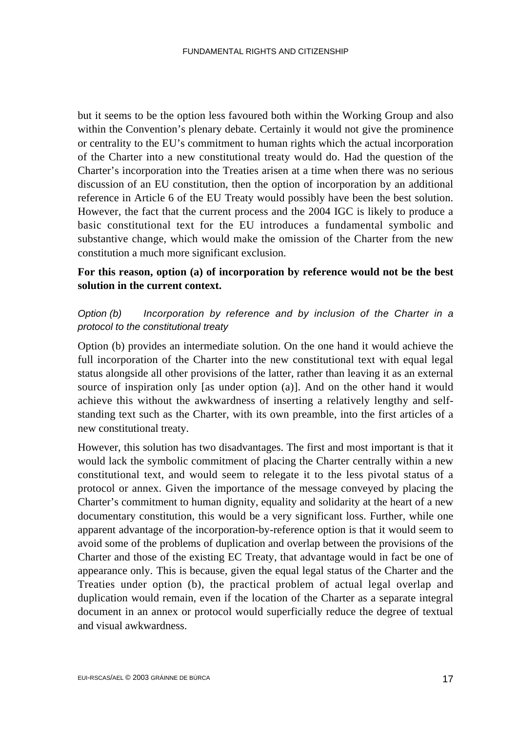but it seems to be the option less favoured both within the Working Group and also within the Convention's plenary debate. Certainly it would not give the prominence or centrality to the EU's commitment to human rights which the actual incorporation of the Charter into a new constitutional treaty would do. Had the question of the Charter's incorporation into the Treaties arisen at a time when there was no serious discussion of an EU constitution, then the option of incorporation by an additional reference in Article 6 of the EU Treaty would possibly have been the best solution. However, the fact that the current process and the 2004 IGC is likely to produce a basic constitutional text for the EU introduces a fundamental symbolic and substantive change, which would make the omission of the Charter from the new constitution a much more significant exclusion.

## **For this reason, option (a) of incorporation by reference would not be the best solution in the current context.**

## *Option (b) Incorporation by reference and by inclusion of the Charter in a protocol to the constitutional treaty*

Option (b) provides an intermediate solution. On the one hand it would achieve the full incorporation of the Charter into the new constitutional text with equal legal status alongside all other provisions of the latter, rather than leaving it as an external source of inspiration only [as under option (a)]. And on the other hand it would achieve this without the awkwardness of inserting a relatively lengthy and selfstanding text such as the Charter, with its own preamble, into the first articles of a new constitutional treaty.

However, this solution has two disadvantages. The first and most important is that it would lack the symbolic commitment of placing the Charter centrally within a new constitutional text, and would seem to relegate it to the less pivotal status of a protocol or annex. Given the importance of the message conveyed by placing the Charter's commitment to human dignity, equality and solidarity at the heart of a new documentary constitution, this would be a very significant loss. Further, while one apparent advantage of the incorporation-by-reference option is that it would seem to avoid some of the problems of duplication and overlap between the provisions of the Charter and those of the existing EC Treaty, that advantage would in fact be one of appearance only. This is because, given the equal legal status of the Charter and the Treaties under option (b), the practical problem of actual legal overlap and duplication would remain, even if the location of the Charter as a separate integral document in an annex or protocol would superficially reduce the degree of textual and visual awkwardness.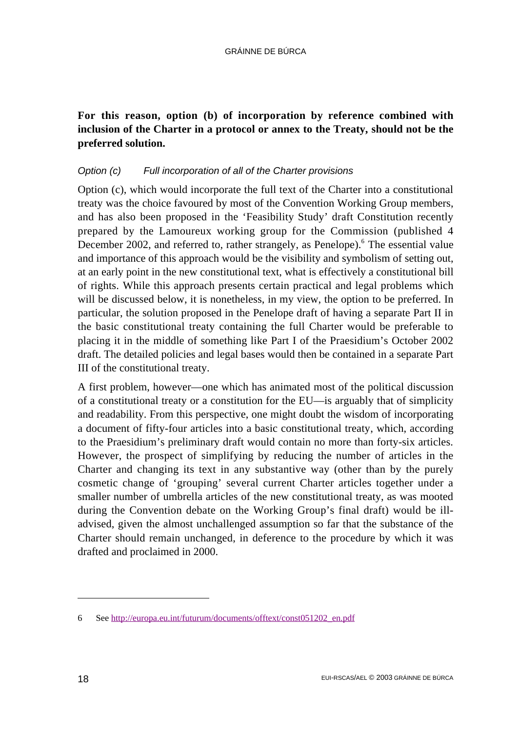## **For this reason, option (b) of incorporation by reference combined with inclusion of the Charter in a protocol or annex to the Treaty, should not be the preferred solution.**

## *Option (c) Full incorporation of all of the Charter provisions*

Option (c), which would incorporate the full text of the Charter into a constitutional treaty was the choice favoured by most of the Convention Working Group members, and has also been proposed in the 'Feasibility Study' draft Constitution recently prepared by the Lamoureux working group for the Commission (published 4 December 2002, and referred to, rather strangely, as Penelope).<sup>6</sup> The essential value and importance of this approach would be the visibility and symbolism of setting out, at an early point in the new constitutional text, what is effectively a constitutional bill of rights. While this approach presents certain practical and legal problems which will be discussed below, it is nonetheless, in my view, the option to be preferred. In particular, the solution proposed in the Penelope draft of having a separate Part II in the basic constitutional treaty containing the full Charter would be preferable to placing it in the middle of something like Part I of the Praesidium's October 2002 draft. The detailed policies and legal bases would then be contained in a separate Part III of the constitutional treaty.

A first problem, however—one which has animated most of the political discussion of a constitutional treaty or a constitution for the EU—is arguably that of simplicity and readability. From this perspective, one might doubt the wisdom of incorporating a document of fifty-four articles into a basic constitutional treaty, which, according to the Praesidium's preliminary draft would contain no more than forty-six articles. However, the prospect of simplifying by reducing the number of articles in the Charter and changing its text in any substantive way (other than by the purely cosmetic change of 'grouping' several current Charter articles together under a smaller number of umbrella articles of the new constitutional treaty, as was mooted during the Convention debate on the Working Group's final draft) would be illadvised, given the almost unchallenged assumption so far that the substance of the Charter should remain unchanged, in deference to the procedure by which it was drafted and proclaimed in 2000.

 $\overline{a}$ 

<sup>6</sup> See [http://europa.eu.int/futurum/documents/offtext/const051202\\_en.pdf](http://europa.eu.int/futurum/documents/offtext/const051202_en.pdf)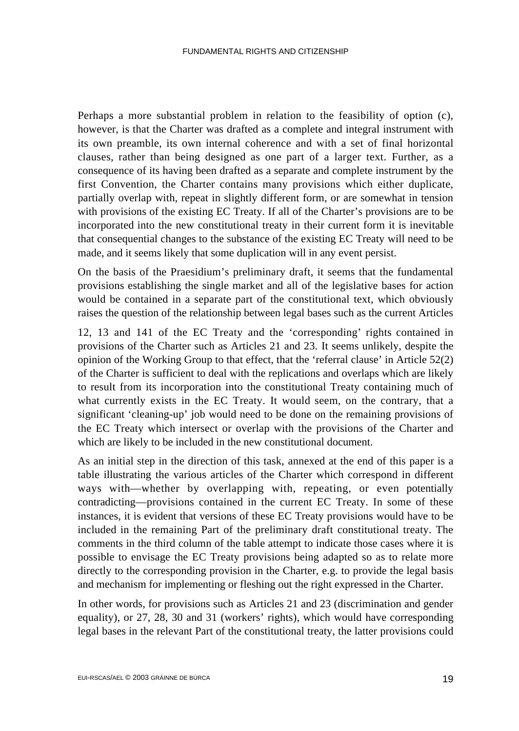Perhaps a more substantial problem in relation to the feasibility of option (c), however, is that the Charter was drafted as a complete and integral instrument with its own preamble, its own internal coherence and with a set of final horizontal clauses, rather than being designed as one part of a larger text. Further, as a consequence of its having been drafted as a separate and complete instrument by the first Convention, the Charter contains many provisions which either duplicate, partially overlap with, repeat in slightly different form, or are somewhat in tension with provisions of the existing EC Treaty. If all of the Charter's provisions are to be incorporated into the new constitutional treaty in their current form it is inevitable that consequential changes to the substance of the existing EC Treaty will need to be made, and it seems likely that some duplication will in any event persist.

On the basis of the Praesidium's preliminary draft, it seems that the fundamental provisions establishing the single market and all of the legislative bases for action would be contained in a separate part of the constitutional text, which obviously raises the question of the relationship between legal bases such as the current Articles

12, 13 and 141 of the EC Treaty and the 'corresponding' rights contained in provisions of the Charter such as Articles 21 and 23. It seems unlikely, despite the opinion of the Working Group to that effect, that the 'referral clause' in Article 52(2) of the Charter is sufficient to deal with the replications and overlaps which are likely to result from its incorporation into the constitutional Treaty containing much of what currently exists in the EC Treaty. It would seem, on the contrary, that a significant 'cleaning-up' job would need to be done on the remaining provisions of the EC Treaty which intersect or overlap with the provisions of the Charter and which are likely to be included in the new constitutional document.

As an initial step in the direction of this task, annexed at the end of this paper is a table illustrating the various articles of the Charter which correspond in different ways with—whether by overlapping with, repeating, or even potentially contradicting—provisions contained in the current EC Treaty. In some of these instances, it is evident that versions of these EC Treaty provisions would have to be included in the remaining Part of the preliminary draft constitutional treaty. The comments in the third column of the table attempt to indicate those cases where it is possible to envisage the EC Treaty provisions being adapted so as to relate more directly to the corresponding provision in the Charter, e.g. to provide the legal basis and mechanism for implementing or fleshing out the right expressed in the Charter.

In other words, for provisions such as Articles 21 and 23 (discrimination and gender equality), or 27, 28, 30 and 31 (workers' rights), which would have corresponding legal bases in the relevant Part of the constitutional treaty, the latter provisions could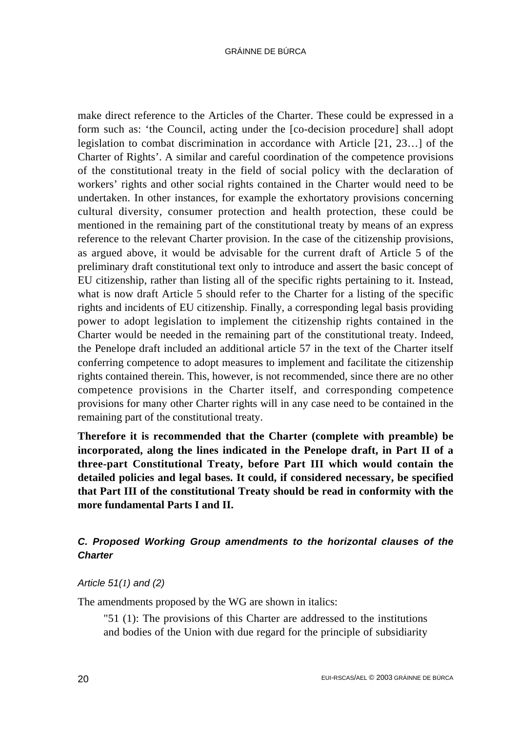make direct reference to the Articles of the Charter. These could be expressed in a form such as: 'the Council, acting under the [co-decision procedure] shall adopt legislation to combat discrimination in accordance with Article [21, 23…] of the Charter of Rights'. A similar and careful coordination of the competence provisions of the constitutional treaty in the field of social policy with the declaration of workers' rights and other social rights contained in the Charter would need to be undertaken. In other instances, for example the exhortatory provisions concerning cultural diversity, consumer protection and health protection, these could be mentioned in the remaining part of the constitutional treaty by means of an express reference to the relevant Charter provision. In the case of the citizenship provisions, as argued above, it would be advisable for the current draft of Article 5 of the preliminary draft constitutional text only to introduce and assert the basic concept of EU citizenship, rather than listing all of the specific rights pertaining to it. Instead, what is now draft Article 5 should refer to the Charter for a listing of the specific rights and incidents of EU citizenship. Finally, a corresponding legal basis providing power to adopt legislation to implement the citizenship rights contained in the Charter would be needed in the remaining part of the constitutional treaty. Indeed, the Penelope draft included an additional article 57 in the text of the Charter itself conferring competence to adopt measures to implement and facilitate the citizenship rights contained therein. This, however, is not recommended, since there are no other competence provisions in the Charter itself, and corresponding competence provisions for many other Charter rights will in any case need to be contained in the remaining part of the constitutional treaty.

**Therefore it is recommended that the Charter (complete with preamble) be incorporated, along the lines indicated in the Penelope draft, in Part II of a three-part Constitutional Treaty, before Part III which would contain the detailed policies and legal bases. It could, if considered necessary, be specified that Part III of the constitutional Treaty should be read in conformity with the more fundamental Parts I and II.**

### *C. Proposed Working Group amendments to the horizontal clauses of the Charter*

#### *Article 51(1) and (2)*

The amendments proposed by the WG are shown in italics:

"51 (1): The provisions of this Charter are addressed to the institutions and bodies of the Union with due regard for the principle of subsidiarity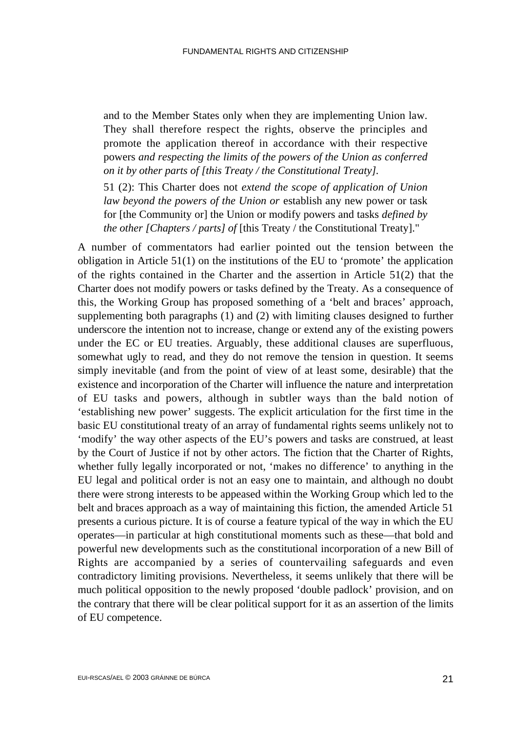and to the Member States only when they are implementing Union law. They shall therefore respect the rights, observe the principles and promote the application thereof in accordance with their respective powers *and respecting the limits of the powers of the Union as conferred on it by other parts of [this Treaty / the Constitutional Treaty].*

51 (2): This Charter does not *extend the scope of application of Union law beyond the powers of the Union or* establish any new power or task for [the Community or] the Union or modify powers and tasks *defined by the other [Chapters / parts] of* [this Treaty / the Constitutional Treaty]."

A number of commentators had earlier pointed out the tension between the obligation in Article 51(1) on the institutions of the EU to 'promote' the application of the rights contained in the Charter and the assertion in Article 51(2) that the Charter does not modify powers or tasks defined by the Treaty. As a consequence of this, the Working Group has proposed something of a 'belt and braces' approach, supplementing both paragraphs (1) and (2) with limiting clauses designed to further underscore the intention not to increase, change or extend any of the existing powers under the EC or EU treaties. Arguably, these additional clauses are superfluous, somewhat ugly to read, and they do not remove the tension in question. It seems simply inevitable (and from the point of view of at least some, desirable) that the existence and incorporation of the Charter will influence the nature and interpretation of EU tasks and powers, although in subtler ways than the bald notion of 'establishing new power' suggests. The explicit articulation for the first time in the basic EU constitutional treaty of an array of fundamental rights seems unlikely not to 'modify' the way other aspects of the EU's powers and tasks are construed, at least by the Court of Justice if not by other actors. The fiction that the Charter of Rights, whether fully legally incorporated or not, 'makes no difference' to anything in the EU legal and political order is not an easy one to maintain, and although no doubt there were strong interests to be appeased within the Working Group which led to the belt and braces approach as a way of maintaining this fiction, the amended Article 51 presents a curious picture. It is of course a feature typical of the way in which the EU operates—in particular at high constitutional moments such as these—that bold and powerful new developments such as the constitutional incorporation of a new Bill of Rights are accompanied by a series of countervailing safeguards and even contradictory limiting provisions. Nevertheless, it seems unlikely that there will be much political opposition to the newly proposed 'double padlock' provision, and on the contrary that there will be clear political support for it as an assertion of the limits of EU competence.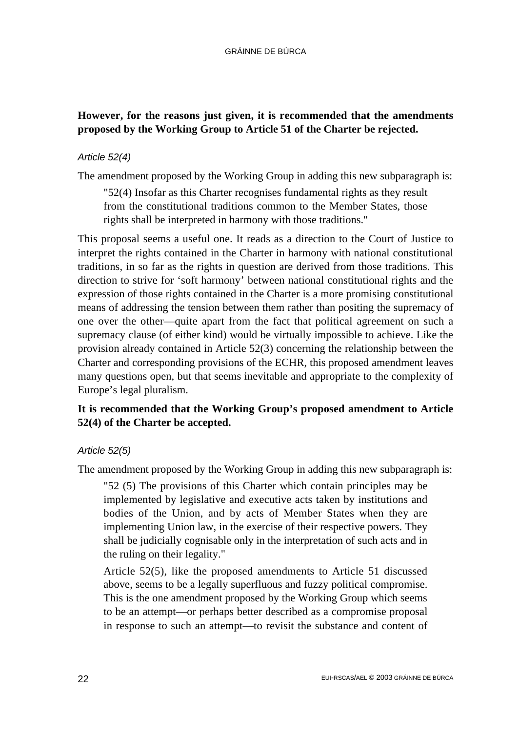## **However, for the reasons just given, it is recommended that the amendments proposed by the Working Group to Article 51 of the Charter be rejected.**

#### *Article 52(4)*

The amendment proposed by the Working Group in adding this new subparagraph is:

"52(4) Insofar as this Charter recognises fundamental rights as they result from the constitutional traditions common to the Member States, those rights shall be interpreted in harmony with those traditions."

This proposal seems a useful one. It reads as a direction to the Court of Justice to interpret the rights contained in the Charter in harmony with national constitutional traditions, in so far as the rights in question are derived from those traditions. This direction to strive for 'soft harmony' between national constitutional rights and the expression of those rights contained in the Charter is a more promising constitutional means of addressing the tension between them rather than positing the supremacy of one over the other—quite apart from the fact that political agreement on such a supremacy clause (of either kind) would be virtually impossible to achieve. Like the provision already contained in Article 52(3) concerning the relationship between the Charter and corresponding provisions of the ECHR, this proposed amendment leaves many questions open, but that seems inevitable and appropriate to the complexity of Europe's legal pluralism.

### **It is recommended that the Working Group's proposed amendment to Article 52(4) of the Charter be accepted.**

#### *Article 52(5)*

The amendment proposed by the Working Group in adding this new subparagraph is:

"52 (5) The provisions of this Charter which contain principles may be implemented by legislative and executive acts taken by institutions and bodies of the Union, and by acts of Member States when they are implementing Union law, in the exercise of their respective powers. They shall be judicially cognisable only in the interpretation of such acts and in the ruling on their legality."

Article 52(5), like the proposed amendments to Article 51 discussed above, seems to be a legally superfluous and fuzzy political compromise. This is the one amendment proposed by the Working Group which seems to be an attempt—or perhaps better described as a compromise proposal in response to such an attempt—to revisit the substance and content of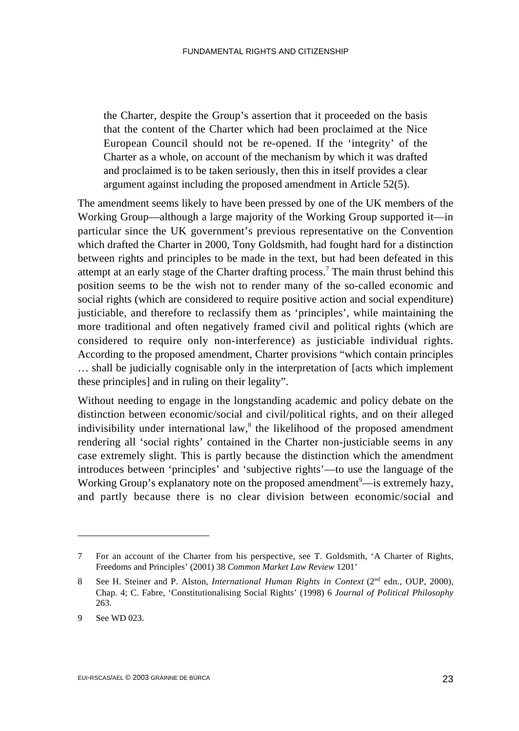the Charter, despite the Group's assertion that it proceeded on the basis that the content of the Charter which had been proclaimed at the Nice European Council should not be re-opened. If the 'integrity' of the Charter as a whole, on account of the mechanism by which it was drafted and proclaimed is to be taken seriously, then this in itself provides a clear argument against including the proposed amendment in Article 52(5).

The amendment seems likely to have been pressed by one of the UK members of the Working Group—although a large majority of the Working Group supported it—in particular since the UK government's previous representative on the Convention which drafted the Charter in 2000, Tony Goldsmith, had fought hard for a distinction between rights and principles to be made in the text, but had been defeated in this attempt at an early stage of the Charter drafting process.7 The main thrust behind this position seems to be the wish not to render many of the so-called economic and social rights (which are considered to require positive action and social expenditure) justiciable, and therefore to reclassify them as 'principles', while maintaining the more traditional and often negatively framed civil and political rights (which are considered to require only non-interference) as justiciable individual rights. According to the proposed amendment, Charter provisions "which contain principles … shall be judicially cognisable only in the interpretation of [acts which implement these principles] and in ruling on their legality".

Without needing to engage in the longstanding academic and policy debate on the distinction between economic/social and civil/political rights, and on their alleged indivisibility under international law, $\frac{8}{3}$  the likelihood of the proposed amendment rendering all 'social rights' contained in the Charter non-justiciable seems in any case extremely slight. This is partly because the distinction which the amendment introduces between 'principles' and 'subjective rights'—to use the language of the Working Group's explanatory note on the proposed amendment<sup>9</sup>—is extremely hazy, and partly because there is no clear division between economic/social and

 $\overline{a}$ 

<sup>7</sup> For an account of the Charter from his perspective, see T. Goldsmith, 'A Charter of Rights, Freedoms and Principles' (2001) 38 *Common Market Law Review* 1201'

<sup>8</sup> See H. Steiner and P. Alston, *International Human Rights in Context* (2<sup>nd</sup> edn., OUP, 2000), Chap. 4; C. Fabre, 'Constitutionalising Social Rights' (1998) 6 *Journal of Political Philosophy* 263.

<sup>9</sup> See WD 023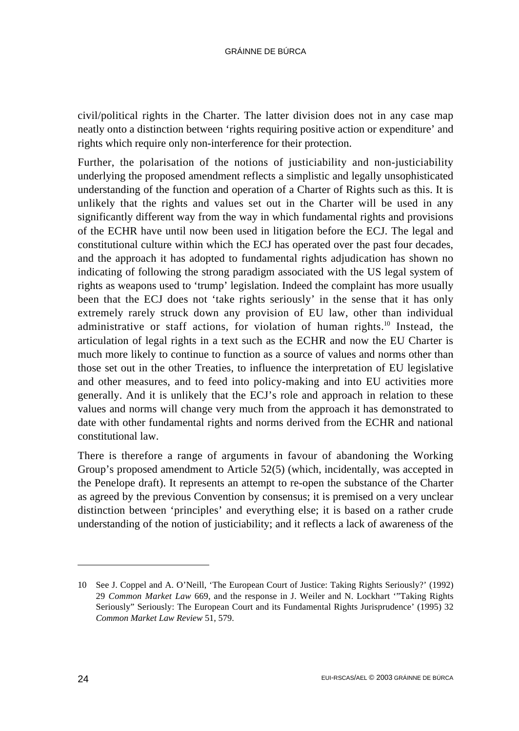civil/political rights in the Charter. The latter division does not in any case map neatly onto a distinction between 'rights requiring positive action or expenditure' and rights which require only non-interference for their protection.

Further, the polarisation of the notions of justiciability and non-justiciability underlying the proposed amendment reflects a simplistic and legally unsophisticated understanding of the function and operation of a Charter of Rights such as this. It is unlikely that the rights and values set out in the Charter will be used in any significantly different way from the way in which fundamental rights and provisions of the ECHR have until now been used in litigation before the ECJ. The legal and constitutional culture within which the ECJ has operated over the past four decades, and the approach it has adopted to fundamental rights adjudication has shown no indicating of following the strong paradigm associated with the US legal system of rights as weapons used to 'trump' legislation. Indeed the complaint has more usually been that the ECJ does not 'take rights seriously' in the sense that it has only extremely rarely struck down any provision of EU law, other than individual administrative or staff actions, for violation of human rights.<sup>10</sup> Instead, the articulation of legal rights in a text such as the ECHR and now the EU Charter is much more likely to continue to function as a source of values and norms other than those set out in the other Treaties, to influence the interpretation of EU legislative and other measures, and to feed into policy-making and into EU activities more generally. And it is unlikely that the ECJ's role and approach in relation to these values and norms will change very much from the approach it has demonstrated to date with other fundamental rights and norms derived from the ECHR and national constitutional law.

There is therefore a range of arguments in favour of abandoning the Working Group's proposed amendment to Article 52(5) (which, incidentally, was accepted in the Penelope draft). It represents an attempt to re-open the substance of the Charter as agreed by the previous Convention by consensus; it is premised on a very unclear distinction between 'principles' and everything else; it is based on a rather crude understanding of the notion of justiciability; and it reflects a lack of awareness of the

-

<sup>10</sup> See J. Coppel and A. O'Neill, 'The European Court of Justice: Taking Rights Seriously?' (1992) 29 *Common Market Law* 669, and the response in J. Weiler and N. Lockhart '"Taking Rights Seriously" Seriously: The European Court and its Fundamental Rights Jurisprudence' (1995) 32 *Common Market Law Review* 51, 579.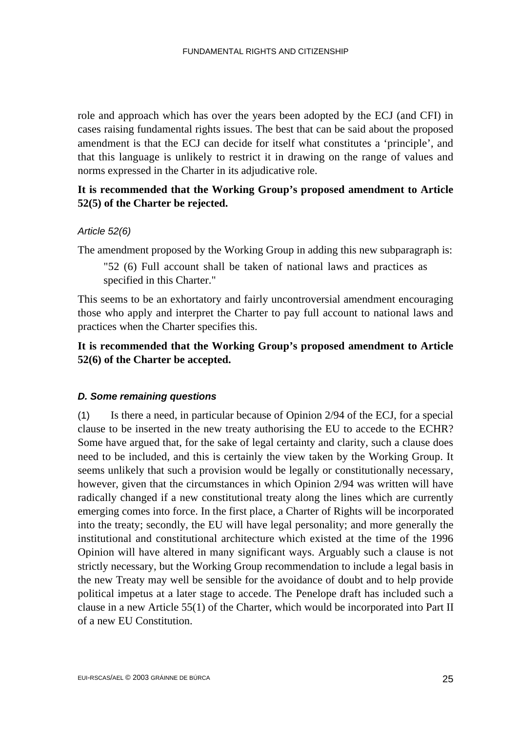role and approach which has over the years been adopted by the ECJ (and CFI) in cases raising fundamental rights issues. The best that can be said about the proposed amendment is that the ECJ can decide for itself what constitutes a 'principle', and that this language is unlikely to restrict it in drawing on the range of values and norms expressed in the Charter in its adjudicative role.

## **It is recommended that the Working Group's proposed amendment to Article 52(5) of the Charter be rejected.**

#### *Article 52(6)*

The amendment proposed by the Working Group in adding this new subparagraph is:

"52 (6) Full account shall be taken of national laws and practices as specified in this Charter."

This seems to be an exhortatory and fairly uncontroversial amendment encouraging those who apply and interpret the Charter to pay full account to national laws and practices when the Charter specifies this.

**It is recommended that the Working Group's proposed amendment to Article 52(6) of the Charter be accepted.**

#### *D. Some remaining questions*

(1) Is there a need, in particular because of Opinion 2/94 of the ECJ, for a special clause to be inserted in the new treaty authorising the EU to accede to the ECHR? Some have argued that, for the sake of legal certainty and clarity, such a clause does need to be included, and this is certainly the view taken by the Working Group. It seems unlikely that such a provision would be legally or constitutionally necessary, however, given that the circumstances in which Opinion 2/94 was written will have radically changed if a new constitutional treaty along the lines which are currently emerging comes into force. In the first place, a Charter of Rights will be incorporated into the treaty; secondly, the EU will have legal personality; and more generally the institutional and constitutional architecture which existed at the time of the 1996 Opinion will have altered in many significant ways. Arguably such a clause is not strictly necessary, but the Working Group recommendation to include a legal basis in the new Treaty may well be sensible for the avoidance of doubt and to help provide political impetus at a later stage to accede. The Penelope draft has included such a clause in a new Article 55(1) of the Charter, which would be incorporated into Part II of a new EU Constitution.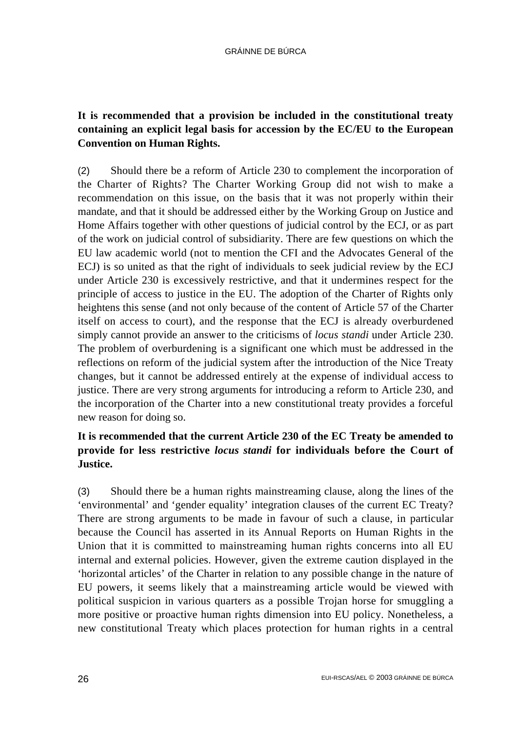## **It is recommended that a provision be included in the constitutional treaty containing an explicit legal basis for accession by the EC/EU to the European Convention on Human Rights.**

(2) Should there be a reform of Article 230 to complement the incorporation of the Charter of Rights? The Charter Working Group did not wish to make a recommendation on this issue, on the basis that it was not properly within their mandate, and that it should be addressed either by the Working Group on Justice and Home Affairs together with other questions of judicial control by the ECJ, or as part of the work on judicial control of subsidiarity. There are few questions on which the EU law academic world (not to mention the CFI and the Advocates General of the ECJ) is so united as that the right of individuals to seek judicial review by the ECJ under Article 230 is excessively restrictive, and that it undermines respect for the principle of access to justice in the EU. The adoption of the Charter of Rights only heightens this sense (and not only because of the content of Article 57 of the Charter itself on access to court), and the response that the ECJ is already overburdened simply cannot provide an answer to the criticisms of *locus standi* under Article 230. The problem of overburdening is a significant one which must be addressed in the reflections on reform of the judicial system after the introduction of the Nice Treaty changes, but it cannot be addressed entirely at the expense of individual access to justice. There are very strong arguments for introducing a reform to Article 230, and the incorporation of the Charter into a new constitutional treaty provides a forceful new reason for doing so.

## **It is recommended that the current Article 230 of the EC Treaty be amended to provide for less restrictive** *locus standi* **for individuals before the Court of Justice.**

(3) Should there be a human rights mainstreaming clause, along the lines of the 'environmental' and 'gender equality' integration clauses of the current EC Treaty? There are strong arguments to be made in favour of such a clause, in particular because the Council has asserted in its Annual Reports on Human Rights in the Union that it is committed to mainstreaming human rights concerns into all EU internal and external policies. However, given the extreme caution displayed in the 'horizontal articles' of the Charter in relation to any possible change in the nature of EU powers, it seems likely that a mainstreaming article would be viewed with political suspicion in various quarters as a possible Trojan horse for smuggling a more positive or proactive human rights dimension into EU policy. Nonetheless, a new constitutional Treaty which places protection for human rights in a central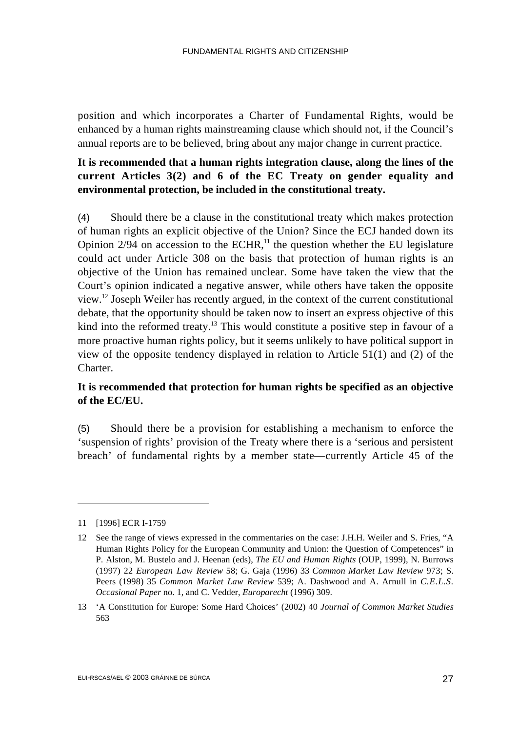position and which incorporates a Charter of Fundamental Rights, would be enhanced by a human rights mainstreaming clause which should not, if the Council's annual reports are to be believed, bring about any major change in current practice.

## **It is recommended that a human rights integration clause, along the lines of the current Articles 3(2) and 6 of the EC Treaty on gender equality and environmental protection, be included in the constitutional treaty.**

(4) Should there be a clause in the constitutional treaty which makes protection of human rights an explicit objective of the Union? Since the ECJ handed down its Opinion  $2/94$  on accession to the ECHR,<sup>11</sup> the question whether the EU legislature could act under Article 308 on the basis that protection of human rights is an objective of the Union has remained unclear. Some have taken the view that the Court's opinion indicated a negative answer, while others have taken the opposite view.12 Joseph Weiler has recently argued, in the context of the current constitutional debate, that the opportunity should be taken now to insert an express objective of this kind into the reformed treaty.<sup>13</sup> This would constitute a positive step in favour of a more proactive human rights policy, but it seems unlikely to have political support in view of the opposite tendency displayed in relation to Article  $51(1)$  and (2) of the Charter.

## **It is recommended that protection for human rights be specified as an objective of the EC/EU.**

(5) Should there be a provision for establishing a mechanism to enforce the 'suspension of rights' provision of the Treaty where there is a 'serious and persistent breach' of fundamental rights by a member state—currently Article 45 of the

-

<sup>11 [1996]</sup> ECR I-1759

<sup>12</sup> See the range of views expressed in the commentaries on the case: J.H.H. Weiler and S. Fries, "A Human Rights Policy for the European Community and Union: the Question of Competences" in P. Alston, M. Bustelo and J. Heenan (eds), *The EU and Human Rights* (OUP, 1999), N. Burrows (1997) 22 *European Law Review* 58; G. Gaja (1996) 33 *Common Market Law Review* 973; S. Peers (1998) 35 *Common Market Law Review* 539; A. Dashwood and A. Arnull in *C.E.L.S. Occasional Paper* no. 1, and C. Vedder, *Europarecht* (1996) 309.

<sup>13 &#</sup>x27;A Constitution for Europe: Some Hard Choices' (2002) 40 *Journal of Common Market Studies* 563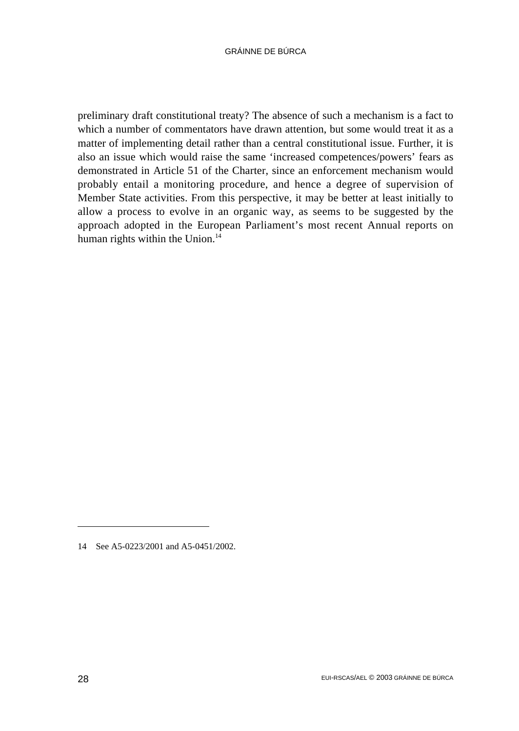preliminary draft constitutional treaty? The absence of such a mechanism is a fact to which a number of commentators have drawn attention, but some would treat it as a matter of implementing detail rather than a central constitutional issue. Further, it is also an issue which would raise the same 'increased competences/powers' fears as demonstrated in Article 51 of the Charter, since an enforcement mechanism would probably entail a monitoring procedure, and hence a degree of supervision of Member State activities. From this perspective, it may be better at least initially to allow a process to evolve in an organic way, as seems to be suggested by the approach adopted in the European Parliament's most recent Annual reports on human rights within the Union. $14$ 

l

<sup>14</sup> See A5-0223/2001 and A5-0451/2002.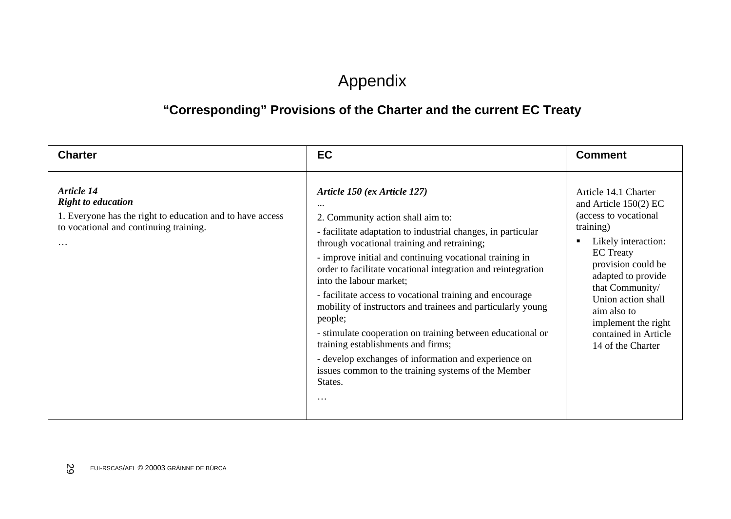## Appendix

## **"Corresponding" Provisions of the Charter and the current EC Treaty**

| <b>Charter</b>                                                                                                                                             | EC                                                                                                                                                                                                                                                                                                                                                                                                                                                                                                                                                                                                                                                                                                                                  | <b>Comment</b>                                                                                                                                                                                                                                                                                                 |
|------------------------------------------------------------------------------------------------------------------------------------------------------------|-------------------------------------------------------------------------------------------------------------------------------------------------------------------------------------------------------------------------------------------------------------------------------------------------------------------------------------------------------------------------------------------------------------------------------------------------------------------------------------------------------------------------------------------------------------------------------------------------------------------------------------------------------------------------------------------------------------------------------------|----------------------------------------------------------------------------------------------------------------------------------------------------------------------------------------------------------------------------------------------------------------------------------------------------------------|
| Article 14<br><b>Right to education</b><br>1. Everyone has the right to education and to have access<br>to vocational and continuing training.<br>$\cdots$ | Article 150 (ex Article 127)<br>$\cdots$<br>2. Community action shall aim to:<br>- facilitate adaptation to industrial changes, in particular<br>through vocational training and retraining;<br>- improve initial and continuing vocational training in<br>order to facilitate vocational integration and reintegration<br>into the labour market:<br>- facilitate access to vocational training and encourage<br>mobility of instructors and trainees and particularly young<br>people;<br>- stimulate cooperation on training between educational or<br>training establishments and firms;<br>- develop exchanges of information and experience on<br>issues common to the training systems of the Member<br>States.<br>$\ddotsc$ | Article 14.1 Charter<br>and Article $150(2)$ EC<br>(access to vocational)<br>training)<br>Likely interaction:<br>٠<br><b>EC</b> Treaty<br>provision could be<br>adapted to provide<br>that Community/<br>Union action shall<br>aim also to<br>implement the right<br>contained in Article<br>14 of the Charter |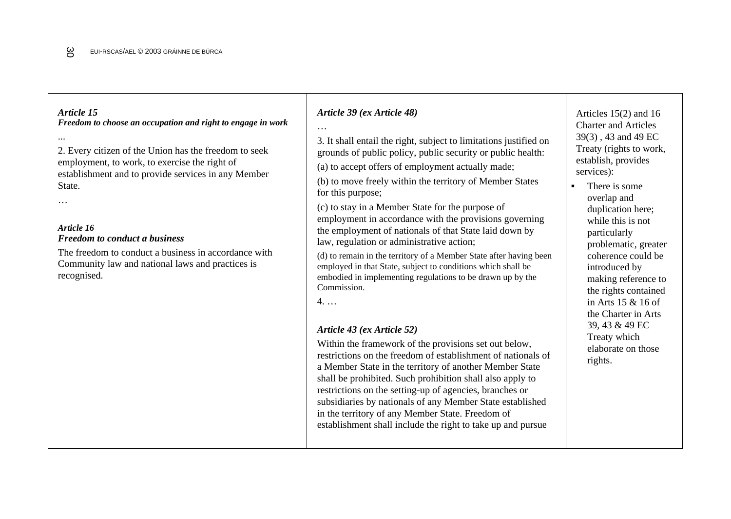#### *Article 15*

*Freedom to choose an occupation and right to engage in work*

2. Every citizen of the Union has the freedom to seek employment, to work, to exercise the right of establishment and to provide services in any Member State.

…

...

#### *Article 16 Freedom to conduct a business*

The freedom to conduct a business in accordance with Community law and national laws and practices is recognised.

#### *Article 39 (ex Article 48)*

…

3. It shall entail the right, subject to limitations justified on grounds of public policy, public security or public health:

(a) to accept offers of employment actually made;

(b) to move freely within the territory of Member States for this purpose;

(c) to stay in a Member State for the purpose of employment in accordance with the provisions governing the employment of nationals of that State laid down by law, regulation or administrative action;

(d) to remain in the territory of a Member State after having been employed in that State, subject to conditions which shall be embodied in implementing regulations to be drawn up by the Commission.

4. …

## *Article 43 (ex Article 52)*

Within the framework of the provisions set out below, restrictions on the freedom of establishment of nationals of a Member State in the territory of another Member State shall be prohibited. Such prohibition shall also apply to restrictions on the setting-up of agencies, branches or subsidiaries by nationals of any Member State established in the territory of any Member State. Freedom of establishment shall include the right to take up and pursue

Articles 15(2) and 16 Charter and Articles 39(3) , 43 and 49 EC Treaty (rights to work, establish, provides services):

 There is some overlap and duplication here; while this is not particularly problematic, greater coherence could be introduced by making reference to the rights contained in Arts 15 & 16 of the Charter in Arts 39, 43 & 49 EC Treaty which elaborate on those rights.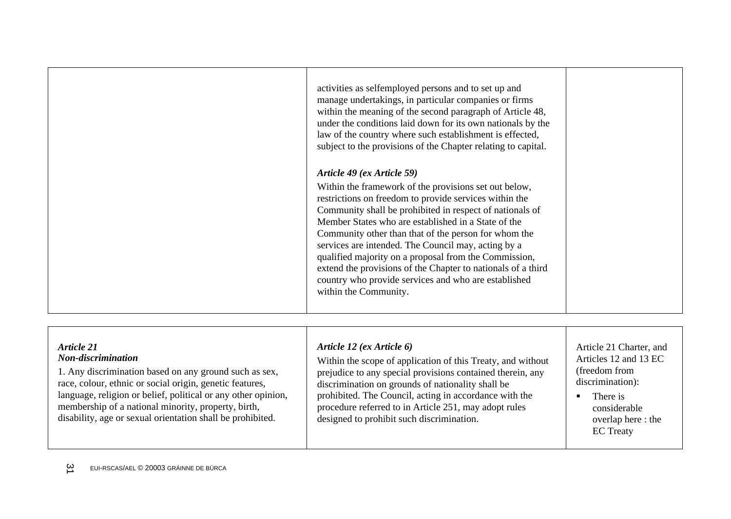| activities as selfemployed persons and to set up and<br>manage undertakings, in particular companies or firms<br>within the meaning of the second paragraph of Article 48,<br>under the conditions laid down for its own nationals by the<br>law of the country where such establishment is effected,<br>subject to the provisions of the Chapter relating to capital.                                                                                                                                                                                                                    |  |
|-------------------------------------------------------------------------------------------------------------------------------------------------------------------------------------------------------------------------------------------------------------------------------------------------------------------------------------------------------------------------------------------------------------------------------------------------------------------------------------------------------------------------------------------------------------------------------------------|--|
| Article 49 (ex Article 59)<br>Within the framework of the provisions set out below,<br>restrictions on freedom to provide services within the<br>Community shall be prohibited in respect of nationals of<br>Member States who are established in a State of the<br>Community other than that of the person for whom the<br>services are intended. The Council may, acting by a<br>qualified majority on a proposal from the Commission,<br>extend the provisions of the Chapter to nationals of a third<br>country who provide services and who are established<br>within the Community. |  |

| Article 21<br>Non-discrimination<br>1. Any discrimination based on any ground such as sex,<br>race, colour, ethnic or social origin, genetic features,<br>language, religion or belief, political or any other opinion,<br>membership of a national minority, property, birth,<br>disability, age or sexual orientation shall be prohibited. | Article 12 (ex Article 6)<br>Within the scope of application of this Treaty, and without<br>prejudice to any special provisions contained therein, any<br>discrimination on grounds of nationality shall be<br>prohibited. The Council, acting in accordance with the<br>procedure referred to in Article 251, may adopt rules<br>designed to prohibit such discrimination. | Article 21 Charter, and<br>Articles 12 and 13 EC<br>(freedom from<br>discrimination):<br>There is<br>considerable<br>overlap here: the<br><b>EC</b> Treaty |
|----------------------------------------------------------------------------------------------------------------------------------------------------------------------------------------------------------------------------------------------------------------------------------------------------------------------------------------------|-----------------------------------------------------------------------------------------------------------------------------------------------------------------------------------------------------------------------------------------------------------------------------------------------------------------------------------------------------------------------------|------------------------------------------------------------------------------------------------------------------------------------------------------------|
|----------------------------------------------------------------------------------------------------------------------------------------------------------------------------------------------------------------------------------------------------------------------------------------------------------------------------------------------|-----------------------------------------------------------------------------------------------------------------------------------------------------------------------------------------------------------------------------------------------------------------------------------------------------------------------------------------------------------------------------|------------------------------------------------------------------------------------------------------------------------------------------------------------|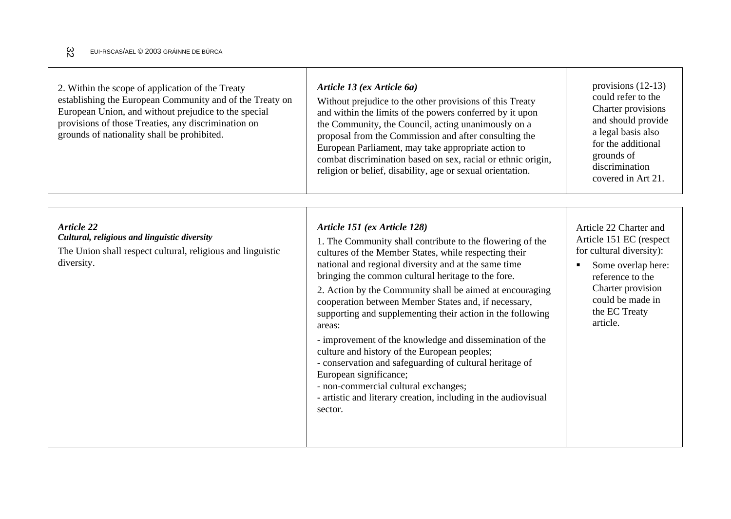| 2. Within the scope of application of the Treaty<br>establishing the European Community and of the Treaty on<br>European Union, and without prejudice to the special<br>provisions of those Treaties, any discrimination on<br>grounds of nationality shall be prohibited. | Article 13 (ex Article 6a)<br>Without prejudice to the other provisions of this Treaty<br>and within the limits of the powers conferred by it upon<br>the Community, the Council, acting unanimously on a<br>proposal from the Commission and after consulting the<br>European Parliament, may take appropriate action to<br>combat discrimination based on sex, racial or ethnic origin,<br>religion or belief, disability, age or sexual orientation.                                                                                                                                                                                                                                                                                                                           | provisions $(12-13)$<br>could refer to the<br>Charter provisions<br>and should provide<br>a legal basis also<br>for the additional<br>grounds of<br>discrimination<br>covered in Art 21.           |
|----------------------------------------------------------------------------------------------------------------------------------------------------------------------------------------------------------------------------------------------------------------------------|-----------------------------------------------------------------------------------------------------------------------------------------------------------------------------------------------------------------------------------------------------------------------------------------------------------------------------------------------------------------------------------------------------------------------------------------------------------------------------------------------------------------------------------------------------------------------------------------------------------------------------------------------------------------------------------------------------------------------------------------------------------------------------------|----------------------------------------------------------------------------------------------------------------------------------------------------------------------------------------------------|
| Article 22<br>Cultural, religious and linguistic diversity<br>The Union shall respect cultural, religious and linguistic<br>diversity.                                                                                                                                     | Article 151 (ex Article 128)<br>1. The Community shall contribute to the flowering of the<br>cultures of the Member States, while respecting their<br>national and regional diversity and at the same time<br>bringing the common cultural heritage to the fore.<br>2. Action by the Community shall be aimed at encouraging<br>cooperation between Member States and, if necessary,<br>supporting and supplementing their action in the following<br>areas:<br>- improvement of the knowledge and dissemination of the<br>culture and history of the European peoples;<br>- conservation and safeguarding of cultural heritage of<br>European significance;<br>- non-commercial cultural exchanges;<br>- artistic and literary creation, including in the audiovisual<br>sector. | Article 22 Charter and<br>Article 151 EC (respect<br>for cultural diversity):<br>Some overlap here:<br>٠<br>reference to the<br>Charter provision<br>could be made in<br>the EC Treaty<br>article. |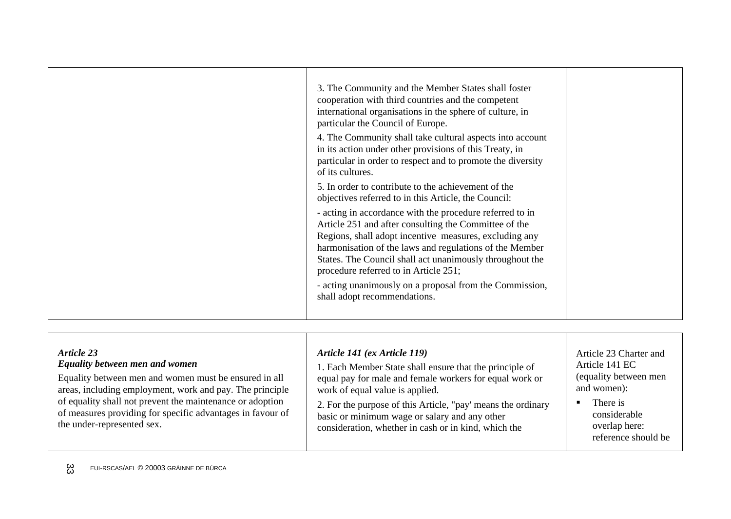| 3. The Community and the Member States shall foster<br>cooperation with third countries and the competent<br>international organisations in the sphere of culture, in<br>particular the Council of Europe.                                                                                                                                  |  |
|---------------------------------------------------------------------------------------------------------------------------------------------------------------------------------------------------------------------------------------------------------------------------------------------------------------------------------------------|--|
| 4. The Community shall take cultural aspects into account<br>in its action under other provisions of this Treaty, in<br>particular in order to respect and to promote the diversity<br>of its cultures.                                                                                                                                     |  |
| 5. In order to contribute to the achievement of the<br>objectives referred to in this Article, the Council:                                                                                                                                                                                                                                 |  |
| - acting in accordance with the procedure referred to in<br>Article 251 and after consulting the Committee of the<br>Regions, shall adopt incentive measures, excluding any<br>harmonisation of the laws and regulations of the Member<br>States. The Council shall act unanimously throughout the<br>procedure referred to in Article 251; |  |
| - acting unanimously on a proposal from the Commission,<br>shall adopt recommendations.                                                                                                                                                                                                                                                     |  |

| Article 23<br><b>Equality between men and women</b><br>Equality between men and women must be ensured in all<br>areas, including employment, work and pay. The principle<br>of equality shall not prevent the maintenance or adoption<br>of measures providing for specific advantages in favour of<br>the under-represented sex. | Article 141 (ex Article 119)<br>1. Each Member State shall ensure that the principle of<br>equal pay for male and female workers for equal work or<br>work of equal value is applied.<br>2. For the purpose of this Article, "pay' means the ordinary<br>basic or minimum wage or salary and any other<br>consideration, whether in cash or in kind, which the | Article 23 Charter and<br>Article 141 EC<br>(equality between men<br>and women):<br>There is<br>considerable<br>overlap here:<br>reference should be |
|-----------------------------------------------------------------------------------------------------------------------------------------------------------------------------------------------------------------------------------------------------------------------------------------------------------------------------------|----------------------------------------------------------------------------------------------------------------------------------------------------------------------------------------------------------------------------------------------------------------------------------------------------------------------------------------------------------------|------------------------------------------------------------------------------------------------------------------------------------------------------|
|-----------------------------------------------------------------------------------------------------------------------------------------------------------------------------------------------------------------------------------------------------------------------------------------------------------------------------------|----------------------------------------------------------------------------------------------------------------------------------------------------------------------------------------------------------------------------------------------------------------------------------------------------------------------------------------------------------------|------------------------------------------------------------------------------------------------------------------------------------------------------|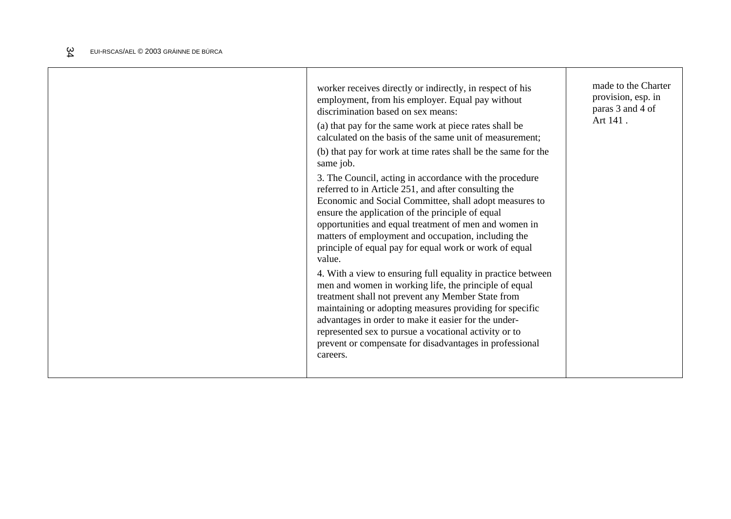| worker receives directly or indirectly, in respect of his<br>employment, from his employer. Equal pay without<br>discrimination based on sex means:<br>(a) that pay for the same work at piece rates shall be<br>calculated on the basis of the same unit of measurement;<br>(b) that pay for work at time rates shall be the same for the<br>same job.<br>3. The Council, acting in accordance with the procedure<br>referred to in Article 251, and after consulting the<br>Economic and Social Committee, shall adopt measures to<br>ensure the application of the principle of equal<br>opportunities and equal treatment of men and women in<br>matters of employment and occupation, including the<br>principle of equal pay for equal work or work of equal<br>value. | made to the Charter<br>provision, esp. in<br>paras 3 and 4 of<br>Art 141. |
|------------------------------------------------------------------------------------------------------------------------------------------------------------------------------------------------------------------------------------------------------------------------------------------------------------------------------------------------------------------------------------------------------------------------------------------------------------------------------------------------------------------------------------------------------------------------------------------------------------------------------------------------------------------------------------------------------------------------------------------------------------------------------|---------------------------------------------------------------------------|
| 4. With a view to ensuring full equality in practice between<br>men and women in working life, the principle of equal<br>treatment shall not prevent any Member State from<br>maintaining or adopting measures providing for specific<br>advantages in order to make it easier for the under-<br>represented sex to pursue a vocational activity or to<br>prevent or compensate for disadvantages in professional<br>careers.                                                                                                                                                                                                                                                                                                                                                |                                                                           |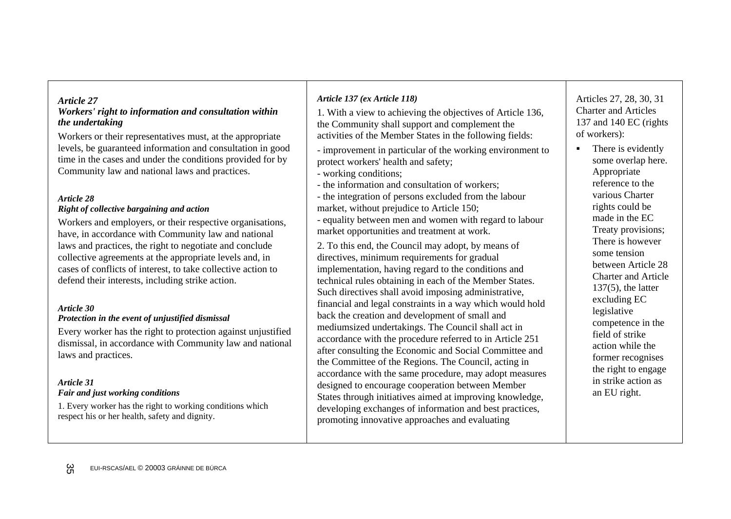#### *Article 27*

#### *Workers' right to information and consultation within the undertaking*

Workers or their representatives must, at the appropriate levels, be guaranteed information and consultation in good time in the cases and under the conditions provided for by Community law and national laws and practices.

#### *Article 28 Right of collective bargaining and action*

Workers and employers, or their respective organisations, have, in accordance with Community law and national laws and practices, the right to negotiate and conclude collective agreements at the appropriate levels and, in cases of conflicts of interest, to take collective action to defend their interests, including strike action.

### *Article 30*

#### *Protection in the event of unjustified dismissal*

Every worker has the right to protection against unjustified dismissal, in accordance with Community law and national laws and practices.

#### *Article 31 Fair and just working conditions*

1. Every worker has the right to working conditions which respect his or her health, safety and dignity.

#### *Article 137 (ex Article 118)*

1. With a view to achieving the objectives of Article 136, the Community shall support and complement the activities of the Member States in the following fields:

- improvement in particular of the working environment to protect workers' health and safety;

- working conditions;
- the information and consultation of workers;
- the integration of persons excluded from the labour market, without prejudice to Article 150;

- equality between men and women with regard to labour market opportunities and treatment at work.

2. To this end, the Council may adopt, by means of directives, minimum requirements for gradual implementation, having regard to the conditions and technical rules obtaining in each of the Member States. Such directives shall avoid imposing administrative, financial and legal constraints in a way which would hold back the creation and development of small and mediumsized undertakings. The Council shall act in accordance with the procedure referred to in Article 251 after consulting the Economic and Social Committee and the Committee of the Regions. The Council, acting in accordance with the same procedure, may adopt measures designed to encourage cooperation between Member States through initiatives aimed at improving knowledge, developing exchanges of information and best practices. promoting innovative approaches and evaluating

Articles 27, 28, 30, 31 Charter and Articles 137 and 140 EC (rights of workers):

!

 There is evidently some overlap here. Appropriate reference to the various Charter rights could be made in the EC Treaty provisions; There is however some tension between Article 28 Charter and Article 137(5), the latter excluding EC legislative competence in the field of strike action while the former recognises the right to engage in strike action as an EU right.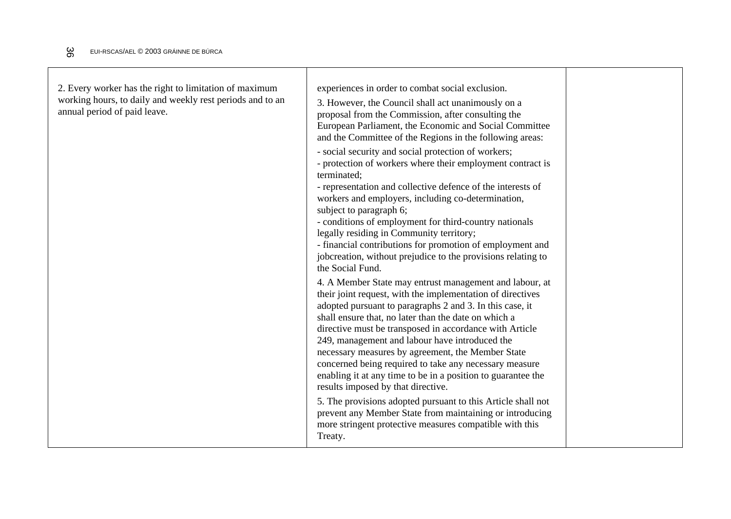#### EUI-RSCAS/AEL © 2003 GRÁINNE DE BÚRCA 36

| 2. Every worker has the right to limitation of maximum<br>working hours, to daily and weekly rest periods and to an<br>annual period of paid leave. | experiences in order to combat social exclusion.<br>3. However, the Council shall act unanimously on a<br>proposal from the Commission, after consulting the<br>European Parliament, the Economic and Social Committee<br>and the Committee of the Regions in the following areas:                                                                                                                                                                                                                                                                                                                                                                                                                                                                                            |  |
|-----------------------------------------------------------------------------------------------------------------------------------------------------|-------------------------------------------------------------------------------------------------------------------------------------------------------------------------------------------------------------------------------------------------------------------------------------------------------------------------------------------------------------------------------------------------------------------------------------------------------------------------------------------------------------------------------------------------------------------------------------------------------------------------------------------------------------------------------------------------------------------------------------------------------------------------------|--|
|                                                                                                                                                     | - social security and social protection of workers;<br>- protection of workers where their employment contract is<br>terminated;<br>- representation and collective defence of the interests of<br>workers and employers, including co-determination,<br>subject to paragraph 6;<br>- conditions of employment for third-country nationals<br>legally residing in Community territory;<br>- financial contributions for promotion of employment and<br>jobcreation, without prejudice to the provisions relating to<br>the Social Fund.                                                                                                                                                                                                                                       |  |
|                                                                                                                                                     | 4. A Member State may entrust management and labour, at<br>their joint request, with the implementation of directives<br>adopted pursuant to paragraphs 2 and 3. In this case, it<br>shall ensure that, no later than the date on which a<br>directive must be transposed in accordance with Article<br>249, management and labour have introduced the<br>necessary measures by agreement, the Member State<br>concerned being required to take any necessary measure<br>enabling it at any time to be in a position to guarantee the<br>results imposed by that directive.<br>5. The provisions adopted pursuant to this Article shall not<br>prevent any Member State from maintaining or introducing<br>more stringent protective measures compatible with this<br>Treaty. |  |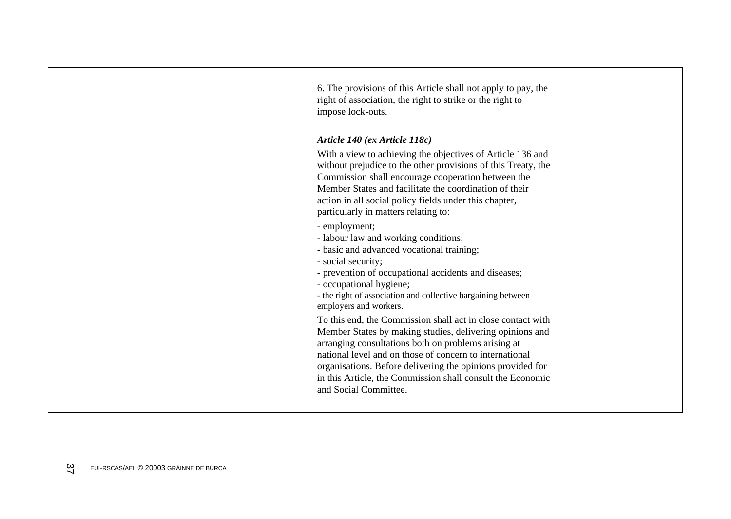| 6. The provisions of this Article shall not apply to pay, the<br>right of association, the right to strike or the right to<br>impose lock-outs.                                                                                                                                                                                                                                                                                                                                                                                                                                                                                                                                                                                                                                                                                                                                                                                                                                                                                                                                           |  |
|-------------------------------------------------------------------------------------------------------------------------------------------------------------------------------------------------------------------------------------------------------------------------------------------------------------------------------------------------------------------------------------------------------------------------------------------------------------------------------------------------------------------------------------------------------------------------------------------------------------------------------------------------------------------------------------------------------------------------------------------------------------------------------------------------------------------------------------------------------------------------------------------------------------------------------------------------------------------------------------------------------------------------------------------------------------------------------------------|--|
| Article 140 (ex Article 118c)<br>With a view to achieving the objectives of Article 136 and<br>without prejudice to the other provisions of this Treaty, the<br>Commission shall encourage cooperation between the<br>Member States and facilitate the coordination of their<br>action in all social policy fields under this chapter,<br>particularly in matters relating to:<br>- employment;<br>- labour law and working conditions;<br>- basic and advanced vocational training;<br>- social security;<br>- prevention of occupational accidents and diseases;<br>- occupational hygiene;<br>- the right of association and collective bargaining between<br>employers and workers.<br>To this end, the Commission shall act in close contact with<br>Member States by making studies, delivering opinions and<br>arranging consultations both on problems arising at<br>national level and on those of concern to international<br>organisations. Before delivering the opinions provided for<br>in this Article, the Commission shall consult the Economic<br>and Social Committee. |  |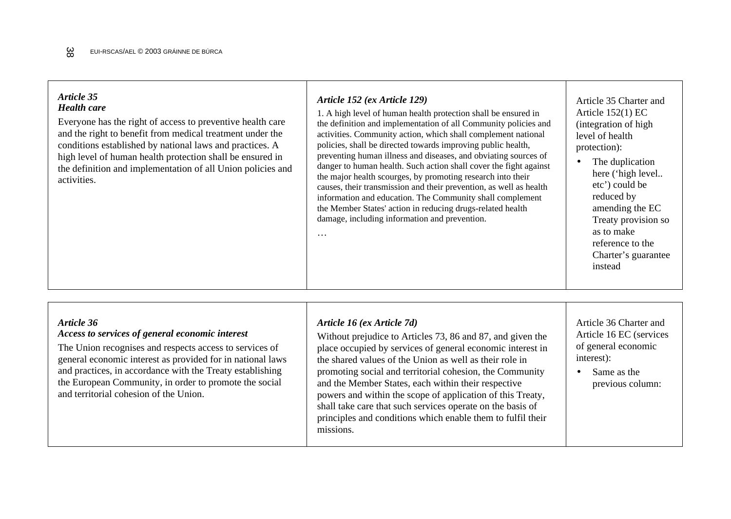| Article 35<br><b>Health</b> care<br>Everyone has the right of access to preventive health care<br>and the right to benefit from medical treatment under the<br>conditions established by national laws and practices. A<br>high level of human health protection shall be ensured in<br>the definition and implementation of all Union policies and<br>activities. | Article 152 (ex Article 129)<br>1. A high level of human health protection shall be ensured in<br>the definition and implementation of all Community policies and<br>activities. Community action, which shall complement national<br>policies, shall be directed towards improving public health,<br>preventing human illness and diseases, and obviating sources of<br>danger to human health. Such action shall cover the fight against<br>the major health scourges, by promoting research into their<br>causes, their transmission and their prevention, as well as health<br>information and education. The Community shall complement<br>the Member States' action in reducing drugs-related health<br>damage, including information and prevention.<br>$\cdots$ | Article 35 Charter and<br>Article $152(1)$ EC<br>(integration of high<br>level of health<br>protection):<br>The duplication<br>$\bullet$<br>here ('high level<br>etc') could be<br>reduced by<br>amending the EC<br>Treaty provision so<br>as to make<br>reference to the<br>Charter's guarantee<br>instead |
|--------------------------------------------------------------------------------------------------------------------------------------------------------------------------------------------------------------------------------------------------------------------------------------------------------------------------------------------------------------------|-------------------------------------------------------------------------------------------------------------------------------------------------------------------------------------------------------------------------------------------------------------------------------------------------------------------------------------------------------------------------------------------------------------------------------------------------------------------------------------------------------------------------------------------------------------------------------------------------------------------------------------------------------------------------------------------------------------------------------------------------------------------------|-------------------------------------------------------------------------------------------------------------------------------------------------------------------------------------------------------------------------------------------------------------------------------------------------------------|
|--------------------------------------------------------------------------------------------------------------------------------------------------------------------------------------------------------------------------------------------------------------------------------------------------------------------------------------------------------------------|-------------------------------------------------------------------------------------------------------------------------------------------------------------------------------------------------------------------------------------------------------------------------------------------------------------------------------------------------------------------------------------------------------------------------------------------------------------------------------------------------------------------------------------------------------------------------------------------------------------------------------------------------------------------------------------------------------------------------------------------------------------------------|-------------------------------------------------------------------------------------------------------------------------------------------------------------------------------------------------------------------------------------------------------------------------------------------------------------|

#### *Article 36*

### *Access to services of general economic interest*

The Union recognises and respects access to services of general economic interest as provided for in national laws and practices, in accordance with the Treaty establishing the European Community, in order to promote the social and territorial cohesion of the Union.

### *Article 16 (ex Article 7d)*

Without prejudice to Articles 73, 86 and 87, and given the place occupied by services of general economic interest in the shared values of the Union as well as their role in promoting social and territorial cohesion, the Community and the Member States, each within their respective powers and within the scope of application of this Treaty, shall take care that such services operate on the basis of principles and conditions which enable them to fulfil their missions.

Article 36 Charter and Article 16 EC (services of general economic interest):

• Same as the previous column: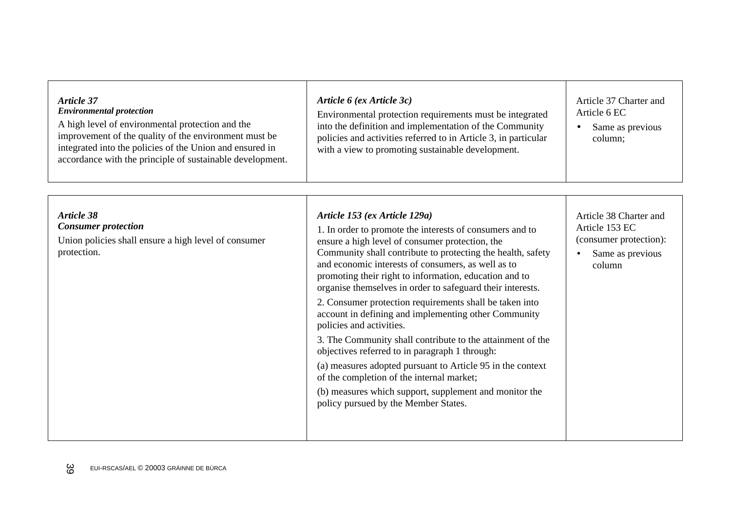| Article 37<br><b>Environmental protection</b><br>A high level of environmental protection and the<br>improvement of the quality of the environment must be<br>integrated into the policies of the Union and ensured in<br>accordance with the principle of sustainable development. | Article 6 (ex Article 3c)<br>Environmental protection requirements must be integrated<br>into the definition and implementation of the Community<br>policies and activities referred to in Article 3, in particular<br>with a view to promoting sustainable development.                                                                                                                                                                                                                                                                                                                                                                                                                                                                                                                                                                                              | Article 37 Charter and<br>Article 6 EC<br>Same as previous<br>column:                            |
|-------------------------------------------------------------------------------------------------------------------------------------------------------------------------------------------------------------------------------------------------------------------------------------|-----------------------------------------------------------------------------------------------------------------------------------------------------------------------------------------------------------------------------------------------------------------------------------------------------------------------------------------------------------------------------------------------------------------------------------------------------------------------------------------------------------------------------------------------------------------------------------------------------------------------------------------------------------------------------------------------------------------------------------------------------------------------------------------------------------------------------------------------------------------------|--------------------------------------------------------------------------------------------------|
|                                                                                                                                                                                                                                                                                     |                                                                                                                                                                                                                                                                                                                                                                                                                                                                                                                                                                                                                                                                                                                                                                                                                                                                       |                                                                                                  |
| Article 38<br><b>Consumer</b> protection<br>Union policies shall ensure a high level of consumer<br>protection.                                                                                                                                                                     | Article 153 (ex Article 129a)<br>1. In order to promote the interests of consumers and to<br>ensure a high level of consumer protection, the<br>Community shall contribute to protecting the health, safety<br>and economic interests of consumers, as well as to<br>promoting their right to information, education and to<br>organise themselves in order to safeguard their interests.<br>2. Consumer protection requirements shall be taken into<br>account in defining and implementing other Community<br>policies and activities.<br>3. The Community shall contribute to the attainment of the<br>objectives referred to in paragraph 1 through:<br>(a) measures adopted pursuant to Article 95 in the context<br>of the completion of the internal market;<br>(b) measures which support, supplement and monitor the<br>policy pursued by the Member States. | Article 38 Charter and<br>Article 153 EC<br>(consumer protection):<br>Same as previous<br>column |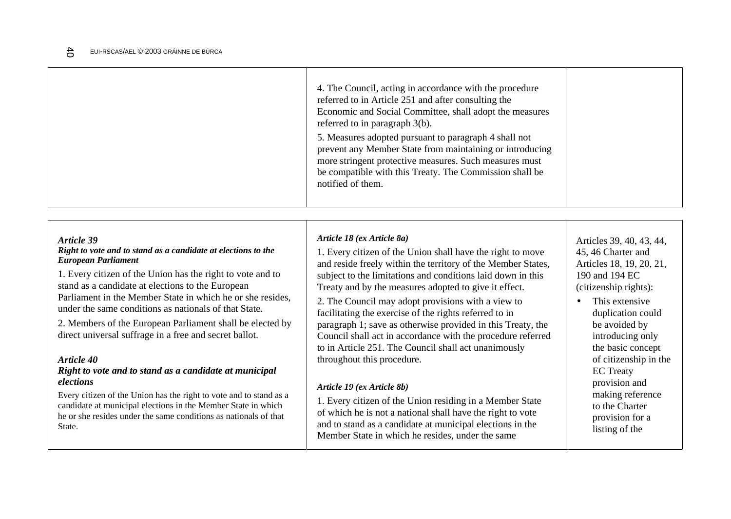| 4. The Council, acting in accordance with the procedure<br>referred to in Article 251 and after consulting the<br>Economic and Social Committee, shall adopt the measures<br>referred to in paragraph 3(b).                                                 |  |
|-------------------------------------------------------------------------------------------------------------------------------------------------------------------------------------------------------------------------------------------------------------|--|
| 5. Measures adopted pursuant to paragraph 4 shall not<br>prevent any Member State from maintaining or introducing<br>more stringent protective measures. Such measures must<br>be compatible with this Treaty. The Commission shall be<br>notified of them. |  |

#### *Article 39 Right to vote and to stand as a candidate at elections to the European Parliament* 1. Every citizen of the Union has the right to vote and to stand as a candidate at elections to the European Parliament in the Member State in which he or she resides, under the same conditions as nationals of that State. 2. Members of the European Parliament shall be elected by direct universal suffrage in a free and secret ballot. *Article 40 Right to vote and to stand as a candidate at municipal elections* Every citizen of the Union has the right to vote and to stand as a candidate at municipal elections in the Member State in which he or she resides under the same conditions as nationals of that State. *Article 18 (ex Article 8a)* 1. Every citizen of the Union shall have the right to move and reside freely within the territory of the Member States, subject to the limitations and conditions laid down in this Treaty and by the measures adopted to give it effect. 2. The Council may adopt provisions with a view to facilitating the exercise of the rights referred to in paragraph 1; save as otherwise provided in this Treaty, the Council shall act in accordance with the procedure referred to in Article 251. The Council shall act unanimously throughout this procedure. *Article 19 (ex Article 8b)* 1. Every citizen of the Union residing in a Member State of which he is not a national shall have the right to vote and to stand as a candidate at municipal elections in the Member State in which he resides, under the same Articles 39, 40, 43, 44, 45, 46 Charter and Articles 18, 19, 20, 21, 190 and 194 EC (citizenship rights): • This extensive duplication could be avoided by introducing only the basic concept of citizenship in the EC Treaty provision and making reference to the Charter provision for a listing of the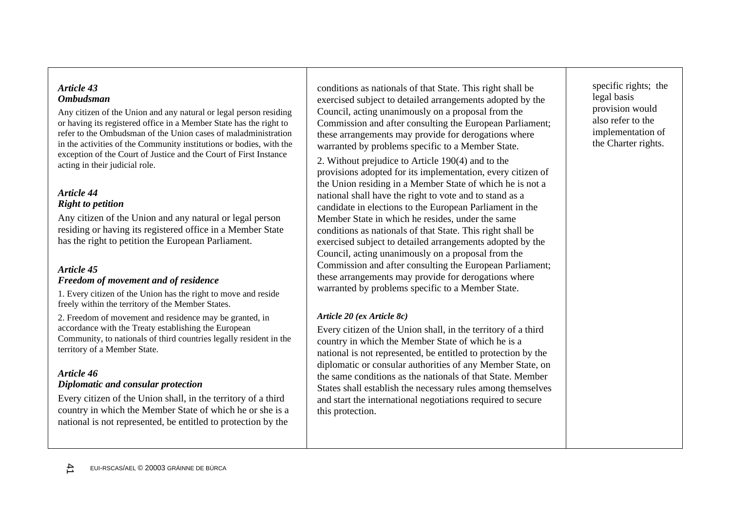#### *Article 43 Ombudsman*

Any citizen of the Union and any natural or legal person residing or having its registered office in a Member State has the right to refer to the Ombudsman of the Union cases of maladministration in the activities of the Community institutions or bodies, with the exception of the Court of Justice and the Court of First Instance acting in their judicial role.

#### *Article 44 Right to petition*

Any citizen of the Union and any natural or legal person residing or having its registered office in a Member State has the right to petition the European Parliament.

### *Article 45*

#### *Freedom of movement and of residence*

1. Every citizen of the Union has the right to move and reside freely within the territory of the Member States.

2. Freedom of movement and residence may be granted, in accordance with the Treaty establishing the European Community, to nationals of third countries legally resident in the territory of a Member State.

### *Article 46*

### *Diplomatic and consular protection*

Every citizen of the Union shall, in the territory of a third country in which the Member State of which he or she is a national is not represented, be entitled to protection by the

conditions as nationals of that State. This right shall be exercised subject to detailed arrangements adopted by the Council, acting unanimously on a proposal from the Commission and after consulting the European Parliament; these arrangements may provide for derogations where warranted by problems specific to a Member State.

2. Without prejudice to Article 190(4) and to the provisions adopted for its implementation, every citizen of the Union residing in a Member State of which he is not a national shall have the right to vote and to stand as a candidate in elections to the European Parliament in the Member State in which he resides, under the same conditions as nationals of that State. This right shall be exercised subject to detailed arrangements adopted by the Council, acting unanimously on a proposal from the Commission and after consulting the European Parliament; these arrangements may provide for derogations where warranted by problems specific to a Member State.

### *Article 20 (ex Article 8c)*

Every citizen of the Union shall, in the territory of a third country in which the Member State of which he is a national is not represented, be entitled to protection by the diplomatic or consular authorities of any Member State, on the same conditions as the nationals of that State. Member States shall establish the necessary rules among themselves and start the international negotiations required to secure this protection.

specific rights; the legal basis provision would also refer to the implementation of the Charter rights.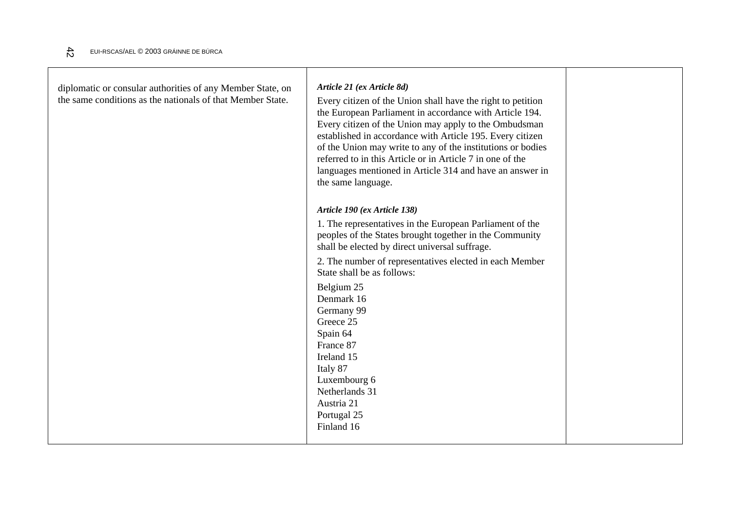| diplomatic or consular authorities of any Member State, on<br>the same conditions as the nationals of that Member State. | Article 21 (ex Article 8d)<br>Every citizen of the Union shall have the right to petition<br>the European Parliament in accordance with Article 194.<br>Every citizen of the Union may apply to the Ombudsman<br>established in accordance with Article 195. Every citizen<br>of the Union may write to any of the institutions or bodies<br>referred to in this Article or in Article 7 in one of the<br>languages mentioned in Article 314 and have an answer in<br>the same language. |  |
|--------------------------------------------------------------------------------------------------------------------------|------------------------------------------------------------------------------------------------------------------------------------------------------------------------------------------------------------------------------------------------------------------------------------------------------------------------------------------------------------------------------------------------------------------------------------------------------------------------------------------|--|
|                                                                                                                          | Article 190 (ex Article 138)                                                                                                                                                                                                                                                                                                                                                                                                                                                             |  |
|                                                                                                                          | 1. The representatives in the European Parliament of the<br>peoples of the States brought together in the Community<br>shall be elected by direct universal suffrage.                                                                                                                                                                                                                                                                                                                    |  |
|                                                                                                                          | 2. The number of representatives elected in each Member<br>State shall be as follows:                                                                                                                                                                                                                                                                                                                                                                                                    |  |
|                                                                                                                          | Belgium 25<br>Denmark 16                                                                                                                                                                                                                                                                                                                                                                                                                                                                 |  |
|                                                                                                                          | Germany 99                                                                                                                                                                                                                                                                                                                                                                                                                                                                               |  |
|                                                                                                                          | Greece 25                                                                                                                                                                                                                                                                                                                                                                                                                                                                                |  |
|                                                                                                                          | Spain 64<br>France 87                                                                                                                                                                                                                                                                                                                                                                                                                                                                    |  |
|                                                                                                                          | Ireland 15                                                                                                                                                                                                                                                                                                                                                                                                                                                                               |  |
|                                                                                                                          | Italy 87<br>Luxembourg 6                                                                                                                                                                                                                                                                                                                                                                                                                                                                 |  |
|                                                                                                                          | Netherlands 31                                                                                                                                                                                                                                                                                                                                                                                                                                                                           |  |
|                                                                                                                          | Austria 21                                                                                                                                                                                                                                                                                                                                                                                                                                                                               |  |
|                                                                                                                          | Portugal 25<br>Finland 16                                                                                                                                                                                                                                                                                                                                                                                                                                                                |  |
|                                                                                                                          |                                                                                                                                                                                                                                                                                                                                                                                                                                                                                          |  |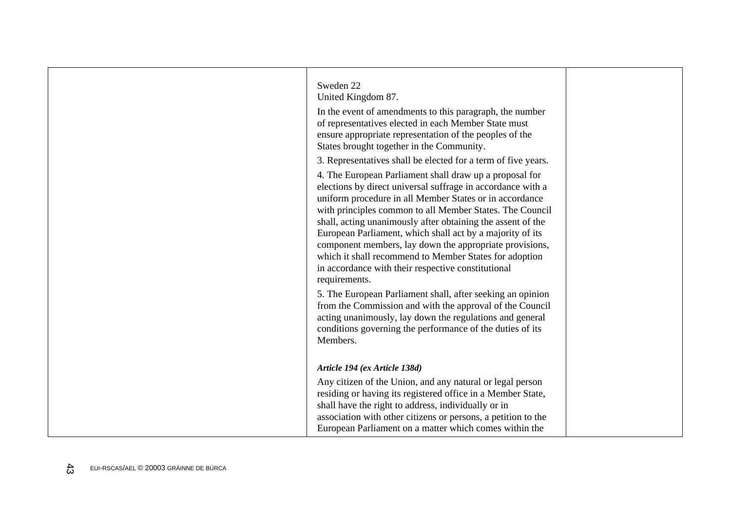| Sweden 22<br>United Kingdom 87.<br>In the event of amendments to this paragraph, the number<br>of representatives elected in each Member State must<br>ensure appropriate representation of the peoples of the<br>States brought together in the Community.<br>3. Representatives shall be elected for a term of five years.<br>4. The European Parliament shall draw up a proposal for<br>elections by direct universal suffrage in accordance with a<br>uniform procedure in all Member States or in accordance<br>with principles common to all Member States. The Council<br>shall, acting unanimously after obtaining the assent of the<br>European Parliament, which shall act by a majority of its<br>component members, lay down the appropriate provisions,<br>which it shall recommend to Member States for adoption<br>in accordance with their respective constitutional<br>requirements.<br>5. The European Parliament shall, after seeking an opinion<br>from the Commission and with the approval of the Council<br>acting unanimously, lay down the regulations and general<br>conditions governing the performance of the duties of its |  |
|----------------------------------------------------------------------------------------------------------------------------------------------------------------------------------------------------------------------------------------------------------------------------------------------------------------------------------------------------------------------------------------------------------------------------------------------------------------------------------------------------------------------------------------------------------------------------------------------------------------------------------------------------------------------------------------------------------------------------------------------------------------------------------------------------------------------------------------------------------------------------------------------------------------------------------------------------------------------------------------------------------------------------------------------------------------------------------------------------------------------------------------------------------|--|
| Members.                                                                                                                                                                                                                                                                                                                                                                                                                                                                                                                                                                                                                                                                                                                                                                                                                                                                                                                                                                                                                                                                                                                                                 |  |
| Article 194 (ex Article 138d)                                                                                                                                                                                                                                                                                                                                                                                                                                                                                                                                                                                                                                                                                                                                                                                                                                                                                                                                                                                                                                                                                                                            |  |
| Any citizen of the Union, and any natural or legal person<br>residing or having its registered office in a Member State,<br>shall have the right to address, individually or in<br>association with other citizens or persons, a petition to the<br>European Parliament on a matter which comes within the                                                                                                                                                                                                                                                                                                                                                                                                                                                                                                                                                                                                                                                                                                                                                                                                                                               |  |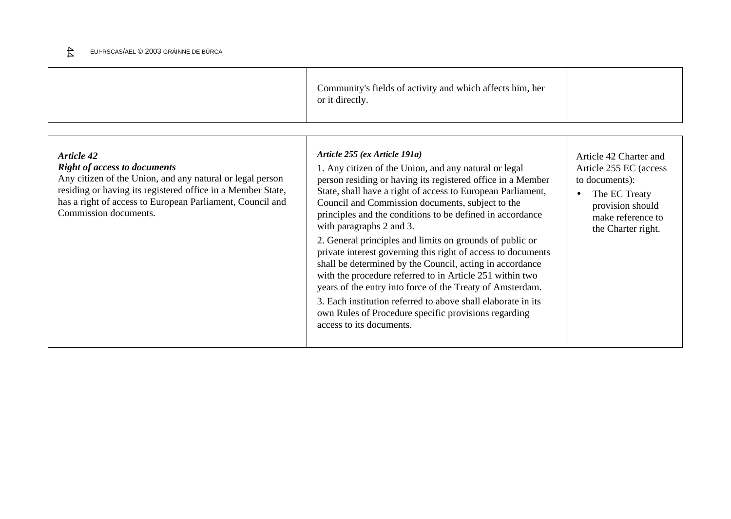|                                                                                                                                                                                                                                                                     | Community's fields of activity and which affects him, her<br>or it directly.                                                                                                                                                                                                                                                                                                                                                                                                                                                                                                                                                                                                                                                                                                                                                           |                                                                                                                                                    |
|---------------------------------------------------------------------------------------------------------------------------------------------------------------------------------------------------------------------------------------------------------------------|----------------------------------------------------------------------------------------------------------------------------------------------------------------------------------------------------------------------------------------------------------------------------------------------------------------------------------------------------------------------------------------------------------------------------------------------------------------------------------------------------------------------------------------------------------------------------------------------------------------------------------------------------------------------------------------------------------------------------------------------------------------------------------------------------------------------------------------|----------------------------------------------------------------------------------------------------------------------------------------------------|
| Article 42<br><b>Right of access to documents</b><br>Any citizen of the Union, and any natural or legal person<br>residing or having its registered office in a Member State,<br>has a right of access to European Parliament, Council and<br>Commission documents. | Article 255 (ex Article 191a)<br>1. Any citizen of the Union, and any natural or legal<br>person residing or having its registered office in a Member<br>State, shall have a right of access to European Parliament,<br>Council and Commission documents, subject to the<br>principles and the conditions to be defined in accordance<br>with paragraphs 2 and 3.<br>2. General principles and limits on grounds of public or<br>private interest governing this right of access to documents<br>shall be determined by the Council, acting in accordance<br>with the procedure referred to in Article 251 within two<br>years of the entry into force of the Treaty of Amsterdam.<br>3. Each institution referred to above shall elaborate in its<br>own Rules of Procedure specific provisions regarding<br>access to its documents. | Article 42 Charter and<br>Article 255 EC (access<br>to documents):<br>The EC Treaty<br>provision should<br>make reference to<br>the Charter right. |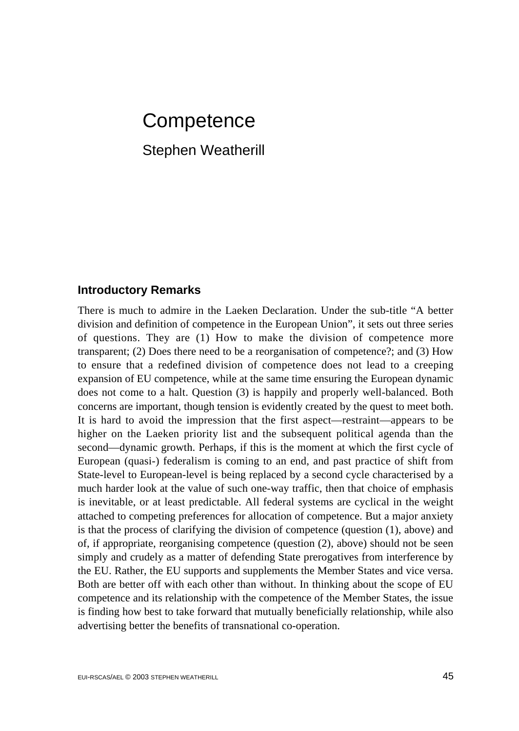# **Competence**

Stephen Weatherill

### **Introductory Remarks**

There is much to admire in the Laeken Declaration. Under the sub-title "A better division and definition of competence in the European Union", it sets out three series of questions. They are (1) How to make the division of competence more transparent; (2) Does there need to be a reorganisation of competence?; and (3) How to ensure that a redefined division of competence does not lead to a creeping expansion of EU competence, while at the same time ensuring the European dynamic does not come to a halt. Question (3) is happily and properly well-balanced. Both concerns are important, though tension is evidently created by the quest to meet both. It is hard to avoid the impression that the first aspect—restraint—appears to be higher on the Laeken priority list and the subsequent political agenda than the second—dynamic growth. Perhaps, if this is the moment at which the first cycle of European (quasi-) federalism is coming to an end, and past practice of shift from State-level to European-level is being replaced by a second cycle characterised by a much harder look at the value of such one-way traffic, then that choice of emphasis is inevitable, or at least predictable. All federal systems are cyclical in the weight attached to competing preferences for allocation of competence. But a major anxiety is that the process of clarifying the division of competence (question (1), above) and of, if appropriate, reorganising competence (question (2), above) should not be seen simply and crudely as a matter of defending State prerogatives from interference by the EU. Rather, the EU supports and supplements the Member States and vice versa. Both are better off with each other than without. In thinking about the scope of EU competence and its relationship with the competence of the Member States, the issue is finding how best to take forward that mutually beneficially relationship, while also advertising better the benefits of transnational co-operation.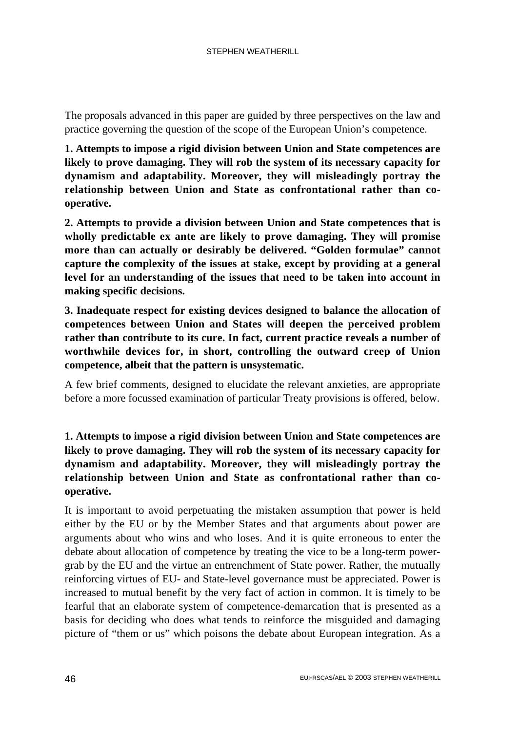The proposals advanced in this paper are guided by three perspectives on the law and practice governing the question of the scope of the European Union's competence.

**1. Attempts to impose a rigid division between Union and State competences are likely to prove damaging. They will rob the system of its necessary capacity for dynamism and adaptability. Moreover, they will misleadingly portray the relationship between Union and State as confrontational rather than cooperative.**

**2. Attempts to provide a division between Union and State competences that is wholly predictable ex ante are likely to prove damaging. They will promise more than can actually or desirably be delivered. "Golden formulae" cannot capture the complexity of the issues at stake, except by providing at a general level for an understanding of the issues that need to be taken into account in making specific decisions.**

**3. Inadequate respect for existing devices designed to balance the allocation of competences between Union and States will deepen the perceived problem rather than contribute to its cure. In fact, current practice reveals a number of worthwhile devices for, in short, controlling the outward creep of Union competence, albeit that the pattern is unsystematic.**

A few brief comments, designed to elucidate the relevant anxieties, are appropriate before a more focussed examination of particular Treaty provisions is offered, below.

### **1. Attempts to impose a rigid division between Union and State competences are likely to prove damaging. They will rob the system of its necessary capacity for dynamism and adaptability. Moreover, they will misleadingly portray the relationship between Union and State as confrontational rather than cooperative.**

It is important to avoid perpetuating the mistaken assumption that power is held either by the EU or by the Member States and that arguments about power are arguments about who wins and who loses. And it is quite erroneous to enter the debate about allocation of competence by treating the vice to be a long-term powergrab by the EU and the virtue an entrenchment of State power. Rather, the mutually reinforcing virtues of EU- and State-level governance must be appreciated. Power is increased to mutual benefit by the very fact of action in common. It is timely to be fearful that an elaborate system of competence-demarcation that is presented as a basis for deciding who does what tends to reinforce the misguided and damaging picture of "them or us" which poisons the debate about European integration. As a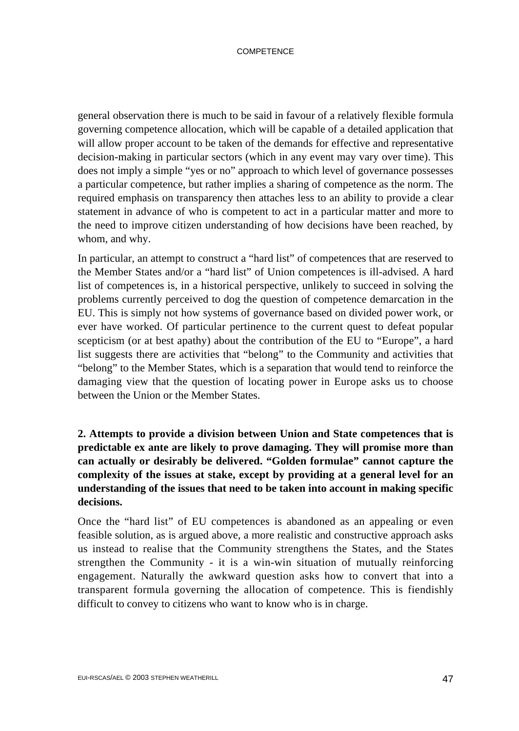#### **COMPETENCE**

general observation there is much to be said in favour of a relatively flexible formula governing competence allocation, which will be capable of a detailed application that will allow proper account to be taken of the demands for effective and representative decision-making in particular sectors (which in any event may vary over time). This does not imply a simple "yes or no" approach to which level of governance possesses a particular competence, but rather implies a sharing of competence as the norm. The required emphasis on transparency then attaches less to an ability to provide a clear statement in advance of who is competent to act in a particular matter and more to the need to improve citizen understanding of how decisions have been reached, by whom, and why.

In particular, an attempt to construct a "hard list" of competences that are reserved to the Member States and/or a "hard list" of Union competences is ill-advised. A hard list of competences is, in a historical perspective, unlikely to succeed in solving the problems currently perceived to dog the question of competence demarcation in the EU. This is simply not how systems of governance based on divided power work, or ever have worked. Of particular pertinence to the current quest to defeat popular scepticism (or at best apathy) about the contribution of the EU to "Europe", a hard list suggests there are activities that "belong" to the Community and activities that "belong" to the Member States, which is a separation that would tend to reinforce the damaging view that the question of locating power in Europe asks us to choose between the Union or the Member States.

### **2. Attempts to provide a division between Union and State competences that is predictable ex ante are likely to prove damaging. They will promise more than can actually or desirably be delivered. "Golden formulae" cannot capture the complexity of the issues at stake, except by providing at a general level for an understanding of the issues that need to be taken into account in making specific decisions.**

Once the "hard list" of EU competences is abandoned as an appealing or even feasible solution, as is argued above, a more realistic and constructive approach asks us instead to realise that the Community strengthens the States, and the States strengthen the Community - it is a win-win situation of mutually reinforcing engagement. Naturally the awkward question asks how to convert that into a transparent formula governing the allocation of competence. This is fiendishly difficult to convey to citizens who want to know who is in charge.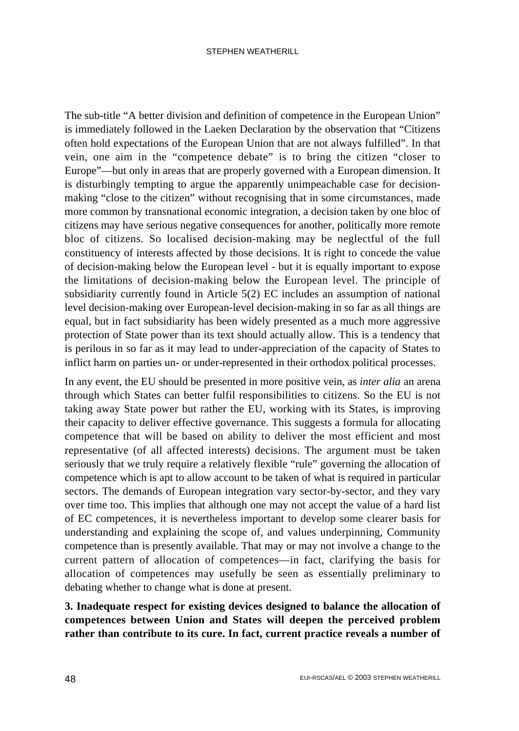The sub-title "A better division and definition of competence in the European Union" is immediately followed in the Laeken Declaration by the observation that "Citizens often hold expectations of the European Union that are not always fulfilled". In that vein, one aim in the "competence debate" is to bring the citizen "closer to Europe"—but only in areas that are properly governed with a European dimension. It is disturbingly tempting to argue the apparently unimpeachable case for decisionmaking "close to the citizen" without recognising that in some circumstances, made more common by transnational economic integration, a decision taken by one bloc of citizens may have serious negative consequences for another, politically more remote bloc of citizens. So localised decision-making may be neglectful of the full constituency of interests affected by those decisions. It is right to concede the value of decision-making below the European level - but it is equally important to expose the limitations of decision-making below the European level. The principle of subsidiarity currently found in Article 5(2) EC includes an assumption of national level decision-making over European-level decision-making in so far as all things are equal, but in fact subsidiarity has been widely presented as a much more aggressive protection of State power than its text should actually allow. This is a tendency that is perilous in so far as it may lead to under-appreciation of the capacity of States to inflict harm on parties un- or under-represented in their orthodox political processes.

In any event, the EU should be presented in more positive vein, as *inter alia* an arena through which States can better fulfil responsibilities to citizens. So the EU is not taking away State power but rather the EU, working with its States, is improving their capacity to deliver effective governance. This suggests a formula for allocating competence that will be based on ability to deliver the most efficient and most representative (of all affected interests) decisions. The argument must be taken seriously that we truly require a relatively flexible "rule" governing the allocation of competence which is apt to allow account to be taken of what is required in particular sectors. The demands of European integration vary sector-by-sector, and they vary over time too. This implies that although one may not accept the value of a hard list of EC competences, it is nevertheless important to develop some clearer basis for understanding and explaining the scope of, and values underpinning, Community competence than is presently available. That may or may not involve a change to the current pattern of allocation of competences—in fact, clarifying the basis for allocation of competences may usefully be seen as essentially preliminary to debating whether to change what is done at present.

**3. Inadequate respect for existing devices designed to balance the allocation of competences between Union and States will deepen the perceived problem rather than contribute to its cure. In fact, current practice reveals a number of**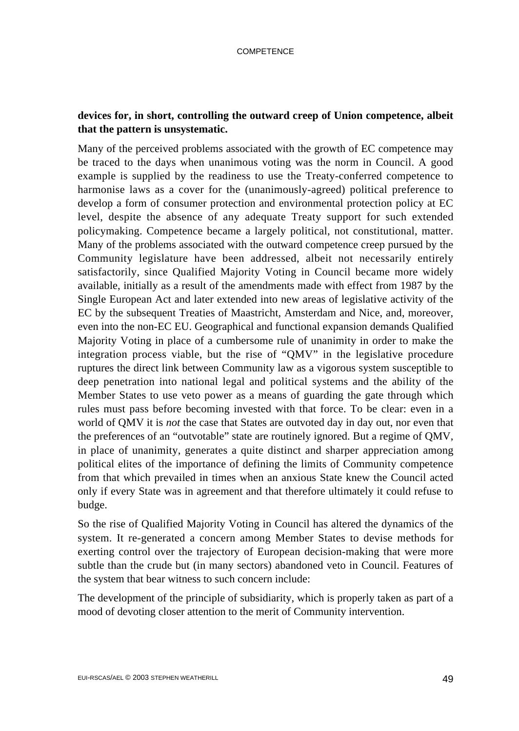### **devices for, in short, controlling the outward creep of Union competence, albeit that the pattern is unsystematic.**

Many of the perceived problems associated with the growth of EC competence may be traced to the days when unanimous voting was the norm in Council. A good example is supplied by the readiness to use the Treaty-conferred competence to harmonise laws as a cover for the (unanimously-agreed) political preference to develop a form of consumer protection and environmental protection policy at EC level, despite the absence of any adequate Treaty support for such extended policymaking. Competence became a largely political, not constitutional, matter. Many of the problems associated with the outward competence creep pursued by the Community legislature have been addressed, albeit not necessarily entirely satisfactorily, since Qualified Majority Voting in Council became more widely available, initially as a result of the amendments made with effect from 1987 by the Single European Act and later extended into new areas of legislative activity of the EC by the subsequent Treaties of Maastricht, Amsterdam and Nice, and, moreover, even into the non-EC EU. Geographical and functional expansion demands Qualified Majority Voting in place of a cumbersome rule of unanimity in order to make the integration process viable, but the rise of "QMV" in the legislative procedure ruptures the direct link between Community law as a vigorous system susceptible to deep penetration into national legal and political systems and the ability of the Member States to use veto power as a means of guarding the gate through which rules must pass before becoming invested with that force. To be clear: even in a world of QMV it is *not* the case that States are outvoted day in day out, nor even that the preferences of an "outvotable" state are routinely ignored. But a regime of QMV, in place of unanimity, generates a quite distinct and sharper appreciation among political elites of the importance of defining the limits of Community competence from that which prevailed in times when an anxious State knew the Council acted only if every State was in agreement and that therefore ultimately it could refuse to budge.

So the rise of Qualified Majority Voting in Council has altered the dynamics of the system. It re-generated a concern among Member States to devise methods for exerting control over the trajectory of European decision-making that were more subtle than the crude but (in many sectors) abandoned veto in Council. Features of the system that bear witness to such concern include:

The development of the principle of subsidiarity, which is properly taken as part of a mood of devoting closer attention to the merit of Community intervention.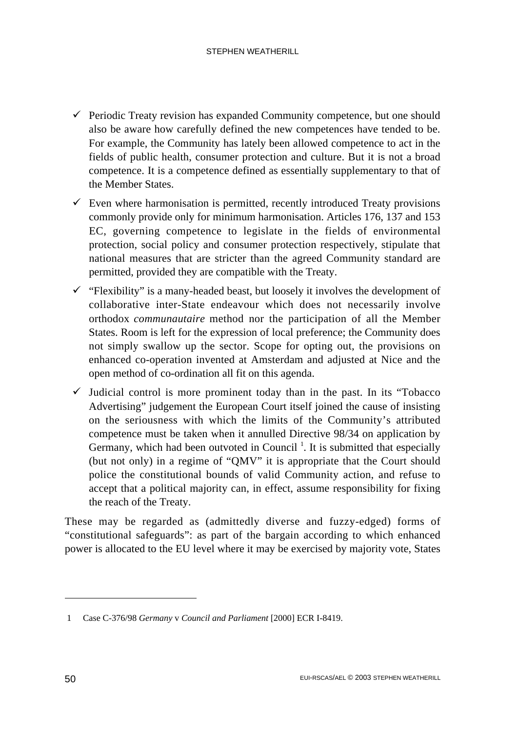- $\checkmark$  Periodic Treaty revision has expanded Community competence, but one should also be aware how carefully defined the new competences have tended to be. For example, the Community has lately been allowed competence to act in the fields of public health, consumer protection and culture. But it is not a broad competence. It is a competence defined as essentially supplementary to that of the Member States.
- $\checkmark$  Even where harmonisation is permitted, recently introduced Treaty provisions commonly provide only for minimum harmonisation. Articles 176, 137 and 153 EC, governing competence to legislate in the fields of environmental protection, social policy and consumer protection respectively, stipulate that national measures that are stricter than the agreed Community standard are permitted, provided they are compatible with the Treaty.
- $\checkmark$  "Flexibility" is a many-headed beast, but loosely it involves the development of collaborative inter-State endeavour which does not necessarily involve orthodox *communautaire* method nor the participation of all the Member States. Room is left for the expression of local preference; the Community does not simply swallow up the sector. Scope for opting out, the provisions on enhanced co-operation invented at Amsterdam and adjusted at Nice and the open method of co-ordination all fit on this agenda.
- $\checkmark$  Judicial control is more prominent today than in the past. In its "Tobacco" Advertising" judgement the European Court itself joined the cause of insisting on the seriousness with which the limits of the Community's attributed competence must be taken when it annulled Directive 98/34 on application by Germany, which had been outvoted in Council<sup>1</sup>. It is submitted that especially (but not only) in a regime of "QMV" it is appropriate that the Court should police the constitutional bounds of valid Community action, and refuse to accept that a political majority can, in effect, assume responsibility for fixing the reach of the Treaty.

These may be regarded as (admittedly diverse and fuzzy-edged) forms of "constitutional safeguards": as part of the bargain according to which enhanced power is allocated to the EU level where it may be exercised by majority vote, States

 $\overline{a}$ 

<sup>1</sup> Case C-376/98 *Germany* v *Council and Parliament* [2000] ECR I-8419.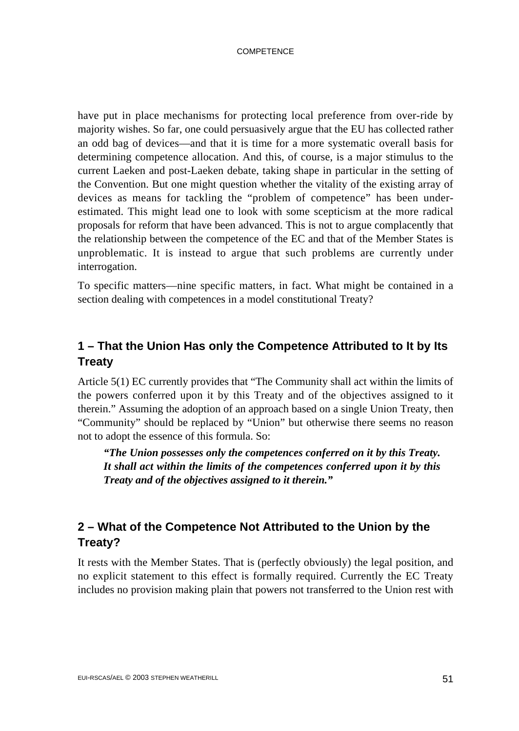#### **COMPETENCE**

have put in place mechanisms for protecting local preference from over-ride by majority wishes. So far, one could persuasively argue that the EU has collected rather an odd bag of devices—and that it is time for a more systematic overall basis for determining competence allocation. And this, of course, is a major stimulus to the current Laeken and post-Laeken debate, taking shape in particular in the setting of the Convention. But one might question whether the vitality of the existing array of devices as means for tackling the "problem of competence" has been underestimated. This might lead one to look with some scepticism at the more radical proposals for reform that have been advanced. This is not to argue complacently that the relationship between the competence of the EC and that of the Member States is unproblematic. It is instead to argue that such problems are currently under interrogation.

To specific matters—nine specific matters, in fact. What might be contained in a section dealing with competences in a model constitutional Treaty?

## **1 – That the Union Has only the Competence Attributed to It by Its Treaty**

Article 5(1) EC currently provides that "The Community shall act within the limits of the powers conferred upon it by this Treaty and of the objectives assigned to it therein." Assuming the adoption of an approach based on a single Union Treaty, then "Community" should be replaced by "Union" but otherwise there seems no reason not to adopt the essence of this formula. So:

*"The Union possesses only the competences conferred on it by this Treaty. It shall act within the limits of the competences conferred upon it by this Treaty and of the objectives assigned to it therein."*

### **2 – What of the Competence Not Attributed to the Union by the Treaty?**

It rests with the Member States. That is (perfectly obviously) the legal position, and no explicit statement to this effect is formally required. Currently the EC Treaty includes no provision making plain that powers not transferred to the Union rest with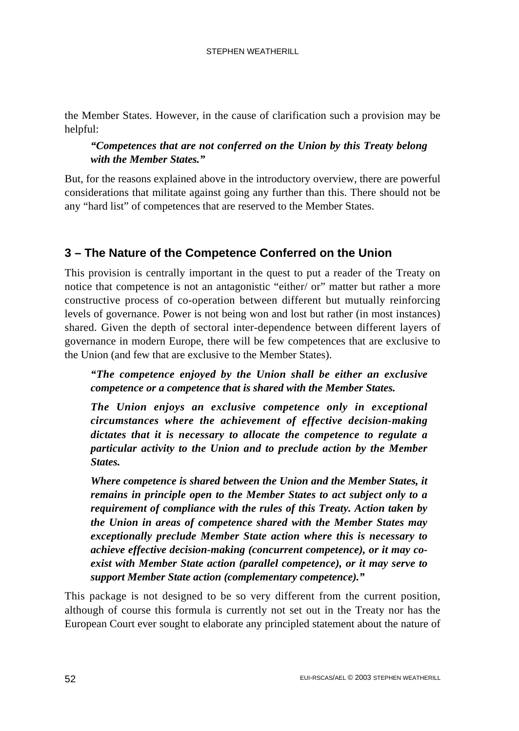the Member States. However, in the cause of clarification such a provision may be helpful:

### *"Competences that are not conferred on the Union by this Treaty belong with the Member States."*

But, for the reasons explained above in the introductory overview, there are powerful considerations that militate against going any further than this. There should not be any "hard list" of competences that are reserved to the Member States.

## **3 – The Nature of the Competence Conferred on the Union**

This provision is centrally important in the quest to put a reader of the Treaty on notice that competence is not an antagonistic "either/ or" matter but rather a more constructive process of co-operation between different but mutually reinforcing levels of governance. Power is not being won and lost but rather (in most instances) shared. Given the depth of sectoral inter-dependence between different layers of governance in modern Europe, there will be few competences that are exclusive to the Union (and few that are exclusive to the Member States).

*"The competence enjoyed by the Union shall be either an exclusive competence or a competence that is shared with the Member States.*

*The Union enjoys an exclusive competence only in exceptional circumstances where the achievement of effective decision-making dictates that it is necessary to allocate the competence to regulate a particular activity to the Union and to preclude action by the Member States.*

*Where competence is shared between the Union and the Member States, it remains in principle open to the Member States to act subject only to a requirement of compliance with the rules of this Treaty. Action taken by the Union in areas of competence shared with the Member States may exceptionally preclude Member State action where this is necessary to achieve effective decision-making (concurrent competence), or it may coexist with Member State action (parallel competence), or it may serve to support Member State action (complementary competence)."*

This package is not designed to be so very different from the current position, although of course this formula is currently not set out in the Treaty nor has the European Court ever sought to elaborate any principled statement about the nature of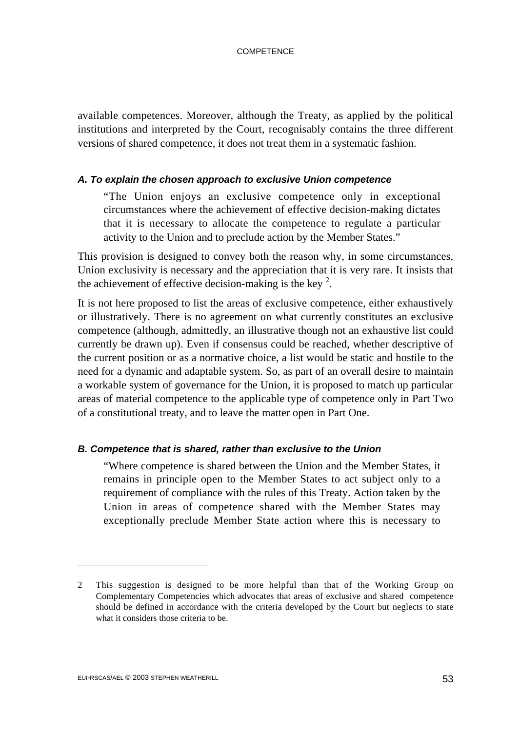#### **COMPETENCE**

available competences. Moreover, although the Treaty, as applied by the political institutions and interpreted by the Court, recognisably contains the three different versions of shared competence, it does not treat them in a systematic fashion.

#### *A. To explain the chosen approach to exclusive Union competence*

"The Union enjoys an exclusive competence only in exceptional circumstances where the achievement of effective decision-making dictates that it is necessary to allocate the competence to regulate a particular activity to the Union and to preclude action by the Member States."

This provision is designed to convey both the reason why, in some circumstances, Union exclusivity is necessary and the appreciation that it is very rare. It insists that the achievement of effective decision-making is the key<sup>2</sup>.

It is not here proposed to list the areas of exclusive competence, either exhaustively or illustratively. There is no agreement on what currently constitutes an exclusive competence (although, admittedly, an illustrative though not an exhaustive list could currently be drawn up). Even if consensus could be reached, whether descriptive of the current position or as a normative choice, a list would be static and hostile to the need for a dynamic and adaptable system. So, as part of an overall desire to maintain a workable system of governance for the Union, it is proposed to match up particular areas of material competence to the applicable type of competence only in Part Two of a constitutional treaty, and to leave the matter open in Part One.

#### *B. Competence that is shared, rather than exclusive to the Union*

"Where competence is shared between the Union and the Member States, it remains in principle open to the Member States to act subject only to a requirement of compliance with the rules of this Treaty. Action taken by the Union in areas of competence shared with the Member States may exceptionally preclude Member State action where this is necessary to

-

<sup>2</sup> This suggestion is designed to be more helpful than that of the Working Group on Complementary Competencies which advocates that areas of exclusive and shared competence should be defined in accordance with the criteria developed by the Court but neglects to state what it considers those criteria to be.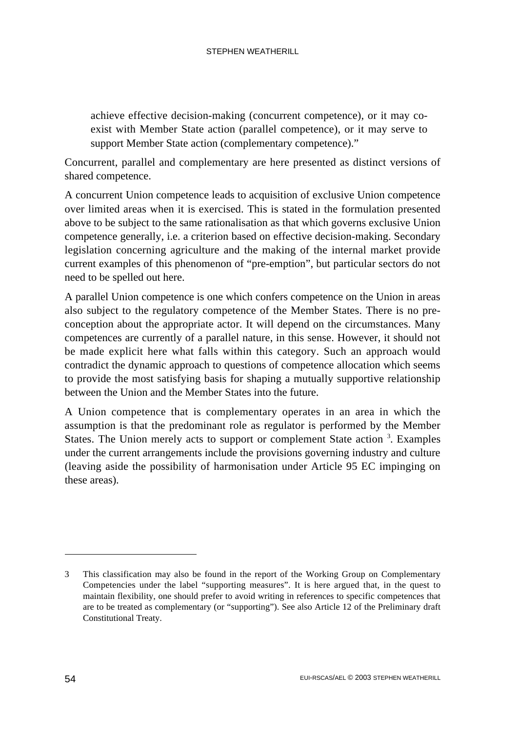achieve effective decision-making (concurrent competence), or it may coexist with Member State action (parallel competence), or it may serve to support Member State action (complementary competence)."

Concurrent, parallel and complementary are here presented as distinct versions of shared competence.

A concurrent Union competence leads to acquisition of exclusive Union competence over limited areas when it is exercised. This is stated in the formulation presented above to be subject to the same rationalisation as that which governs exclusive Union competence generally, i.e. a criterion based on effective decision-making. Secondary legislation concerning agriculture and the making of the internal market provide current examples of this phenomenon of "pre-emption", but particular sectors do not need to be spelled out here.

A parallel Union competence is one which confers competence on the Union in areas also subject to the regulatory competence of the Member States. There is no preconception about the appropriate actor. It will depend on the circumstances. Many competences are currently of a parallel nature, in this sense. However, it should not be made explicit here what falls within this category. Such an approach would contradict the dynamic approach to questions of competence allocation which seems to provide the most satisfying basis for shaping a mutually supportive relationship between the Union and the Member States into the future.

A Union competence that is complementary operates in an area in which the assumption is that the predominant role as regulator is performed by the Member States. The Union merely acts to support or complement State action<sup>3</sup>. Examples under the current arrangements include the provisions governing industry and culture (leaving aside the possibility of harmonisation under Article 95 EC impinging on these areas).

-

<sup>3</sup> This classification may also be found in the report of the Working Group on Complementary Competencies under the label "supporting measures". It is here argued that, in the quest to maintain flexibility, one should prefer to avoid writing in references to specific competences that are to be treated as complementary (or "supporting"). See also Article 12 of the Preliminary draft Constitutional Treaty.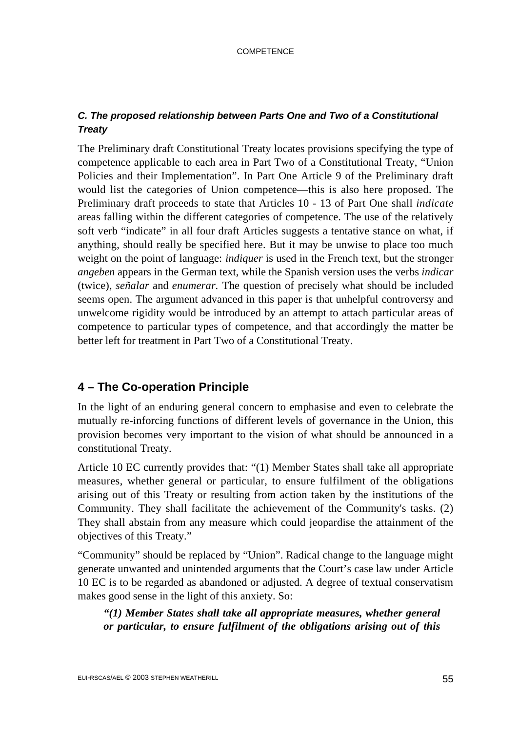### *C. The proposed relationship between Parts One and Two of a Constitutional Treaty*

The Preliminary draft Constitutional Treaty locates provisions specifying the type of competence applicable to each area in Part Two of a Constitutional Treaty, "Union Policies and their Implementation". In Part One Article 9 of the Preliminary draft would list the categories of Union competence—this is also here proposed. The Preliminary draft proceeds to state that Articles 10 - 13 of Part One shall *indicate* areas falling within the different categories of competence. The use of the relatively soft verb "indicate" in all four draft Articles suggests a tentative stance on what, if anything, should really be specified here. But it may be unwise to place too much weight on the point of language: *indiquer* is used in the French text, but the stronger *angeben* appears in the German text, while the Spanish version uses the verbs *indicar* (twice), *señalar* and *enumerar.* The question of precisely what should be included seems open. The argument advanced in this paper is that unhelpful controversy and unwelcome rigidity would be introduced by an attempt to attach particular areas of competence to particular types of competence, and that accordingly the matter be better left for treatment in Part Two of a Constitutional Treaty.

### **4 – The Co-operation Principle**

In the light of an enduring general concern to emphasise and even to celebrate the mutually re-inforcing functions of different levels of governance in the Union, this provision becomes very important to the vision of what should be announced in a constitutional Treaty.

Article 10 EC currently provides that: "(1) Member States shall take all appropriate measures, whether general or particular, to ensure fulfilment of the obligations arising out of this Treaty or resulting from action taken by the institutions of the Community. They shall facilitate the achievement of the Community's tasks. (2) They shall abstain from any measure which could jeopardise the attainment of the objectives of this Treaty."

"Community" should be replaced by "Union". Radical change to the language might generate unwanted and unintended arguments that the Court's case law under Article 10 EC is to be regarded as abandoned or adjusted. A degree of textual conservatism makes good sense in the light of this anxiety. So:

*"(1) Member States shall take all appropriate measures, whether general or particular, to ensure fulfilment of the obligations arising out of this*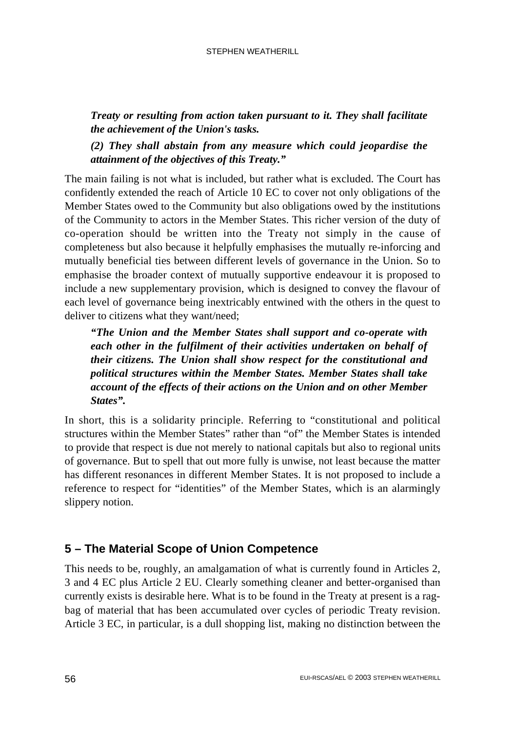### *Treaty or resulting from action taken pursuant to it. They shall facilitate the achievement of the Union's tasks.*

*(2) They shall abstain from any measure which could jeopardise the attainment of the objectives of this Treaty."*

The main failing is not what is included, but rather what is excluded. The Court has confidently extended the reach of Article 10 EC to cover not only obligations of the Member States owed to the Community but also obligations owed by the institutions of the Community to actors in the Member States. This richer version of the duty of co-operation should be written into the Treaty not simply in the cause of completeness but also because it helpfully emphasises the mutually re-inforcing and mutually beneficial ties between different levels of governance in the Union. So to emphasise the broader context of mutually supportive endeavour it is proposed to include a new supplementary provision, which is designed to convey the flavour of each level of governance being inextricably entwined with the others in the quest to deliver to citizens what they want/need;

*"The Union and the Member States shall support and co-operate with each other in the fulfilment of their activities undertaken on behalf of their citizens. The Union shall show respect for the constitutional and political structures within the Member States. Member States shall take account of the effects of their actions on the Union and on other Member States".*

In short, this is a solidarity principle. Referring to "constitutional and political structures within the Member States" rather than "of" the Member States is intended to provide that respect is due not merely to national capitals but also to regional units of governance. But to spell that out more fully is unwise, not least because the matter has different resonances in different Member States. It is not proposed to include a reference to respect for "identities" of the Member States, which is an alarmingly slippery notion.

### **5 – The Material Scope of Union Competence**

This needs to be, roughly, an amalgamation of what is currently found in Articles 2, 3 and 4 EC plus Article 2 EU. Clearly something cleaner and better-organised than currently exists is desirable here. What is to be found in the Treaty at present is a ragbag of material that has been accumulated over cycles of periodic Treaty revision. Article 3 EC, in particular, is a dull shopping list, making no distinction between the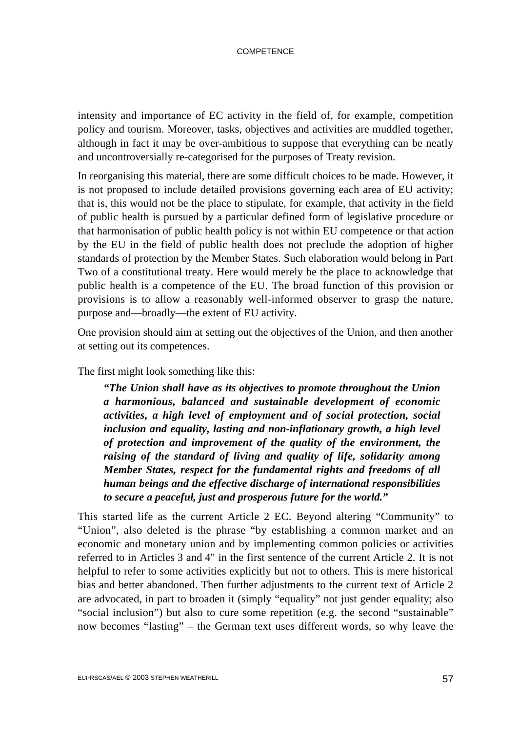#### **COMPETENCE**

intensity and importance of EC activity in the field of, for example, competition policy and tourism. Moreover, tasks, objectives and activities are muddled together, although in fact it may be over-ambitious to suppose that everything can be neatly and uncontroversially re-categorised for the purposes of Treaty revision.

In reorganising this material, there are some difficult choices to be made. However, it is not proposed to include detailed provisions governing each area of EU activity; that is, this would not be the place to stipulate, for example, that activity in the field of public health is pursued by a particular defined form of legislative procedure or that harmonisation of public health policy is not within EU competence or that action by the EU in the field of public health does not preclude the adoption of higher standards of protection by the Member States. Such elaboration would belong in Part Two of a constitutional treaty. Here would merely be the place to acknowledge that public health is a competence of the EU. The broad function of this provision or provisions is to allow a reasonably well-informed observer to grasp the nature, purpose and—broadly—the extent of EU activity.

One provision should aim at setting out the objectives of the Union, and then another at setting out its competences.

The first might look something like this:

*"The Union shall have as its objectives to promote throughout the Union a harmonious, balanced and sustainable development of economic activities, a high level of employment and of social protection, social inclusion and equality, lasting and non-inflationary growth, a high level of protection and improvement of the quality of the environment, the raising of the standard of living and quality of life, solidarity among Member States, respect for the fundamental rights and freedoms of all human beings and the effective discharge of international responsibilities to secure a peaceful, just and prosperous future for the world."*

This started life as the current Article 2 EC. Beyond altering "Community" to "Union", also deleted is the phrase "by establishing a common market and an economic and monetary union and by implementing common policies or activities referred to in Articles 3 and 4" in the first sentence of the current Article 2. It is not helpful to refer to some activities explicitly but not to others. This is mere historical bias and better abandoned. Then further adjustments to the current text of Article 2 are advocated, in part to broaden it (simply "equality" not just gender equality; also "social inclusion") but also to cure some repetition (e.g. the second "sustainable" now becomes "lasting" – the German text uses different words, so why leave the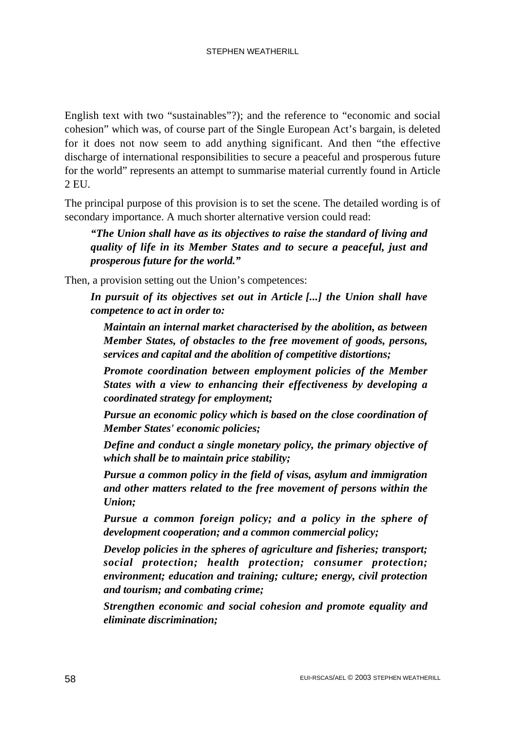English text with two "sustainables"?); and the reference to "economic and social cohesion" which was, of course part of the Single European Act's bargain, is deleted for it does not now seem to add anything significant. And then "the effective discharge of international responsibilities to secure a peaceful and prosperous future for the world" represents an attempt to summarise material currently found in Article 2 EU.

The principal purpose of this provision is to set the scene. The detailed wording is of secondary importance. A much shorter alternative version could read:

*"The Union shall have as its objectives to raise the standard of living and quality of life in its Member States and to secure a peaceful, just and prosperous future for the world."*

Then, a provision setting out the Union's competences:

*In pursuit of its objectives set out in Article [...] the Union shall have competence to act in order to:*

*Maintain an internal market characterised by the abolition, as between Member States, of obstacles to the free movement of goods, persons, services and capital and the abolition of competitive distortions;*

*Promote coordination between employment policies of the Member States with a view to enhancing their effectiveness by developing a coordinated strategy for employment;*

*Pursue an economic policy which is based on the close coordination of Member States' economic policies;*

*Define and conduct a single monetary policy, the primary objective of which shall be to maintain price stability;*

*Pursue a common policy in the field of visas, asylum and immigration and other matters related to the free movement of persons within the Union;*

*Pursue a common foreign policy; and a policy in the sphere of development cooperation; and a common commercial policy;*

*Develop policies in the spheres of agriculture and fisheries; transport; social protection; health protection; consumer protection; environment; education and training; culture; energy, civil protection and tourism; and combating crime;*

*Strengthen economic and social cohesion and promote equality and eliminate discrimination;*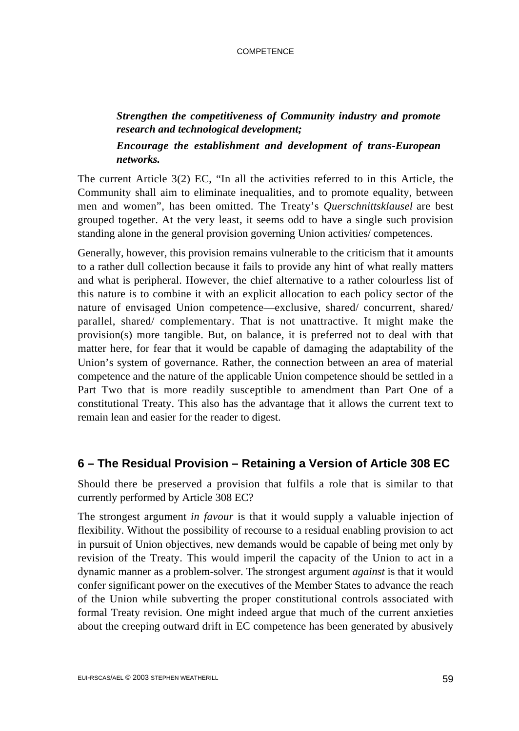### *Strengthen the competitiveness of Community industry and promote research and technological development;*

### *Encourage the establishment and development of trans-European networks.*

The current Article 3(2) EC, "In all the activities referred to in this Article, the Community shall aim to eliminate inequalities, and to promote equality, between men and women", has been omitted. The Treaty's *Querschnittsklausel* are best grouped together. At the very least, it seems odd to have a single such provision standing alone in the general provision governing Union activities/ competences.

Generally, however, this provision remains vulnerable to the criticism that it amounts to a rather dull collection because it fails to provide any hint of what really matters and what is peripheral. However, the chief alternative to a rather colourless list of this nature is to combine it with an explicit allocation to each policy sector of the nature of envisaged Union competence—exclusive, shared/ concurrent, shared/ parallel, shared/ complementary. That is not unattractive. It might make the provision(s) more tangible. But, on balance, it is preferred not to deal with that matter here, for fear that it would be capable of damaging the adaptability of the Union's system of governance. Rather, the connection between an area of material competence and the nature of the applicable Union competence should be settled in a Part Two that is more readily susceptible to amendment than Part One of a constitutional Treaty. This also has the advantage that it allows the current text to remain lean and easier for the reader to digest.

### **6 – The Residual Provision – Retaining a Version of Article 308 EC**

Should there be preserved a provision that fulfils a role that is similar to that currently performed by Article 308 EC?

The strongest argument *in favour* is that it would supply a valuable injection of flexibility. Without the possibility of recourse to a residual enabling provision to act in pursuit of Union objectives, new demands would be capable of being met only by revision of the Treaty. This would imperil the capacity of the Union to act in a dynamic manner as a problem-solver. The strongest argument *against* is that it would confer significant power on the executives of the Member States to advance the reach of the Union while subverting the proper constitutional controls associated with formal Treaty revision. One might indeed argue that much of the current anxieties about the creeping outward drift in EC competence has been generated by abusively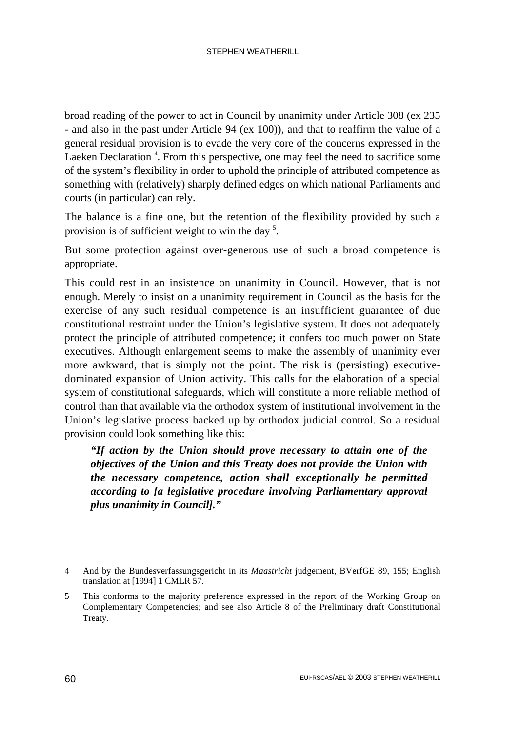broad reading of the power to act in Council by unanimity under Article 308 (ex 235 - and also in the past under Article 94 (ex 100)), and that to reaffirm the value of a general residual provision is to evade the very core of the concerns expressed in the Laeken Declaration<sup>4</sup>. From this perspective, one may feel the need to sacrifice some of the system's flexibility in order to uphold the principle of attributed competence as something with (relatively) sharply defined edges on which national Parliaments and courts (in particular) can rely.

The balance is a fine one, but the retention of the flexibility provided by such a provision is of sufficient weight to win the day<sup>5</sup>.

But some protection against over-generous use of such a broad competence is appropriate.

This could rest in an insistence on unanimity in Council. However, that is not enough. Merely to insist on a unanimity requirement in Council as the basis for the exercise of any such residual competence is an insufficient guarantee of due constitutional restraint under the Union's legislative system. It does not adequately protect the principle of attributed competence; it confers too much power on State executives. Although enlargement seems to make the assembly of unanimity ever more awkward, that is simply not the point. The risk is (persisting) executivedominated expansion of Union activity. This calls for the elaboration of a special system of constitutional safeguards, which will constitute a more reliable method of control than that available via the orthodox system of institutional involvement in the Union's legislative process backed up by orthodox judicial control. So a residual provision could look something like this:

*"If action by the Union should prove necessary to attain one of the objectives of the Union and this Treaty does not provide the Union with the necessary competence, action shall exceptionally be permitted according to [a legislative procedure involving Parliamentary approval plus unanimity in Council]."*

l

<sup>4</sup> And by the Bundesverfassungsgericht in its *Maastricht* judgement, BVerfGE 89, 155; English translation at [1994] 1 CMLR 57.

<sup>5</sup> This conforms to the majority preference expressed in the report of the Working Group on Complementary Competencies; and see also Article 8 of the Preliminary draft Constitutional Treaty.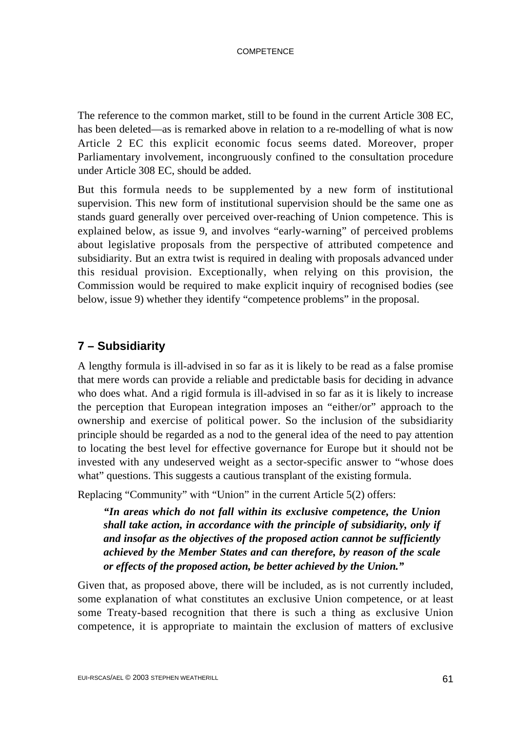The reference to the common market, still to be found in the current Article 308 EC, has been deleted—as is remarked above in relation to a re-modelling of what is now Article 2 EC this explicit economic focus seems dated. Moreover, proper Parliamentary involvement, incongruously confined to the consultation procedure under Article 308 EC, should be added.

But this formula needs to be supplemented by a new form of institutional supervision. This new form of institutional supervision should be the same one as stands guard generally over perceived over-reaching of Union competence. This is explained below, as issue 9, and involves "early-warning" of perceived problems about legislative proposals from the perspective of attributed competence and subsidiarity. But an extra twist is required in dealing with proposals advanced under this residual provision. Exceptionally, when relying on this provision, the Commission would be required to make explicit inquiry of recognised bodies (see below, issue 9) whether they identify "competence problems" in the proposal.

### **7 – Subsidiarity**

A lengthy formula is ill-advised in so far as it is likely to be read as a false promise that mere words can provide a reliable and predictable basis for deciding in advance who does what. And a rigid formula is ill-advised in so far as it is likely to increase the perception that European integration imposes an "either/or" approach to the ownership and exercise of political power. So the inclusion of the subsidiarity principle should be regarded as a nod to the general idea of the need to pay attention to locating the best level for effective governance for Europe but it should not be invested with any undeserved weight as a sector-specific answer to "whose does what" questions. This suggests a cautious transplant of the existing formula.

Replacing "Community" with "Union" in the current Article 5(2) offers:

*"In areas which do not fall within its exclusive competence, the Union shall take action, in accordance with the principle of subsidiarity, only if and insofar as the objectives of the proposed action cannot be sufficiently achieved by the Member States and can therefore, by reason of the scale or effects of the proposed action, be better achieved by the Union."*

Given that, as proposed above, there will be included, as is not currently included, some explanation of what constitutes an exclusive Union competence, or at least some Treaty-based recognition that there is such a thing as exclusive Union competence, it is appropriate to maintain the exclusion of matters of exclusive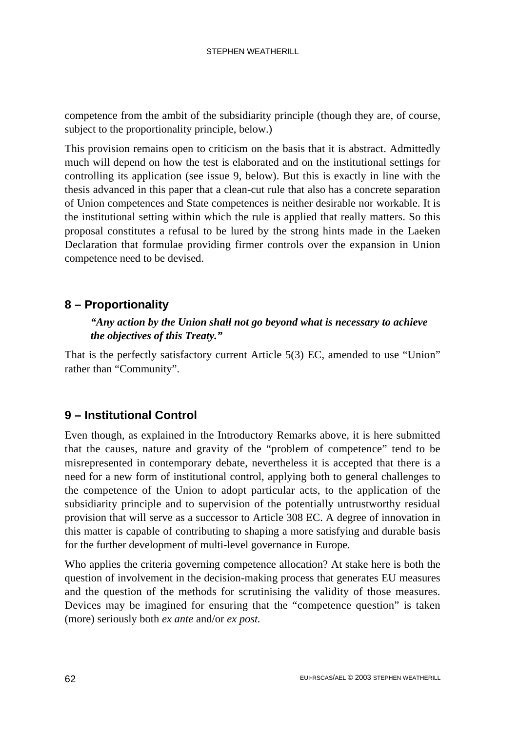competence from the ambit of the subsidiarity principle (though they are, of course, subject to the proportionality principle, below.)

This provision remains open to criticism on the basis that it is abstract. Admittedly much will depend on how the test is elaborated and on the institutional settings for controlling its application (see issue 9, below). But this is exactly in line with the thesis advanced in this paper that a clean-cut rule that also has a concrete separation of Union competences and State competences is neither desirable nor workable. It is the institutional setting within which the rule is applied that really matters. So this proposal constitutes a refusal to be lured by the strong hints made in the Laeken Declaration that formulae providing firmer controls over the expansion in Union competence need to be devised.

### **8 – Proportionality**

### *"Any action by the Union shall not go beyond what is necessary to achieve the objectives of this Treaty."*

That is the perfectly satisfactory current Article 5(3) EC, amended to use "Union" rather than "Community".

### **9 – Institutional Control**

Even though, as explained in the Introductory Remarks above, it is here submitted that the causes, nature and gravity of the "problem of competence" tend to be misrepresented in contemporary debate, nevertheless it is accepted that there is a need for a new form of institutional control, applying both to general challenges to the competence of the Union to adopt particular acts, to the application of the subsidiarity principle and to supervision of the potentially untrustworthy residual provision that will serve as a successor to Article 308 EC. A degree of innovation in this matter is capable of contributing to shaping a more satisfying and durable basis for the further development of multi-level governance in Europe.

Who applies the criteria governing competence allocation? At stake here is both the question of involvement in the decision-making process that generates EU measures and the question of the methods for scrutinising the validity of those measures. Devices may be imagined for ensuring that the "competence question" is taken (more) seriously both *ex ante* and/or *ex post.*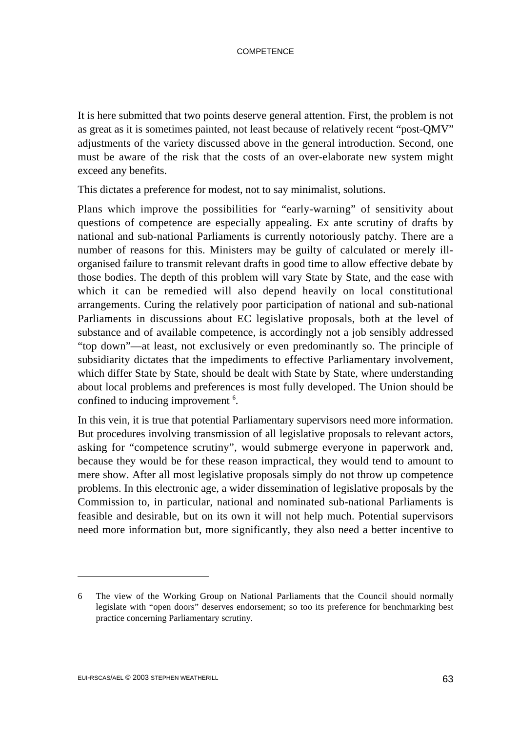It is here submitted that two points deserve general attention. First, the problem is not as great as it is sometimes painted, not least because of relatively recent "post-QMV" adjustments of the variety discussed above in the general introduction. Second, one must be aware of the risk that the costs of an over-elaborate new system might exceed any benefits.

This dictates a preference for modest, not to say minimalist, solutions.

Plans which improve the possibilities for "early-warning" of sensitivity about questions of competence are especially appealing. Ex ante scrutiny of drafts by national and sub-national Parliaments is currently notoriously patchy. There are a number of reasons for this. Ministers may be guilty of calculated or merely illorganised failure to transmit relevant drafts in good time to allow effective debate by those bodies. The depth of this problem will vary State by State, and the ease with which it can be remedied will also depend heavily on local constitutional arrangements. Curing the relatively poor participation of national and sub-national Parliaments in discussions about EC legislative proposals, both at the level of substance and of available competence, is accordingly not a job sensibly addressed "top down"—at least, not exclusively or even predominantly so. The principle of subsidiarity dictates that the impediments to effective Parliamentary involvement, which differ State by State, should be dealt with State by State, where understanding about local problems and preferences is most fully developed. The Union should be confined to inducing improvement<sup>6</sup>.

In this vein, it is true that potential Parliamentary supervisors need more information. But procedures involving transmission of all legislative proposals to relevant actors, asking for "competence scrutiny", would submerge everyone in paperwork and, because they would be for these reason impractical, they would tend to amount to mere show. After all most legislative proposals simply do not throw up competence problems. In this electronic age, a wider dissemination of legislative proposals by the Commission to, in particular, national and nominated sub-national Parliaments is feasible and desirable, but on its own it will not help much. Potential supervisors need more information but, more significantly, they also need a better incentive to

l

<sup>6</sup> The view of the Working Group on National Parliaments that the Council should normally legislate with "open doors" deserves endorsement; so too its preference for benchmarking best practice concerning Parliamentary scrutiny.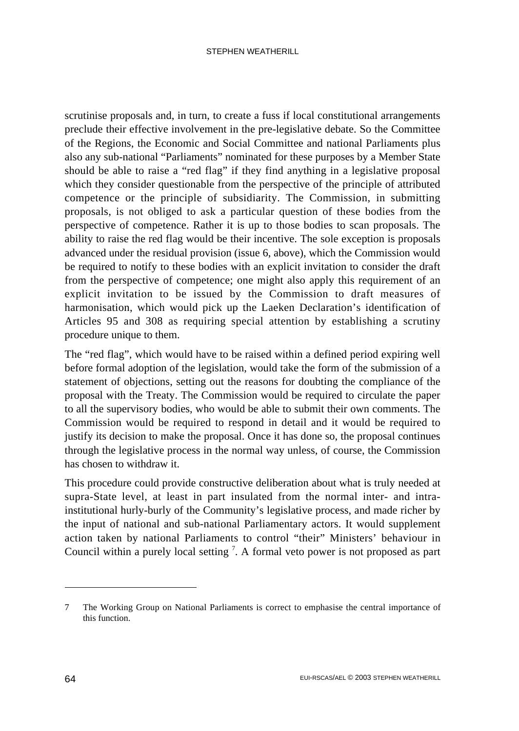#### STEPHEN WEATHERILL

scrutinise proposals and, in turn, to create a fuss if local constitutional arrangements preclude their effective involvement in the pre-legislative debate. So the Committee of the Regions, the Economic and Social Committee and national Parliaments plus also any sub-national "Parliaments" nominated for these purposes by a Member State should be able to raise a "red flag" if they find anything in a legislative proposal which they consider questionable from the perspective of the principle of attributed competence or the principle of subsidiarity. The Commission, in submitting proposals, is not obliged to ask a particular question of these bodies from the perspective of competence. Rather it is up to those bodies to scan proposals. The ability to raise the red flag would be their incentive. The sole exception is proposals advanced under the residual provision (issue 6, above), which the Commission would be required to notify to these bodies with an explicit invitation to consider the draft from the perspective of competence; one might also apply this requirement of an explicit invitation to be issued by the Commission to draft measures of harmonisation, which would pick up the Laeken Declaration's identification of Articles 95 and 308 as requiring special attention by establishing a scrutiny procedure unique to them.

The "red flag", which would have to be raised within a defined period expiring well before formal adoption of the legislation, would take the form of the submission of a statement of objections, setting out the reasons for doubting the compliance of the proposal with the Treaty. The Commission would be required to circulate the paper to all the supervisory bodies, who would be able to submit their own comments. The Commission would be required to respond in detail and it would be required to justify its decision to make the proposal. Once it has done so, the proposal continues through the legislative process in the normal way unless, of course, the Commission has chosen to withdraw it.

This procedure could provide constructive deliberation about what is truly needed at supra-State level, at least in part insulated from the normal inter- and intrainstitutional hurly-burly of the Community's legislative process, and made richer by the input of national and sub-national Parliamentary actors. It would supplement action taken by national Parliaments to control "their" Ministers' behaviour in Council within a purely local setting <sup>7</sup>. A formal veto power is not proposed as part

-

<sup>7</sup> The Working Group on National Parliaments is correct to emphasise the central importance of this function.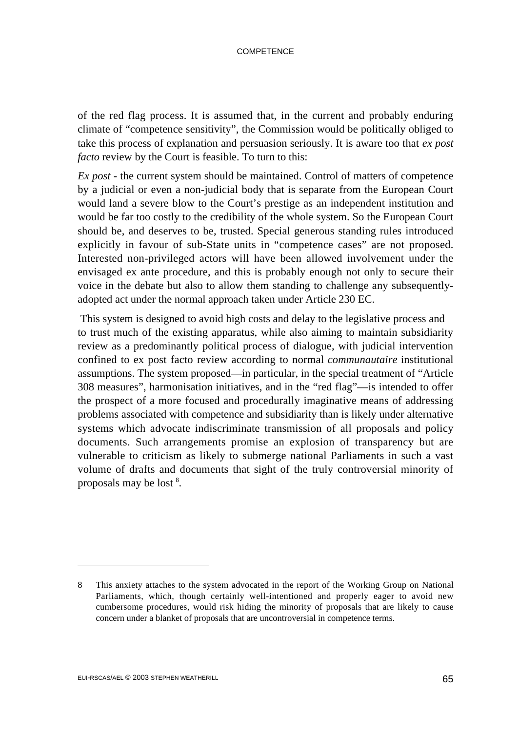#### **COMPETENCE**

of the red flag process. It is assumed that, in the current and probably enduring climate of "competence sensitivity", the Commission would be politically obliged to take this process of explanation and persuasion seriously. It is aware too that *ex post facto* review by the Court is feasible. To turn to this:

*Ex post* - the current system should be maintained. Control of matters of competence by a judicial or even a non-judicial body that is separate from the European Court would land a severe blow to the Court's prestige as an independent institution and would be far too costly to the credibility of the whole system. So the European Court should be, and deserves to be, trusted. Special generous standing rules introduced explicitly in favour of sub-State units in "competence cases" are not proposed. Interested non-privileged actors will have been allowed involvement under the envisaged ex ante procedure, and this is probably enough not only to secure their voice in the debate but also to allow them standing to challenge any subsequentlyadopted act under the normal approach taken under Article 230 EC.

 This system is designed to avoid high costs and delay to the legislative process and to trust much of the existing apparatus, while also aiming to maintain subsidiarity review as a predominantly political process of dialogue, with judicial intervention confined to ex post facto review according to normal *communautaire* institutional assumptions. The system proposed—in particular, in the special treatment of "Article 308 measures", harmonisation initiatives, and in the "red flag"—is intended to offer the prospect of a more focused and procedurally imaginative means of addressing problems associated with competence and subsidiarity than is likely under alternative systems which advocate indiscriminate transmission of all proposals and policy documents. Such arrangements promise an explosion of transparency but are vulnerable to criticism as likely to submerge national Parliaments in such a vast volume of drafts and documents that sight of the truly controversial minority of proposals may be lost  $8$ .

-

<sup>8</sup> This anxiety attaches to the system advocated in the report of the Working Group on National Parliaments, which, though certainly well-intentioned and properly eager to avoid new cumbersome procedures, would risk hiding the minority of proposals that are likely to cause concern under a blanket of proposals that are uncontroversial in competence terms.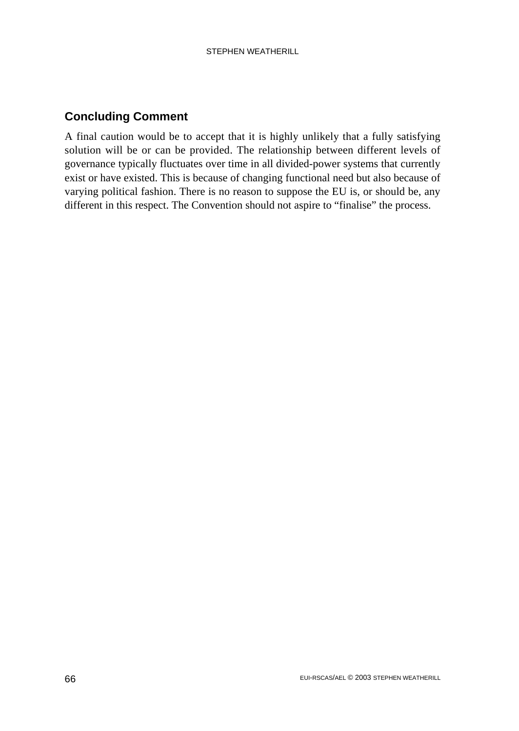### **Concluding Comment**

A final caution would be to accept that it is highly unlikely that a fully satisfying solution will be or can be provided. The relationship between different levels of governance typically fluctuates over time in all divided-power systems that currently exist or have existed. This is because of changing functional need but also because of varying political fashion. There is no reason to suppose the EU is, or should be, any different in this respect. The Convention should not aspire to "finalise" the process.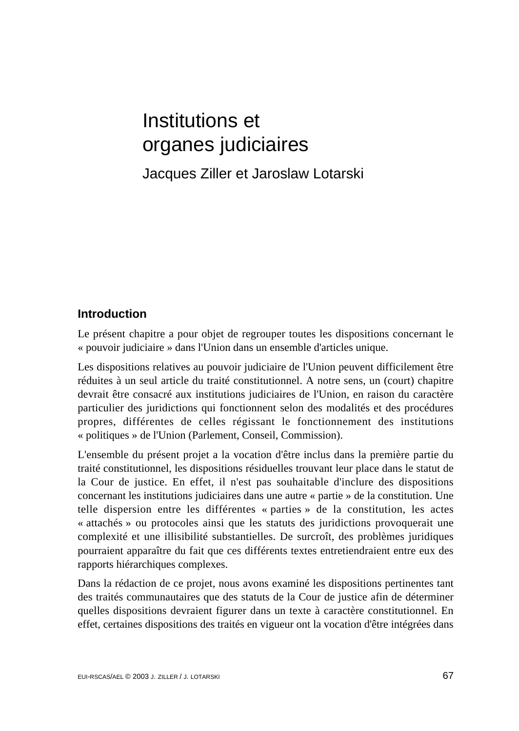# Institutions et organes judiciaires

Jacques Ziller et Jaroslaw Lotarski

### **Introduction**

Le présent chapitre a pour objet de regrouper toutes les dispositions concernant le « pouvoir judiciaire » dans l'Union dans un ensemble d'articles unique.

Les dispositions relatives au pouvoir judiciaire de l'Union peuvent difficilement être réduites à un seul article du traité constitutionnel. A notre sens, un (court) chapitre devrait être consacré aux institutions judiciaires de l'Union, en raison du caractère particulier des juridictions qui fonctionnent selon des modalités et des procédures propres, différentes de celles régissant le fonctionnement des institutions « politiques » de l'Union (Parlement, Conseil, Commission).

L'ensemble du présent projet a la vocation d'être inclus dans la première partie du traité constitutionnel, les dispositions résiduelles trouvant leur place dans le statut de la Cour de justice. En effet, il n'est pas souhaitable d'inclure des dispositions concernant les institutions judiciaires dans une autre « partie » de la constitution. Une telle dispersion entre les différentes « parties » de la constitution, les actes « attachés » ou protocoles ainsi que les statuts des juridictions provoquerait une complexité et une illisibilité substantielles. De surcroît, des problèmes juridiques pourraient apparaître du fait que ces différents textes entretiendraient entre eux des rapports hiérarchiques complexes.

Dans la rédaction de ce projet, nous avons examiné les dispositions pertinentes tant des traités communautaires que des statuts de la Cour de justice afin de déterminer quelles dispositions devraient figurer dans un texte à caractère constitutionnel. En effet, certaines dispositions des traités en vigueur ont la vocation d'être intégrées dans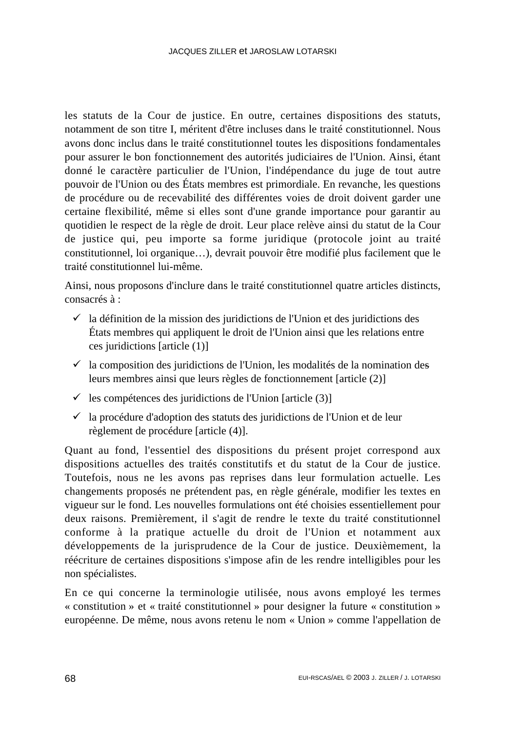les statuts de la Cour de justice. En outre, certaines dispositions des statuts, notamment de son titre I, méritent d'être incluses dans le traité constitutionnel. Nous avons donc inclus dans le traité constitutionnel toutes les dispositions fondamentales pour assurer le bon fonctionnement des autorités judiciaires de l'Union. Ainsi, étant donné le caractère particulier de l'Union, l'indépendance du juge de tout autre pouvoir de l'Union ou des États membres est primordiale. En revanche, les questions de procédure ou de recevabilité des différentes voies de droit doivent garder une certaine flexibilité, même si elles sont d'une grande importance pour garantir au quotidien le respect de la règle de droit. Leur place relève ainsi du statut de la Cour de justice qui, peu importe sa forme juridique (protocole joint au traité constitutionnel, loi organique…), devrait pouvoir être modifié plus facilement que le traité constitutionnel lui-même.

Ainsi, nous proposons d'inclure dans le traité constitutionnel quatre articles distincts, consacrés à :

- $\checkmark$  la définition de la mission des juridictions de l'Union et des juridictions des États membres qui appliquent le droit de l'Union ainsi que les relations entre ces juridictions [article (1)]
- $\checkmark$  la composition des juridictions de l'Union, les modalités de la nomination des leurs membres ainsi que leurs règles de fonctionnement [article (2)]
- $\checkmark$  les compétences des juridictions de l'Union [article (3)]
- $\checkmark$  la procédure d'adoption des statuts des juridictions de l'Union et de leur règlement de procédure [article (4)].

Quant au fond, l'essentiel des dispositions du présent projet correspond aux dispositions actuelles des traités constitutifs et du statut de la Cour de justice. Toutefois, nous ne les avons pas reprises dans leur formulation actuelle. Les changements proposés ne prétendent pas, en règle générale, modifier les textes en vigueur sur le fond. Les nouvelles formulations ont été choisies essentiellement pour deux raisons. Premièrement, il s'agit de rendre le texte du traité constitutionnel conforme à la pratique actuelle du droit de l'Union et notamment aux développements de la jurisprudence de la Cour de justice. Deuxièmement, la réécriture de certaines dispositions s'impose afin de les rendre intelligibles pour les non spécialistes.

En ce qui concerne la terminologie utilisée, nous avons employé les termes « constitution » et « traité constitutionnel » pour designer la future « constitution » européenne. De même, nous avons retenu le nom « Union » comme l'appellation de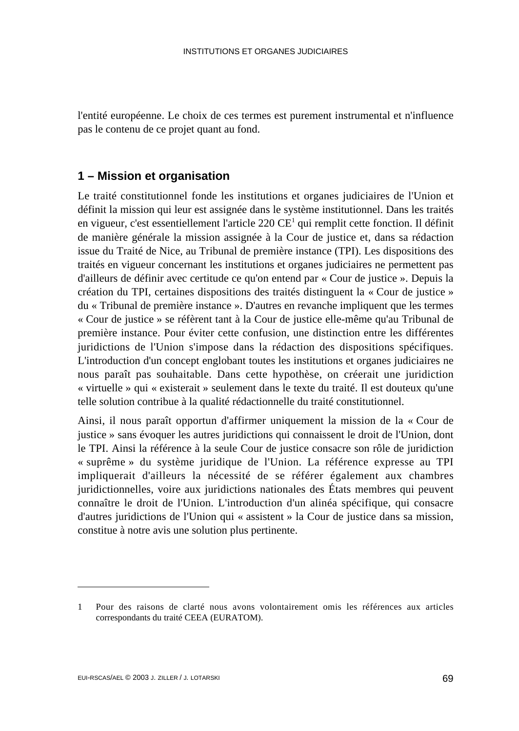l'entité européenne. Le choix de ces termes est purement instrumental et n'influence pas le contenu de ce projet quant au fond.

# **1 – Mission et organisation**

Le traité constitutionnel fonde les institutions et organes judiciaires de l'Union et définit la mission qui leur est assignée dans le système institutionnel. Dans les traités en vigueur, c'est essentiellement l'article 220  $CE<sup>1</sup>$  qui remplit cette fonction. Il définit de manière générale la mission assignée à la Cour de justice et, dans sa rédaction issue du Traité de Nice, au Tribunal de première instance (TPI). Les dispositions des traités en vigueur concernant les institutions et organes judiciaires ne permettent pas d'ailleurs de définir avec certitude ce qu'on entend par « Cour de justice ». Depuis la création du TPI, certaines dispositions des traités distinguent la « Cour de justice » du « Tribunal de première instance ». D'autres en revanche impliquent que les termes « Cour de justice » se réfèrent tant à la Cour de justice elle-même qu'au Tribunal de première instance. Pour éviter cette confusion, une distinction entre les différentes juridictions de l'Union s'impose dans la rédaction des dispositions spécifiques. L'introduction d'un concept englobant toutes les institutions et organes judiciaires ne nous paraît pas souhaitable. Dans cette hypothèse, on créerait une juridiction « virtuelle » qui « existerait » seulement dans le texte du traité. Il est douteux qu'une telle solution contribue à la qualité rédactionnelle du traité constitutionnel.

Ainsi, il nous paraît opportun d'affirmer uniquement la mission de la « Cour de justice » sans évoquer les autres juridictions qui connaissent le droit de l'Union, dont le TPI. Ainsi la référence à la seule Cour de justice consacre son rôle de juridiction « suprême » du système juridique de l'Union. La référence expresse au TPI impliquerait d'ailleurs la nécessité de se référer également aux chambres juridictionnelles, voire aux juridictions nationales des États membres qui peuvent connaître le droit de l'Union. L'introduction d'un alinéa spécifique, qui consacre d'autres juridictions de l'Union qui « assistent » la Cour de justice dans sa mission, constitue à notre avis une solution plus pertinente.

-

<sup>1</sup> Pour des raisons de clarté nous avons volontairement omis les références aux articles correspondants du traité CEEA (EURATOM).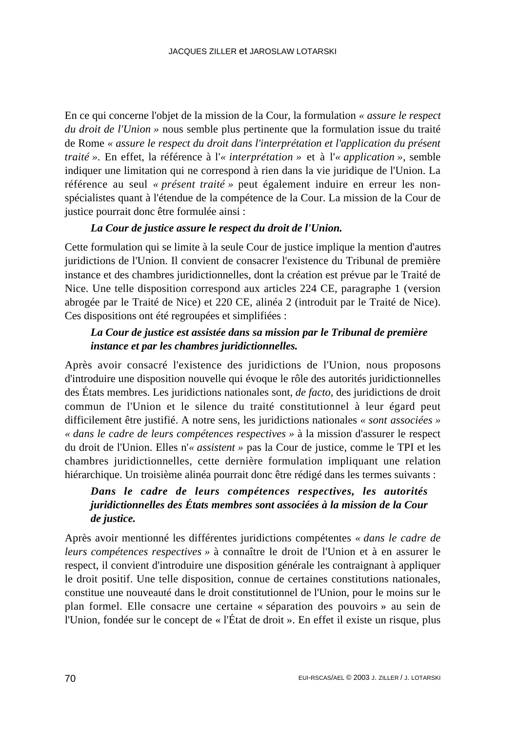En ce qui concerne l'objet de la mission de la Cour, la formulation *« assure le respect du droit de l'Union »* nous semble plus pertinente que la formulation issue du traité de Rome *« assure le respect du droit dans l'interprétation et l'application du présent traité ».* En effet, la référence à l'*« interprétation »* et à l'*« application »,* semble indiquer une limitation qui ne correspond à rien dans la vie juridique de l'Union. La référence au seul *« présent traité »* peut également induire en erreur les nonspécialistes quant à l'étendue de la compétence de la Cour. La mission de la Cour de justice pourrait donc être formulée ainsi :

# *La Cour de justice assure le respect du droit de l'Union.*

Cette formulation qui se limite à la seule Cour de justice implique la mention d'autres juridictions de l'Union. Il convient de consacrer l'existence du Tribunal de première instance et des chambres juridictionnelles, dont la création est prévue par le Traité de Nice. Une telle disposition correspond aux articles 224 CE, paragraphe 1 (version abrogée par le Traité de Nice) et 220 CE, alinéa 2 (introduit par le Traité de Nice). Ces dispositions ont été regroupées et simplifiées :

# *La Cour de justice est assistée dans sa mission par le Tribunal de première instance et par les chambres juridictionnelles.*

Après avoir consacré l'existence des juridictions de l'Union, nous proposons d'introduire une disposition nouvelle qui évoque le rôle des autorités juridictionnelles des États membres. Les juridictions nationales sont, *de facto,* des juridictions de droit commun de l'Union et le silence du traité constitutionnel à leur égard peut difficilement être justifié. A notre sens, les juridictions nationales *« sont associées » « dans le cadre de leurs compétences respectives »* à la mission d'assurer le respect du droit de l'Union. Elles n'*« assistent »* pas la Cour de justice, comme le TPI et les chambres juridictionnelles, cette dernière formulation impliquant une relation hiérarchique. Un troisième alinéa pourrait donc être rédigé dans les termes suivants :

# *Dans le cadre de leurs compétences respectives, les autorités juridictionnelles des États membres sont associées à la mission de la Cour de justice.*

Après avoir mentionné les différentes juridictions compétentes *« dans le cadre de leurs compétences respectives »* à connaître le droit de l'Union et à en assurer le respect, il convient d'introduire une disposition générale les contraignant à appliquer le droit positif. Une telle disposition, connue de certaines constitutions nationales, constitue une nouveauté dans le droit constitutionnel de l'Union, pour le moins sur le plan formel. Elle consacre une certaine « séparation des pouvoirs » au sein de l'Union, fondée sur le concept de « l'État de droit ». En effet il existe un risque, plus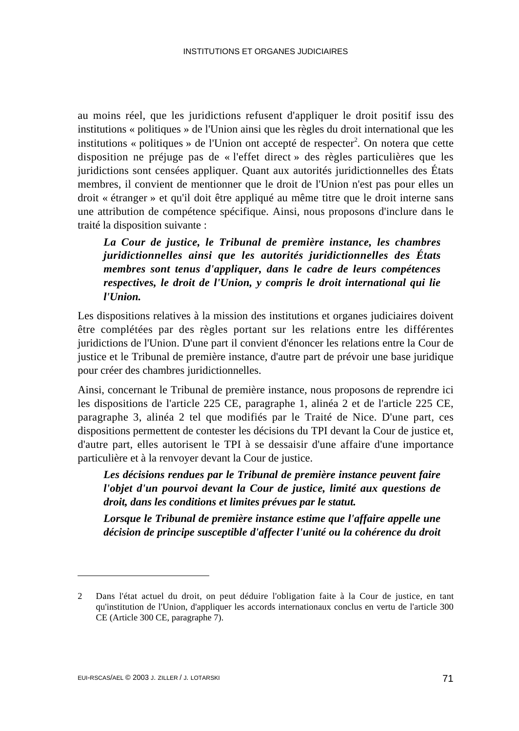au moins réel, que les juridictions refusent d'appliquer le droit positif issu des institutions « politiques » de l'Union ainsi que les règles du droit international que les institutions « politiques » de l'Union ont accepté de respecter<sup>2</sup>. On notera que cette disposition ne préjuge pas de « l'effet direct » des règles particulières que les juridictions sont censées appliquer. Quant aux autorités juridictionnelles des États membres, il convient de mentionner que le droit de l'Union n'est pas pour elles un droit « étranger » et qu'il doit être appliqué au même titre que le droit interne sans une attribution de compétence spécifique. Ainsi, nous proposons d'inclure dans le traité la disposition suivante :

*La Cour de justice, le Tribunal de première instance, les chambres juridictionnelles ainsi que les autorités juridictionnelles des États membres sont tenus d'appliquer, dans le cadre de leurs compétences respectives, le droit de l'Union, y compris le droit international qui lie l'Union.*

Les dispositions relatives à la mission des institutions et organes judiciaires doivent être complétées par des règles portant sur les relations entre les différentes juridictions de l'Union. D'une part il convient d'énoncer les relations entre la Cour de justice et le Tribunal de première instance, d'autre part de prévoir une base juridique pour créer des chambres juridictionnelles.

Ainsi, concernant le Tribunal de première instance, nous proposons de reprendre ici les dispositions de l'article 225 CE, paragraphe 1, alinéa 2 et de l'article 225 CE, paragraphe 3, alinéa 2 tel que modifiés par le Traité de Nice. D'une part, ces dispositions permettent de contester les décisions du TPI devant la Cour de justice et, d'autre part, elles autorisent le TPI à se dessaisir d'une affaire d'une importance particulière et à la renvoyer devant la Cour de justice.

*Les décisions rendues par le Tribunal de première instance peuvent faire l'objet d'un pourvoi devant la Cour de justice, limité aux questions de droit, dans les conditions et limites prévues par le statut.*

*Lorsque le Tribunal de première instance estime que l'affaire appelle une décision de principe susceptible d'affecter l'unité ou la cohérence du droit*

 $\overline{a}$ 

<sup>2</sup> Dans l'état actuel du droit, on peut déduire l'obligation faite à la Cour de justice, en tant qu'institution de l'Union, d'appliquer les accords internationaux conclus en vertu de l'article 300 CE (Article 300 CE, paragraphe 7).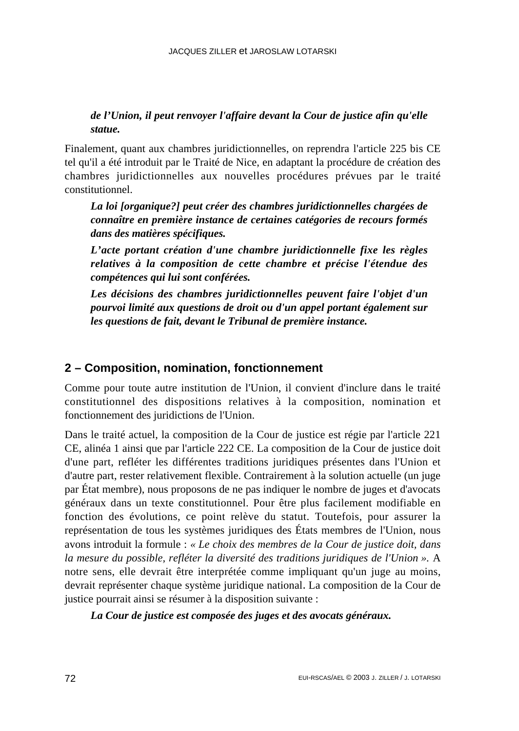## *de l'Union, il peut renvoyer l'affaire devant la Cour de justice afin qu'elle statue.*

Finalement, quant aux chambres juridictionnelles, on reprendra l'article 225 bis CE tel qu'il a été introduit par le Traité de Nice, en adaptant la procédure de création des chambres juridictionnelles aux nouvelles procédures prévues par le traité constitutionnel.

*La loi [organique?] peut créer des chambres juridictionnelles chargées de connaître en première instance de certaines catégories de recours formés dans des matières spécifiques.*

*L'acte portant création d'une chambre juridictionnelle fixe les règles relatives à la composition de cette chambre et précise l'étendue des compétences qui lui sont conférées.*

*Les décisions des chambres juridictionnelles peuvent faire l'objet d'un pourvoi limité aux questions de droit ou d'un appel portant également sur les questions de fait, devant le Tribunal de première instance.*

## **2 – Composition, nomination, fonctionnement**

Comme pour toute autre institution de l'Union, il convient d'inclure dans le traité constitutionnel des dispositions relatives à la composition, nomination et fonctionnement des juridictions de l'Union.

Dans le traité actuel, la composition de la Cour de justice est régie par l'article 221 CE, alinéa 1 ainsi que par l'article 222 CE. La composition de la Cour de justice doit d'une part, refléter les différentes traditions juridiques présentes dans l'Union et d'autre part, rester relativement flexible. Contrairement à la solution actuelle (un juge par État membre), nous proposons de ne pas indiquer le nombre de juges et d'avocats généraux dans un texte constitutionnel. Pour être plus facilement modifiable en fonction des évolutions, ce point relève du statut. Toutefois, pour assurer la représentation de tous les systèmes juridiques des États membres de l'Union, nous avons introduit la formule : *« Le choix des membres de la Cour de justice doit, dans la mesure du possible, refléter la diversité des traditions juridiques de l'Union ».* A notre sens, elle devrait être interprétée comme impliquant qu'un juge au moins, devrait représenter chaque système juridique national. La composition de la Cour de justice pourrait ainsi se résumer à la disposition suivante :

*La Cour de justice est composée des juges et des avocats généraux.*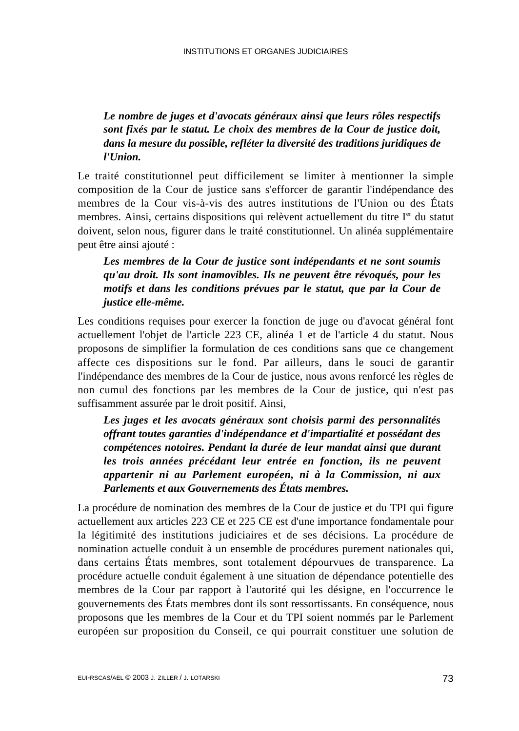# *Le nombre de juges et d'avocats généraux ainsi que leurs rôles respectifs sont fixés par le statut. Le choix des membres de la Cour de justice doit, dans la mesure du possible, refléter la diversité des traditions juridiques de l'Union.*

Le traité constitutionnel peut difficilement se limiter à mentionner la simple composition de la Cour de justice sans s'efforcer de garantir l'indépendance des membres de la Cour vis-à-vis des autres institutions de l'Union ou des États membres. Ainsi, certains dispositions qui relèvent actuellement du titre  $I<sup>er</sup>$  du statut doivent, selon nous, figurer dans le traité constitutionnel. Un alinéa supplémentaire peut être ainsi ajouté :

# *Les membres de la Cour de justice sont indépendants et ne sont soumis qu'au droit. Ils sont inamovibles. Ils ne peuvent être révoqués, pour les motifs et dans les conditions prévues par le statut, que par la Cour de justice elle-même.*

Les conditions requises pour exercer la fonction de juge ou d'avocat général font actuellement l'objet de l'article 223 CE, alinéa 1 et de l'article 4 du statut. Nous proposons de simplifier la formulation de ces conditions sans que ce changement affecte ces dispositions sur le fond. Par ailleurs, dans le souci de garantir l'indépendance des membres de la Cour de justice, nous avons renforcé les règles de non cumul des fonctions par les membres de la Cour de justice, qui n'est pas suffisamment assurée par le droit positif. Ainsi,

*Les juges et les avocats généraux sont choisis parmi des personnalités offrant toutes garanties d'indépendance et d'impartialité et possédant des compétences notoires. Pendant la durée de leur mandat ainsi que durant les trois années précédant leur entrée en fonction, ils ne peuvent appartenir ni au Parlement européen, ni à la Commission, ni aux Parlements et aux Gouvernements des États membres.*

La procédure de nomination des membres de la Cour de justice et du TPI qui figure actuellement aux articles 223 CE et 225 CE est d'une importance fondamentale pour la légitimité des institutions judiciaires et de ses décisions. La procédure de nomination actuelle conduit à un ensemble de procédures purement nationales qui, dans certains États membres, sont totalement dépourvues de transparence. La procédure actuelle conduit également à une situation de dépendance potentielle des membres de la Cour par rapport à l'autorité qui les désigne, en l'occurrence le gouvernements des États membres dont ils sont ressortissants. En conséquence, nous proposons que les membres de la Cour et du TPI soient nommés par le Parlement européen sur proposition du Conseil, ce qui pourrait constituer une solution de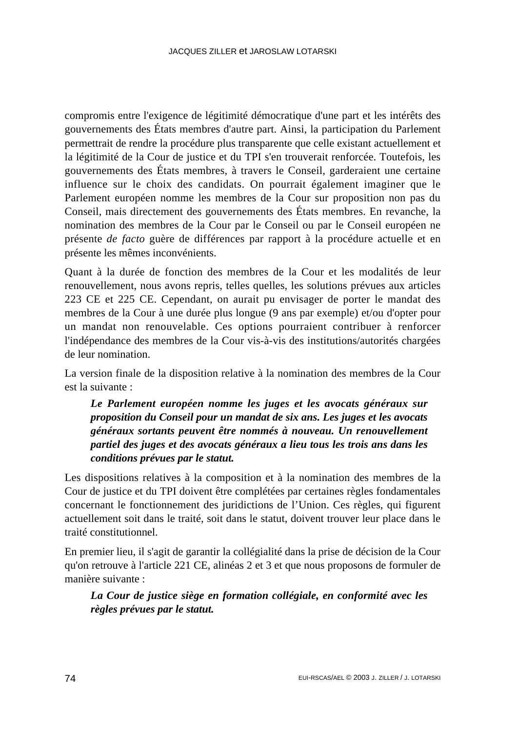compromis entre l'exigence de légitimité démocratique d'une part et les intérêts des gouvernements des États membres d'autre part. Ainsi, la participation du Parlement permettrait de rendre la procédure plus transparente que celle existant actuellement et la légitimité de la Cour de justice et du TPI s'en trouverait renforcée. Toutefois, les gouvernements des États membres, à travers le Conseil, garderaient une certaine influence sur le choix des candidats. On pourrait également imaginer que le Parlement européen nomme les membres de la Cour sur proposition non pas du Conseil, mais directement des gouvernements des États membres. En revanche, la nomination des membres de la Cour par le Conseil ou par le Conseil européen ne présente *de facto* guère de différences par rapport à la procédure actuelle et en présente les mêmes inconvénients.

Quant à la durée de fonction des membres de la Cour et les modalités de leur renouvellement, nous avons repris, telles quelles, les solutions prévues aux articles 223 CE et 225 CE. Cependant, on aurait pu envisager de porter le mandat des membres de la Cour à une durée plus longue (9 ans par exemple) et/ou d'opter pour un mandat non renouvelable. Ces options pourraient contribuer à renforcer l'indépendance des membres de la Cour vis-à-vis des institutions/autorités chargées de leur nomination.

La version finale de la disposition relative à la nomination des membres de la Cour est la suivante :

*Le Parlement européen nomme les juges et les avocats généraux sur proposition du Conseil pour un mandat de six ans. Les juges et les avocats généraux sortants peuvent être nommés à nouveau. Un renouvellement partiel des juges et des avocats généraux a lieu tous les trois ans dans les conditions prévues par le statut.*

Les dispositions relatives à la composition et à la nomination des membres de la Cour de justice et du TPI doivent être complétées par certaines règles fondamentales concernant le fonctionnement des juridictions de l'Union. Ces règles, qui figurent actuellement soit dans le traité, soit dans le statut, doivent trouver leur place dans le traité constitutionnel.

En premier lieu, il s'agit de garantir la collégialité dans la prise de décision de la Cour qu'on retrouve à l'article 221 CE, alinéas 2 et 3 et que nous proposons de formuler de manière suivante :

*La Cour de justice siège en formation collégiale, en conformité avec les règles prévues par le statut.*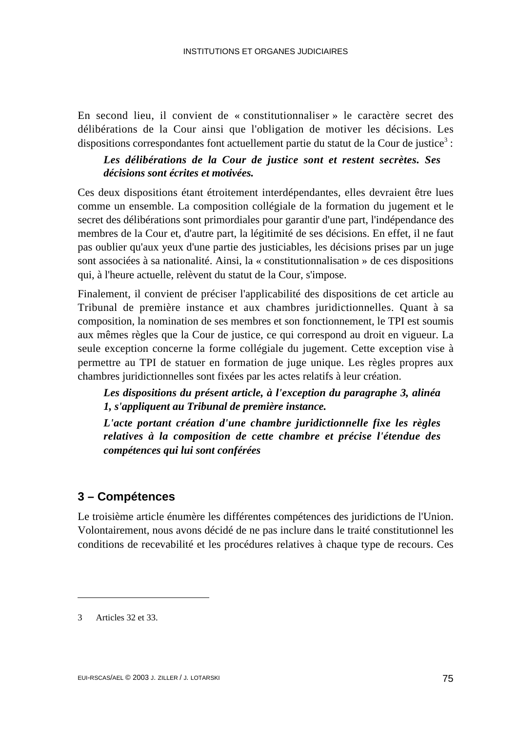En second lieu, il convient de « constitutionnaliser » le caractère secret des délibérations de la Cour ainsi que l'obligation de motiver les décisions. Les dispositions correspondantes font actuellement partie du statut de la Cour de justice<sup>3</sup> :

## *Les délibérations de la Cour de justice sont et restent secrètes. Ses décisions sont écrites et motivées.*

Ces deux dispositions étant étroitement interdépendantes, elles devraient être lues comme un ensemble. La composition collégiale de la formation du jugement et le secret des délibérations sont primordiales pour garantir d'une part, l'indépendance des membres de la Cour et, d'autre part, la légitimité de ses décisions. En effet, il ne faut pas oublier qu'aux yeux d'une partie des justiciables, les décisions prises par un juge sont associées à sa nationalité. Ainsi, la « constitutionnalisation » de ces dispositions qui, à l'heure actuelle, relèvent du statut de la Cour, s'impose.

Finalement, il convient de préciser l'applicabilité des dispositions de cet article au Tribunal de première instance et aux chambres juridictionnelles. Quant à sa composition, la nomination de ses membres et son fonctionnement, le TPI est soumis aux mêmes règles que la Cour de justice, ce qui correspond au droit en vigueur. La seule exception concerne la forme collégiale du jugement. Cette exception vise à permettre au TPI de statuer en formation de juge unique. Les règles propres aux chambres juridictionnelles sont fixées par les actes relatifs à leur création.

*Les dispositions du présent article, à l'exception du paragraphe 3, alinéa 1, s'appliquent au Tribunal de première instance.*

*L'acte portant création d'une chambre juridictionnelle fixe les règles relatives à la composition de cette chambre et précise l'étendue des compétences qui lui sont conférées*

# **3 – Compétences**

Le troisième article énumère les différentes compétences des juridictions de l'Union. Volontairement, nous avons décidé de ne pas inclure dans le traité constitutionnel les conditions de recevabilité et les procédures relatives à chaque type de recours. Ces

l

<sup>3</sup> Articles 32 et 33.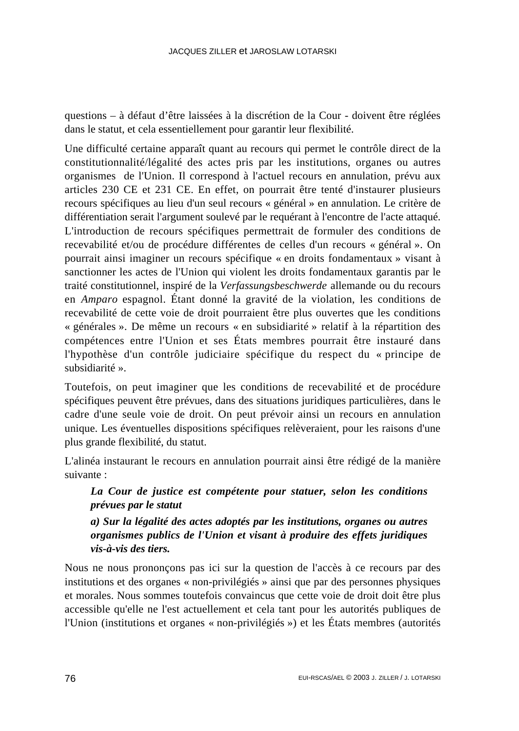questions – à défaut d'être laissées à la discrétion de la Cour - doivent être réglées dans le statut, et cela essentiellement pour garantir leur flexibilité.

Une difficulté certaine apparaît quant au recours qui permet le contrôle direct de la constitutionnalité/légalité des actes pris par les institutions, organes ou autres organismes de l'Union. Il correspond à l'actuel recours en annulation, prévu aux articles 230 CE et 231 CE. En effet, on pourrait être tenté d'instaurer plusieurs recours spécifiques au lieu d'un seul recours « général » en annulation. Le critère de différentiation serait l'argument soulevé par le requérant à l'encontre de l'acte attaqué. L'introduction de recours spécifiques permettrait de formuler des conditions de recevabilité et/ou de procédure différentes de celles d'un recours « général ». On pourrait ainsi imaginer un recours spécifique « en droits fondamentaux » visant à sanctionner les actes de l'Union qui violent les droits fondamentaux garantis par le traité constitutionnel, inspiré de la *Verfassungsbeschwerde* allemande ou du recours en *Amparo* espagnol. Étant donné la gravité de la violation, les conditions de recevabilité de cette voie de droit pourraient être plus ouvertes que les conditions « générales ». De même un recours « en subsidiarité » relatif à la répartition des compétences entre l'Union et ses États membres pourrait être instauré dans l'hypothèse d'un contrôle judiciaire spécifique du respect du « principe de subsidiarité ».

Toutefois, on peut imaginer que les conditions de recevabilité et de procédure spécifiques peuvent être prévues, dans des situations juridiques particulières, dans le cadre d'une seule voie de droit. On peut prévoir ainsi un recours en annulation unique. Les éventuelles dispositions spécifiques relèveraient, pour les raisons d'une plus grande flexibilité, du statut.

L'alinéa instaurant le recours en annulation pourrait ainsi être rédigé de la manière suivante :

# *La Cour de justice est compétente pour statuer, selon les conditions prévues par le statut*

*a) Sur la légalité des actes adoptés par les institutions, organes ou autres organismes publics de l'Union et visant à produire des effets juridiques vis-à-vis des tiers.*

Nous ne nous prononçons pas ici sur la question de l'accès à ce recours par des institutions et des organes « non-privilégiés » ainsi que par des personnes physiques et morales. Nous sommes toutefois convaincus que cette voie de droit doit être plus accessible qu'elle ne l'est actuellement et cela tant pour les autorités publiques de l'Union (institutions et organes « non-privilégiés ») et les États membres (autorités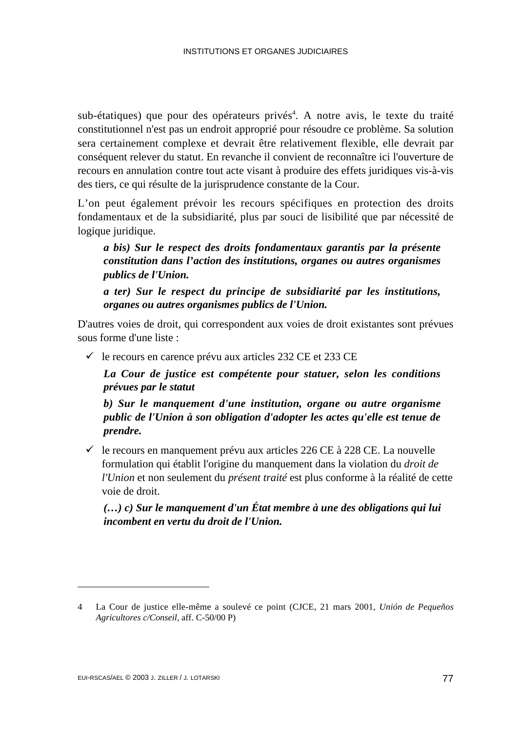sub-étatiques) que pour des opérateurs privés<sup>4</sup>. A notre avis, le texte du traité constitutionnel n'est pas un endroit approprié pour résoudre ce problème. Sa solution sera certainement complexe et devrait être relativement flexible, elle devrait par conséquent relever du statut. En revanche il convient de reconnaître ici l'ouverture de recours en annulation contre tout acte visant à produire des effets juridiques vis-à-vis des tiers, ce qui résulte de la jurisprudence constante de la Cour.

L'on peut également prévoir les recours spécifiques en protection des droits fondamentaux et de la subsidiarité, plus par souci de lisibilité que par nécessité de logique juridique.

*a bis) Sur le respect des droits fondamentaux garantis par la présente constitution dans l'action des institutions, organes ou autres organismes publics de l'Union.*

*a ter) Sur le respect du principe de subsidiarité par les institutions, organes ou autres organismes publics de l'Union.*

D'autres voies de droit, qui correspondent aux voies de droit existantes sont prévues sous forme d'une liste :

 $\checkmark$  le recours en carence prévu aux articles 232 CE et 233 CE

*La Cour de justice est compétente pour statuer, selon les conditions prévues par le statut*

*b) Sur le manquement d'une institution, organe ou autre organisme public de l'Union à son obligation d'adopter les actes qu'elle est tenue de prendre.*

 $\checkmark$  le recours en manquement prévu aux articles 226 CE à 228 CE. La nouvelle formulation qui établit l'origine du manquement dans la violation du *droit de l'Union* et non seulement du *présent traité* est plus conforme à la réalité de cette voie de droit.

*(…) c) Sur le manquement d'un État membre à une des obligations qui lui incombent en vertu du droit de l'Union.*

-

<sup>4</sup> La Cour de justice elle-même a soulevé ce point (CJCE, 21 mars 2001, *Unión de Pequeños Agricultores c/Conseil,* aff. C-50/00 P)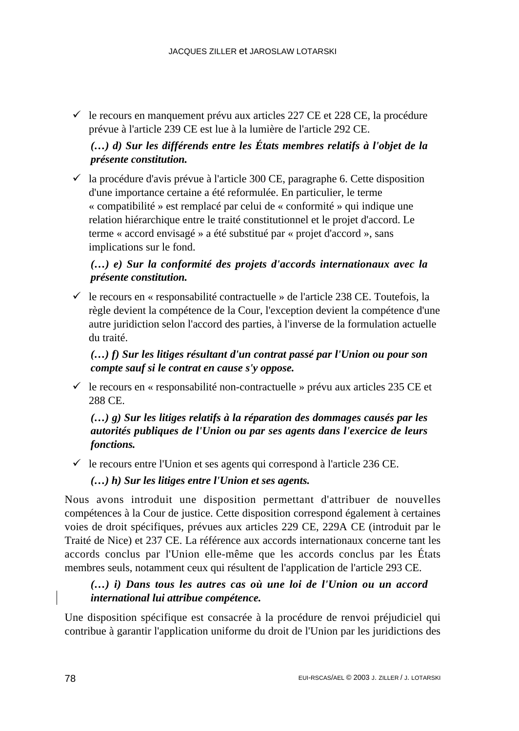$\checkmark$  le recours en manquement prévu aux articles 227 CE et 228 CE, la procédure prévue à l'article 239 CE est lue à la lumière de l'article 292 CE.

# *(…) d) Sur les différends entre les États membres relatifs à l'objet de la présente constitution.*

 $\checkmark$  la procédure d'avis prévue à l'article 300 CE, paragraphe 6. Cette disposition d'une importance certaine a été reformulée. En particulier, le terme « compatibilité » est remplacé par celui de « conformité » qui indique une relation hiérarchique entre le traité constitutionnel et le projet d'accord. Le terme « accord envisagé » a été substitué par « projet d'accord », sans implications sur le fond.

# *(…) e) Sur la conformité des projets d'accords internationaux avec la présente constitution.*

 $\checkmark$  le recours en « responsabilité contractuelle » de l'article 238 CE. Toutefois, la règle devient la compétence de la Cour, l'exception devient la compétence d'une autre juridiction selon l'accord des parties, à l'inverse de la formulation actuelle du traité.

# *(…) f) Sur les litiges résultant d'un contrat passé par l'Union ou pour son compte sauf si le contrat en cause s'y oppose.*

 $\checkmark$  le recours en « responsabilité non-contractuelle » prévu aux articles 235 CE et 288 CE.

*(…) g) Sur les litiges relatifs à la réparation des dommages causés par les autorités publiques de l'Union ou par ses agents dans l'exercice de leurs fonctions.*

 $\checkmark$  le recours entre l'Union et ses agents qui correspond à l'article 236 CE.

*(…) h) Sur les litiges entre l'Union et ses agents.*

Nous avons introduit une disposition permettant d'attribuer de nouvelles compétences à la Cour de justice. Cette disposition correspond également à certaines voies de droit spécifiques, prévues aux articles 229 CE, 229A CE (introduit par le Traité de Nice) et 237 CE. La référence aux accords internationaux concerne tant les accords conclus par l'Union elle-même que les accords conclus par les États membres seuls, notamment ceux qui résultent de l'application de l'article 293 CE.

# *(…) i) Dans tous les autres cas où une loi de l'Union ou un accord international lui attribue compétence.*

Une disposition spécifique est consacrée à la procédure de renvoi préjudiciel qui contribue à garantir l'application uniforme du droit de l'Union par les juridictions des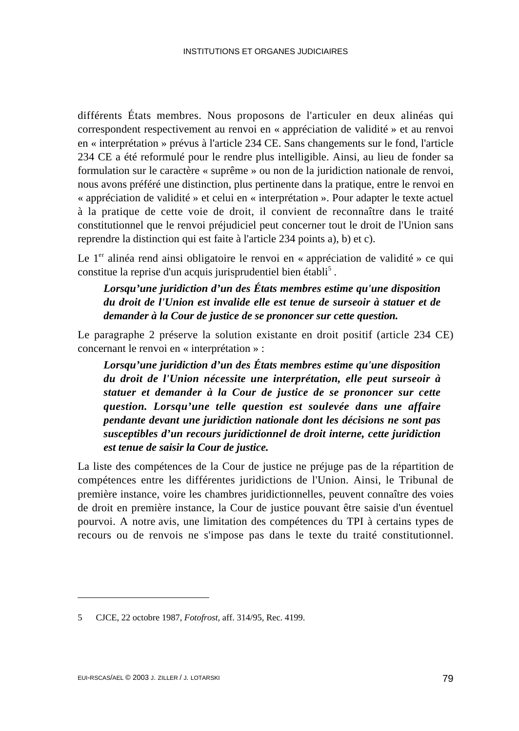différents États membres. Nous proposons de l'articuler en deux alinéas qui correspondent respectivement au renvoi en « appréciation de validité » et au renvoi en « interprétation » prévus à l'article 234 CE. Sans changements sur le fond, l'article 234 CE a été reformulé pour le rendre plus intelligible. Ainsi, au lieu de fonder sa formulation sur le caractère « suprême » ou non de la juridiction nationale de renvoi, nous avons préféré une distinction, plus pertinente dans la pratique, entre le renvoi en « appréciation de validité » et celui en « interprétation ». Pour adapter le texte actuel à la pratique de cette voie de droit, il convient de reconnaître dans le traité constitutionnel que le renvoi préjudiciel peut concerner tout le droit de l'Union sans reprendre la distinction qui est faite à l'article 234 points a), b) et c).

Le  $1<sup>er</sup>$  alinéa rend ainsi obligatoire le renvoi en « appréciation de validité » ce qui constitue la reprise d'un acquis jurisprudentiel bien établi<sup>5</sup>.

*Lorsqu'une juridiction d'un des États membres estime qu'une disposition du droit de l'Union est invalide elle est tenue de surseoir à statuer et de demander à la Cour de justice de se prononcer sur cette question.*

Le paragraphe 2 préserve la solution existante en droit positif (article 234 CE) concernant le renvoi en « interprétation » :

*Lorsqu'une juridiction d'un des États membres estime qu'une disposition du droit de l'Union nécessite une interprétation, elle peut surseoir à statuer et demander à la Cour de justice de se prononcer sur cette question. Lorsqu'une telle question est soulevée dans une affaire pendante devant une juridiction nationale dont les décisions ne sont pas susceptibles d'un recours juridictionnel de droit interne, cette juridiction est tenue de saisir la Cour de justice.*

La liste des compétences de la Cour de justice ne préjuge pas de la répartition de compétences entre les différentes juridictions de l'Union. Ainsi, le Tribunal de première instance, voire les chambres juridictionnelles, peuvent connaître des voies de droit en première instance, la Cour de justice pouvant être saisie d'un éventuel pourvoi. A notre avis, une limitation des compétences du TPI à certains types de recours ou de renvois ne s'impose pas dans le texte du traité constitutionnel.

l

<sup>5</sup> CJCE, 22 octobre 1987, *Fotofrost,* aff. 314/95, Rec. 4199.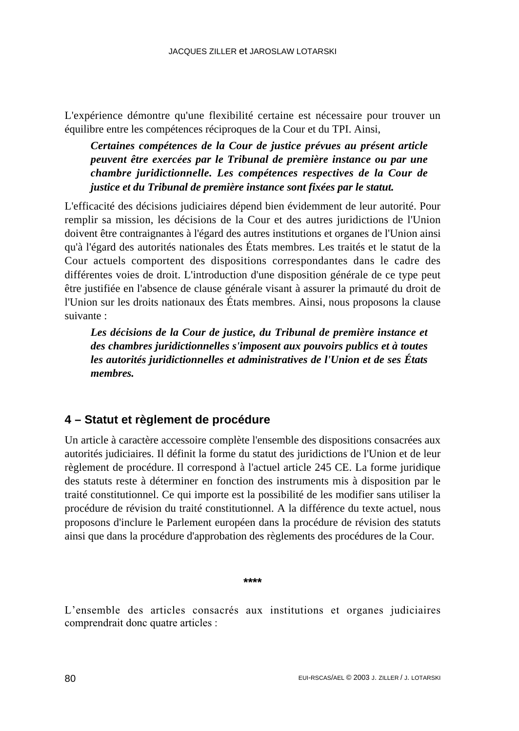L'expérience démontre qu'une flexibilité certaine est nécessaire pour trouver un équilibre entre les compétences réciproques de la Cour et du TPI. Ainsi,

*Certaines compétences de la Cour de justice prévues au présent article peuvent être exercées par le Tribunal de première instance ou par une chambre juridictionnelle. Les compétences respectives de la Cour de justice et du Tribunal de première instance sont fixées par le statut.*

L'efficacité des décisions judiciaires dépend bien évidemment de leur autorité. Pour remplir sa mission, les décisions de la Cour et des autres juridictions de l'Union doivent être contraignantes à l'égard des autres institutions et organes de l'Union ainsi qu'à l'égard des autorités nationales des États membres. Les traités et le statut de la Cour actuels comportent des dispositions correspondantes dans le cadre des différentes voies de droit. L'introduction d'une disposition générale de ce type peut être justifiée en l'absence de clause générale visant à assurer la primauté du droit de l'Union sur les droits nationaux des États membres. Ainsi, nous proposons la clause suivante :

*Les décisions de la Cour de justice, du Tribunal de première instance et des chambres juridictionnelles s'imposent aux pouvoirs publics et à toutes les autorités juridictionnelles et administratives de l'Union et de ses États membres.*

# **4 – Statut et règlement de procédure**

Un article à caractère accessoire complète l'ensemble des dispositions consacrées aux autorités judiciaires. Il définit la forme du statut des juridictions de l'Union et de leur règlement de procédure. Il correspond à l'actuel article 245 CE. La forme juridique des statuts reste à déterminer en fonction des instruments mis à disposition par le traité constitutionnel. Ce qui importe est la possibilité de les modifier sans utiliser la procédure de révision du traité constitutionnel. A la différence du texte actuel, nous proposons d'inclure le Parlement européen dans la procédure de révision des statuts ainsi que dans la procédure d'approbation des règlements des procédures de la Cour.

**\*\*\*\***

L'ensemble des articles consacrés aux institutions et organes judiciaires comprendrait donc quatre articles :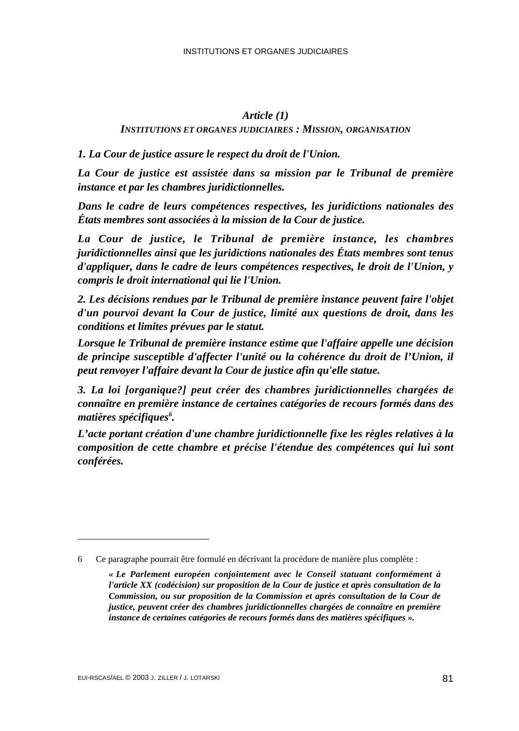# *Article (1) INSTITUTIONS ET ORGANES JUDICIAIRES : MISSION, ORGANISATION*

*1. La Cour de justice assure le respect du droit de l'Union.*

*La Cour de justice est assistée dans sa mission par le Tribunal de première instance et par les chambres juridictionnelles.*

*Dans le cadre de leurs compétences respectives, les juridictions nationales des États membres sont associées à la mission de la Cour de justice.*

*La Cour de justice, le Tribunal de première instance, les chambres juridictionnelles ainsi que les juridictions nationales des États membres sont tenus d'appliquer, dans le cadre de leurs compétences respectives, le droit de l'Union, y compris le droit international qui lie l'Union.*

*2. Les décisions rendues par le Tribunal de première instance peuvent faire l'objet d'un pourvoi devant la Cour de justice, limité aux questions de droit, dans les conditions et limites prévues par le statut.*

*Lorsque le Tribunal de première instance estime que l'affaire appelle une décision de principe susceptible d'affecter l'unité ou la cohérence du droit de l'Union, il peut renvoyer l'affaire devant la Cour de justice afin qu'elle statue.*

*3. La loi [organique?] peut créer des chambres juridictionnelles chargées de connaître en première instance de certaines catégories de recours formés dans des matières spécifiques6 .*

*L'acte portant création d'une chambre juridictionnelle fixe les règles relatives à la composition de cette chambre et précise l'étendue des compétences qui lui sont conférées.*

-

<sup>6</sup> Ce paragraphe pourrait être formulé en décrivant la procédure de manière plus complète :

*<sup>«</sup> Le Parlement européen conjointement avec le Conseil statuant conformément à l'article XX (codécision) sur proposition de la Cour de justice et après consultation de la Commission, ou sur proposition de la Commission et après consultation de la Cour de justice, peuvent créer des chambres juridictionnelles chargées de connaître en première instance de certaines catégories de recours formés dans des matières spécifiques ».*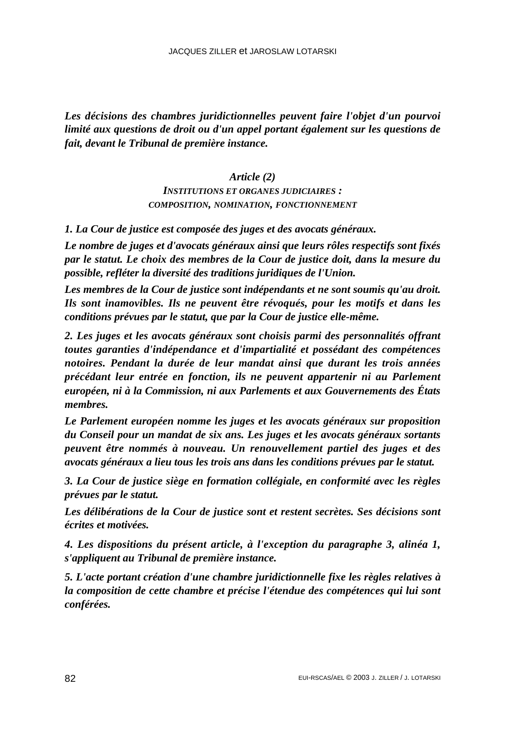*Les décisions des chambres juridictionnelles peuvent faire l'objet d'un pourvoi limité aux questions de droit ou d'un appel portant également sur les questions de fait, devant le Tribunal de première instance.*

## *Article (2)*

*INSTITUTIONS ET ORGANES JUDICIAIRES : COMPOSITION, NOMINATION, FONCTIONNEMENT*

*1. La Cour de justice est composée des juges et des avocats généraux.*

*Le nombre de juges et d'avocats généraux ainsi que leurs rôles respectifs sont fixés par le statut. Le choix des membres de la Cour de justice doit, dans la mesure du possible, refléter la diversité des traditions juridiques de l'Union.*

*Les membres de la Cour de justice sont indépendants et ne sont soumis qu'au droit. Ils sont inamovibles. Ils ne peuvent être révoqués, pour les motifs et dans les conditions prévues par le statut, que par la Cour de justice elle-même.*

*2. Les juges et les avocats généraux sont choisis parmi des personnalités offrant toutes garanties d'indépendance et d'impartialité et possédant des compétences notoires. Pendant la durée de leur mandat ainsi que durant les trois années précédant leur entrée en fonction, ils ne peuvent appartenir ni au Parlement européen, ni à la Commission, ni aux Parlements et aux Gouvernements des États membres.*

*Le Parlement européen nomme les juges et les avocats généraux sur proposition du Conseil pour un mandat de six ans. Les juges et les avocats généraux sortants peuvent être nommés à nouveau. Un renouvellement partiel des juges et des avocats généraux a lieu tous les trois ans dans les conditions prévues par le statut.*

*3. La Cour de justice siège en formation collégiale, en conformité avec les règles prévues par le statut.*

*Les délibérations de la Cour de justice sont et restent secrètes. Ses décisions sont écrites et motivées.*

*4. Les dispositions du présent article, à l'exception du paragraphe 3, alinéa 1, s'appliquent au Tribunal de première instance.*

*5. L'acte portant création d'une chambre juridictionnelle fixe les règles relatives à la composition de cette chambre et précise l'étendue des compétences qui lui sont conférées.*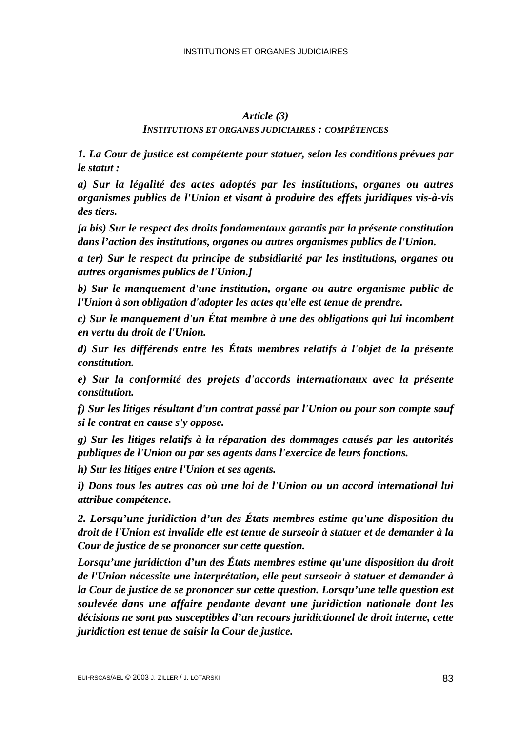#### *Article (3)*

#### *INSTITUTIONS ET ORGANES JUDICIAIRES : COMPÉTENCES*

*1. La Cour de justice est compétente pour statuer, selon les conditions prévues par le statut :*

*a) Sur la légalité des actes adoptés par les institutions, organes ou autres organismes publics de l'Union et visant à produire des effets juridiques vis-à-vis des tiers.*

*[a bis) Sur le respect des droits fondamentaux garantis par la présente constitution dans l'action des institutions, organes ou autres organismes publics de l'Union.*

*a ter) Sur le respect du principe de subsidiarité par les institutions, organes ou autres organismes publics de l'Union.]*

*b) Sur le manquement d'une institution, organe ou autre organisme public de l'Union à son obligation d'adopter les actes qu'elle est tenue de prendre.*

*c) Sur le manquement d'un État membre à une des obligations qui lui incombent en vertu du droit de l'Union.*

*d) Sur les différends entre les États membres relatifs à l'objet de la présente constitution.*

*e) Sur la conformité des projets d'accords internationaux avec la présente constitution.*

*f) Sur les litiges résultant d'un contrat passé par l'Union ou pour son compte sauf si le contrat en cause s'y oppose.*

*g) Sur les litiges relatifs à la réparation des dommages causés par les autorités publiques de l'Union ou par ses agents dans l'exercice de leurs fonctions.*

*h) Sur les litiges entre l'Union et ses agents.*

*i) Dans tous les autres cas où une loi de l'Union ou un accord international lui attribue compétence.*

*2. Lorsqu'une juridiction d'un des États membres estime qu'une disposition du droit de l'Union est invalide elle est tenue de surseoir à statuer et de demander à la Cour de justice de se prononcer sur cette question.*

*Lorsqu'une juridiction d'un des États membres estime qu'une disposition du droit de l'Union nécessite une interprétation, elle peut surseoir à statuer et demander à la Cour de justice de se prononcer sur cette question. Lorsqu'une telle question est soulevée dans une affaire pendante devant une juridiction nationale dont les décisions ne sont pas susceptibles d'un recours juridictionnel de droit interne, cette juridiction est tenue de saisir la Cour de justice.*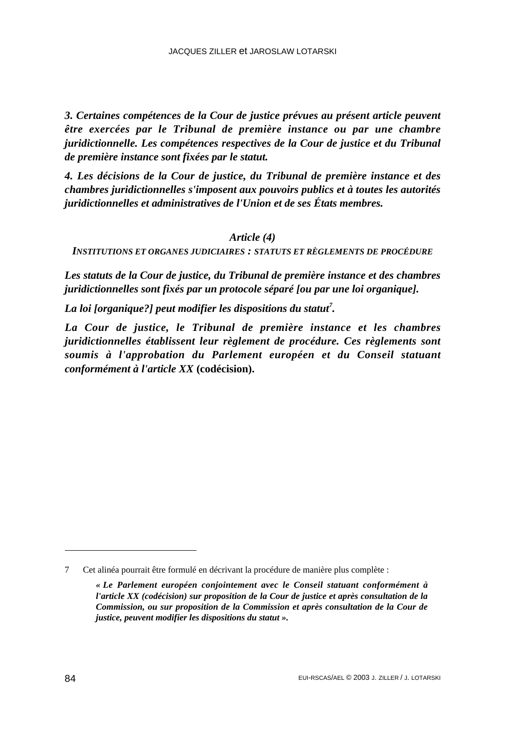*3. Certaines compétences de la Cour de justice prévues au présent article peuvent être exercées par le Tribunal de première instance ou par une chambre juridictionnelle. Les compétences respectives de la Cour de justice et du Tribunal de première instance sont fixées par le statut.*

*4. Les décisions de la Cour de justice, du Tribunal de première instance et des chambres juridictionnelles s'imposent aux pouvoirs publics et à toutes les autorités juridictionnelles et administratives de l'Union et de ses États membres.*

#### *Article (4)*

*INSTITUTIONS ET ORGANES JUDICIAIRES : STATUTS ET RÈGLEMENTS DE PROCÉDURE*

*Les statuts de la Cour de justice, du Tribunal de première instance et des chambres juridictionnelles sont fixés par un protocole séparé [ou par une loi organique].*

*La loi [organique?] peut modifier les dispositions du statut7 .*

*La Cour de justice, le Tribunal de première instance et les chambres juridictionnelles établissent leur règlement de procédure. Ces règlements sont soumis à l'approbation du Parlement européen et du Conseil statuant conformément à l'article XX* **(codécision).**

-

<sup>7</sup> Cet alinéa pourrait être formulé en décrivant la procédure de manière plus complète :

*<sup>«</sup> Le Parlement européen conjointement avec le Conseil statuant conformément à l'article XX (codécision) sur proposition de la Cour de justice et après consultation de la Commission, ou sur proposition de la Commission et après consultation de la Cour de justice, peuvent modifier les dispositions du statut ».*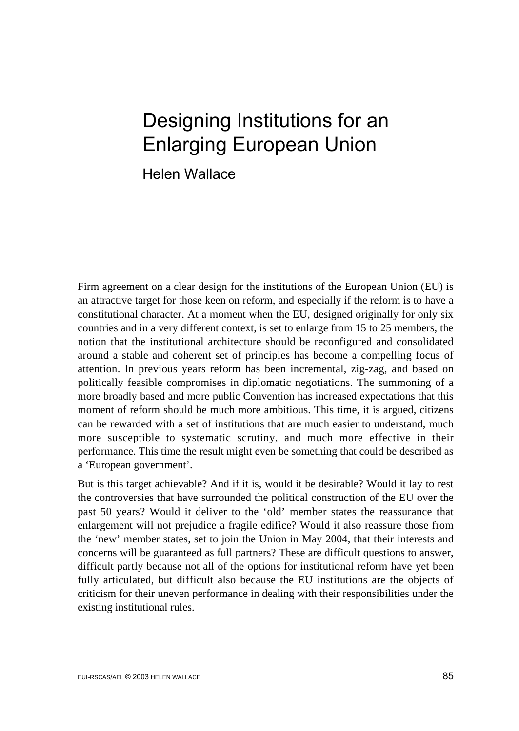# Designing Institutions for an Enlarging European Union

Helen Wallace

Firm agreement on a clear design for the institutions of the European Union (EU) is an attractive target for those keen on reform, and especially if the reform is to have a constitutional character. At a moment when the EU, designed originally for only six countries and in a very different context, is set to enlarge from 15 to 25 members, the notion that the institutional architecture should be reconfigured and consolidated around a stable and coherent set of principles has become a compelling focus of attention. In previous years reform has been incremental, zig-zag, and based on politically feasible compromises in diplomatic negotiations. The summoning of a more broadly based and more public Convention has increased expectations that this moment of reform should be much more ambitious. This time, it is argued, citizens can be rewarded with a set of institutions that are much easier to understand, much more susceptible to systematic scrutiny, and much more effective in their performance. This time the result might even be something that could be described as a 'European government'.

But is this target achievable? And if it is, would it be desirable? Would it lay to rest the controversies that have surrounded the political construction of the EU over the past 50 years? Would it deliver to the 'old' member states the reassurance that enlargement will not prejudice a fragile edifice? Would it also reassure those from the 'new' member states, set to join the Union in May 2004, that their interests and concerns will be guaranteed as full partners? These are difficult questions to answer, difficult partly because not all of the options for institutional reform have yet been fully articulated, but difficult also because the EU institutions are the objects of criticism for their uneven performance in dealing with their responsibilities under the existing institutional rules.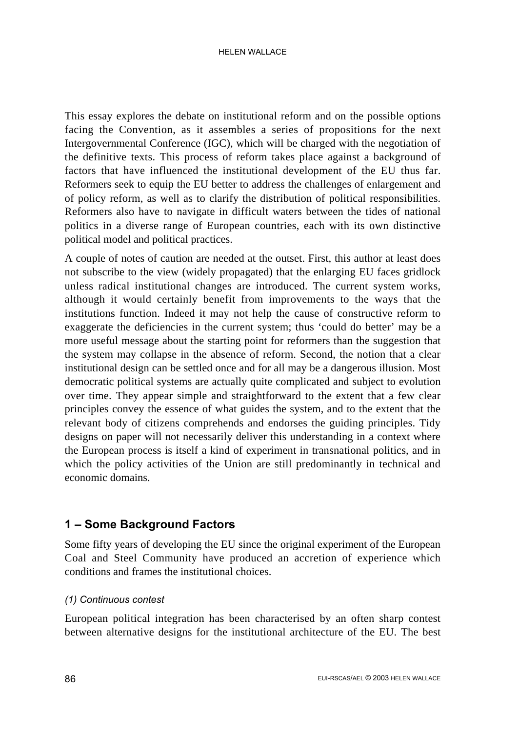#### HELEN WALLACE

This essay explores the debate on institutional reform and on the possible options facing the Convention, as it assembles a series of propositions for the next Intergovernmental Conference (IGC), which will be charged with the negotiation of the definitive texts. This process of reform takes place against a background of factors that have influenced the institutional development of the EU thus far. Reformers seek to equip the EU better to address the challenges of enlargement and of policy reform, as well as to clarify the distribution of political responsibilities. Reformers also have to navigate in difficult waters between the tides of national politics in a diverse range of European countries, each with its own distinctive political model and political practices.

A couple of notes of caution are needed at the outset. First, this author at least does not subscribe to the view (widely propagated) that the enlarging EU faces gridlock unless radical institutional changes are introduced. The current system works, although it would certainly benefit from improvements to the ways that the institutions function. Indeed it may not help the cause of constructive reform to exaggerate the deficiencies in the current system; thus 'could do better' may be a more useful message about the starting point for reformers than the suggestion that the system may collapse in the absence of reform. Second, the notion that a clear institutional design can be settled once and for all may be a dangerous illusion. Most democratic political systems are actually quite complicated and subject to evolution over time. They appear simple and straightforward to the extent that a few clear principles convey the essence of what guides the system, and to the extent that the relevant body of citizens comprehends and endorses the guiding principles. Tidy designs on paper will not necessarily deliver this understanding in a context where the European process is itself a kind of experiment in transnational politics, and in which the policy activities of the Union are still predominantly in technical and economic domains.

# **1 – Some Background Factors**

Some fifty years of developing the EU since the original experiment of the European Coal and Steel Community have produced an accretion of experience which conditions and frames the institutional choices.

#### *(1) Continuous contest*

European political integration has been characterised by an often sharp contest between alternative designs for the institutional architecture of the EU. The best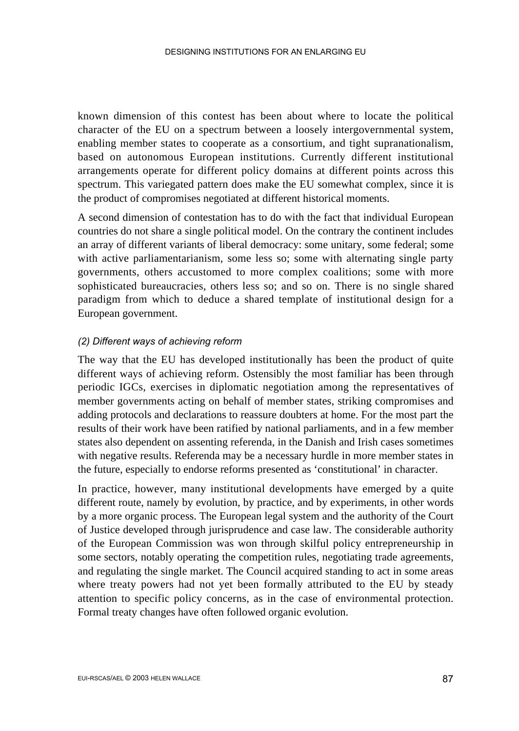known dimension of this contest has been about where to locate the political character of the EU on a spectrum between a loosely intergovernmental system, enabling member states to cooperate as a consortium, and tight supranationalism, based on autonomous European institutions. Currently different institutional arrangements operate for different policy domains at different points across this spectrum. This variegated pattern does make the EU somewhat complex, since it is the product of compromises negotiated at different historical moments.

A second dimension of contestation has to do with the fact that individual European countries do not share a single political model. On the contrary the continent includes an array of different variants of liberal democracy: some unitary, some federal; some with active parliamentarianism, some less so; some with alternating single party governments, others accustomed to more complex coalitions; some with more sophisticated bureaucracies, others less so; and so on. There is no single shared paradigm from which to deduce a shared template of institutional design for a European government.

#### *(2) Different ways of achieving reform*

The way that the EU has developed institutionally has been the product of quite different ways of achieving reform. Ostensibly the most familiar has been through periodic IGCs, exercises in diplomatic negotiation among the representatives of member governments acting on behalf of member states, striking compromises and adding protocols and declarations to reassure doubters at home. For the most part the results of their work have been ratified by national parliaments, and in a few member states also dependent on assenting referenda, in the Danish and Irish cases sometimes with negative results. Referenda may be a necessary hurdle in more member states in the future, especially to endorse reforms presented as 'constitutional' in character.

In practice, however, many institutional developments have emerged by a quite different route, namely by evolution, by practice, and by experiments, in other words by a more organic process. The European legal system and the authority of the Court of Justice developed through jurisprudence and case law. The considerable authority of the European Commission was won through skilful policy entrepreneurship in some sectors, notably operating the competition rules, negotiating trade agreements, and regulating the single market. The Council acquired standing to act in some areas where treaty powers had not yet been formally attributed to the EU by steady attention to specific policy concerns, as in the case of environmental protection. Formal treaty changes have often followed organic evolution.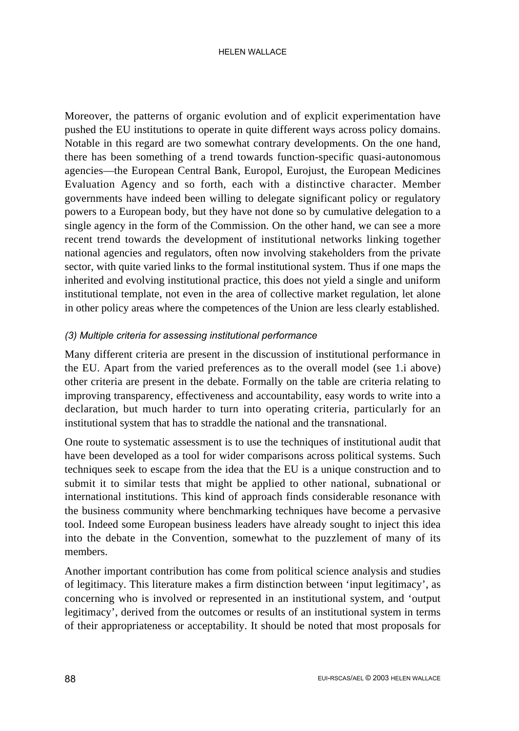Moreover, the patterns of organic evolution and of explicit experimentation have pushed the EU institutions to operate in quite different ways across policy domains. Notable in this regard are two somewhat contrary developments. On the one hand, there has been something of a trend towards function-specific quasi-autonomous agencies—the European Central Bank, Europol, Eurojust, the European Medicines Evaluation Agency and so forth, each with a distinctive character. Member governments have indeed been willing to delegate significant policy or regulatory powers to a European body, but they have not done so by cumulative delegation to a single agency in the form of the Commission. On the other hand, we can see a more recent trend towards the development of institutional networks linking together national agencies and regulators, often now involving stakeholders from the private sector, with quite varied links to the formal institutional system. Thus if one maps the inherited and evolving institutional practice, this does not yield a single and uniform institutional template, not even in the area of collective market regulation, let alone in other policy areas where the competences of the Union are less clearly established.

#### *(3) Multiple criteria for assessing institutional performance*

Many different criteria are present in the discussion of institutional performance in the EU. Apart from the varied preferences as to the overall model (see 1.i above) other criteria are present in the debate. Formally on the table are criteria relating to improving transparency, effectiveness and accountability, easy words to write into a declaration, but much harder to turn into operating criteria, particularly for an institutional system that has to straddle the national and the transnational.

One route to systematic assessment is to use the techniques of institutional audit that have been developed as a tool for wider comparisons across political systems. Such techniques seek to escape from the idea that the EU is a unique construction and to submit it to similar tests that might be applied to other national, subnational or international institutions. This kind of approach finds considerable resonance with the business community where benchmarking techniques have become a pervasive tool. Indeed some European business leaders have already sought to inject this idea into the debate in the Convention, somewhat to the puzzlement of many of its members.

Another important contribution has come from political science analysis and studies of legitimacy. This literature makes a firm distinction between 'input legitimacy', as concerning who is involved or represented in an institutional system, and 'output legitimacy', derived from the outcomes or results of an institutional system in terms of their appropriateness or acceptability. It should be noted that most proposals for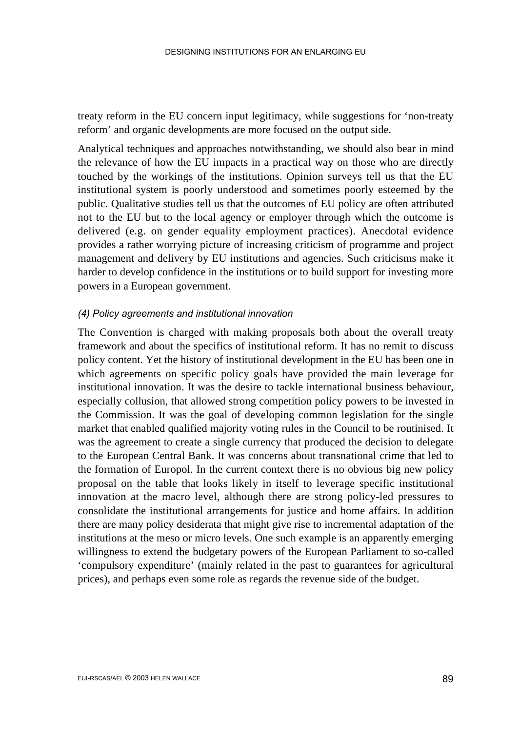treaty reform in the EU concern input legitimacy, while suggestions for 'non-treaty reform' and organic developments are more focused on the output side.

Analytical techniques and approaches notwithstanding, we should also bear in mind the relevance of how the EU impacts in a practical way on those who are directly touched by the workings of the institutions. Opinion surveys tell us that the EU institutional system is poorly understood and sometimes poorly esteemed by the public. Qualitative studies tell us that the outcomes of EU policy are often attributed not to the EU but to the local agency or employer through which the outcome is delivered (e.g. on gender equality employment practices). Anecdotal evidence provides a rather worrying picture of increasing criticism of programme and project management and delivery by EU institutions and agencies. Such criticisms make it harder to develop confidence in the institutions or to build support for investing more powers in a European government.

#### *(4) Policy agreements and institutional innovation*

The Convention is charged with making proposals both about the overall treaty framework and about the specifics of institutional reform. It has no remit to discuss policy content. Yet the history of institutional development in the EU has been one in which agreements on specific policy goals have provided the main leverage for institutional innovation. It was the desire to tackle international business behaviour, especially collusion, that allowed strong competition policy powers to be invested in the Commission. It was the goal of developing common legislation for the single market that enabled qualified majority voting rules in the Council to be routinised. It was the agreement to create a single currency that produced the decision to delegate to the European Central Bank. It was concerns about transnational crime that led to the formation of Europol. In the current context there is no obvious big new policy proposal on the table that looks likely in itself to leverage specific institutional innovation at the macro level, although there are strong policy-led pressures to consolidate the institutional arrangements for justice and home affairs. In addition there are many policy desiderata that might give rise to incremental adaptation of the institutions at the meso or micro levels. One such example is an apparently emerging willingness to extend the budgetary powers of the European Parliament to so-called 'compulsory expenditure' (mainly related in the past to guarantees for agricultural prices), and perhaps even some role as regards the revenue side of the budget.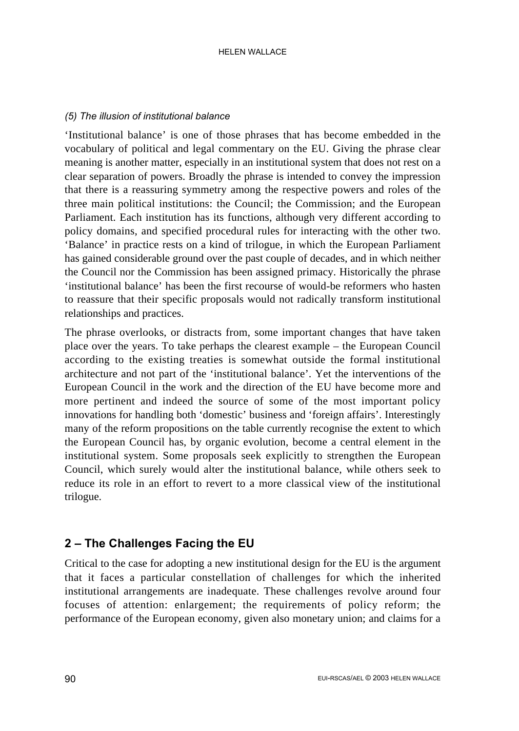## *(5) The illusion of institutional balance*

'Institutional balance' is one of those phrases that has become embedded in the vocabulary of political and legal commentary on the EU. Giving the phrase clear meaning is another matter, especially in an institutional system that does not rest on a clear separation of powers. Broadly the phrase is intended to convey the impression that there is a reassuring symmetry among the respective powers and roles of the three main political institutions: the Council; the Commission; and the European Parliament. Each institution has its functions, although very different according to policy domains, and specified procedural rules for interacting with the other two. 'Balance' in practice rests on a kind of trilogue, in which the European Parliament has gained considerable ground over the past couple of decades, and in which neither the Council nor the Commission has been assigned primacy. Historically the phrase 'institutional balance' has been the first recourse of would-be reformers who hasten to reassure that their specific proposals would not radically transform institutional relationships and practices.

The phrase overlooks, or distracts from, some important changes that have taken place over the years. To take perhaps the clearest example – the European Council according to the existing treaties is somewhat outside the formal institutional architecture and not part of the 'institutional balance'. Yet the interventions of the European Council in the work and the direction of the EU have become more and more pertinent and indeed the source of some of the most important policy innovations for handling both 'domestic' business and 'foreign affairs'. Interestingly many of the reform propositions on the table currently recognise the extent to which the European Council has, by organic evolution, become a central element in the institutional system. Some proposals seek explicitly to strengthen the European Council, which surely would alter the institutional balance, while others seek to reduce its role in an effort to revert to a more classical view of the institutional trilogue.

# **2 – The Challenges Facing the EU**

Critical to the case for adopting a new institutional design for the EU is the argument that it faces a particular constellation of challenges for which the inherited institutional arrangements are inadequate. These challenges revolve around four focuses of attention: enlargement; the requirements of policy reform; the performance of the European economy, given also monetary union; and claims for a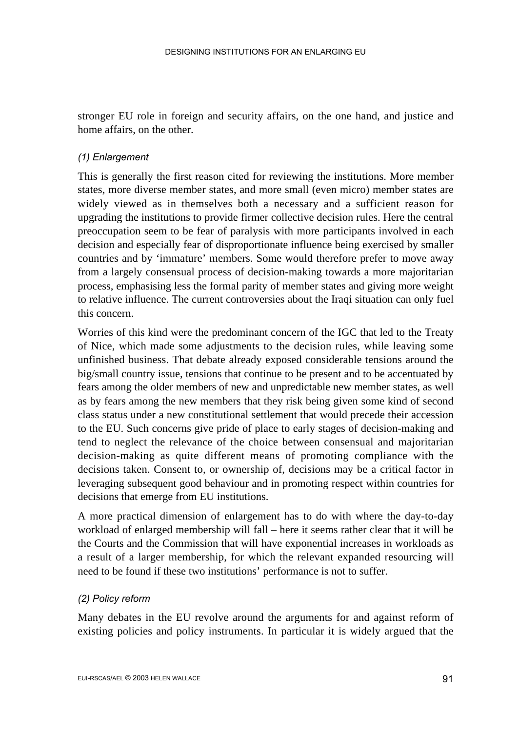stronger EU role in foreign and security affairs, on the one hand, and justice and home affairs, on the other.

## *(1) Enlargement*

This is generally the first reason cited for reviewing the institutions. More member states, more diverse member states, and more small (even micro) member states are widely viewed as in themselves both a necessary and a sufficient reason for upgrading the institutions to provide firmer collective decision rules. Here the central preoccupation seem to be fear of paralysis with more participants involved in each decision and especially fear of disproportionate influence being exercised by smaller countries and by 'immature' members. Some would therefore prefer to move away from a largely consensual process of decision-making towards a more majoritarian process, emphasising less the formal parity of member states and giving more weight to relative influence. The current controversies about the Iraqi situation can only fuel this concern.

Worries of this kind were the predominant concern of the IGC that led to the Treaty of Nice, which made some adjustments to the decision rules, while leaving some unfinished business. That debate already exposed considerable tensions around the big/small country issue, tensions that continue to be present and to be accentuated by fears among the older members of new and unpredictable new member states, as well as by fears among the new members that they risk being given some kind of second class status under a new constitutional settlement that would precede their accession to the EU. Such concerns give pride of place to early stages of decision-making and tend to neglect the relevance of the choice between consensual and majoritarian decision-making as quite different means of promoting compliance with the decisions taken. Consent to, or ownership of, decisions may be a critical factor in leveraging subsequent good behaviour and in promoting respect within countries for decisions that emerge from EU institutions.

A more practical dimension of enlargement has to do with where the day-to-day workload of enlarged membership will fall – here it seems rather clear that it will be the Courts and the Commission that will have exponential increases in workloads as a result of a larger membership, for which the relevant expanded resourcing will need to be found if these two institutions' performance is not to suffer.

## *(2) Policy reform*

Many debates in the EU revolve around the arguments for and against reform of existing policies and policy instruments. In particular it is widely argued that the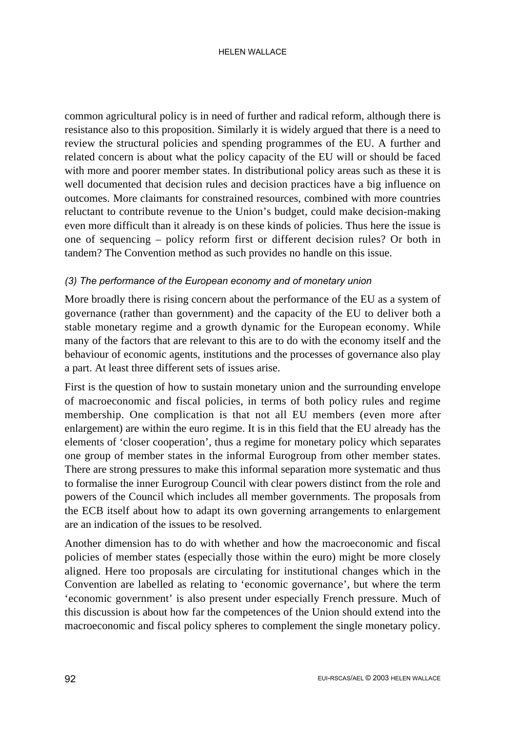common agricultural policy is in need of further and radical reform, although there is resistance also to this proposition. Similarly it is widely argued that there is a need to review the structural policies and spending programmes of the EU. A further and related concern is about what the policy capacity of the EU will or should be faced with more and poorer member states. In distributional policy areas such as these it is well documented that decision rules and decision practices have a big influence on outcomes. More claimants for constrained resources, combined with more countries reluctant to contribute revenue to the Union's budget, could make decision-making even more difficult than it already is on these kinds of policies. Thus here the issue is one of sequencing – policy reform first or different decision rules? Or both in tandem? The Convention method as such provides no handle on this issue.

## *(3) The performance of the European economy and of monetary union*

More broadly there is rising concern about the performance of the EU as a system of governance (rather than government) and the capacity of the EU to deliver both a stable monetary regime and a growth dynamic for the European economy. While many of the factors that are relevant to this are to do with the economy itself and the behaviour of economic agents, institutions and the processes of governance also play a part. At least three different sets of issues arise.

First is the question of how to sustain monetary union and the surrounding envelope of macroeconomic and fiscal policies, in terms of both policy rules and regime membership. One complication is that not all EU members (even more after enlargement) are within the euro regime. It is in this field that the EU already has the elements of 'closer cooperation', thus a regime for monetary policy which separates one group of member states in the informal Eurogroup from other member states. There are strong pressures to make this informal separation more systematic and thus to formalise the inner Eurogroup Council with clear powers distinct from the role and powers of the Council which includes all member governments. The proposals from the ECB itself about how to adapt its own governing arrangements to enlargement are an indication of the issues to be resolved.

Another dimension has to do with whether and how the macroeconomic and fiscal policies of member states (especially those within the euro) might be more closely aligned. Here too proposals are circulating for institutional changes which in the Convention are labelled as relating to 'economic governance', but where the term 'economic government' is also present under especially French pressure. Much of this discussion is about how far the competences of the Union should extend into the macroeconomic and fiscal policy spheres to complement the single monetary policy.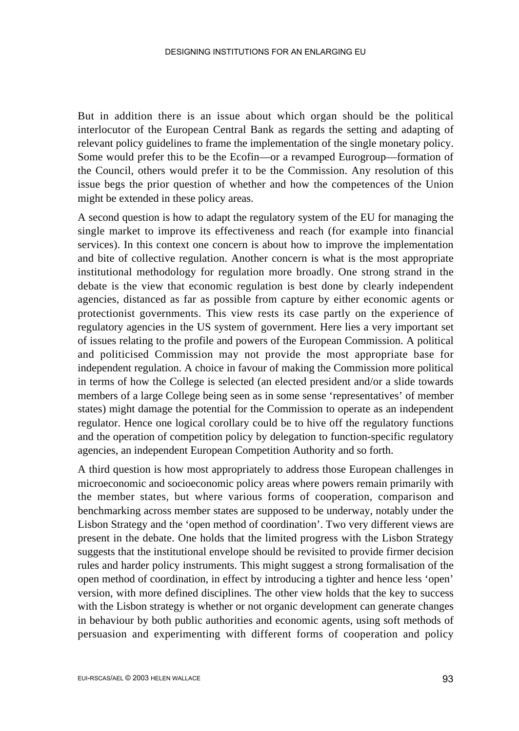But in addition there is an issue about which organ should be the political interlocutor of the European Central Bank as regards the setting and adapting of relevant policy guidelines to frame the implementation of the single monetary policy. Some would prefer this to be the Ecofin—or a revamped Eurogroup—formation of the Council, others would prefer it to be the Commission. Any resolution of this issue begs the prior question of whether and how the competences of the Union might be extended in these policy areas.

A second question is how to adapt the regulatory system of the EU for managing the single market to improve its effectiveness and reach (for example into financial services). In this context one concern is about how to improve the implementation and bite of collective regulation. Another concern is what is the most appropriate institutional methodology for regulation more broadly. One strong strand in the debate is the view that economic regulation is best done by clearly independent agencies, distanced as far as possible from capture by either economic agents or protectionist governments. This view rests its case partly on the experience of regulatory agencies in the US system of government. Here lies a very important set of issues relating to the profile and powers of the European Commission. A political and politicised Commission may not provide the most appropriate base for independent regulation. A choice in favour of making the Commission more political in terms of how the College is selected (an elected president and/or a slide towards members of a large College being seen as in some sense 'representatives' of member states) might damage the potential for the Commission to operate as an independent regulator. Hence one logical corollary could be to hive off the regulatory functions and the operation of competition policy by delegation to function-specific regulatory agencies, an independent European Competition Authority and so forth.

A third question is how most appropriately to address those European challenges in microeconomic and socioeconomic policy areas where powers remain primarily with the member states, but where various forms of cooperation, comparison and benchmarking across member states are supposed to be underway, notably under the Lisbon Strategy and the 'open method of coordination'. Two very different views are present in the debate. One holds that the limited progress with the Lisbon Strategy suggests that the institutional envelope should be revisited to provide firmer decision rules and harder policy instruments. This might suggest a strong formalisation of the open method of coordination, in effect by introducing a tighter and hence less 'open' version, with more defined disciplines. The other view holds that the key to success with the Lisbon strategy is whether or not organic development can generate changes in behaviour by both public authorities and economic agents, using soft methods of persuasion and experimenting with different forms of cooperation and policy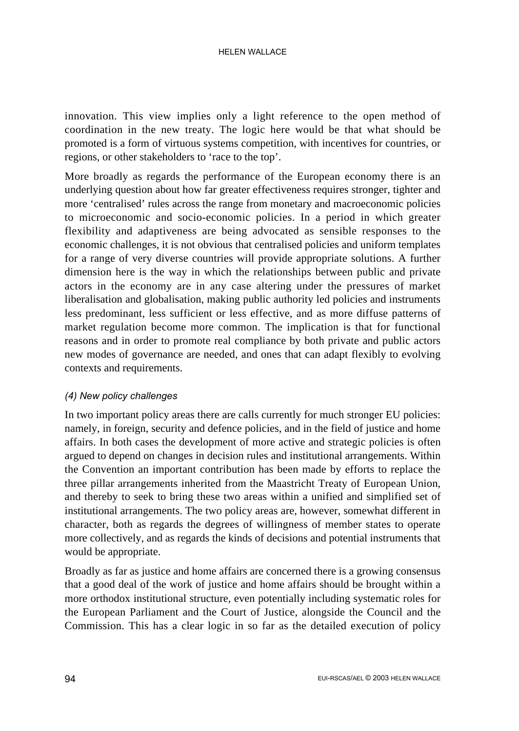innovation. This view implies only a light reference to the open method of coordination in the new treaty. The logic here would be that what should be promoted is a form of virtuous systems competition, with incentives for countries, or regions, or other stakeholders to 'race to the top'.

More broadly as regards the performance of the European economy there is an underlying question about how far greater effectiveness requires stronger, tighter and more 'centralised' rules across the range from monetary and macroeconomic policies to microeconomic and socio-economic policies. In a period in which greater flexibility and adaptiveness are being advocated as sensible responses to the economic challenges, it is not obvious that centralised policies and uniform templates for a range of very diverse countries will provide appropriate solutions. A further dimension here is the way in which the relationships between public and private actors in the economy are in any case altering under the pressures of market liberalisation and globalisation, making public authority led policies and instruments less predominant, less sufficient or less effective, and as more diffuse patterns of market regulation become more common. The implication is that for functional reasons and in order to promote real compliance by both private and public actors new modes of governance are needed, and ones that can adapt flexibly to evolving contexts and requirements.

#### *(4) New policy challenges*

In two important policy areas there are calls currently for much stronger EU policies: namely, in foreign, security and defence policies, and in the field of justice and home affairs. In both cases the development of more active and strategic policies is often argued to depend on changes in decision rules and institutional arrangements. Within the Convention an important contribution has been made by efforts to replace the three pillar arrangements inherited from the Maastricht Treaty of European Union, and thereby to seek to bring these two areas within a unified and simplified set of institutional arrangements. The two policy areas are, however, somewhat different in character, both as regards the degrees of willingness of member states to operate more collectively, and as regards the kinds of decisions and potential instruments that would be appropriate.

Broadly as far as justice and home affairs are concerned there is a growing consensus that a good deal of the work of justice and home affairs should be brought within a more orthodox institutional structure, even potentially including systematic roles for the European Parliament and the Court of Justice, alongside the Council and the Commission. This has a clear logic in so far as the detailed execution of policy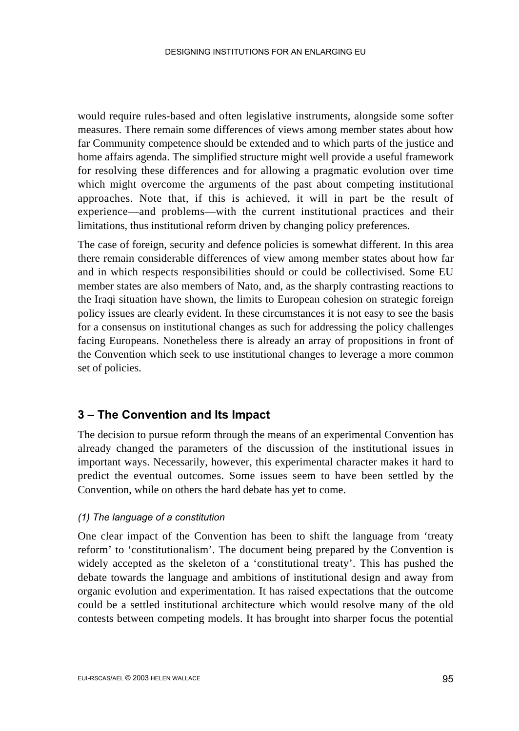would require rules-based and often legislative instruments, alongside some softer measures. There remain some differences of views among member states about how far Community competence should be extended and to which parts of the justice and home affairs agenda. The simplified structure might well provide a useful framework for resolving these differences and for allowing a pragmatic evolution over time which might overcome the arguments of the past about competing institutional approaches. Note that, if this is achieved, it will in part be the result of experience—and problems—with the current institutional practices and their limitations, thus institutional reform driven by changing policy preferences.

The case of foreign, security and defence policies is somewhat different. In this area there remain considerable differences of view among member states about how far and in which respects responsibilities should or could be collectivised. Some EU member states are also members of Nato, and, as the sharply contrasting reactions to the Iraqi situation have shown, the limits to European cohesion on strategic foreign policy issues are clearly evident. In these circumstances it is not easy to see the basis for a consensus on institutional changes as such for addressing the policy challenges facing Europeans. Nonetheless there is already an array of propositions in front of the Convention which seek to use institutional changes to leverage a more common set of policies.

# **3 – The Convention and Its Impact**

The decision to pursue reform through the means of an experimental Convention has already changed the parameters of the discussion of the institutional issues in important ways. Necessarily, however, this experimental character makes it hard to predict the eventual outcomes. Some issues seem to have been settled by the Convention, while on others the hard debate has yet to come.

#### *(1) The language of a constitution*

One clear impact of the Convention has been to shift the language from 'treaty reform' to 'constitutionalism'. The document being prepared by the Convention is widely accepted as the skeleton of a 'constitutional treaty'. This has pushed the debate towards the language and ambitions of institutional design and away from organic evolution and experimentation. It has raised expectations that the outcome could be a settled institutional architecture which would resolve many of the old contests between competing models. It has brought into sharper focus the potential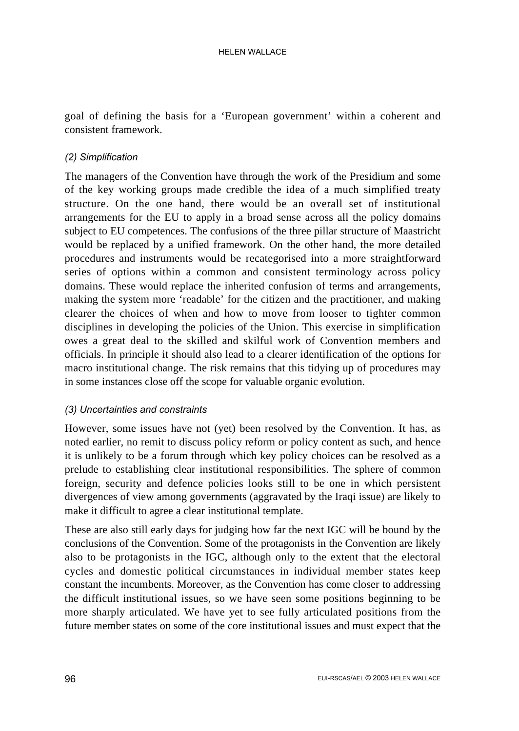goal of defining the basis for a 'European government' within a coherent and consistent framework.

## *(2) Simplification*

The managers of the Convention have through the work of the Presidium and some of the key working groups made credible the idea of a much simplified treaty structure. On the one hand, there would be an overall set of institutional arrangements for the EU to apply in a broad sense across all the policy domains subject to EU competences. The confusions of the three pillar structure of Maastricht would be replaced by a unified framework. On the other hand, the more detailed procedures and instruments would be recategorised into a more straightforward series of options within a common and consistent terminology across policy domains. These would replace the inherited confusion of terms and arrangements, making the system more 'readable' for the citizen and the practitioner, and making clearer the choices of when and how to move from looser to tighter common disciplines in developing the policies of the Union. This exercise in simplification owes a great deal to the skilled and skilful work of Convention members and officials. In principle it should also lead to a clearer identification of the options for macro institutional change. The risk remains that this tidying up of procedures may in some instances close off the scope for valuable organic evolution.

## *(3) Uncertainties and constraints*

However, some issues have not (yet) been resolved by the Convention. It has, as noted earlier, no remit to discuss policy reform or policy content as such, and hence it is unlikely to be a forum through which key policy choices can be resolved as a prelude to establishing clear institutional responsibilities. The sphere of common foreign, security and defence policies looks still to be one in which persistent divergences of view among governments (aggravated by the Iraqi issue) are likely to make it difficult to agree a clear institutional template.

These are also still early days for judging how far the next IGC will be bound by the conclusions of the Convention. Some of the protagonists in the Convention are likely also to be protagonists in the IGC, although only to the extent that the electoral cycles and domestic political circumstances in individual member states keep constant the incumbents. Moreover, as the Convention has come closer to addressing the difficult institutional issues, so we have seen some positions beginning to be more sharply articulated. We have yet to see fully articulated positions from the future member states on some of the core institutional issues and must expect that the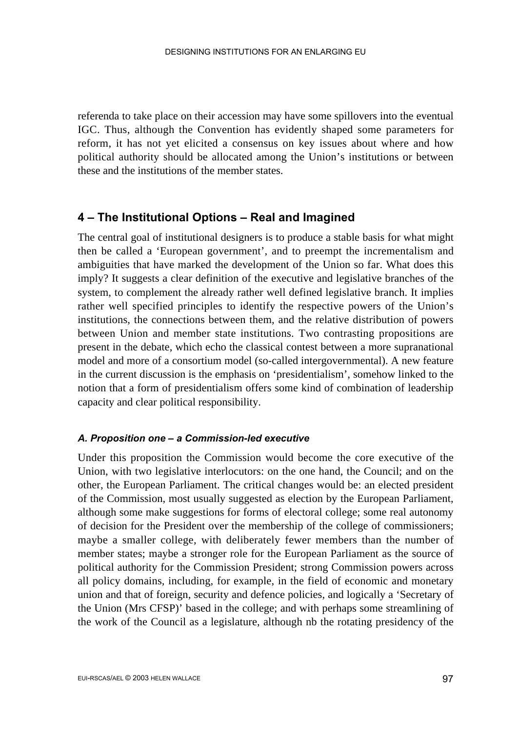referenda to take place on their accession may have some spillovers into the eventual IGC. Thus, although the Convention has evidently shaped some parameters for reform, it has not yet elicited a consensus on key issues about where and how political authority should be allocated among the Union's institutions or between these and the institutions of the member states.

## **4 – The Institutional Options – Real and Imagined**

The central goal of institutional designers is to produce a stable basis for what might then be called a 'European government', and to preempt the incrementalism and ambiguities that have marked the development of the Union so far. What does this imply? It suggests a clear definition of the executive and legislative branches of the system, to complement the already rather well defined legislative branch. It implies rather well specified principles to identify the respective powers of the Union's institutions, the connections between them, and the relative distribution of powers between Union and member state institutions. Two contrasting propositions are present in the debate, which echo the classical contest between a more supranational model and more of a consortium model (so-called intergovernmental). A new feature in the current discussion is the emphasis on 'presidentialism', somehow linked to the notion that a form of presidentialism offers some kind of combination of leadership capacity and clear political responsibility.

#### *A. Proposition one – a Commission-led executive*

Under this proposition the Commission would become the core executive of the Union, with two legislative interlocutors: on the one hand, the Council; and on the other, the European Parliament. The critical changes would be: an elected president of the Commission, most usually suggested as election by the European Parliament, although some make suggestions for forms of electoral college; some real autonomy of decision for the President over the membership of the college of commissioners; maybe a smaller college, with deliberately fewer members than the number of member states; maybe a stronger role for the European Parliament as the source of political authority for the Commission President; strong Commission powers across all policy domains, including, for example, in the field of economic and monetary union and that of foreign, security and defence policies, and logically a 'Secretary of the Union (Mrs CFSP)' based in the college; and with perhaps some streamlining of the work of the Council as a legislature, although nb the rotating presidency of the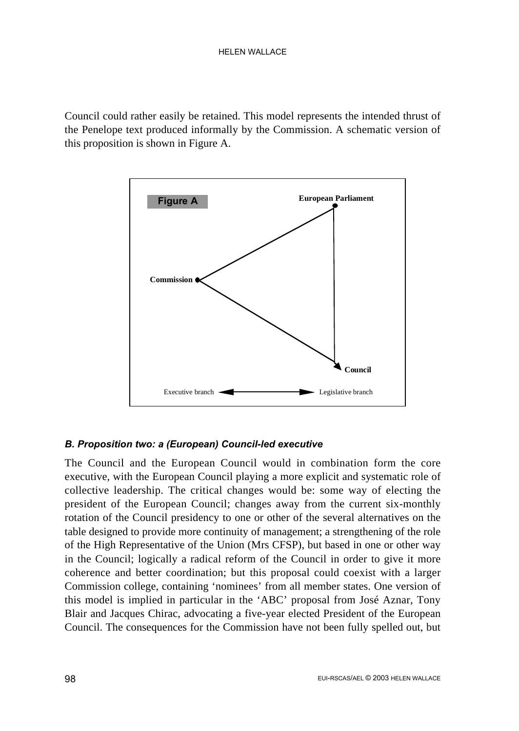Council could rather easily be retained. This model represents the intended thrust of the Penelope text produced informally by the Commission. A schematic version of this proposition is shown in Figure A.



#### *B. Proposition two: a (European) Council-led executive*

The Council and the European Council would in combination form the core executive, with the European Council playing a more explicit and systematic role of collective leadership. The critical changes would be: some way of electing the president of the European Council; changes away from the current six-monthly rotation of the Council presidency to one or other of the several alternatives on the table designed to provide more continuity of management; a strengthening of the role of the High Representative of the Union (Mrs CFSP), but based in one or other way in the Council; logically a radical reform of the Council in order to give it more coherence and better coordination; but this proposal could coexist with a larger Commission college, containing 'nominees' from all member states. One version of this model is implied in particular in the 'ABC' proposal from José Aznar, Tony Blair and Jacques Chirac, advocating a five-year elected President of the European Council. The consequences for the Commission have not been fully spelled out, but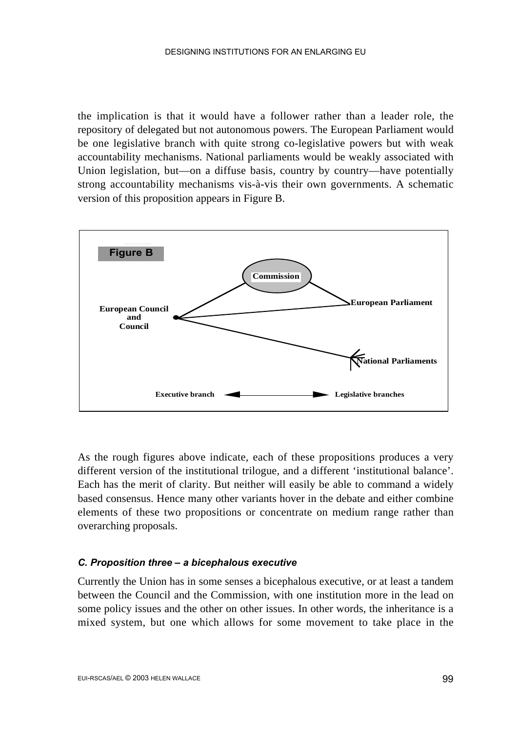the implication is that it would have a follower rather than a leader role, the repository of delegated but not autonomous powers. The European Parliament would be one legislative branch with quite strong co-legislative powers but with weak accountability mechanisms. National parliaments would be weakly associated with Union legislation, but—on a diffuse basis, country by country—have potentially strong accountability mechanisms vis-à-vis their own governments. A schematic version of this proposition appears in Figure B.



As the rough figures above indicate, each of these propositions produces a very different version of the institutional trilogue, and a different 'institutional balance'. Each has the merit of clarity. But neither will easily be able to command a widely based consensus. Hence many other variants hover in the debate and either combine elements of these two propositions or concentrate on medium range rather than overarching proposals.

#### *C. Proposition three – a bicephalous executive*

Currently the Union has in some senses a bicephalous executive, or at least a tandem between the Council and the Commission, with one institution more in the lead on some policy issues and the other on other issues. In other words, the inheritance is a mixed system, but one which allows for some movement to take place in the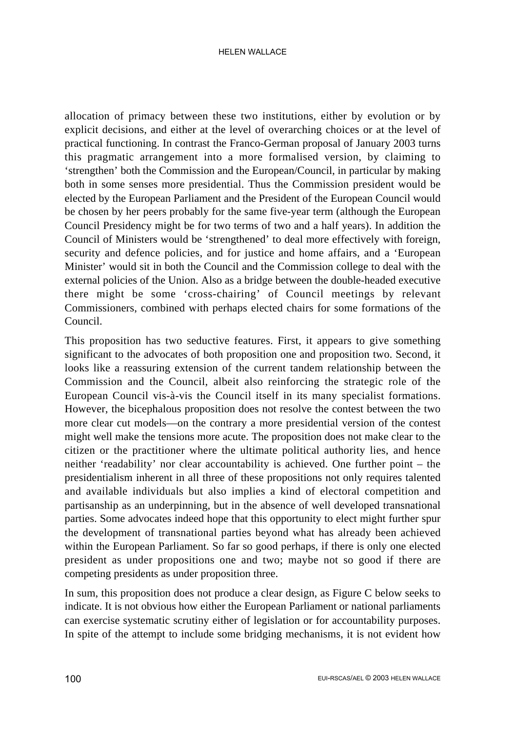#### HELEN WALLACE

allocation of primacy between these two institutions, either by evolution or by explicit decisions, and either at the level of overarching choices or at the level of practical functioning. In contrast the Franco-German proposal of January 2003 turns this pragmatic arrangement into a more formalised version, by claiming to 'strengthen' both the Commission and the European/Council, in particular by making both in some senses more presidential. Thus the Commission president would be elected by the European Parliament and the President of the European Council would be chosen by her peers probably for the same five-year term (although the European Council Presidency might be for two terms of two and a half years). In addition the Council of Ministers would be 'strengthened' to deal more effectively with foreign, security and defence policies, and for justice and home affairs, and a 'European Minister' would sit in both the Council and the Commission college to deal with the external policies of the Union. Also as a bridge between the double-headed executive there might be some 'cross-chairing' of Council meetings by relevant Commissioners, combined with perhaps elected chairs for some formations of the Council.

This proposition has two seductive features. First, it appears to give something significant to the advocates of both proposition one and proposition two. Second, it looks like a reassuring extension of the current tandem relationship between the Commission and the Council, albeit also reinforcing the strategic role of the European Council vis-à-vis the Council itself in its many specialist formations. However, the bicephalous proposition does not resolve the contest between the two more clear cut models—on the contrary a more presidential version of the contest might well make the tensions more acute. The proposition does not make clear to the citizen or the practitioner where the ultimate political authority lies, and hence neither 'readability' nor clear accountability is achieved. One further point – the presidentialism inherent in all three of these propositions not only requires talented and available individuals but also implies a kind of electoral competition and partisanship as an underpinning, but in the absence of well developed transnational parties. Some advocates indeed hope that this opportunity to elect might further spur the development of transnational parties beyond what has already been achieved within the European Parliament. So far so good perhaps, if there is only one elected president as under propositions one and two; maybe not so good if there are competing presidents as under proposition three.

In sum, this proposition does not produce a clear design, as Figure C below seeks to indicate. It is not obvious how either the European Parliament or national parliaments can exercise systematic scrutiny either of legislation or for accountability purposes. In spite of the attempt to include some bridging mechanisms, it is not evident how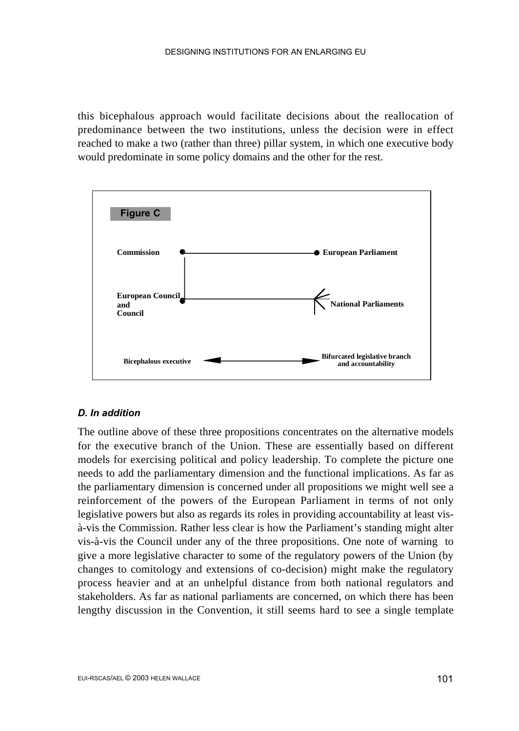this bicephalous approach would facilitate decisions about the reallocation of predominance between the two institutions, unless the decision were in effect reached to make a two (rather than three) pillar system, in which one executive body would predominate in some policy domains and the other for the rest.



#### *D. In addition*

The outline above of these three propositions concentrates on the alternative models for the executive branch of the Union. These are essentially based on different models for exercising political and policy leadership. To complete the picture one needs to add the parliamentary dimension and the functional implications. As far as the parliamentary dimension is concerned under all propositions we might well see a reinforcement of the powers of the European Parliament in terms of not only legislative powers but also as regards its roles in providing accountability at least visà-vis the Commission. Rather less clear is how the Parliament's standing might alter vis-à-vis the Council under any of the three propositions. One note of warning to give a more legislative character to some of the regulatory powers of the Union (by changes to comitology and extensions of co-decision) might make the regulatory process heavier and at an unhelpful distance from both national regulators and stakeholders. As far as national parliaments are concerned, on which there has been lengthy discussion in the Convention, it still seems hard to see a single template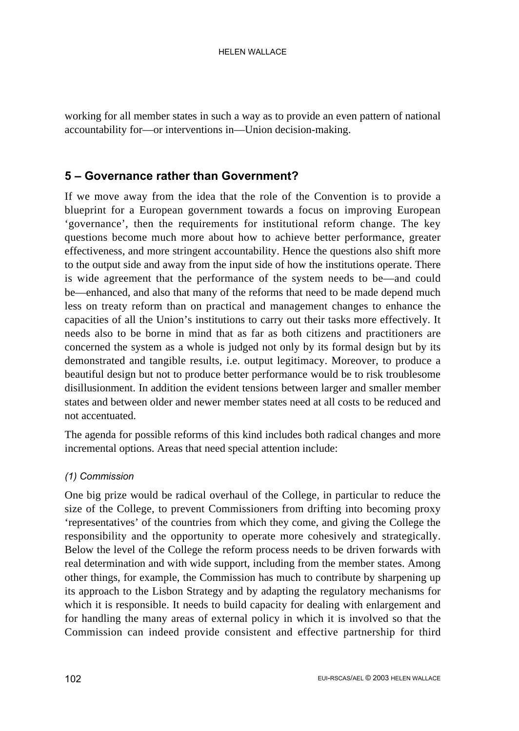working for all member states in such a way as to provide an even pattern of national accountability for—or interventions in—Union decision-making.

# **5 – Governance rather than Government?**

If we move away from the idea that the role of the Convention is to provide a blueprint for a European government towards a focus on improving European 'governance', then the requirements for institutional reform change. The key questions become much more about how to achieve better performance, greater effectiveness, and more stringent accountability. Hence the questions also shift more to the output side and away from the input side of how the institutions operate. There is wide agreement that the performance of the system needs to be—and could be—enhanced, and also that many of the reforms that need to be made depend much less on treaty reform than on practical and management changes to enhance the capacities of all the Union's institutions to carry out their tasks more effectively. It needs also to be borne in mind that as far as both citizens and practitioners are concerned the system as a whole is judged not only by its formal design but by its demonstrated and tangible results, i.e. output legitimacy. Moreover, to produce a beautiful design but not to produce better performance would be to risk troublesome disillusionment. In addition the evident tensions between larger and smaller member states and between older and newer member states need at all costs to be reduced and not accentuated.

The agenda for possible reforms of this kind includes both radical changes and more incremental options. Areas that need special attention include:

## *(1) Commission*

One big prize would be radical overhaul of the College, in particular to reduce the size of the College, to prevent Commissioners from drifting into becoming proxy 'representatives' of the countries from which they come, and giving the College the responsibility and the opportunity to operate more cohesively and strategically. Below the level of the College the reform process needs to be driven forwards with real determination and with wide support, including from the member states. Among other things, for example, the Commission has much to contribute by sharpening up its approach to the Lisbon Strategy and by adapting the regulatory mechanisms for which it is responsible. It needs to build capacity for dealing with enlargement and for handling the many areas of external policy in which it is involved so that the Commission can indeed provide consistent and effective partnership for third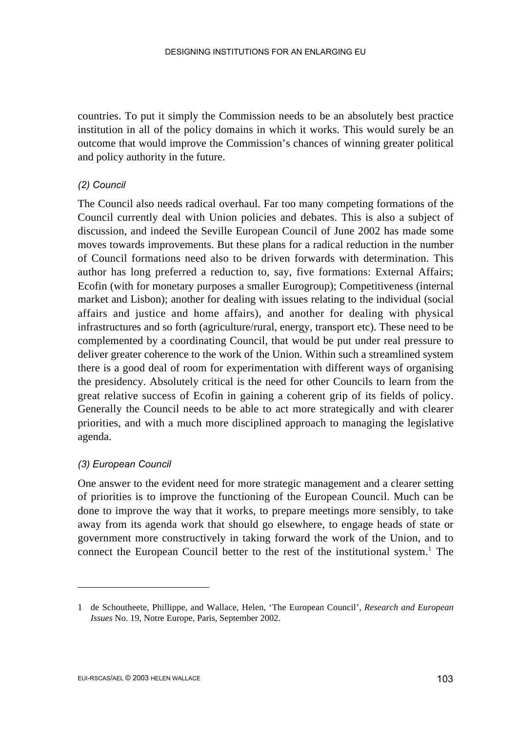countries. To put it simply the Commission needs to be an absolutely best practice institution in all of the policy domains in which it works. This would surely be an outcome that would improve the Commission's chances of winning greater political and policy authority in the future.

## *(2) Council*

The Council also needs radical overhaul. Far too many competing formations of the Council currently deal with Union policies and debates. This is also a subject of discussion, and indeed the Seville European Council of June 2002 has made some moves towards improvements. But these plans for a radical reduction in the number of Council formations need also to be driven forwards with determination. This author has long preferred a reduction to, say, five formations: External Affairs; Ecofin (with for monetary purposes a smaller Eurogroup); Competitiveness (internal market and Lisbon); another for dealing with issues relating to the individual (social affairs and justice and home affairs), and another for dealing with physical infrastructures and so forth (agriculture/rural, energy, transport etc). These need to be complemented by a coordinating Council, that would be put under real pressure to deliver greater coherence to the work of the Union. Within such a streamlined system there is a good deal of room for experimentation with different ways of organising the presidency. Absolutely critical is the need for other Councils to learn from the great relative success of Ecofin in gaining a coherent grip of its fields of policy. Generally the Council needs to be able to act more strategically and with clearer priorities, and with a much more disciplined approach to managing the legislative agenda.

## *(3) European Council*

 $\overline{a}$ 

One answer to the evident need for more strategic management and a clearer setting of priorities is to improve the functioning of the European Council. Much can be done to improve the way that it works, to prepare meetings more sensibly, to take away from its agenda work that should go elsewhere, to engage heads of state or government more constructively in taking forward the work of the Union, and to connect the European Council better to the rest of the institutional system.<sup>1</sup> The

<sup>1</sup> de Schoutheete, Phillippe, and Wallace, Helen, 'The European Council', *Research and European Issues* No. 19, Notre Europe, Paris, September 2002.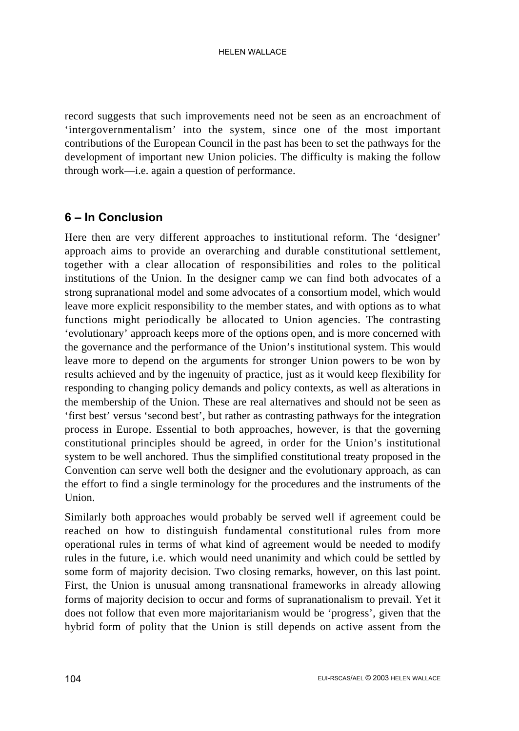record suggests that such improvements need not be seen as an encroachment of 'intergovernmentalism' into the system, since one of the most important contributions of the European Council in the past has been to set the pathways for the development of important new Union policies. The difficulty is making the follow through work—i.e. again a question of performance.

# **6 – In Conclusion**

Here then are very different approaches to institutional reform. The 'designer' approach aims to provide an overarching and durable constitutional settlement, together with a clear allocation of responsibilities and roles to the political institutions of the Union. In the designer camp we can find both advocates of a strong supranational model and some advocates of a consortium model, which would leave more explicit responsibility to the member states, and with options as to what functions might periodically be allocated to Union agencies. The contrasting 'evolutionary' approach keeps more of the options open, and is more concerned with the governance and the performance of the Union's institutional system. This would leave more to depend on the arguments for stronger Union powers to be won by results achieved and by the ingenuity of practice, just as it would keep flexibility for responding to changing policy demands and policy contexts, as well as alterations in the membership of the Union. These are real alternatives and should not be seen as 'first best' versus 'second best', but rather as contrasting pathways for the integration process in Europe. Essential to both approaches, however, is that the governing constitutional principles should be agreed, in order for the Union's institutional system to be well anchored. Thus the simplified constitutional treaty proposed in the Convention can serve well both the designer and the evolutionary approach, as can the effort to find a single terminology for the procedures and the instruments of the Union.

Similarly both approaches would probably be served well if agreement could be reached on how to distinguish fundamental constitutional rules from more operational rules in terms of what kind of agreement would be needed to modify rules in the future, i.e. which would need unanimity and which could be settled by some form of majority decision. Two closing remarks, however, on this last point. First, the Union is unusual among transnational frameworks in already allowing forms of majority decision to occur and forms of supranationalism to prevail. Yet it does not follow that even more majoritarianism would be 'progress', given that the hybrid form of polity that the Union is still depends on active assent from the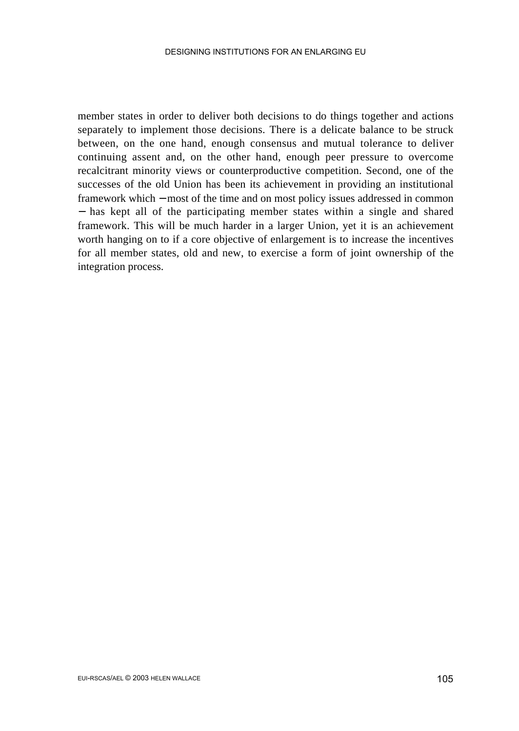member states in order to deliver both decisions to do things together and actions separately to implement those decisions. There is a delicate balance to be struck between, on the one hand, enough consensus and mutual tolerance to deliver continuing assent and, on the other hand, enough peer pressure to overcome recalcitrant minority views or counterproductive competition. Second, one of the successes of the old Union has been its achievement in providing an institutional framework which − most of the time and on most policy issues addressed in common − has kept all of the participating member states within a single and shared framework. This will be much harder in a larger Union, yet it is an achievement worth hanging on to if a core objective of enlargement is to increase the incentives for all member states, old and new, to exercise a form of joint ownership of the integration process.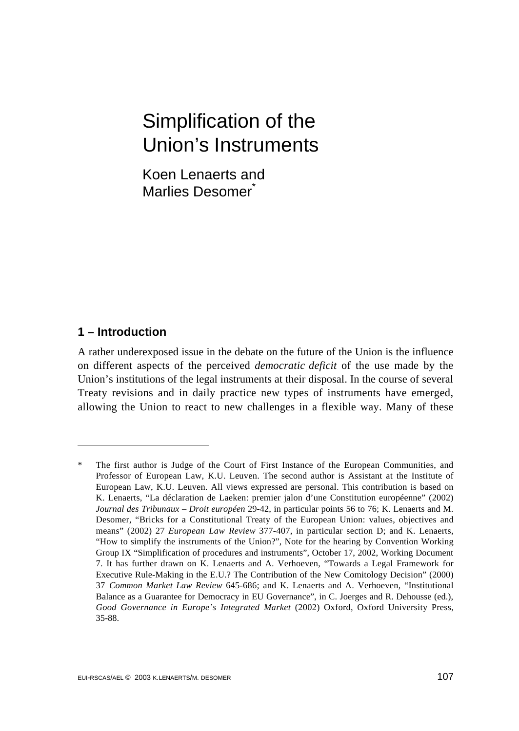# Simplification of the Union's Instruments

Koen Lenaerts and Marlies Desomer<sup>\*</sup>

## **1 – Introduction**

-

A rather underexposed issue in the debate on the future of the Union is the influence on different aspects of the perceived *democratic deficit* of the use made by the Union's institutions of the legal instruments at their disposal. In the course of several Treaty revisions and in daily practice new types of instruments have emerged, allowing the Union to react to new challenges in a flexible way. Many of these

<sup>\*</sup> The first author is Judge of the Court of First Instance of the European Communities, and Professor of European Law, K.U. Leuven. The second author is Assistant at the Institute of European Law, K.U. Leuven. All views expressed are personal. This contribution is based on K. Lenaerts, "La déclaration de Laeken: premier jalon d'une Constitution européenne" (2002) *Journal des Tribunaux – Droit européen* 29-42, in particular points 56 to 76; K. Lenaerts and M. Desomer, "Bricks for a Constitutional Treaty of the European Union: values, objectives and means" (2002) 27 *European Law Review* 377-407, in particular section D; and K. Lenaerts, "How to simplify the instruments of the Union?", Note for the hearing by Convention Working Group IX "Simplification of procedures and instruments", October 17, 2002, Working Document 7. It has further drawn on K. Lenaerts and A. Verhoeven, "Towards a Legal Framework for Executive Rule-Making in the E.U.? The Contribution of the New Comitology Decision" (2000) 37 *Common Market Law Review* 645-686; and K. Lenaerts and A. Verhoeven, "Institutional Balance as a Guarantee for Democracy in EU Governance", in C. Joerges and R. Dehousse (ed.), *Good Governance in Europe's Integrated Market* (2002) Oxford, Oxford University Press, 35-88.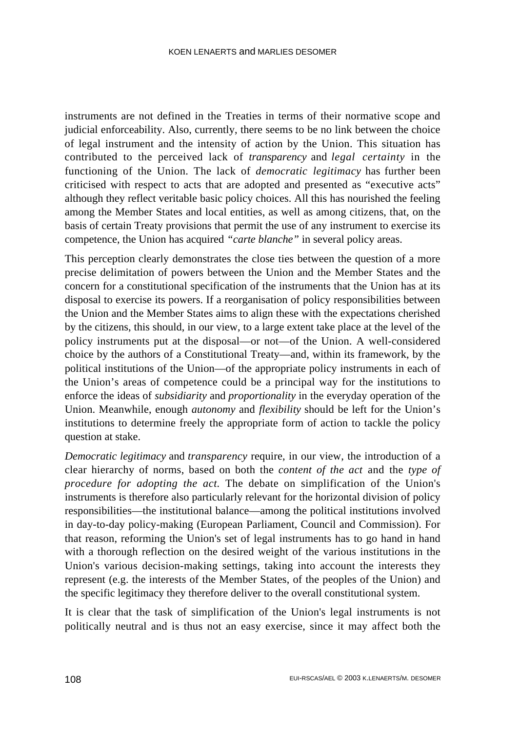instruments are not defined in the Treaties in terms of their normative scope and judicial enforceability. Also, currently, there seems to be no link between the choice of legal instrument and the intensity of action by the Union. This situation has contributed to the perceived lack of *transparency* and *legal certainty* in the functioning of the Union. The lack of *democratic legitimacy* has further been criticised with respect to acts that are adopted and presented as "executive acts" although they reflect veritable basic policy choices. All this has nourished the feeling among the Member States and local entities, as well as among citizens, that, on the basis of certain Treaty provisions that permit the use of any instrument to exercise its competence, the Union has acquired *"carte blanche"* in several policy areas.

This perception clearly demonstrates the close ties between the question of a more precise delimitation of powers between the Union and the Member States and the concern for a constitutional specification of the instruments that the Union has at its disposal to exercise its powers. If a reorganisation of policy responsibilities between the Union and the Member States aims to align these with the expectations cherished by the citizens, this should, in our view, to a large extent take place at the level of the policy instruments put at the disposal—or not—of the Union. A well-considered choice by the authors of a Constitutional Treaty—and, within its framework, by the political institutions of the Union—of the appropriate policy instruments in each of the Union's areas of competence could be a principal way for the institutions to enforce the ideas of *subsidiarity* and *proportionality* in the everyday operation of the Union. Meanwhile, enough *autonomy* and *flexibility* should be left for the Union's institutions to determine freely the appropriate form of action to tackle the policy question at stake.

*Democratic legitimacy* and *transparency* require, in our view, the introduction of a clear hierarchy of norms, based on both the *content of the act* and the *type of procedure for adopting the act.* The debate on simplification of the Union's instruments is therefore also particularly relevant for the horizontal division of policy responsibilities—the institutional balance—among the political institutions involved in day-to-day policy-making (European Parliament, Council and Commission). For that reason, reforming the Union's set of legal instruments has to go hand in hand with a thorough reflection on the desired weight of the various institutions in the Union's various decision-making settings, taking into account the interests they represent (e.g. the interests of the Member States, of the peoples of the Union) and the specific legitimacy they therefore deliver to the overall constitutional system.

It is clear that the task of simplification of the Union's legal instruments is not politically neutral and is thus not an easy exercise, since it may affect both the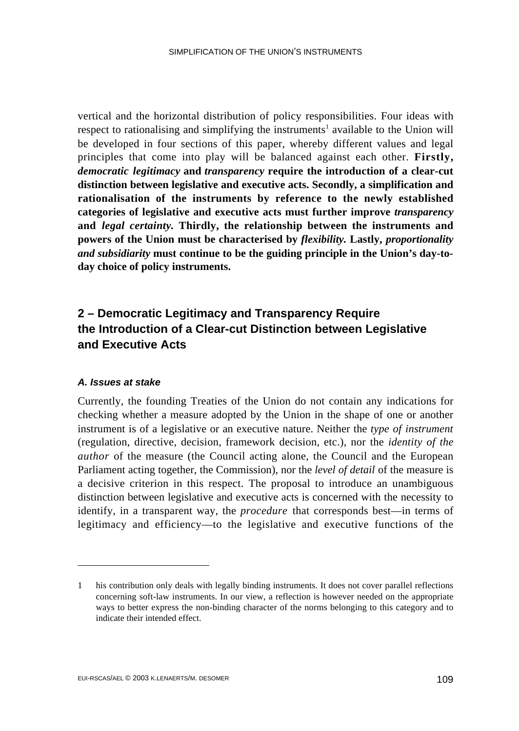vertical and the horizontal distribution of policy responsibilities. Four ideas with respect to rationalising and simplifying the instruments<sup>1</sup> available to the Union will be developed in four sections of this paper, whereby different values and legal principles that come into play will be balanced against each other. **Firstly,** *democratic legitimacy* **and** *transparency* **require the introduction of a clear-cut distinction between legislative and executive acts. Secondly, a simplification and rationalisation of the instruments by reference to the newly established categories of legislative and executive acts must further improve** *transparency* **and** *legal certainty.* **Thirdly, the relationship between the instruments and powers of the Union must be characterised by** *flexibility.* **Lastly,** *proportionality and subsidiarity* **must continue to be the guiding principle in the Union's day-today choice of policy instruments.**

## **2 – Democratic Legitimacy and Transparency Require the Introduction of a Clear-cut Distinction between Legislative and Executive Acts**

#### *A. Issues at stake*

l

Currently, the founding Treaties of the Union do not contain any indications for checking whether a measure adopted by the Union in the shape of one or another instrument is of a legislative or an executive nature. Neither the *type of instrument* (regulation, directive, decision, framework decision, etc.), nor the *identity of the author* of the measure (the Council acting alone, the Council and the European Parliament acting together, the Commission), nor the *level of detail* of the measure is a decisive criterion in this respect. The proposal to introduce an unambiguous distinction between legislative and executive acts is concerned with the necessity to identify, in a transparent way, the *procedure* that corresponds best—in terms of legitimacy and efficiency—to the legislative and executive functions of the

<sup>1</sup> his contribution only deals with legally binding instruments. It does not cover parallel reflections concerning soft-law instruments. In our view, a reflection is however needed on the appropriate ways to better express the non-binding character of the norms belonging to this category and to indicate their intended effect.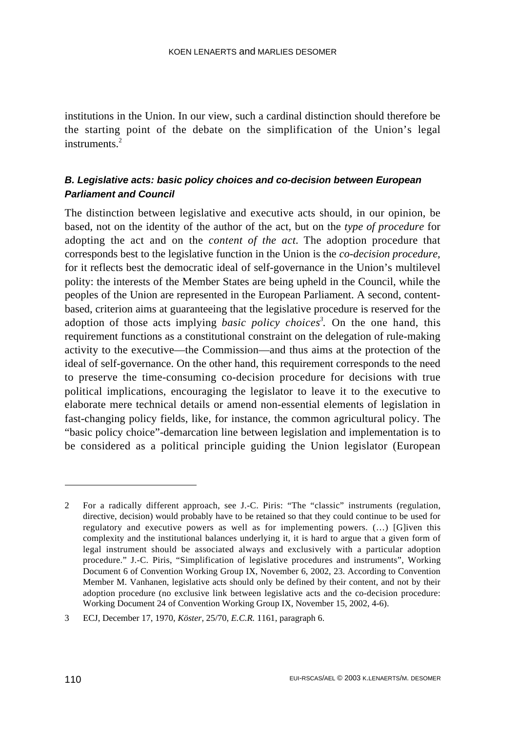institutions in the Union. In our view, such a cardinal distinction should therefore be the starting point of the debate on the simplification of the Union's legal instruments.<sup>2</sup>

## *B. Legislative acts: basic policy choices and co-decision between European Parliament and Council*

The distinction between legislative and executive acts should, in our opinion, be based, not on the identity of the author of the act, but on the *type of procedure* for adopting the act and on the *content of the act.* The adoption procedure that corresponds best to the legislative function in the Union is the *co-decision procedure,* for it reflects best the democratic ideal of self-governance in the Union's multilevel polity: the interests of the Member States are being upheld in the Council, while the peoples of the Union are represented in the European Parliament. A second, contentbased, criterion aims at guaranteeing that the legislative procedure is reserved for the adoption of those acts implying *basic policy choices<sup>3</sup>*. On the one hand, this requirement functions as a constitutional constraint on the delegation of rule-making activity to the executive—the Commission—and thus aims at the protection of the ideal of self-governance. On the other hand, this requirement corresponds to the need to preserve the time-consuming co-decision procedure for decisions with true political implications, encouraging the legislator to leave it to the executive to elaborate mere technical details or amend non-essential elements of legislation in fast-changing policy fields, like, for instance, the common agricultural policy. The "basic policy choice"-demarcation line between legislation and implementation is to be considered as a political principle guiding the Union legislator (European

-

<sup>2</sup> For a radically different approach, see J.-C. Piris: "The "classic" instruments (regulation, directive, decision) would probably have to be retained so that they could continue to be used for regulatory and executive powers as well as for implementing powers. (…) [G]iven this complexity and the institutional balances underlying it, it is hard to argue that a given form of legal instrument should be associated always and exclusively with a particular adoption procedure." J.-C. Piris, "Simplification of legislative procedures and instruments", Working Document 6 of Convention Working Group IX, November 6, 2002, 23. According to Convention Member M. Vanhanen, legislative acts should only be defined by their content, and not by their adoption procedure (no exclusive link between legislative acts and the co-decision procedure: Working Document 24 of Convention Working Group IX, November 15, 2002, 4-6).

<sup>3</sup> ECJ, December 17, 1970, *Köster,* 25/70, *E.C.R.* 1161, paragraph 6.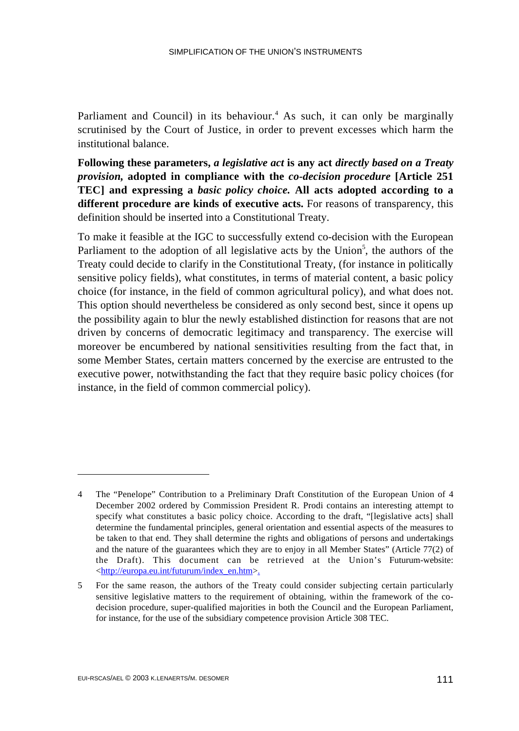Parliament and Council) in its behaviour.<sup>4</sup> As such, it can only be marginally scrutinised by the Court of Justice, in order to prevent excesses which harm the institutional balance.

**Following these parameters,** *a legislative act* **is any act** *directly based on a Treaty provision,* **adopted in compliance with the** *co-decision procedure* **[Article 251 TEC] and expressing a** *basic policy choice.* **All acts adopted according to a different procedure are kinds of executive acts.** For reasons of transparency, this definition should be inserted into a Constitutional Treaty.

To make it feasible at the IGC to successfully extend co-decision with the European Parliament to the adoption of all legislative acts by the Union<sup>5</sup>, the authors of the Treaty could decide to clarify in the Constitutional Treaty, (for instance in politically sensitive policy fields), what constitutes, in terms of material content, a basic policy choice (for instance, in the field of common agricultural policy), and what does not. This option should nevertheless be considered as only second best, since it opens up the possibility again to blur the newly established distinction for reasons that are not driven by concerns of democratic legitimacy and transparency. The exercise will moreover be encumbered by national sensitivities resulting from the fact that, in some Member States, certain matters concerned by the exercise are entrusted to the executive power, notwithstanding the fact that they require basic policy choices (for instance, in the field of common commercial policy).

<sup>4</sup> The "Penelope" Contribution to a Preliminary Draft Constitution of the European Union of 4 December 2002 ordered by Commission President R. Prodi contains an interesting attempt to specify what constitutes a basic policy choice. According to the draft, "[legislative acts] shall determine the fundamental principles, general orientation and essential aspects of the measures to be taken to that end. They shall determine the rights and obligations of persons and undertakings and the nature of the guarantees which they are to enjoy in all Member States" (Article 77(2) of the Draft). This document can be retrieved at the Union's Futurum-website: <[http://europa.eu.int/futurum/index\\_en.htm](http://europa.eu.int/futurum/index_en.htm)>.

<sup>5</sup> For the same reason, the authors of the Treaty could consider subjecting certain particularly sensitive legislative matters to the requirement of obtaining, within the framework of the codecision procedure, super-qualified majorities in both the Council and the European Parliament, for instance, for the use of the subsidiary competence provision Article 308 TEC.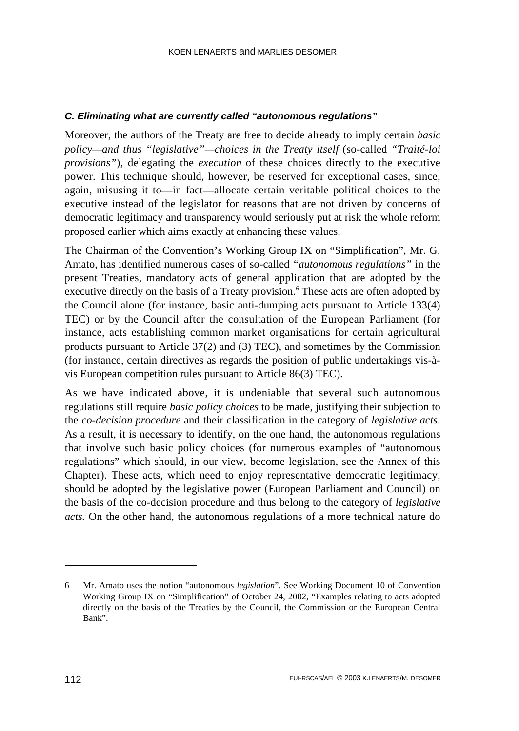### *C. Eliminating what are currently called "autonomous regulations"*

Moreover, the authors of the Treaty are free to decide already to imply certain *basic policy—and thus "legislative"—choices in the Treaty itself* (so-called *"Traité-loi provisions"*), delegating the *execution* of these choices directly to the executive power. This technique should, however, be reserved for exceptional cases, since, again, misusing it to—in fact—allocate certain veritable political choices to the executive instead of the legislator for reasons that are not driven by concerns of democratic legitimacy and transparency would seriously put at risk the whole reform proposed earlier which aims exactly at enhancing these values.

The Chairman of the Convention's Working Group IX on "Simplification", Mr. G. Amato, has identified numerous cases of so-called *"autonomous regulations"* in the present Treaties, mandatory acts of general application that are adopted by the executive directly on the basis of a Treaty provision.<sup>6</sup> These acts are often adopted by the Council alone (for instance, basic anti-dumping acts pursuant to Article 133(4) TEC) or by the Council after the consultation of the European Parliament (for instance, acts establishing common market organisations for certain agricultural products pursuant to Article 37(2) and (3) TEC), and sometimes by the Commission (for instance, certain directives as regards the position of public undertakings vis-àvis European competition rules pursuant to Article 86(3) TEC).

As we have indicated above, it is undeniable that several such autonomous regulations still require *basic policy choices* to be made, justifying their subjection to the *co-decision procedure* and their classification in the category of *legislative acts.* As a result, it is necessary to identify, on the one hand, the autonomous regulations that involve such basic policy choices (for numerous examples of "autonomous regulations" which should, in our view, become legislation, see the Annex of this Chapter). These acts, which need to enjoy representative democratic legitimacy, should be adopted by the legislative power (European Parliament and Council) on the basis of the co-decision procedure and thus belong to the category of *legislative acts.* On the other hand, the autonomous regulations of a more technical nature do

<sup>6</sup> Mr. Amato uses the notion "autonomous *legislation*". See Working Document 10 of Convention Working Group IX on "Simplification" of October 24, 2002, "Examples relating to acts adopted directly on the basis of the Treaties by the Council, the Commission or the European Central Bank".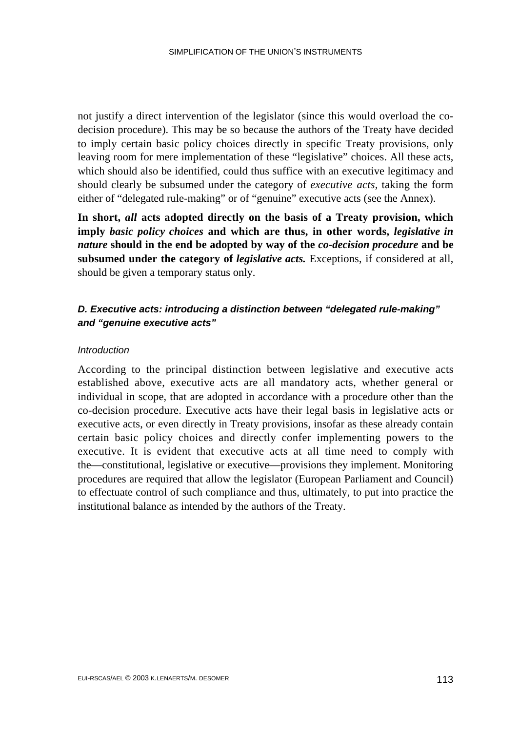not justify a direct intervention of the legislator (since this would overload the codecision procedure). This may be so because the authors of the Treaty have decided to imply certain basic policy choices directly in specific Treaty provisions, only leaving room for mere implementation of these "legislative" choices. All these acts, which should also be identified, could thus suffice with an executive legitimacy and should clearly be subsumed under the category of *executive acts,* taking the form either of "delegated rule-making" or of "genuine" executive acts (see the Annex).

**In short,** *all* **acts adopted directly on the basis of a Treaty provision, which imply** *basic policy choices* **and which are thus, in other words,** *legislative in nature* **should in the end be adopted by way of the** *co-decision procedure* **and be subsumed under the category of** *legislative acts.* Exceptions, if considered at all, should be given a temporary status only.

## *D. Executive acts: introducing a distinction between "delegated rule-making" and "genuine executive acts"*

#### *Introduction*

According to the principal distinction between legislative and executive acts established above, executive acts are all mandatory acts, whether general or individual in scope, that are adopted in accordance with a procedure other than the co-decision procedure. Executive acts have their legal basis in legislative acts or executive acts, or even directly in Treaty provisions, insofar as these already contain certain basic policy choices and directly confer implementing powers to the executive. It is evident that executive acts at all time need to comply with the—constitutional, legislative or executive—provisions they implement. Monitoring procedures are required that allow the legislator (European Parliament and Council) to effectuate control of such compliance and thus, ultimately, to put into practice the institutional balance as intended by the authors of the Treaty.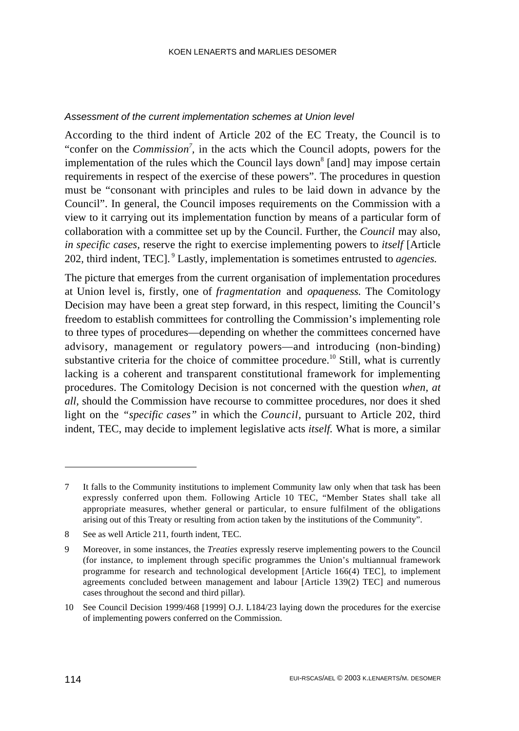#### *Assessment of the current implementation schemes at Union level*

According to the third indent of Article 202 of the EC Treaty, the Council is to "confer on the *Commission*<sup>7</sup>, in the acts which the Council adopts, powers for the implementation of the rules which the Council lays down<sup>8</sup> [and] may impose certain requirements in respect of the exercise of these powers". The procedures in question must be "consonant with principles and rules to be laid down in advance by the Council". In general, the Council imposes requirements on the Commission with a view to it carrying out its implementation function by means of a particular form of collaboration with a committee set up by the Council. Further, the *Council* may also, *in specific cases,* reserve the right to exercise implementing powers to *itself* [Article 202, third indent, TEC]. 9 Lastly, implementation is sometimes entrusted to *agencies.*

The picture that emerges from the current organisation of implementation procedures at Union level is, firstly, one of *fragmentation* and *opaqueness.* The Comitology Decision may have been a great step forward, in this respect, limiting the Council's freedom to establish committees for controlling the Commission's implementing role to three types of procedures—depending on whether the committees concerned have advisory, management or regulatory powers—and introducing (non-binding) substantive criteria for the choice of committee procedure.<sup>10</sup> Still, what is currently lacking is a coherent and transparent constitutional framework for implementing procedures. The Comitology Decision is not concerned with the question *when, at all,* should the Commission have recourse to committee procedures, nor does it shed light on the *"specific cases"* in which the *Council,* pursuant to Article 202, third indent, TEC, may decide to implement legislative acts *itself.* What is more, a similar

<sup>7</sup> It falls to the Community institutions to implement Community law only when that task has been expressly conferred upon them. Following Article 10 TEC, "Member States shall take all appropriate measures, whether general or particular, to ensure fulfilment of the obligations arising out of this Treaty or resulting from action taken by the institutions of the Community".

<sup>8</sup> See as well Article 211, fourth indent, TEC.

<sup>9</sup> Moreover, in some instances, the *Treaties* expressly reserve implementing powers to the Council (for instance, to implement through specific programmes the Union's multiannual framework programme for research and technological development [Article 166(4) TEC], to implement agreements concluded between management and labour [Article 139(2) TEC] and numerous cases throughout the second and third pillar).

<sup>10</sup> See Council Decision 1999/468 [1999] O.J. L184/23 laying down the procedures for the exercise of implementing powers conferred on the Commission.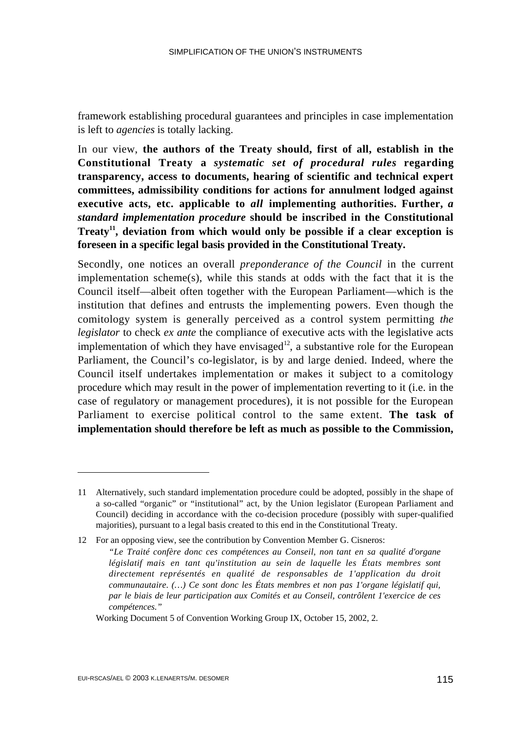framework establishing procedural guarantees and principles in case implementation is left to *agencies* is totally lacking.

In our view, **the authors of the Treaty should, first of all, establish in the Constitutional Treaty a** *systematic set of procedural rules* **regarding transparency, access to documents, hearing of scientific and technical expert committees, admissibility conditions for actions for annulment lodged against executive acts, etc. applicable to** *all* **implementing authorities. Further,** *a standard implementation procedure* **should be inscribed in the Constitutional Treaty11, deviation from which would only be possible if a clear exception is foreseen in a specific legal basis provided in the Constitutional Treaty.**

Secondly, one notices an overall *preponderance of the Council* in the current implementation scheme(s), while this stands at odds with the fact that it is the Council itself—albeit often together with the European Parliament—which is the institution that defines and entrusts the implementing powers. Even though the comitology system is generally perceived as a control system permitting *the legislator* to check *ex ante* the compliance of executive acts with the legislative acts implementation of which they have envisaged<sup>12</sup>, a substantive role for the European Parliament, the Council's co-legislator, is by and large denied. Indeed, where the Council itself undertakes implementation or makes it subject to a comitology procedure which may result in the power of implementation reverting to it (i.e. in the case of regulatory or management procedures), it is not possible for the European Parliament to exercise political control to the same extent. **The task of implementation should therefore be left as much as possible to the Commission,**

-

<sup>11</sup> Alternatively, such standard implementation procedure could be adopted, possibly in the shape of a so-called "organic" or "institutional" act, by the Union legislator (European Parliament and Council) deciding in accordance with the co-decision procedure (possibly with super-qualified majorities), pursuant to a legal basis created to this end in the Constitutional Treaty.

<sup>12</sup> For an opposing view, see the contribution by Convention Member G. Cisneros:

*<sup>&</sup>quot;Le Traité confère donc ces compétences au Conseil, non tant en sa qualité d'organe législatif mais en tant qu'institution au sein de laquelle les États membres sont directement représentés en qualité de responsables de 1'application du droit communautaire. (…) Ce sont donc les États membres et non pas 1'organe législatif qui, par le biais de leur participation aux Comités et au Conseil, contrôlent 1'exercice de ces compétences."*

Working Document 5 of Convention Working Group IX, October 15, 2002, 2.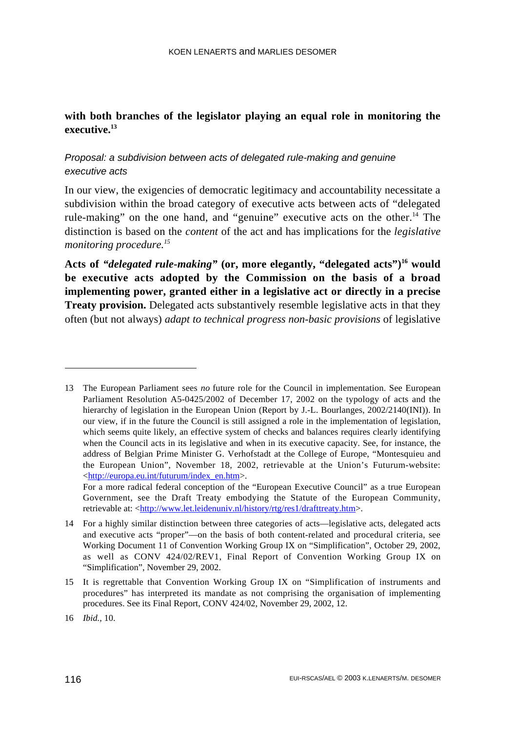## **with both branches of the legislator playing an equal role in monitoring the executive.13**

## *Proposal: a subdivision between acts of delegated rule-making and genuine executive acts*

In our view, the exigencies of democratic legitimacy and accountability necessitate a subdivision within the broad category of executive acts between acts of "delegated rule-making" on the one hand, and "genuine" executive acts on the other.<sup>14</sup> The distinction is based on the *content* of the act and has implications for the *legislative monitoring procedure.15*

Acts of "*delegated rule-making*" (or, more elegantly, "*delegated acts*")<sup>16</sup> would **be executive acts adopted by the Commission on the basis of a broad implementing power, granted either in a legislative act or directly in a precise Treaty provision.** Delegated acts substantively resemble legislative acts in that they often (but not always) *adapt to technical progress non-basic provisions* of legislative

<sup>13</sup> The European Parliament sees *no* future role for the Council in implementation. See European Parliament Resolution A5-0425/2002 of December 17, 2002 on the typology of acts and the hierarchy of legislation in the European Union (Report by J.-L. Bourlanges, 2002/2140(INI)). In our view, if in the future the Council is still assigned a role in the implementation of legislation, which seems quite likely, an effective system of checks and balances requires clearly identifying when the Council acts in its legislative and when in its executive capacity. See, for instance, the address of Belgian Prime Minister G. Verhofstadt at the College of Europe, "Montesquieu and the European Union", November 18, 2002, retrievable at the Union's Futurum-website: <[http://europa.eu.int/futurum/index\\_en.htm](http://europa.eu.int/futurum/index_en.htm)>.

For a more radical federal conception of the "European Executive Council" as a true European Government, see the Draft Treaty embodying the Statute of the European Community, retrievable at: [<http://www.let.leidenuniv.nl/history/rtg/res1/drafttreaty.htm](http://www.let.leidenuniv.nl/history/rtg/res1/drafttreaty.htm)>.

<sup>14</sup> For a highly similar distinction between three categories of acts—legislative acts, delegated acts and executive acts "proper"—on the basis of both content-related and procedural criteria, see Working Document 11 of Convention Working Group IX on "Simplification", October 29, 2002, as well as CONV 424/02/REV1, Final Report of Convention Working Group IX on "Simplification", November 29, 2002.

<sup>15</sup> It is regrettable that Convention Working Group IX on "Simplification of instruments and procedures" has interpreted its mandate as not comprising the organisation of implementing procedures. See its Final Report, CONV 424/02, November 29, 2002, 12.

<sup>16</sup> *Ibid.,* 10.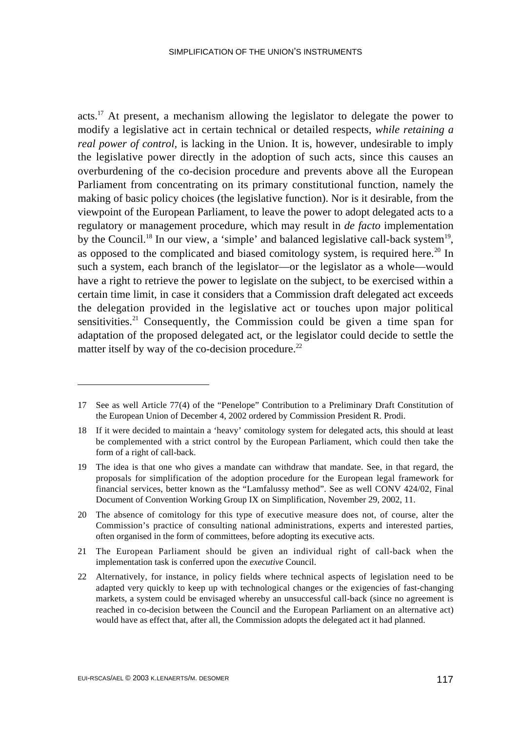acts.17 At present, a mechanism allowing the legislator to delegate the power to modify a legislative act in certain technical or detailed respects, *while retaining a real power of control*, is lacking in the Union. It is, however, undesirable to imply the legislative power directly in the adoption of such acts, since this causes an overburdening of the co-decision procedure and prevents above all the European Parliament from concentrating on its primary constitutional function, namely the making of basic policy choices (the legislative function). Nor is it desirable, from the viewpoint of the European Parliament, to leave the power to adopt delegated acts to a regulatory or management procedure, which may result in *de facto* implementation by the Council.<sup>18</sup> In our view, a 'simple' and balanced legislative call-back system<sup>19</sup>, as opposed to the complicated and biased comitology system, is required here.<sup>20</sup> In such a system, each branch of the legislator—or the legislator as a whole—would have a right to retrieve the power to legislate on the subject, to be exercised within a certain time limit, in case it considers that a Commission draft delegated act exceeds the delegation provided in the legislative act or touches upon major political sensitivities.<sup>21</sup> Consequently, the Commission could be given a time span for adaptation of the proposed delegated act, or the legislator could decide to settle the matter itself by way of the co-decision procedure.<sup>22</sup>

<sup>17</sup> See as well Article 77(4) of the "Penelope" Contribution to a Preliminary Draft Constitution of the European Union of December 4, 2002 ordered by Commission President R. Prodi.

<sup>18</sup> If it were decided to maintain a 'heavy' comitology system for delegated acts, this should at least be complemented with a strict control by the European Parliament, which could then take the form of a right of call-back.

<sup>19</sup> The idea is that one who gives a mandate can withdraw that mandate. See, in that regard, the proposals for simplification of the adoption procedure for the European legal framework for financial services, better known as the "Lamfalussy method". See as well CONV 424/02, Final Document of Convention Working Group IX on Simplification, November 29, 2002, 11.

<sup>20</sup> The absence of comitology for this type of executive measure does not, of course, alter the Commission's practice of consulting national administrations, experts and interested parties, often organised in the form of committees, before adopting its executive acts.

<sup>21</sup> The European Parliament should be given an individual right of call-back when the implementation task is conferred upon the *executive* Council.

<sup>22</sup> Alternatively, for instance, in policy fields where technical aspects of legislation need to be adapted very quickly to keep up with technological changes or the exigencies of fast-changing markets, a system could be envisaged whereby an unsuccessful call-back (since no agreement is reached in co-decision between the Council and the European Parliament on an alternative act) would have as effect that, after all, the Commission adopts the delegated act it had planned.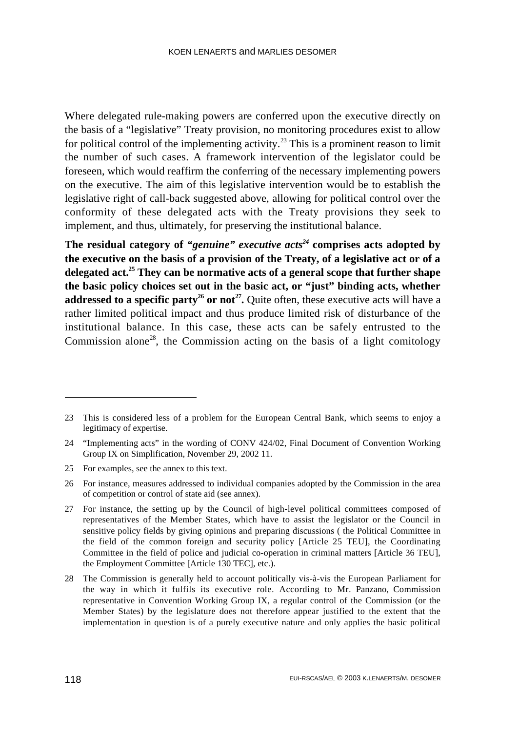Where delegated rule-making powers are conferred upon the executive directly on the basis of a "legislative" Treaty provision, no monitoring procedures exist to allow for political control of the implementing activity.<sup>23</sup> This is a prominent reason to limit the number of such cases. A framework intervention of the legislator could be foreseen, which would reaffirm the conferring of the necessary implementing powers on the executive. The aim of this legislative intervention would be to establish the legislative right of call-back suggested above, allowing for political control over the conformity of these delegated acts with the Treaty provisions they seek to implement, and thus, ultimately, for preserving the institutional balance.

**The residual category of** *"genuine" executive acts24* **comprises acts adopted by the executive on the basis of a provision of the Treaty, of a legislative act or of a delegated act.25 They can be normative acts of a general scope that further shape the basic policy choices set out in the basic act, or "just" binding acts, whether addressed to a specific party<sup>26</sup> or not**<sup>27</sup>. Ouite often, these executive acts will have a rather limited political impact and thus produce limited risk of disturbance of the institutional balance. In this case, these acts can be safely entrusted to the Commission alone<sup>28</sup>, the Commission acting on the basis of a light comitology

<sup>23</sup> This is considered less of a problem for the European Central Bank, which seems to enjoy a legitimacy of expertise.

<sup>24</sup> "Implementing acts" in the wording of CONV 424/02, Final Document of Convention Working Group IX on Simplification, November 29, 2002 11.

<sup>25</sup> For examples, see the annex to this text.

<sup>26</sup> For instance, measures addressed to individual companies adopted by the Commission in the area of competition or control of state aid (see annex).

<sup>27</sup> For instance, the setting up by the Council of high-level political committees composed of representatives of the Member States, which have to assist the legislator or the Council in sensitive policy fields by giving opinions and preparing discussions ( the Political Committee in the field of the common foreign and security policy [Article 25 TEU], the Coordinating Committee in the field of police and judicial co-operation in criminal matters [Article 36 TEU], the Employment Committee [Article 130 TEC], etc.).

<sup>28</sup> The Commission is generally held to account politically vis-à-vis the European Parliament for the way in which it fulfils its executive role. According to Mr. Panzano, Commission representative in Convention Working Group IX, a regular control of the Commission (or the Member States) by the legislature does not therefore appear justified to the extent that the implementation in question is of a purely executive nature and only applies the basic political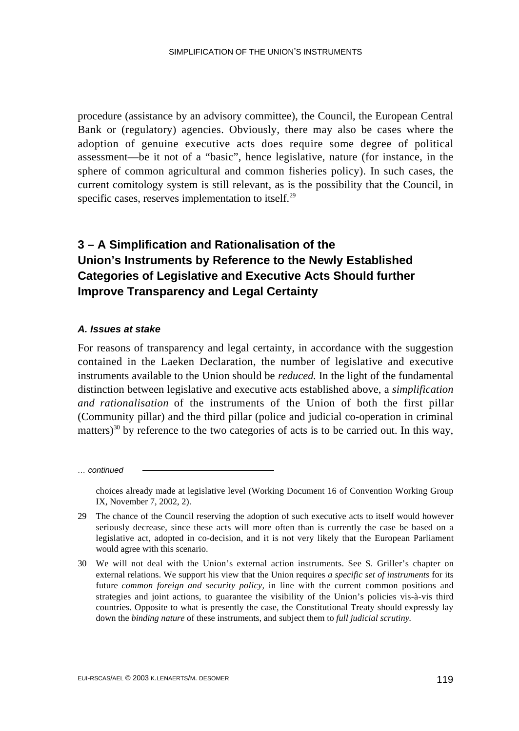procedure (assistance by an advisory committee), the Council, the European Central Bank or (regulatory) agencies. Obviously, there may also be cases where the adoption of genuine executive acts does require some degree of political assessment—be it not of a "basic", hence legislative, nature (for instance, in the sphere of common agricultural and common fisheries policy). In such cases, the current comitology system is still relevant, as is the possibility that the Council, in specific cases, reserves implementation to itself.<sup>29</sup>

## **3 – A Simplification and Rationalisation of the Union's Instruments by Reference to the Newly Established Categories of Legislative and Executive Acts Should further Improve Transparency and Legal Certainty**

#### *A. Issues at stake*

For reasons of transparency and legal certainty, in accordance with the suggestion contained in the Laeken Declaration, the number of legislative and executive instruments available to the Union should be *reduced.* In the light of the fundamental distinction between legislative and executive acts established above, a *simplification and rationalisation* of the instruments of the Union of both the first pillar (Community pillar) and the third pillar (police and judicial co-operation in criminal matters)<sup>30</sup> by reference to the two categories of acts is to be carried out. In this way,

*… continued*

choices already made at legislative level (Working Document 16 of Convention Working Group IX, November 7, 2002, 2).

<sup>29</sup> The chance of the Council reserving the adoption of such executive acts to itself would however seriously decrease, since these acts will more often than is currently the case be based on a legislative act, adopted in co-decision, and it is not very likely that the European Parliament would agree with this scenario.

<sup>30</sup> We will not deal with the Union's external action instruments. See S. Griller's chapter on external relations. We support his view that the Union requires *a specific set of instruments* for its future *common foreign and security policy,* in line with the current common positions and strategies and joint actions, to guarantee the visibility of the Union's policies vis-à-vis third countries. Opposite to what is presently the case, the Constitutional Treaty should expressly lay down the *binding nature* of these instruments, and subject them to *full judicial scrutiny.*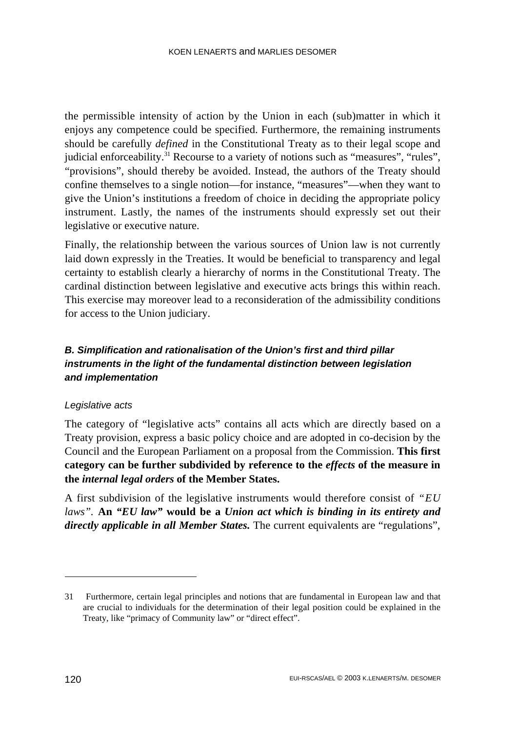the permissible intensity of action by the Union in each (sub)matter in which it enjoys any competence could be specified. Furthermore, the remaining instruments should be carefully *defined* in the Constitutional Treaty as to their legal scope and judicial enforceability.<sup>31</sup> Recourse to a variety of notions such as "measures", "rules", "provisions", should thereby be avoided. Instead, the authors of the Treaty should confine themselves to a single notion—for instance, "measures"—when they want to give the Union's institutions a freedom of choice in deciding the appropriate policy instrument. Lastly, the names of the instruments should expressly set out their legislative or executive nature.

Finally, the relationship between the various sources of Union law is not currently laid down expressly in the Treaties. It would be beneficial to transparency and legal certainty to establish clearly a hierarchy of norms in the Constitutional Treaty. The cardinal distinction between legislative and executive acts brings this within reach. This exercise may moreover lead to a reconsideration of the admissibility conditions for access to the Union judiciary.

## *B. Simplification and rationalisation of the Union's first and third pillar instruments in the light of the fundamental distinction between legislation and implementation*

### *Legislative acts*

The category of "legislative acts" contains all acts which are directly based on a Treaty provision, express a basic policy choice and are adopted in co-decision by the Council and the European Parliament on a proposal from the Commission. **This first category can be further subdivided by reference to the** *effects* **of the measure in the** *internal legal orders* **of the Member States.**

A first subdivision of the legislative instruments would therefore consist of *"EU laws".* **An** *"EU law"* **would be a** *Union act which is binding in its entirety and directly applicable in all Member States.* The current equivalents are "regulations",

<sup>31</sup> Furthermore, certain legal principles and notions that are fundamental in European law and that are crucial to individuals for the determination of their legal position could be explained in the Treaty, like "primacy of Community law" or "direct effect".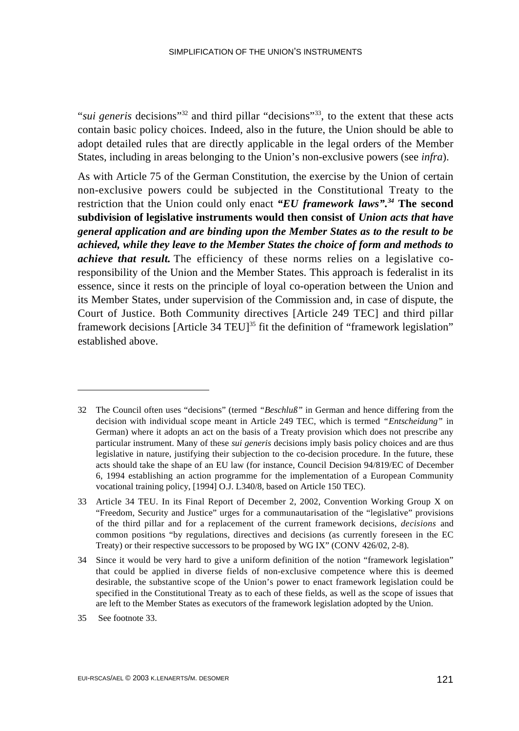"*sui generis* decisions"<sup>32</sup> and third pillar "decisions"<sup>33</sup>, to the extent that these acts contain basic policy choices. Indeed, also in the future, the Union should be able to adopt detailed rules that are directly applicable in the legal orders of the Member States, including in areas belonging to the Union's non-exclusive powers (see *infra*).

As with Article 75 of the German Constitution, the exercise by the Union of certain non-exclusive powers could be subjected in the Constitutional Treaty to the restriction that the Union could only enact *"EU framework laws".34* **The second subdivision of legislative instruments would then consist of** *Union acts that have general application and are binding upon the Member States as to the result to be achieved, while they leave to the Member States the choice of form and methods to achieve that result.* The efficiency of these norms relies on a legislative coresponsibility of the Union and the Member States. This approach is federalist in its essence, since it rests on the principle of loyal co-operation between the Union and its Member States, under supervision of the Commission and, in case of dispute, the Court of Justice. Both Community directives [Article 249 TEC] and third pillar framework decisions [Article 34 TEU]<sup>35</sup> fit the definition of "framework legislation" established above.

-

<sup>32</sup> The Council often uses "decisions" (termed *"Beschluß"* in German and hence differing from the decision with individual scope meant in Article 249 TEC, which is termed *"Entscheidung"* in German) where it adopts an act on the basis of a Treaty provision which does not prescribe any particular instrument. Many of these *sui generis* decisions imply basis policy choices and are thus legislative in nature, justifying their subjection to the co-decision procedure. In the future, these acts should take the shape of an EU law (for instance, Council Decision 94/819/EC of December 6, 1994 establishing an action programme for the implementation of a European Community vocational training policy, [1994] O.J. L340/8, based on Article 150 TEC).

<sup>33</sup> Article 34 TEU. In its Final Report of December 2, 2002, Convention Working Group X on "Freedom, Security and Justice" urges for a communautarisation of the "legislative" provisions of the third pillar and for a replacement of the current framework decisions, *decisions* and common positions "by regulations, directives and decisions (as currently foreseen in the EC Treaty) or their respective successors to be proposed by WG IX" (CONV 426/02, 2-8).

<sup>34</sup> Since it would be very hard to give a uniform definition of the notion "framework legislation" that could be applied in diverse fields of non-exclusive competence where this is deemed desirable, the substantive scope of the Union's power to enact framework legislation could be specified in the Constitutional Treaty as to each of these fields, as well as the scope of issues that are left to the Member States as executors of the framework legislation adopted by the Union.

<sup>35</sup> See footnote 33.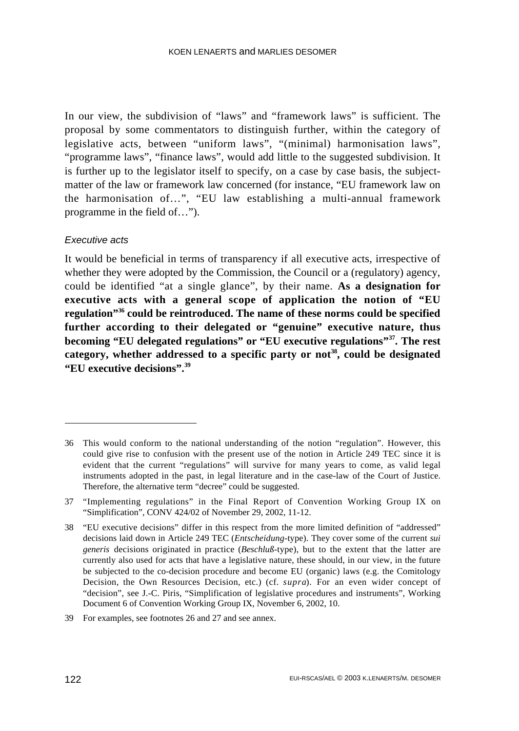In our view, the subdivision of "laws" and "framework laws" is sufficient. The proposal by some commentators to distinguish further, within the category of legislative acts, between "uniform laws", "(minimal) harmonisation laws", "programme laws", "finance laws", would add little to the suggested subdivision. It is further up to the legislator itself to specify, on a case by case basis, the subjectmatter of the law or framework law concerned (for instance, "EU framework law on the harmonisation of…", "EU law establishing a multi-annual framework programme in the field of…").

#### *Executive acts*

It would be beneficial in terms of transparency if all executive acts, irrespective of whether they were adopted by the Commission, the Council or a (regulatory) agency, could be identified "at a single glance", by their name. **As a designation for executive acts with a general scope of application the notion of "EU regulation"36 could be reintroduced. The name of these norms could be specified further according to their delegated or "genuine" executive nature, thus becoming "EU delegated regulations" or "EU executive regulations"37. The rest** category, whether addressed to a specific party or not<sup>38</sup>, could be designated **"EU executive decisions".39**

<sup>36</sup> This would conform to the national understanding of the notion "regulation". However, this could give rise to confusion with the present use of the notion in Article 249 TEC since it is evident that the current "regulations" will survive for many years to come, as valid legal instruments adopted in the past, in legal literature and in the case-law of the Court of Justice. Therefore, the alternative term "decree" could be suggested.

<sup>37</sup> "Implementing regulations" in the Final Report of Convention Working Group IX on "Simplification", CONV 424/02 of November 29, 2002, 11-12.

<sup>38</sup> "EU executive decisions" differ in this respect from the more limited definition of "addressed" decisions laid down in Article 249 TEC (*Entscheidung-*type). They cover some of the current *sui generis* decisions originated in practice (*Beschluß-*type), but to the extent that the latter are currently also used for acts that have a legislative nature, these should, in our view, in the future be subjected to the co-decision procedure and become EU (organic) laws (e.g. the Comitology Decision, the Own Resources Decision, etc.) (cf. *supra*). For an even wider concept of "decision", see J.-C. Piris, "Simplification of legislative procedures and instruments", Working Document 6 of Convention Working Group IX, November 6, 2002, 10.

<sup>39</sup> For examples, see footnotes 26 and 27 and see annex.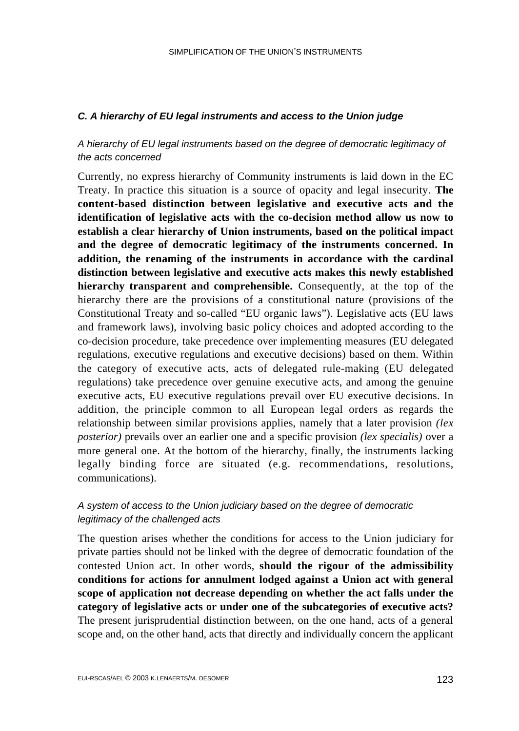#### *C. A hierarchy of EU legal instruments and access to the Union judge*

### *A hierarchy of EU legal instruments based on the degree of democratic legitimacy of the acts concerned*

Currently, no express hierarchy of Community instruments is laid down in the EC Treaty. In practice this situation is a source of opacity and legal insecurity. **The content-based distinction between legislative and executive acts and the identification of legislative acts with the co-decision method allow us now to establish a clear hierarchy of Union instruments, based on the political impact and the degree of democratic legitimacy of the instruments concerned. In addition, the renaming of the instruments in accordance with the cardinal distinction between legislative and executive acts makes this newly established hierarchy transparent and comprehensible.** Consequently, at the top of the hierarchy there are the provisions of a constitutional nature (provisions of the Constitutional Treaty and so-called "EU organic laws"). Legislative acts (EU laws and framework laws), involving basic policy choices and adopted according to the co-decision procedure, take precedence over implementing measures (EU delegated regulations, executive regulations and executive decisions) based on them. Within the category of executive acts, acts of delegated rule-making (EU delegated regulations) take precedence over genuine executive acts, and among the genuine executive acts, EU executive regulations prevail over EU executive decisions. In addition, the principle common to all European legal orders as regards the relationship between similar provisions applies, namely that a later provision *(lex posterior)* prevails over an earlier one and a specific provision *(lex specialis)* over a more general one. At the bottom of the hierarchy, finally, the instruments lacking legally binding force are situated (e.g. recommendations, resolutions, communications).

### *A system of access to the Union judiciary based on the degree of democratic legitimacy of the challenged acts*

The question arises whether the conditions for access to the Union judiciary for private parties should not be linked with the degree of democratic foundation of the contested Union act. In other words, **should the rigour of the admissibility conditions for actions for annulment lodged against a Union act with general scope of application not decrease depending on whether the act falls under the category of legislative acts or under one of the subcategories of executive acts?** The present jurisprudential distinction between, on the one hand, acts of a general scope and, on the other hand, acts that directly and individually concern the applicant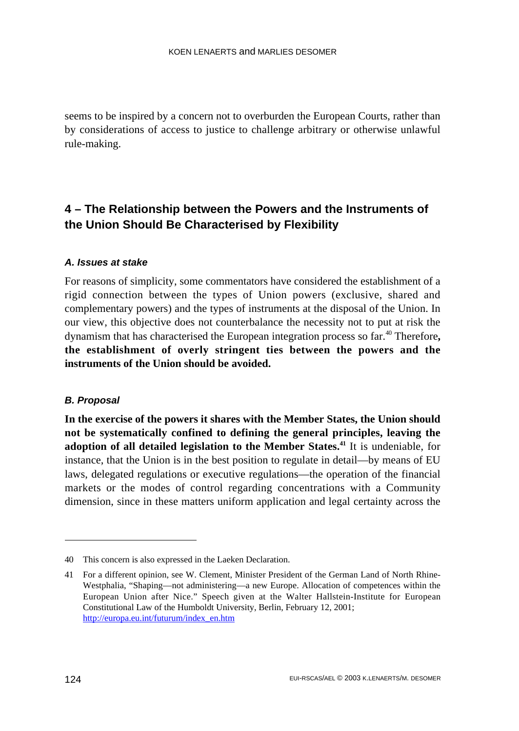seems to be inspired by a concern not to overburden the European Courts, rather than by considerations of access to justice to challenge arbitrary or otherwise unlawful rule-making.

## **4 – The Relationship between the Powers and the Instruments of the Union Should Be Characterised by Flexibility**

#### *A. Issues at stake*

For reasons of simplicity, some commentators have considered the establishment of a rigid connection between the types of Union powers (exclusive, shared and complementary powers) and the types of instruments at the disposal of the Union. In our view, this objective does not counterbalance the necessity not to put at risk the dynamism that has characterised the European integration process so far.40 Therefore**, the establishment of overly stringent ties between the powers and the instruments of the Union should be avoided.**

#### *B. Proposal*

**In the exercise of the powers it shares with the Member States, the Union should not be systematically confined to defining the general principles, leaving the adoption of all detailed legislation to the Member States.41** It is undeniable, for instance, that the Union is in the best position to regulate in detail—by means of EU laws, delegated regulations or executive regulations—the operation of the financial markets or the modes of control regarding concentrations with a Community dimension, since in these matters uniform application and legal certainty across the

-

<sup>40</sup> This concern is also expressed in the Laeken Declaration.

<sup>41</sup> For a different opinion, see W. Clement, Minister President of the German Land of North Rhine-Westphalia, "Shaping—not administering—a new Europe. Allocation of competences within the European Union after Nice." Speech given at the Walter Hallstein-Institute for European Constitutional Law of the Humboldt University, Berlin, February 12, 2001; [http://europa.eu.int/futurum/index\\_en.htm](http://europa.eu.int/futurum/index_en.htm)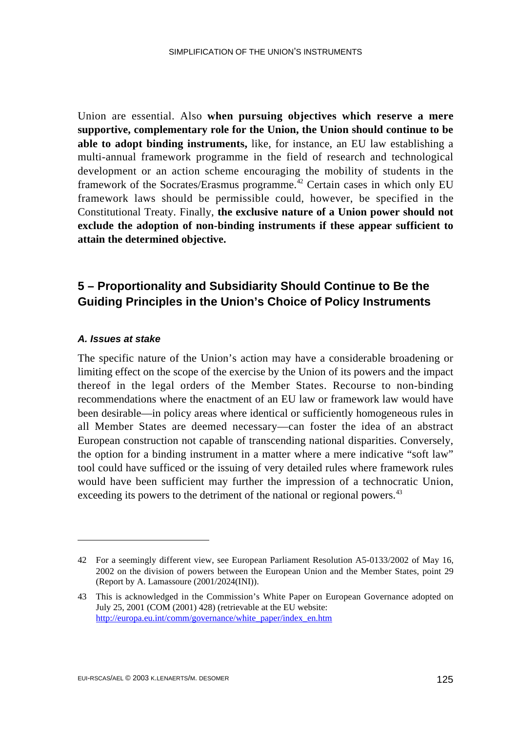Union are essential. Also **when pursuing objectives which reserve a mere supportive, complementary role for the Union, the Union should continue to be able to adopt binding instruments,** like, for instance, an EU law establishing a multi-annual framework programme in the field of research and technological development or an action scheme encouraging the mobility of students in the framework of the Socrates/Erasmus programme.<sup>42</sup> Certain cases in which only EU framework laws should be permissible could, however, be specified in the Constitutional Treaty. Finally, **the exclusive nature of a Union power should not exclude the adoption of non-binding instruments if these appear sufficient to attain the determined objective.**

## **5 – Proportionality and Subsidiarity Should Continue to Be the Guiding Principles in the Union's Choice of Policy Instruments**

#### *A. Issues at stake*

-

The specific nature of the Union's action may have a considerable broadening or limiting effect on the scope of the exercise by the Union of its powers and the impact thereof in the legal orders of the Member States. Recourse to non-binding recommendations where the enactment of an EU law or framework law would have been desirable—in policy areas where identical or sufficiently homogeneous rules in all Member States are deemed necessary—can foster the idea of an abstract European construction not capable of transcending national disparities. Conversely, the option for a binding instrument in a matter where a mere indicative "soft law" tool could have sufficed or the issuing of very detailed rules where framework rules would have been sufficient may further the impression of a technocratic Union, exceeding its powers to the detriment of the national or regional powers.<sup>43</sup>

<sup>42</sup> For a seemingly different view, see European Parliament Resolution A5-0133/2002 of May 16, 2002 on the division of powers between the European Union and the Member States, point 29 (Report by A. Lamassoure (2001/2024(INI)).

<sup>43</sup> This is acknowledged in the Commission's White Paper on European Governance adopted on July 25, 2001 (COM (2001) 428) (retrievable at the EU website: [http://europa.eu.int/comm/governance/white\\_paper/index\\_en.htm](http://europa.eu.int/comm/governance/white_paper/index_en.htm)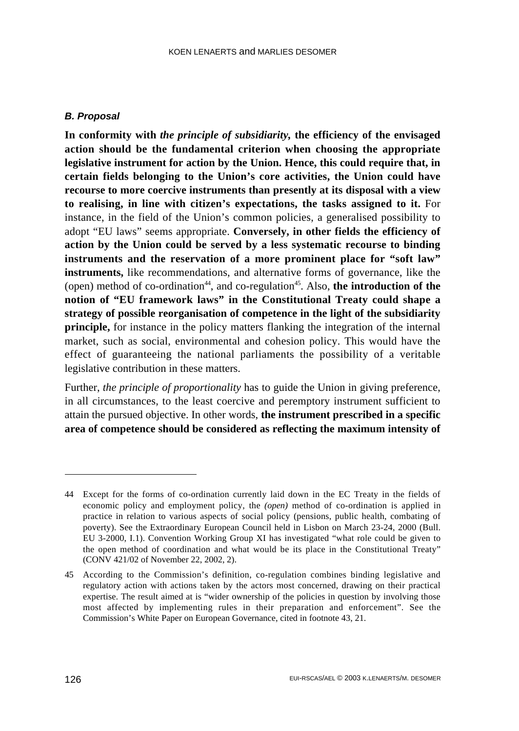#### *B. Proposal*

**In conformity with** *the principle of subsidiarity,* **the efficiency of the envisaged action should be the fundamental criterion when choosing the appropriate legislative instrument for action by the Union. Hence, this could require that, in certain fields belonging to the Union's core activities, the Union could have recourse to more coercive instruments than presently at its disposal with a view to realising, in line with citizen's expectations, the tasks assigned to it.** For instance, in the field of the Union's common policies, a generalised possibility to adopt "EU laws" seems appropriate. **Conversely, in other fields the efficiency of action by the Union could be served by a less systematic recourse to binding instruments and the reservation of a more prominent place for "soft law" instruments,** like recommendations, and alternative forms of governance, like the (open) method of co-ordination<sup>44</sup>, and co-regulation<sup>45</sup>. Also, **the introduction of the notion of "EU framework laws" in the Constitutional Treaty could shape a strategy of possible reorganisation of competence in the light of the subsidiarity principle,** for instance in the policy matters flanking the integration of the internal market, such as social, environmental and cohesion policy. This would have the effect of guaranteeing the national parliaments the possibility of a veritable legislative contribution in these matters.

Further, *the principle of proportionality* has to guide the Union in giving preference, in all circumstances, to the least coercive and peremptory instrument sufficient to attain the pursued objective. In other words, **the instrument prescribed in a specific area of competence should be considered as reflecting the maximum intensity of**

<sup>44</sup> Except for the forms of co-ordination currently laid down in the EC Treaty in the fields of economic policy and employment policy, the *(open)* method of co-ordination is applied in practice in relation to various aspects of social policy (pensions, public health, combating of poverty). See the Extraordinary European Council held in Lisbon on March 23-24, 2000 (Bull. EU 3-2000, I.1). Convention Working Group XI has investigated "what role could be given to the open method of coordination and what would be its place in the Constitutional Treaty" (CONV 421/02 of November 22, 2002, 2).

<sup>45</sup> According to the Commission's definition, co-regulation combines binding legislative and regulatory action with actions taken by the actors most concerned, drawing on their practical expertise. The result aimed at is "wider ownership of the policies in question by involving those most affected by implementing rules in their preparation and enforcement". See the Commission's White Paper on European Governance, cited in footnote 43, 21.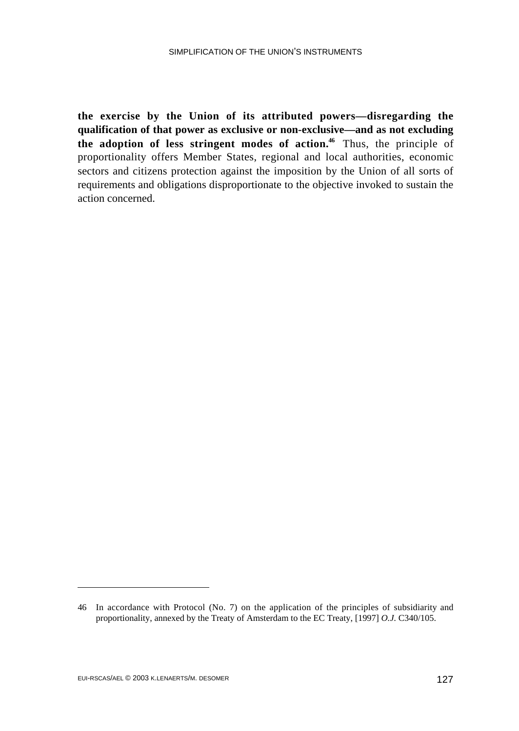**the exercise by the Union of its attributed powers—disregarding the qualification of that power as exclusive or non-exclusive—and as not excluding** the adoption of less stringent modes of action.<sup>46</sup> Thus, the principle of proportionality offers Member States, regional and local authorities, economic sectors and citizens protection against the imposition by the Union of all sorts of requirements and obligations disproportionate to the objective invoked to sustain the action concerned.

<sup>46</sup> In accordance with Protocol (No. 7) on the application of the principles of subsidiarity and proportionality, annexed by the Treaty of Amsterdam to the EC Treaty, [1997] *O.J.* C340/105.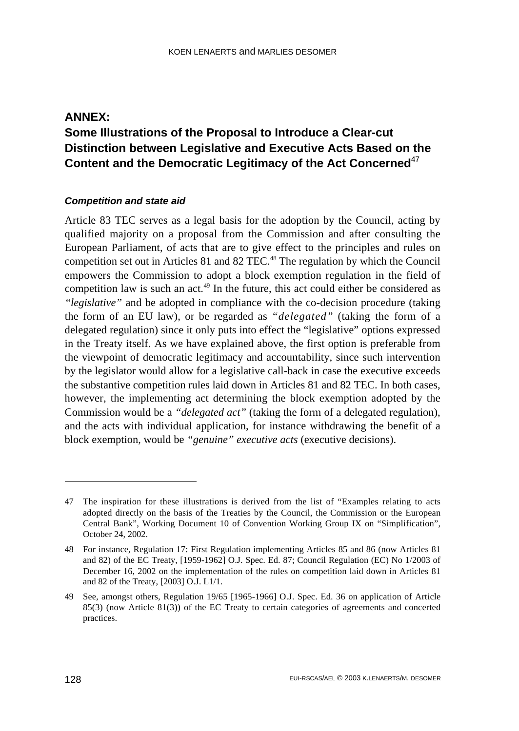## **ANNEX:**

## **Some Illustrations of the Proposal to Introduce a Clear-cut Distinction between Legislative and Executive Acts Based on the Content and the Democratic Legitimacy of the Act Concerned**<sup>47</sup>

#### *Competition and state aid*

Article 83 TEC serves as a legal basis for the adoption by the Council, acting by qualified majority on a proposal from the Commission and after consulting the European Parliament, of acts that are to give effect to the principles and rules on competition set out in Articles 81 and 82 TEC.<sup>48</sup> The regulation by which the Council empowers the Commission to adopt a block exemption regulation in the field of competition law is such an  $act^{49}$  In the future, this act could either be considered as *"legislative"* and be adopted in compliance with the co-decision procedure (taking the form of an EU law), or be regarded as *"delegated"* (taking the form of a delegated regulation) since it only puts into effect the "legislative" options expressed in the Treaty itself. As we have explained above, the first option is preferable from the viewpoint of democratic legitimacy and accountability, since such intervention by the legislator would allow for a legislative call-back in case the executive exceeds the substantive competition rules laid down in Articles 81 and 82 TEC. In both cases, however, the implementing act determining the block exemption adopted by the Commission would be a *"delegated act"* (taking the form of a delegated regulation), and the acts with individual application, for instance withdrawing the benefit of a block exemption, would be *"genuine" executive acts* (executive decisions).

<sup>47</sup> The inspiration for these illustrations is derived from the list of "Examples relating to acts adopted directly on the basis of the Treaties by the Council, the Commission or the European Central Bank", Working Document 10 of Convention Working Group IX on "Simplification", October 24, 2002.

<sup>48</sup> For instance, Regulation 17: First Regulation implementing Articles 85 and 86 (now Articles 81 and 82) of the EC Treaty, [1959-1962] O.J. Spec. Ed. 87; Council Regulation (EC) No 1/2003 of December 16, 2002 on the implementation of the rules on competition laid down in Articles 81 and 82 of the Treaty, [2003] O.J. L1/1.

<sup>49</sup> See, amongst others, Regulation 19/65 [1965-1966] O.J. Spec. Ed. 36 on application of Article 85(3) (now Article 81(3)) of the EC Treaty to certain categories of agreements and concerted practices.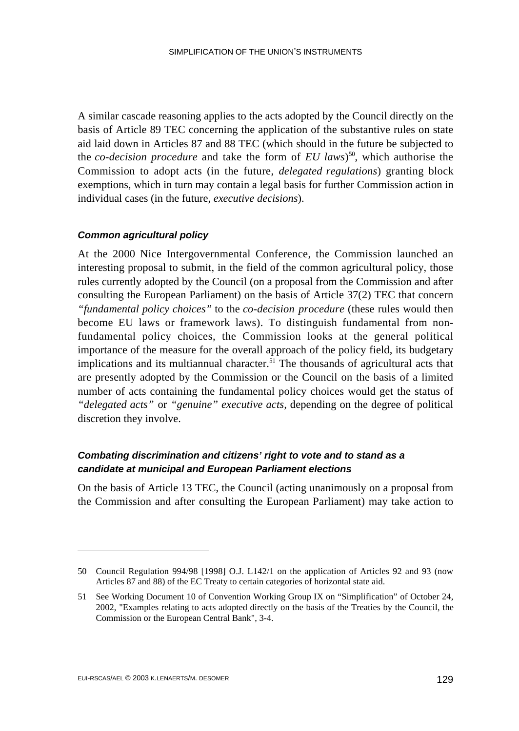A similar cascade reasoning applies to the acts adopted by the Council directly on the basis of Article 89 TEC concerning the application of the substantive rules on state aid laid down in Articles 87 and 88 TEC (which should in the future be subjected to the *co-decision procedure* and take the form of *EU laws*) 50, which authorise the Commission to adopt acts (in the future, *delegated regulations*) granting block exemptions, which in turn may contain a legal basis for further Commission action in individual cases (in the future, *executive decisions*).

#### *Common agricultural policy*

At the 2000 Nice Intergovernmental Conference, the Commission launched an interesting proposal to submit, in the field of the common agricultural policy, those rules currently adopted by the Council (on a proposal from the Commission and after consulting the European Parliament) on the basis of Article 37(2) TEC that concern *"fundamental policy choices"* to the *co-decision procedure* (these rules would then become EU laws or framework laws). To distinguish fundamental from nonfundamental policy choices, the Commission looks at the general political importance of the measure for the overall approach of the policy field, its budgetary implications and its multiannual character.<sup>51</sup> The thousands of agricultural acts that are presently adopted by the Commission or the Council on the basis of a limited number of acts containing the fundamental policy choices would get the status of *"delegated acts"* or *"genuine" executive acts,* depending on the degree of political discretion they involve.

### *Combating discrimination and citizens' right to vote and to stand as a candidate at municipal and European Parliament elections*

On the basis of Article 13 TEC, the Council (acting unanimously on a proposal from the Commission and after consulting the European Parliament) may take action to

<sup>50</sup> Council Regulation 994/98 [1998] O.J. L142/1 on the application of Articles 92 and 93 (now Articles 87 and 88) of the EC Treaty to certain categories of horizontal state aid.

<sup>51</sup> See Working Document 10 of Convention Working Group IX on "Simplification" of October 24, 2002, "Examples relating to acts adopted directly on the basis of the Treaties by the Council, the Commission or the European Central Bank", 3-4.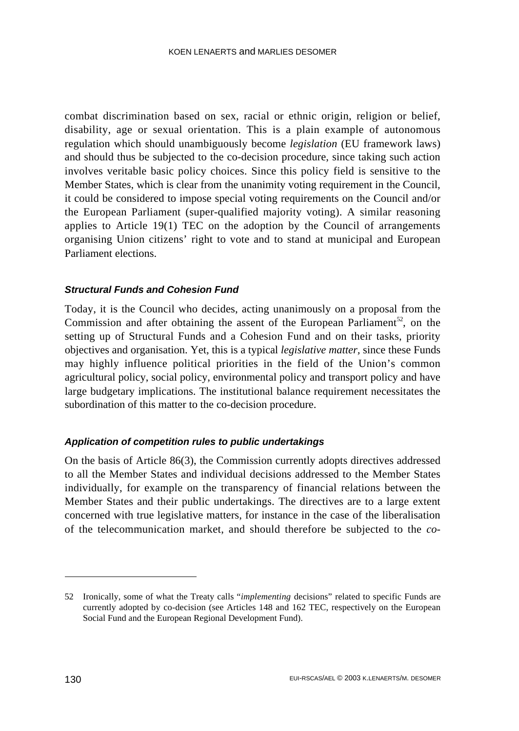combat discrimination based on sex, racial or ethnic origin, religion or belief, disability, age or sexual orientation. This is a plain example of autonomous regulation which should unambiguously become *legislation* (EU framework laws) and should thus be subjected to the co-decision procedure, since taking such action involves veritable basic policy choices. Since this policy field is sensitive to the Member States, which is clear from the unanimity voting requirement in the Council, it could be considered to impose special voting requirements on the Council and/or the European Parliament (super-qualified majority voting). A similar reasoning applies to Article  $19(1)$  TEC on the adoption by the Council of arrangements organising Union citizens' right to vote and to stand at municipal and European Parliament elections.

#### *Structural Funds and Cohesion Fund*

Today, it is the Council who decides, acting unanimously on a proposal from the Commission and after obtaining the assent of the European Parliament<sup>52</sup>, on the setting up of Structural Funds and a Cohesion Fund and on their tasks, priority objectives and organisation. Yet, this is a typical *legislative matter,* since these Funds may highly influence political priorities in the field of the Union's common agricultural policy, social policy, environmental policy and transport policy and have large budgetary implications. The institutional balance requirement necessitates the subordination of this matter to the co-decision procedure.

#### *Application of competition rules to public undertakings*

On the basis of Article 86(3), the Commission currently adopts directives addressed to all the Member States and individual decisions addressed to the Member States individually, for example on the transparency of financial relations between the Member States and their public undertakings. The directives are to a large extent concerned with true legislative matters, for instance in the case of the liberalisation of the telecommunication market, and should therefore be subjected to the *co-*

<sup>52</sup> Ironically, some of what the Treaty calls "*implementing* decisions" related to specific Funds are currently adopted by co-decision (see Articles 148 and 162 TEC, respectively on the European Social Fund and the European Regional Development Fund).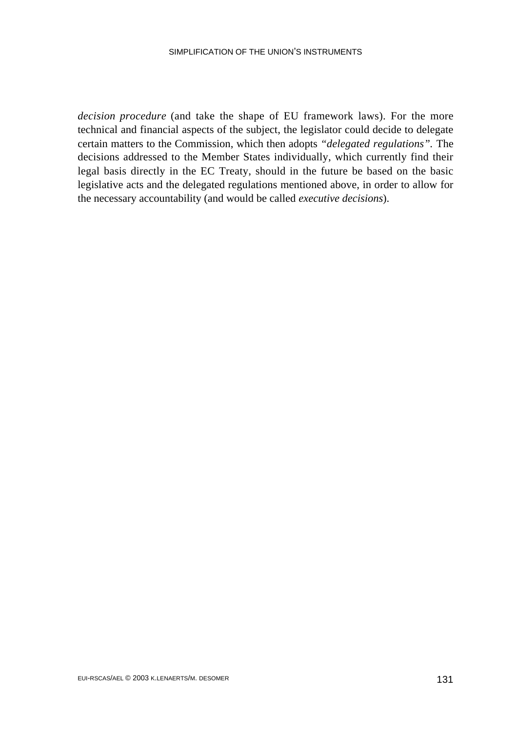*decision procedure* (and take the shape of EU framework laws). For the more technical and financial aspects of the subject, the legislator could decide to delegate certain matters to the Commission, which then adopts *"delegated regulations".* The decisions addressed to the Member States individually, which currently find their legal basis directly in the EC Treaty, should in the future be based on the basic legislative acts and the delegated regulations mentioned above, in order to allow for the necessary accountability (and would be called *executive decisions*).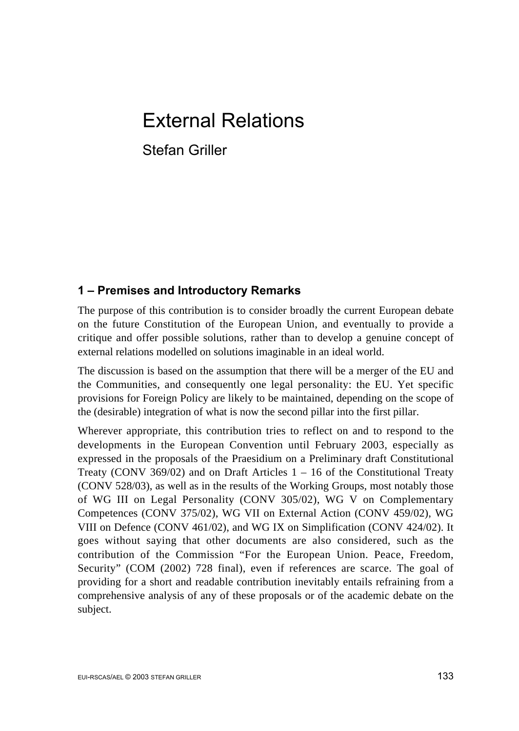# External Relations

Stefan Griller

## **1 – Premises and Introductory Remarks**

The purpose of this contribution is to consider broadly the current European debate on the future Constitution of the European Union, and eventually to provide a critique and offer possible solutions, rather than to develop a genuine concept of external relations modelled on solutions imaginable in an ideal world.

The discussion is based on the assumption that there will be a merger of the EU and the Communities, and consequently one legal personality: the EU. Yet specific provisions for Foreign Policy are likely to be maintained, depending on the scope of the (desirable) integration of what is now the second pillar into the first pillar.

Wherever appropriate, this contribution tries to reflect on and to respond to the developments in the European Convention until February 2003, especially as expressed in the proposals of the Praesidium on a Preliminary draft Constitutional Treaty (CONV 369/02) and on Draft Articles  $1 - 16$  of the Constitutional Treaty (CONV 528/03), as well as in the results of the Working Groups, most notably those of WG III on Legal Personality (CONV 305/02), WG V on Complementary Competences (CONV 375/02), WG VII on External Action (CONV 459/02), WG VIII on Defence (CONV 461/02), and WG IX on Simplification (CONV 424/02). It goes without saying that other documents are also considered, such as the contribution of the Commission "For the European Union. Peace, Freedom, Security" (COM (2002) 728 final), even if references are scarce. The goal of providing for a short and readable contribution inevitably entails refraining from a comprehensive analysis of any of these proposals or of the academic debate on the subject.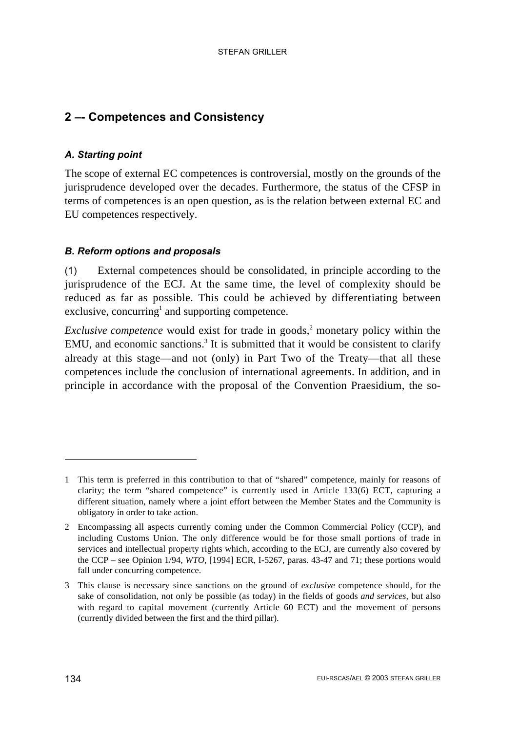## **2 –- Competences and Consistency**

## *A. Starting point*

The scope of external EC competences is controversial, mostly on the grounds of the jurisprudence developed over the decades. Furthermore, the status of the CFSP in terms of competences is an open question, as is the relation between external EC and EU competences respectively.

## *B. Reform options and proposals*

(1) External competences should be consolidated, in principle according to the jurisprudence of the ECJ. At the same time, the level of complexity should be reduced as far as possible. This could be achieved by differentiating between exclusive, concurring<sup>1</sup> and supporting competence.

*Exclusive competence* would exist for trade in goods,<sup>2</sup> monetary policy within the EMU, and economic sanctions.<sup>3</sup> It is submitted that it would be consistent to clarify already at this stage—and not (only) in Part Two of the Treaty—that all these competences include the conclusion of international agreements. In addition, and in principle in accordance with the proposal of the Convention Praesidium, the so-

<sup>1</sup> This term is preferred in this contribution to that of "shared" competence, mainly for reasons of clarity; the term "shared competence" is currently used in Article 133(6) ECT, capturing a different situation, namely where a joint effort between the Member States and the Community is obligatory in order to take action.

<sup>2</sup> Encompassing all aspects currently coming under the Common Commercial Policy (CCP), and including Customs Union. The only difference would be for those small portions of trade in services and intellectual property rights which, according to the ECJ, are currently also covered by the CCP – see Opinion 1/94, *WTO,* [1994] ECR, I-5267, paras. 43-47 and 71; these portions would fall under concurring competence.

<sup>3</sup> This clause is necessary since sanctions on the ground of *exclusive* competence should, for the sake of consolidation, not only be possible (as today) in the fields of goods *and services,* but also with regard to capital movement (currently Article 60 ECT) and the movement of persons (currently divided between the first and the third pillar).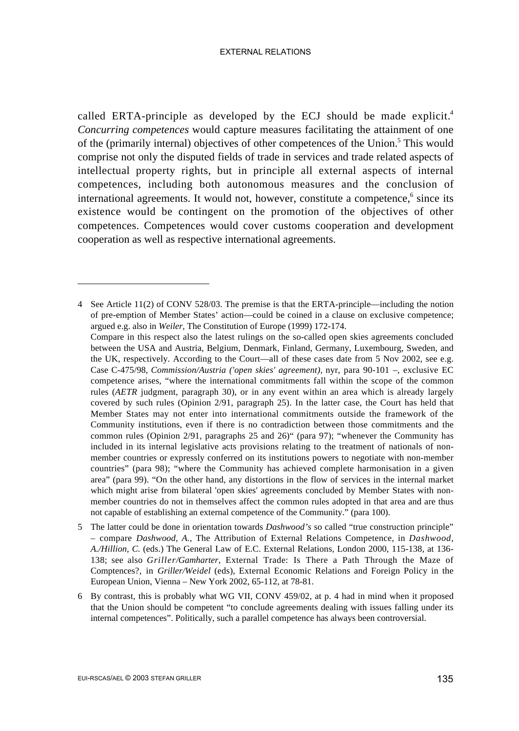called ERTA-principle as developed by the ECJ should be made explicit.<sup>4</sup> *Concurring competences* would capture measures facilitating the attainment of one of the (primarily internal) objectives of other competences of the Union.<sup>5</sup> This would comprise not only the disputed fields of trade in services and trade related aspects of intellectual property rights, but in principle all external aspects of internal competences, including both autonomous measures and the conclusion of international agreements. It would not, however, constitute a competence, $\delta$  since its existence would be contingent on the promotion of the objectives of other competences. Competences would cover customs cooperation and development cooperation as well as respective international agreements.

<sup>4</sup> See Article 11(2) of CONV 528/03. The premise is that the ERTA-principle—including the notion of pre-emption of Member States' action—could be coined in a clause on exclusive competence; argued e.g. also in *Weiler,* The Constitution of Europe (1999) 172-174. Compare in this respect also the latest rulings on the so-called open skies agreements concluded between the USA and Austria, Belgium, Denmark, Finland, Germany, Luxembourg, Sweden, and the UK, respectively. According to the Court—all of these cases date from 5 Nov 2002, see e.g. Case C-475/98, *Commission/Austria ('open skies' agreement),* nyr, para 90-101 –, exclusive EC competence arises, "where the international commitments fall within the scope of the common rules (*AETR* judgment, paragraph 30), or in any event within an area which is already largely covered by such rules (Opinion 2/91, paragraph 25). In the latter case, the Court has held that Member States may not enter into international commitments outside the framework of the Community institutions, even if there is no contradiction between those commitments and the common rules (Opinion 2/91, paragraphs 25 and 26)" (para 97); "whenever the Community has included in its internal legislative acts provisions relating to the treatment of nationals of nonmember countries or expressly conferred on its institutions powers to negotiate with non-member countries" (para 98); "where the Community has achieved complete harmonisation in a given

area" (para 99). "On the other hand, any distortions in the flow of services in the internal market which might arise from bilateral 'open skies' agreements concluded by Member States with nonmember countries do not in themselves affect the common rules adopted in that area and are thus not capable of establishing an external competence of the Community." (para 100).

<sup>5</sup> The latter could be done in orientation towards *Dashwood's* so called "true construction principle" – compare *Dashwood, A.,* The Attribution of External Relations Competence, in *Dashwood, A./Hillion, C.* (eds.) The General Law of E.C. External Relations, London 2000, 115-138, at 136- 138; see also *Griller/Gamharter,* External Trade: Is There a Path Through the Maze of Comptences?, in *Griller/Weidel* (eds), External Economic Relations and Foreign Policy in the European Union, Vienna – New York 2002, 65-112, at 78-81.

<sup>6</sup> By contrast, this is probably what WG VII, CONV 459/02, at p. 4 had in mind when it proposed that the Union should be competent "to conclude agreements dealing with issues falling under its internal competences". Politically, such a parallel competence has always been controversial.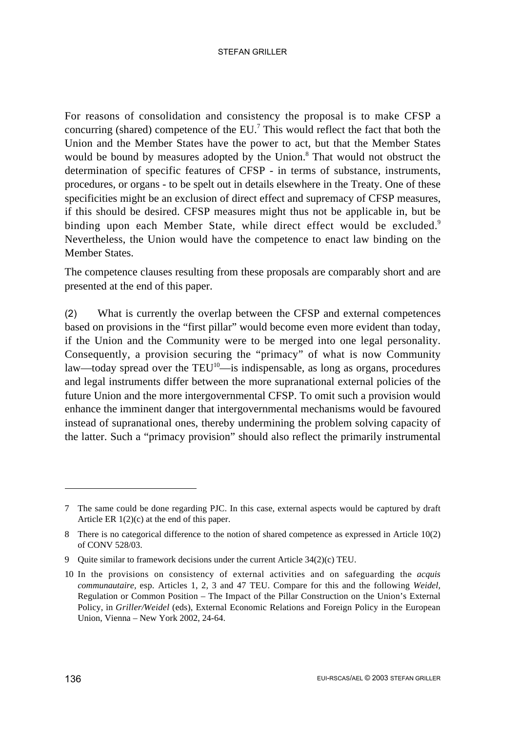#### STEFAN GRILLER

For reasons of consolidation and consistency the proposal is to make CFSP a concurring (shared) competence of the  $EU^7$ . This would reflect the fact that both the Union and the Member States have the power to act, but that the Member States would be bound by measures adopted by the Union.<sup>8</sup> That would not obstruct the determination of specific features of CFSP - in terms of substance, instruments, procedures, or organs - to be spelt out in details elsewhere in the Treaty. One of these specificities might be an exclusion of direct effect and supremacy of CFSP measures, if this should be desired. CFSP measures might thus not be applicable in, but be binding upon each Member State, while direct effect would be excluded.<sup>9</sup> Nevertheless, the Union would have the competence to enact law binding on the Member States.

The competence clauses resulting from these proposals are comparably short and are presented at the end of this paper.

(2) What is currently the overlap between the CFSP and external competences based on provisions in the "first pillar" would become even more evident than today, if the Union and the Community were to be merged into one legal personality. Consequently, a provision securing the "primacy" of what is now Community law—today spread over the TEU<sup>10</sup>—is indispensable, as long as organs, procedures and legal instruments differ between the more supranational external policies of the future Union and the more intergovernmental CFSP. To omit such a provision would enhance the imminent danger that intergovernmental mechanisms would be favoured instead of supranational ones, thereby undermining the problem solving capacity of the latter. Such a "primacy provision" should also reflect the primarily instrumental

<sup>7</sup> The same could be done regarding PJC. In this case, external aspects would be captured by draft Article ER 1(2)(c) at the end of this paper.

<sup>8</sup> There is no categorical difference to the notion of shared competence as expressed in Article 10(2) of CONV 528/03.

<sup>9</sup> Quite similar to framework decisions under the current Article 34(2)(c) TEU.

<sup>10</sup> In the provisions on consistency of external activities and on safeguarding the *acquis communautaire,* esp. Articles 1, 2, 3 and 47 TEU. Compare for this and the following *Weidel,* Regulation or Common Position – The Impact of the Pillar Construction on the Union's External Policy, in *Griller/Weidel* (eds), External Economic Relations and Foreign Policy in the European Union, Vienna – New York 2002, 24-64.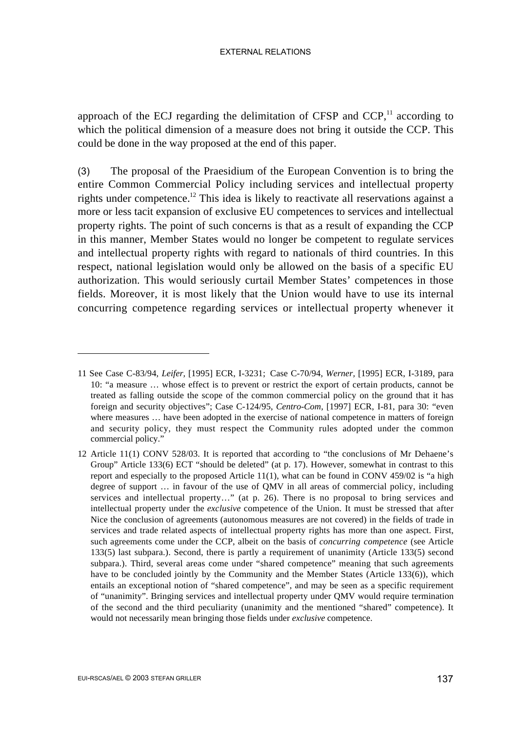approach of the ECJ regarding the delimitation of CFSP and CCP, $<sup>11</sup>$  according to</sup> which the political dimension of a measure does not bring it outside the CCP. This could be done in the way proposed at the end of this paper.

(3) The proposal of the Praesidium of the European Convention is to bring the entire Common Commercial Policy including services and intellectual property rights under competence.<sup>12</sup> This idea is likely to reactivate all reservations against a more or less tacit expansion of exclusive EU competences to services and intellectual property rights. The point of such concerns is that as a result of expanding the CCP in this manner, Member States would no longer be competent to regulate services and intellectual property rights with regard to nationals of third countries. In this respect, national legislation would only be allowed on the basis of a specific EU authorization. This would seriously curtail Member States' competences in those fields. Moreover, it is most likely that the Union would have to use its internal concurring competence regarding services or intellectual property whenever it

-

<sup>11</sup> See Case C-83/94, *Leifer,* [1995] ECR, I-3231; Case C-70/94, *Werner,* [1995] ECR, I-3189, para 10: "a measure … whose effect is to prevent or restrict the export of certain products, cannot be treated as falling outside the scope of the common commercial policy on the ground that it has foreign and security objectives"; Case C-124/95, *Centro-Com,* [1997] ECR, I-81, para 30: "even where measures ... have been adopted in the exercise of national competence in matters of foreign and security policy, they must respect the Community rules adopted under the common commercial policy."

<sup>12</sup> Article 11(1) CONV 528/03. It is reported that according to "the conclusions of Mr Dehaene's Group" Article 133(6) ECT "should be deleted" (at p. 17). However, somewhat in contrast to this report and especially to the proposed Article 11(1), what can be found in CONV 459/02 is "a high degree of support … in favour of the use of QMV in all areas of commercial policy, including services and intellectual property…" (at p. 26). There is no proposal to bring services and intellectual property under the *exclusive* competence of the Union. It must be stressed that after Nice the conclusion of agreements (autonomous measures are not covered) in the fields of trade in services and trade related aspects of intellectual property rights has more than one aspect. First, such agreements come under the CCP, albeit on the basis of *concurring competence* (see Article 133(5) last subpara.). Second, there is partly a requirement of unanimity (Article 133(5) second subpara.). Third, several areas come under "shared competence" meaning that such agreements have to be concluded jointly by the Community and the Member States (Article 133(6)), which entails an exceptional notion of "shared competence", and may be seen as a specific requirement of "unanimity". Bringing services and intellectual property under QMV would require termination of the second and the third peculiarity (unanimity and the mentioned "shared" competence). It would not necessarily mean bringing those fields under *exclusive* competence.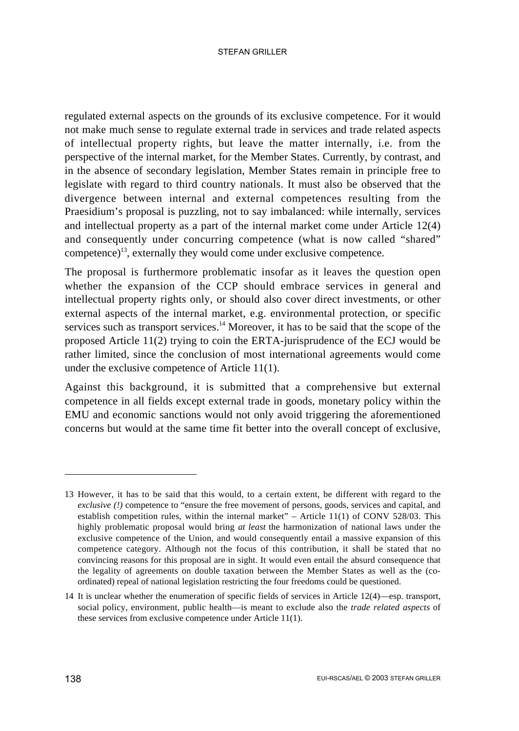#### STEFAN GRILLER

regulated external aspects on the grounds of its exclusive competence. For it would not make much sense to regulate external trade in services and trade related aspects of intellectual property rights, but leave the matter internally, i.e. from the perspective of the internal market, for the Member States. Currently, by contrast, and in the absence of secondary legislation, Member States remain in principle free to legislate with regard to third country nationals. It must also be observed that the divergence between internal and external competences resulting from the Praesidium's proposal is puzzling, not to say imbalanced: while internally, services and intellectual property as a part of the internal market come under Article 12(4) and consequently under concurring competence (what is now called "shared" competence)13, externally they would come under exclusive competence.

The proposal is furthermore problematic insofar as it leaves the question open whether the expansion of the CCP should embrace services in general and intellectual property rights only, or should also cover direct investments, or other external aspects of the internal market, e.g. environmental protection, or specific services such as transport services.<sup>14</sup> Moreover, it has to be said that the scope of the proposed Article 11(2) trying to coin the ERTA-jurisprudence of the ECJ would be rather limited, since the conclusion of most international agreements would come under the exclusive competence of Article 11(1).

Against this background, it is submitted that a comprehensive but external competence in all fields except external trade in goods, monetary policy within the EMU and economic sanctions would not only avoid triggering the aforementioned concerns but would at the same time fit better into the overall concept of exclusive,

<sup>13</sup> However, it has to be said that this would, to a certain extent, be different with regard to the *exclusive (!)* competence to "ensure the free movement of persons, goods, services and capital, and establish competition rules, within the internal market" – Article 11(1) of CONV 528/03. This highly problematic proposal would bring *at least* the harmonization of national laws under the exclusive competence of the Union, and would consequently entail a massive expansion of this competence category. Although not the focus of this contribution, it shall be stated that no convincing reasons for this proposal are in sight. It would even entail the absurd consequence that the legality of agreements on double taxation between the Member States as well as the (coordinated) repeal of national legislation restricting the four freedoms could be questioned.

<sup>14</sup> It is unclear whether the enumeration of specific fields of services in Article 12(4)—esp. transport, social policy, environment, public health—is meant to exclude also the *trade related aspects* of these services from exclusive competence under Article 11(1).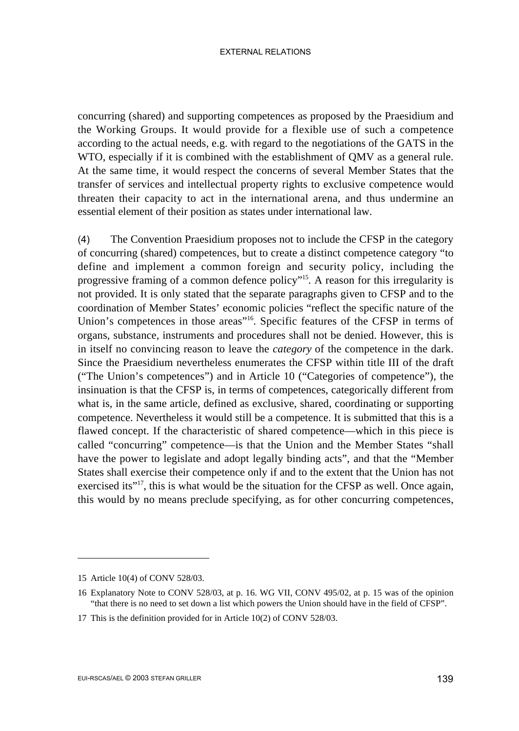concurring (shared) and supporting competences as proposed by the Praesidium and the Working Groups. It would provide for a flexible use of such a competence according to the actual needs, e.g. with regard to the negotiations of the GATS in the WTO, especially if it is combined with the establishment of QMV as a general rule. At the same time, it would respect the concerns of several Member States that the transfer of services and intellectual property rights to exclusive competence would threaten their capacity to act in the international arena, and thus undermine an essential element of their position as states under international law.

(4) The Convention Praesidium proposes not to include the CFSP in the category of concurring (shared) competences, but to create a distinct competence category "to define and implement a common foreign and security policy, including the progressive framing of a common defence policy"15. A reason for this irregularity is not provided. It is only stated that the separate paragraphs given to CFSP and to the coordination of Member States' economic policies "reflect the specific nature of the Union's competences in those areas"<sup>16</sup>. Specific features of the CFSP in terms of organs, substance, instruments and procedures shall not be denied. However, this is in itself no convincing reason to leave the *category* of the competence in the dark. Since the Praesidium nevertheless enumerates the CFSP within title III of the draft ("The Union's competences") and in Article 10 ("Categories of competence"), the insinuation is that the CFSP is, in terms of competences, categorically different from what is, in the same article, defined as exclusive, shared, coordinating or supporting competence. Nevertheless it would still be a competence. It is submitted that this is a flawed concept. If the characteristic of shared competence—which in this piece is called "concurring" competence—is that the Union and the Member States "shall have the power to legislate and adopt legally binding acts", and that the "Member States shall exercise their competence only if and to the extent that the Union has not exercised its"<sup>17</sup>, this is what would be the situation for the CFSP as well. Once again, this would by no means preclude specifying, as for other concurring competences,

<sup>15</sup> Article 10(4) of CONV 528/03.

<sup>16</sup> Explanatory Note to CONV 528/03, at p. 16. WG VII, CONV 495/02, at p. 15 was of the opinion "that there is no need to set down a list which powers the Union should have in the field of CFSP".

<sup>17</sup> This is the definition provided for in Article 10(2) of CONV 528/03.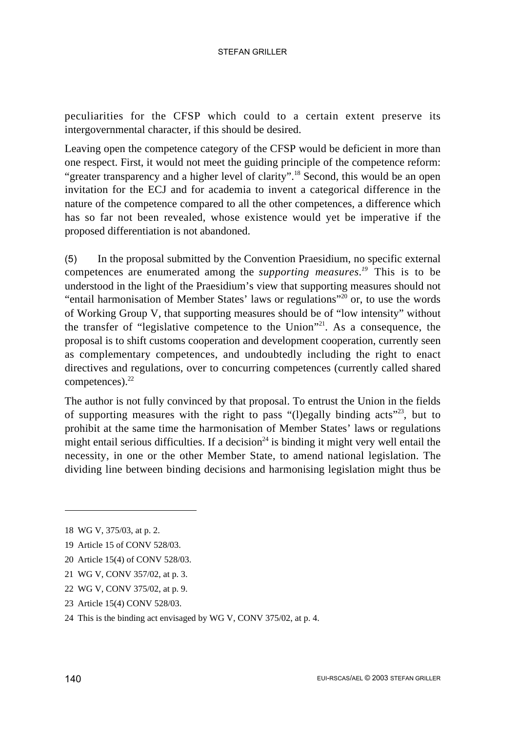peculiarities for the CFSP which could to a certain extent preserve its intergovernmental character, if this should be desired.

Leaving open the competence category of the CFSP would be deficient in more than one respect. First, it would not meet the guiding principle of the competence reform: "greater transparency and a higher level of clarity".<sup>18</sup> Second, this would be an open invitation for the ECJ and for academia to invent a categorical difference in the nature of the competence compared to all the other competences, a difference which has so far not been revealed, whose existence would yet be imperative if the proposed differentiation is not abandoned.

(5) In the proposal submitted by the Convention Praesidium, no specific external competences are enumerated among the *supporting measures.19* This is to be understood in the light of the Praesidium's view that supporting measures should not "entail harmonisation of Member States' laws or regulations"20 or, to use the words of Working Group V, that supporting measures should be of "low intensity" without the transfer of "legislative competence to the Union"21. As a consequence, the proposal is to shift customs cooperation and development cooperation, currently seen as complementary competences, and undoubtedly including the right to enact directives and regulations, over to concurring competences (currently called shared competences). $22$ 

The author is not fully convinced by that proposal. To entrust the Union in the fields of supporting measures with the right to pass "(l)egally binding acts"<sup>23</sup>, but to prohibit at the same time the harmonisation of Member States' laws or regulations might entail serious difficulties. If a decision<sup>24</sup> is binding it might very well entail the necessity, in one or the other Member State, to amend national legislation. The dividing line between binding decisions and harmonising legislation might thus be

<sup>18</sup> WG V, 375/03, at p. 2.

<sup>19</sup> Article 15 of CONV 528/03.

<sup>20</sup> Article 15(4) of CONV 528/03.

<sup>21</sup> WG V, CONV 357/02, at p. 3.

<sup>22</sup> WG V, CONV 375/02, at p. 9.

<sup>23</sup> Article 15(4) CONV 528/03.

<sup>24</sup> This is the binding act envisaged by WG V, CONV 375/02, at p. 4.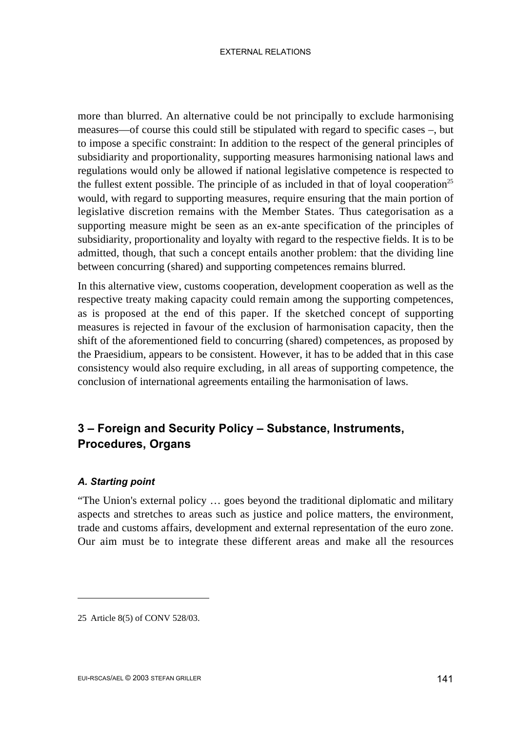more than blurred. An alternative could be not principally to exclude harmonising measures—of course this could still be stipulated with regard to specific cases –, but to impose a specific constraint: In addition to the respect of the general principles of subsidiarity and proportionality, supporting measures harmonising national laws and regulations would only be allowed if national legislative competence is respected to the fullest extent possible. The principle of as included in that of loyal cooperation<sup>25</sup> would, with regard to supporting measures, require ensuring that the main portion of legislative discretion remains with the Member States. Thus categorisation as a supporting measure might be seen as an ex-ante specification of the principles of subsidiarity, proportionality and loyalty with regard to the respective fields. It is to be admitted, though, that such a concept entails another problem: that the dividing line between concurring (shared) and supporting competences remains blurred.

In this alternative view, customs cooperation, development cooperation as well as the respective treaty making capacity could remain among the supporting competences, as is proposed at the end of this paper. If the sketched concept of supporting measures is rejected in favour of the exclusion of harmonisation capacity, then the shift of the aforementioned field to concurring (shared) competences, as proposed by the Praesidium, appears to be consistent. However, it has to be added that in this case consistency would also require excluding, in all areas of supporting competence, the conclusion of international agreements entailing the harmonisation of laws.

# **3 – Foreign and Security Policy – Substance, Instruments, Procedures, Organs**

## *A. Starting point*

l

"The Union's external policy … goes beyond the traditional diplomatic and military aspects and stretches to areas such as justice and police matters, the environment, trade and customs affairs, development and external representation of the euro zone. Our aim must be to integrate these different areas and make all the resources

<sup>25</sup> Article 8(5) of CONV 528/03.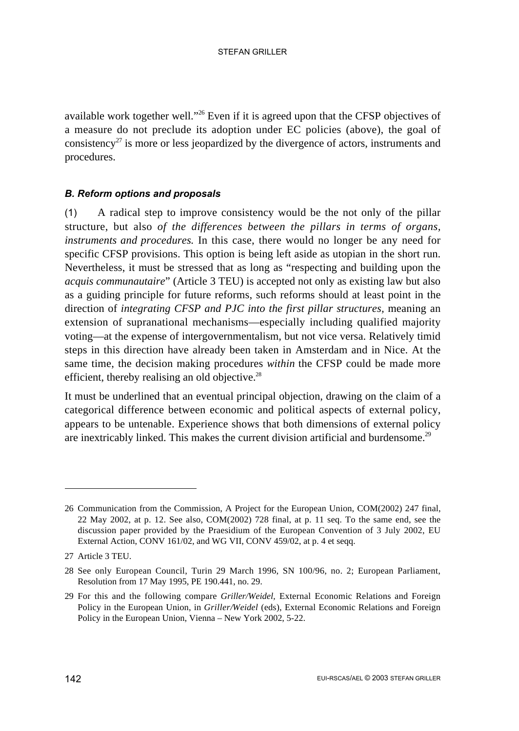available work together well."26 Even if it is agreed upon that the CFSP objectives of a measure do not preclude its adoption under EC policies (above), the goal of consistency<sup>27</sup> is more or less jeopardized by the divergence of actors, instruments and procedures.

# *B. Reform options and proposals*

(1) A radical step to improve consistency would be the not only of the pillar structure, but also *of the differences between the pillars in terms of organs, instruments and procedures.* In this case, there would no longer be any need for specific CFSP provisions. This option is being left aside as utopian in the short run. Nevertheless, it must be stressed that as long as "respecting and building upon the *acquis communautaire*" (Article 3 TEU) is accepted not only as existing law but also as a guiding principle for future reforms, such reforms should at least point in the direction of *integrating CFSP and PJC into the first pillar structures,* meaning an extension of supranational mechanisms—especially including qualified majority voting—at the expense of intergovernmentalism, but not vice versa. Relatively timid steps in this direction have already been taken in Amsterdam and in Nice. At the same time, the decision making procedures *within* the CFSP could be made more efficient, thereby realising an old objective. $^{28}$ 

It must be underlined that an eventual principal objection, drawing on the claim of a categorical difference between economic and political aspects of external policy, appears to be untenable. Experience shows that both dimensions of external policy are inextricably linked. This makes the current division artificial and burdensome.<sup>29</sup>

<sup>26</sup> Communication from the Commission, A Project for the European Union, COM(2002) 247 final, 22 May 2002, at p. 12. See also, COM(2002) 728 final, at p. 11 seq. To the same end, see the discussion paper provided by the Praesidium of the European Convention of 3 July 2002, EU External Action, CONV 161/02, and WG VII, CONV 459/02, at p. 4 et seqq.

<sup>27</sup> Article 3 TEU.

<sup>28</sup> See only European Council, Turin 29 March 1996, SN 100/96, no. 2; European Parliament, Resolution from 17 May 1995, PE 190.441, no. 29.

<sup>29</sup> For this and the following compare *Griller/Weidel,* External Economic Relations and Foreign Policy in the European Union, in *Griller/Weidel* (eds), External Economic Relations and Foreign Policy in the European Union, Vienna – New York 2002, 5-22.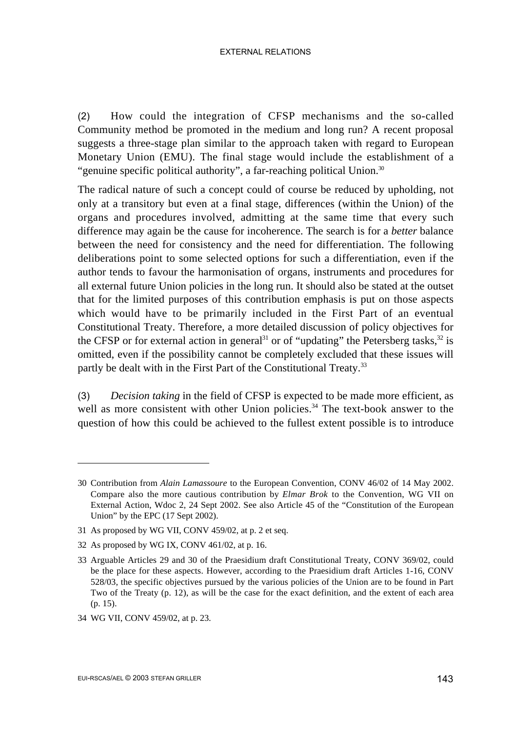#### EXTERNAL RELATIONS

(2) How could the integration of CFSP mechanisms and the so-called Community method be promoted in the medium and long run? A recent proposal suggests a three-stage plan similar to the approach taken with regard to European Monetary Union (EMU). The final stage would include the establishment of a "genuine specific political authority", a far-reaching political Union.<sup>30</sup>

The radical nature of such a concept could of course be reduced by upholding, not only at a transitory but even at a final stage, differences (within the Union) of the organs and procedures involved, admitting at the same time that every such difference may again be the cause for incoherence. The search is for a *better* balance between the need for consistency and the need for differentiation. The following deliberations point to some selected options for such a differentiation, even if the author tends to favour the harmonisation of organs, instruments and procedures for all external future Union policies in the long run. It should also be stated at the outset that for the limited purposes of this contribution emphasis is put on those aspects which would have to be primarily included in the First Part of an eventual Constitutional Treaty. Therefore, a more detailed discussion of policy objectives for the CFSP or for external action in general<sup>31</sup> or of "updating" the Petersberg tasks,  $32$  is omitted, even if the possibility cannot be completely excluded that these issues will partly be dealt with in the First Part of the Constitutional Treaty.<sup>33</sup>

(3) *Decision taking* in the field of CFSP is expected to be made more efficient, as well as more consistent with other Union policies. $34$  The text-book answer to the question of how this could be achieved to the fullest extent possible is to introduce

<sup>30</sup> Contribution from *Alain Lamassoure* to the European Convention, CONV 46/02 of 14 May 2002. Compare also the more cautious contribution by *Elmar Brok* to the Convention, WG VII on External Action, Wdoc 2, 24 Sept 2002. See also Article 45 of the "Constitution of the European Union" by the EPC (17 Sept 2002).

<sup>31</sup> As proposed by WG VII, CONV 459/02, at p. 2 et seq.

<sup>32</sup> As proposed by WG IX, CONV 461/02, at p. 16.

<sup>33</sup> Arguable Articles 29 and 30 of the Praesidium draft Constitutional Treaty, CONV 369/02, could be the place for these aspects. However, according to the Praesidium draft Articles 1-16, CONV 528/03, the specific objectives pursued by the various policies of the Union are to be found in Part Two of the Treaty (p. 12), as will be the case for the exact definition, and the extent of each area (p. 15).

<sup>34</sup> WG VII, CONV 459/02, at p. 23.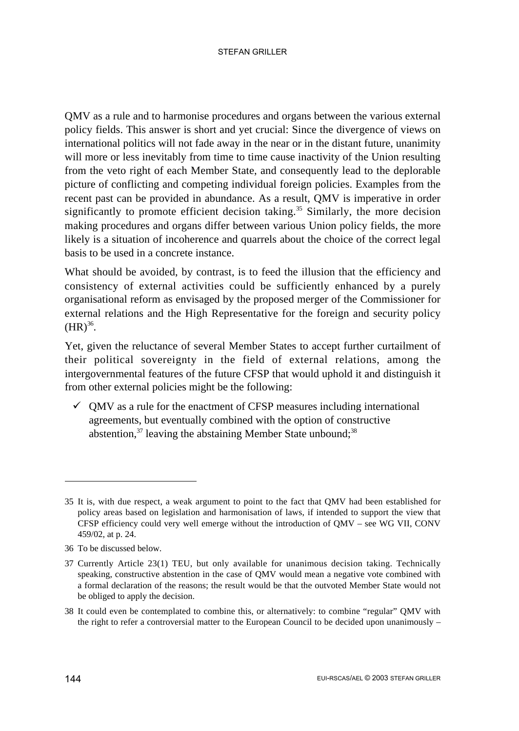QMV as a rule and to harmonise procedures and organs between the various external policy fields. This answer is short and yet crucial: Since the divergence of views on international politics will not fade away in the near or in the distant future, unanimity will more or less inevitably from time to time cause inactivity of the Union resulting from the veto right of each Member State, and consequently lead to the deplorable picture of conflicting and competing individual foreign policies. Examples from the recent past can be provided in abundance. As a result, QMV is imperative in order significantly to promote efficient decision taking.<sup>35</sup> Similarly, the more decision making procedures and organs differ between various Union policy fields, the more likely is a situation of incoherence and quarrels about the choice of the correct legal basis to be used in a concrete instance.

What should be avoided, by contrast, is to feed the illusion that the efficiency and consistency of external activities could be sufficiently enhanced by a purely organisational reform as envisaged by the proposed merger of the Commissioner for external relations and the High Representative for the foreign and security policy  $(HR)^{36}$ .

Yet, given the reluctance of several Member States to accept further curtailment of their political sovereignty in the field of external relations, among the intergovernmental features of the future CFSP that would uphold it and distinguish it from other external policies might be the following:

 $\checkmark$  QMV as a rule for the enactment of CFSP measures including international agreements, but eventually combined with the option of constructive abstention, $37$  leaving the abstaining Member State unbound; $38$ 

<sup>35</sup> It is, with due respect, a weak argument to point to the fact that QMV had been established for policy areas based on legislation and harmonisation of laws, if intended to support the view that CFSP efficiency could very well emerge without the introduction of QMV – see WG VII, CONV 459/02, at p. 24.

<sup>36</sup> To be discussed below.

<sup>37</sup> Currently Article 23(1) TEU, but only available for unanimous decision taking. Technically speaking, constructive abstention in the case of QMV would mean a negative vote combined with a formal declaration of the reasons; the result would be that the outvoted Member State would not be obliged to apply the decision.

<sup>38</sup> It could even be contemplated to combine this, or alternatively: to combine "regular" QMV with the right to refer a controversial matter to the European Council to be decided upon unanimously –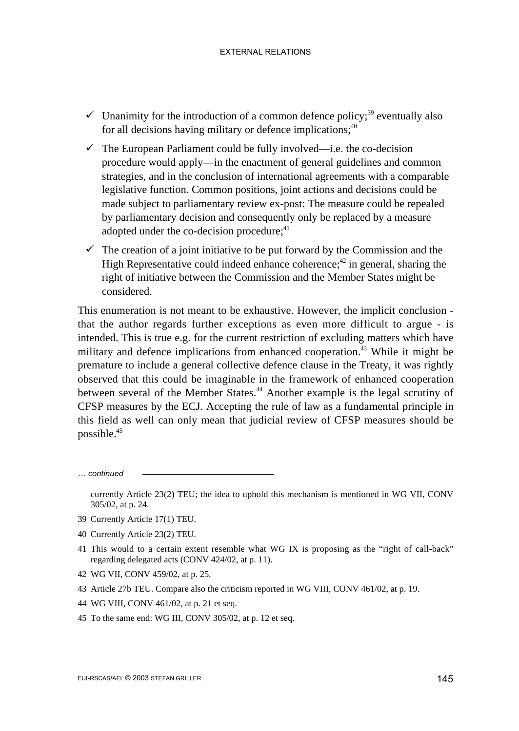- $\checkmark$  Unanimity for the introduction of a common defence policy;<sup>39</sup> eventually also for all decisions having military or defence implications; $40$
- $\checkmark$  The European Parliament could be fully involved—i.e. the co-decision procedure would apply—in the enactment of general guidelines and common strategies, and in the conclusion of international agreements with a comparable legislative function. Common positions, joint actions and decisions could be made subject to parliamentary review ex-post: The measure could be repealed by parliamentary decision and consequently only be replaced by a measure adopted under the co-decision procedure;<sup>41</sup>
- $\checkmark$  The creation of a joint initiative to be put forward by the Commission and the High Representative could indeed enhance coherence;<sup>42</sup> in general, sharing the right of initiative between the Commission and the Member States might be considered.

This enumeration is not meant to be exhaustive. However, the implicit conclusion that the author regards further exceptions as even more difficult to argue - is intended. This is true e.g. for the current restriction of excluding matters which have military and defence implications from enhanced cooperation.<sup>43</sup> While it might be premature to include a general collective defence clause in the Treaty, it was rightly observed that this could be imaginable in the framework of enhanced cooperation between several of the Member States.<sup>44</sup> Another example is the legal scrutiny of CFSP measures by the ECJ. Accepting the rule of law as a fundamental principle in this field as well can only mean that judicial review of CFSP measures should be possible.45

*… continued*

- 39 Currently Article 17(1) TEU.
- 40 Currently Article 23(2) TEU.
- 41 This would to a certain extent resemble what WG IX is proposing as the "right of call-back" regarding delegated acts (CONV 424/02, at p. 11).
- 42 WG VII, CONV 459/02, at p. 25.
- 43 Article 27b TEU. Compare also the criticism reported in WG VIII, CONV 461/02, at p. 19.
- 44 WG VIII, CONV 461/02, at p. 21 et seq.
- 45 To the same end: WG III, CONV 305/02, at p. 12 et seq.

currently Article 23(2) TEU; the idea to uphold this mechanism is mentioned in WG VII, CONV 305/02, at p. 24.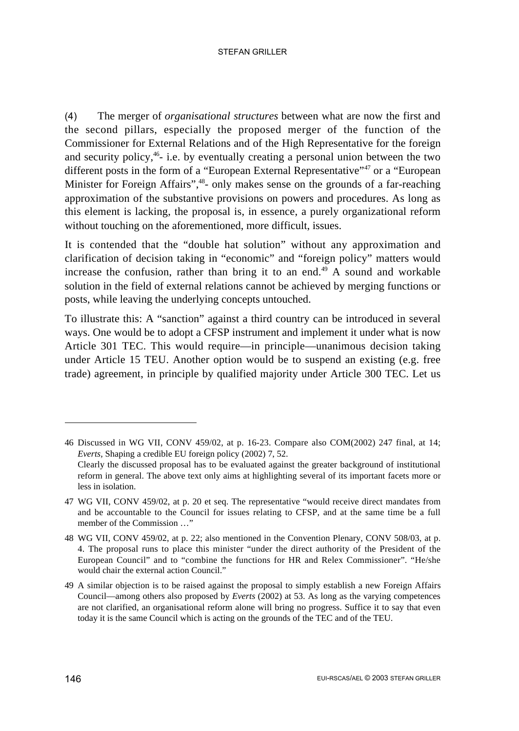#### STEFAN GRILLER

(4) The merger of *organisational structures* between what are now the first and the second pillars, especially the proposed merger of the function of the Commissioner for External Relations and of the High Representative for the foreign and security policy, $46$ - i.e. by eventually creating a personal union between the two different posts in the form of a "European External Representative"<sup>47</sup> or a "European Minister for Foreign Affairs",<sup>48</sup>- only makes sense on the grounds of a far-reaching approximation of the substantive provisions on powers and procedures. As long as this element is lacking, the proposal is, in essence, a purely organizational reform without touching on the aforementioned, more difficult, issues.

It is contended that the "double hat solution" without any approximation and clarification of decision taking in "economic" and "foreign policy" matters would increase the confusion, rather than bring it to an end.<sup>49</sup> A sound and workable solution in the field of external relations cannot be achieved by merging functions or posts, while leaving the underlying concepts untouched.

To illustrate this: A "sanction" against a third country can be introduced in several ways. One would be to adopt a CFSP instrument and implement it under what is now Article 301 TEC. This would require—in principle—unanimous decision taking under Article 15 TEU. Another option would be to suspend an existing (e.g. free trade) agreement, in principle by qualified majority under Article 300 TEC. Let us

<sup>46</sup> Discussed in WG VII, CONV 459/02, at p. 16-23. Compare also COM(2002) 247 final, at 14; *Everts,* Shaping a credible EU foreign policy (2002) 7, 52. Clearly the discussed proposal has to be evaluated against the greater background of institutional reform in general. The above text only aims at highlighting several of its important facets more or less in isolation.

<sup>47</sup> WG VII, CONV 459/02, at p. 20 et seq. The representative "would receive direct mandates from and be accountable to the Council for issues relating to CFSP, and at the same time be a full member of the Commission …"

<sup>48</sup> WG VII, CONV 459/02, at p. 22; also mentioned in the Convention Plenary, CONV 508/03, at p. 4. The proposal runs to place this minister "under the direct authority of the President of the European Council" and to "combine the functions for HR and Relex Commissioner". "He/she would chair the external action Council."

<sup>49</sup> A similar objection is to be raised against the proposal to simply establish a new Foreign Affairs Council—among others also proposed by *Everts* (2002) at 53. As long as the varying competences are not clarified, an organisational reform alone will bring no progress. Suffice it to say that even today it is the same Council which is acting on the grounds of the TEC and of the TEU.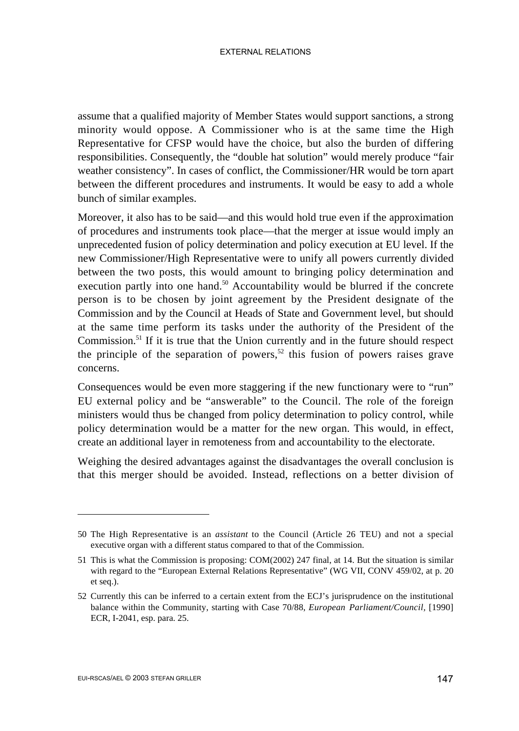assume that a qualified majority of Member States would support sanctions, a strong minority would oppose. A Commissioner who is at the same time the High Representative for CFSP would have the choice, but also the burden of differing responsibilities. Consequently, the "double hat solution" would merely produce "fair weather consistency". In cases of conflict, the Commissioner/HR would be torn apart between the different procedures and instruments. It would be easy to add a whole bunch of similar examples.

Moreover, it also has to be said—and this would hold true even if the approximation of procedures and instruments took place—that the merger at issue would imply an unprecedented fusion of policy determination and policy execution at EU level. If the new Commissioner/High Representative were to unify all powers currently divided between the two posts, this would amount to bringing policy determination and execution partly into one hand.<sup>50</sup> Accountability would be blurred if the concrete person is to be chosen by joint agreement by the President designate of the Commission and by the Council at Heads of State and Government level, but should at the same time perform its tasks under the authority of the President of the Commission.<sup>51</sup> If it is true that the Union currently and in the future should respect the principle of the separation of powers,<sup>52</sup> this fusion of powers raises grave concerns.

Consequences would be even more staggering if the new functionary were to "run" EU external policy and be "answerable" to the Council. The role of the foreign ministers would thus be changed from policy determination to policy control, while policy determination would be a matter for the new organ. This would, in effect, create an additional layer in remoteness from and accountability to the electorate.

Weighing the desired advantages against the disadvantages the overall conclusion is that this merger should be avoided. Instead, reflections on a better division of

<sup>50</sup> The High Representative is an *assistant* to the Council (Article 26 TEU) and not a special executive organ with a different status compared to that of the Commission.

<sup>51</sup> This is what the Commission is proposing: COM(2002) 247 final, at 14. But the situation is similar with regard to the "European External Relations Representative" (WG VII, CONV 459/02, at p. 20 et seq.).

<sup>52</sup> Currently this can be inferred to a certain extent from the ECJ's jurisprudence on the institutional balance within the Community, starting with Case 70/88, *European Parliament/Council,* [1990] ECR, I-2041, esp. para. 25.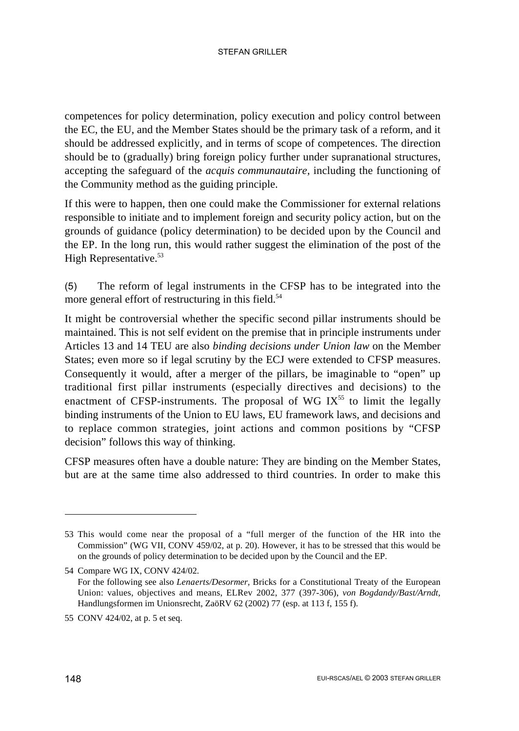competences for policy determination, policy execution and policy control between the EC, the EU, and the Member States should be the primary task of a reform, and it should be addressed explicitly, and in terms of scope of competences. The direction should be to (gradually) bring foreign policy further under supranational structures, accepting the safeguard of the *acquis communautaire,* including the functioning of the Community method as the guiding principle.

If this were to happen, then one could make the Commissioner for external relations responsible to initiate and to implement foreign and security policy action, but on the grounds of guidance (policy determination) to be decided upon by the Council and the EP. In the long run, this would rather suggest the elimination of the post of the High Representative.<sup>53</sup>

(5) The reform of legal instruments in the CFSP has to be integrated into the more general effort of restructuring in this field.<sup>54</sup>

It might be controversial whether the specific second pillar instruments should be maintained. This is not self evident on the premise that in principle instruments under Articles 13 and 14 TEU are also *binding decisions under Union law* on the Member States; even more so if legal scrutiny by the ECJ were extended to CFSP measures. Consequently it would, after a merger of the pillars, be imaginable to "open" up traditional first pillar instruments (especially directives and decisions) to the enactment of CFSP-instruments. The proposal of WG  $IX<sup>55</sup>$  to limit the legally binding instruments of the Union to EU laws, EU framework laws, and decisions and to replace common strategies, joint actions and common positions by "CFSP decision" follows this way of thinking.

CFSP measures often have a double nature: They are binding on the Member States, but are at the same time also addressed to third countries. In order to make this

<sup>53</sup> This would come near the proposal of a "full merger of the function of the HR into the Commission" (WG VII, CONV 459/02, at p. 20). However, it has to be stressed that this would be on the grounds of policy determination to be decided upon by the Council and the EP.

<sup>54</sup> Compare WG IX, CONV 424/02. For the following see also *Lenaerts/Desormer,* Bricks for a Constitutional Treaty of the European Union: values, objectives and means, ELRev 2002, 377 (397-306), *von Bogdandy/Bast/Arndt,* Handlungsformen im Unionsrecht, ZaöRV 62 (2002) 77 (esp. at 113 f, 155 f).

<sup>55</sup> CONV 424/02, at p. 5 et seq.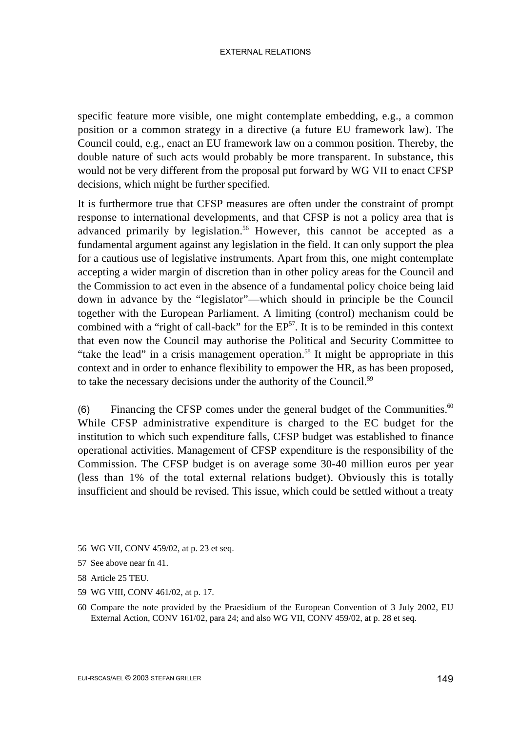#### EXTERNAL RELATIONS

specific feature more visible, one might contemplate embedding, e.g., a common position or a common strategy in a directive (a future EU framework law). The Council could, e.g., enact an EU framework law on a common position. Thereby, the double nature of such acts would probably be more transparent. In substance, this would not be very different from the proposal put forward by WG VII to enact CFSP decisions, which might be further specified.

It is furthermore true that CFSP measures are often under the constraint of prompt response to international developments, and that CFSP is not a policy area that is advanced primarily by legislation.<sup>56</sup> However, this cannot be accepted as a fundamental argument against any legislation in the field. It can only support the plea for a cautious use of legislative instruments. Apart from this, one might contemplate accepting a wider margin of discretion than in other policy areas for the Council and the Commission to act even in the absence of a fundamental policy choice being laid down in advance by the "legislator"—which should in principle be the Council together with the European Parliament. A limiting (control) mechanism could be combined with a "right of call-back" for the EP<sup>57</sup>. It is to be reminded in this context that even now the Council may authorise the Political and Security Committee to "take the lead" in a crisis management operation.<sup>58</sup> It might be appropriate in this context and in order to enhance flexibility to empower the HR, as has been proposed, to take the necessary decisions under the authority of the Council.<sup>59</sup>

(6) Financing the CFSP comes under the general budget of the Communities.<sup>60</sup> While CFSP administrative expenditure is charged to the EC budget for the institution to which such expenditure falls, CFSP budget was established to finance operational activities. Management of CFSP expenditure is the responsibility of the Commission. The CFSP budget is on average some 30-40 million euros per year (less than 1% of the total external relations budget). Obviously this is totally insufficient and should be revised. This issue, which could be settled without a treaty

- 59 WG VIII, CONV 461/02, at p. 17.
- 60 Compare the note provided by the Praesidium of the European Convention of 3 July 2002, EU External Action, CONV 161/02, para 24; and also WG VII, CONV 459/02, at p. 28 et seq.

<sup>56</sup> WG VII, CONV 459/02, at p. 23 et seq.

<sup>57</sup> See above near fn 41.

<sup>58</sup> Article 25 TEU.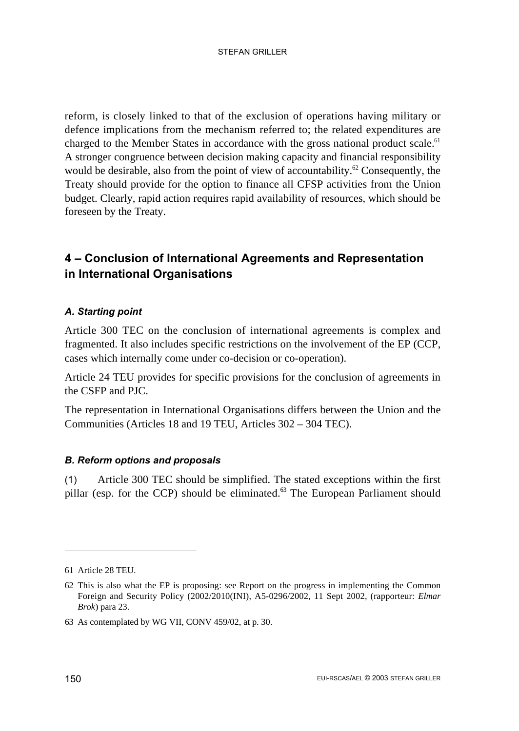reform, is closely linked to that of the exclusion of operations having military or defence implications from the mechanism referred to; the related expenditures are charged to the Member States in accordance with the gross national product scale.<sup>61</sup> A stronger congruence between decision making capacity and financial responsibility would be desirable, also from the point of view of accountability. $62$  Consequently, the Treaty should provide for the option to finance all CFSP activities from the Union budget. Clearly, rapid action requires rapid availability of resources, which should be foreseen by the Treaty.

# **4 – Conclusion of International Agreements and Representation in International Organisations**

# *A. Starting point*

Article 300 TEC on the conclusion of international agreements is complex and fragmented. It also includes specific restrictions on the involvement of the EP (CCP, cases which internally come under co-decision or co-operation).

Article 24 TEU provides for specific provisions for the conclusion of agreements in the CSFP and PJC.

The representation in International Organisations differs between the Union and the Communities (Articles 18 and 19 TEU, Articles 302 – 304 TEC).

# *B. Reform options and proposals*

(1) Article 300 TEC should be simplified. The stated exceptions within the first pillar (esp. for the CCP) should be eliminated.<sup>63</sup> The European Parliament should

 $\overline{a}$ 

<sup>61</sup> Article 28 TEU.

<sup>62</sup> This is also what the EP is proposing: see Report on the progress in implementing the Common Foreign and Security Policy (2002/2010(INI), A5-0296/2002, 11 Sept 2002, (rapporteur: *Elmar Brok*) para 23.

<sup>63</sup> As contemplated by WG VII, CONV 459/02, at p. 30.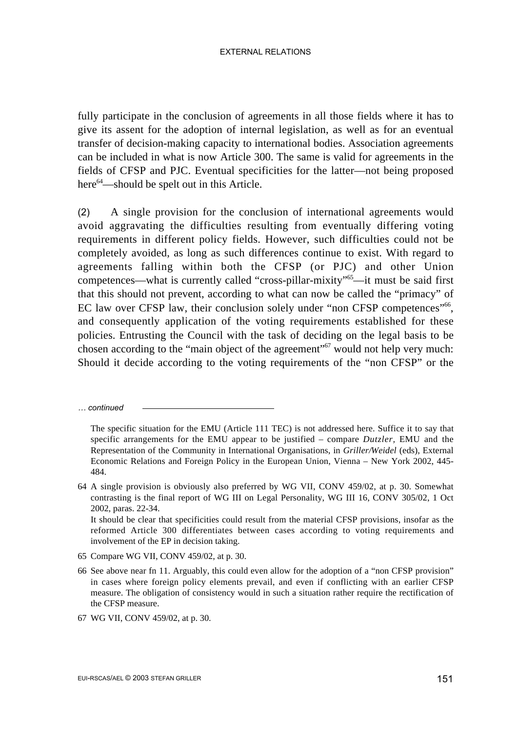fully participate in the conclusion of agreements in all those fields where it has to give its assent for the adoption of internal legislation, as well as for an eventual transfer of decision-making capacity to international bodies. Association agreements can be included in what is now Article 300. The same is valid for agreements in the fields of CFSP and PJC. Eventual specificities for the latter—not being proposed here<sup>64</sup>—should be spelt out in this Article.

(2) A single provision for the conclusion of international agreements would avoid aggravating the difficulties resulting from eventually differing voting requirements in different policy fields. However, such difficulties could not be completely avoided, as long as such differences continue to exist. With regard to agreements falling within both the CFSP (or PJC) and other Union competences—what is currently called "cross-pillar-mixity"<sup>65</sup>—it must be said first that this should not prevent, according to what can now be called the "primacy" of EC law over CFSP law, their conclusion solely under "non CFSP competences"<sup>66</sup>, and consequently application of the voting requirements established for these policies. Entrusting the Council with the task of deciding on the legal basis to be chosen according to the "main object of the agreement"<sup>67</sup> would not help very much: Should it decide according to the voting requirements of the "non CFSP" or the

65 Compare WG VII, CONV 459/02, at p. 30.

67 WG VII, CONV 459/02, at p. 30.

*<sup>…</sup> continued*

The specific situation for the EMU (Article 111 TEC) is not addressed here. Suffice it to say that specific arrangements for the EMU appear to be justified – compare *Dutzler,* EMU and the Representation of the Community in International Organisations, in *Griller/Weidel* (eds), External Economic Relations and Foreign Policy in the European Union, Vienna – New York 2002, 445- 484.

<sup>64</sup> A single provision is obviously also preferred by WG VII, CONV 459/02, at p. 30. Somewhat contrasting is the final report of WG III on Legal Personality, WG III 16, CONV 305/02, 1 Oct 2002, paras. 22-34.

It should be clear that specificities could result from the material CFSP provisions, insofar as the reformed Article 300 differentiates between cases according to voting requirements and involvement of the EP in decision taking.

<sup>66</sup> See above near fn 11. Arguably, this could even allow for the adoption of a "non CFSP provision" in cases where foreign policy elements prevail, and even if conflicting with an earlier CFSP measure. The obligation of consistency would in such a situation rather require the rectification of the CFSP measure.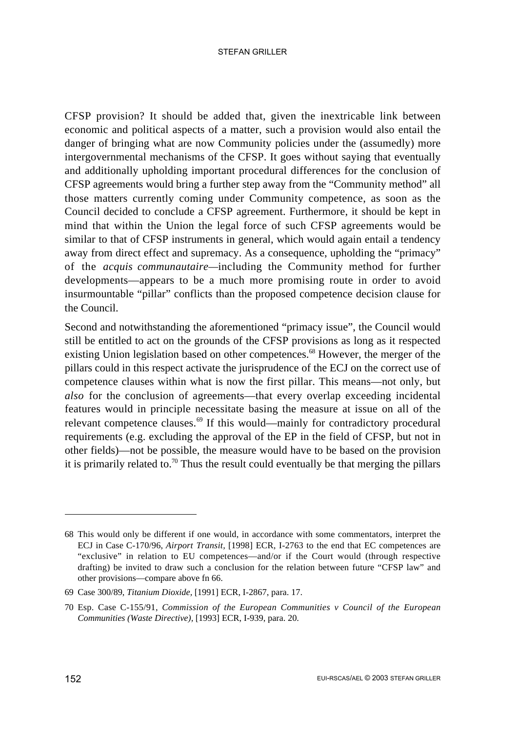#### STEFAN GRILLER

CFSP provision? It should be added that, given the inextricable link between economic and political aspects of a matter, such a provision would also entail the danger of bringing what are now Community policies under the (assumedly) more intergovernmental mechanisms of the CFSP. It goes without saying that eventually and additionally upholding important procedural differences for the conclusion of CFSP agreements would bring a further step away from the "Community method" all those matters currently coming under Community competence, as soon as the Council decided to conclude a CFSP agreement. Furthermore, it should be kept in mind that within the Union the legal force of such CFSP agreements would be similar to that of CFSP instruments in general, which would again entail a tendency away from direct effect and supremacy. As a consequence, upholding the "primacy" of the *acquis communautaire—*including the Community method for further developments—appears to be a much more promising route in order to avoid insurmountable "pillar" conflicts than the proposed competence decision clause for the Council.

Second and notwithstanding the aforementioned "primacy issue", the Council would still be entitled to act on the grounds of the CFSP provisions as long as it respected existing Union legislation based on other competences.<sup>68</sup> However, the merger of the pillars could in this respect activate the jurisprudence of the ECJ on the correct use of competence clauses within what is now the first pillar. This means—not only, but *also* for the conclusion of agreements—that every overlap exceeding incidental features would in principle necessitate basing the measure at issue on all of the relevant competence clauses. $\frac{69}{11}$  If this would—mainly for contradictory procedural requirements (e.g. excluding the approval of the EP in the field of CFSP, but not in other fields)—not be possible, the measure would have to be based on the provision it is primarily related to.<sup>70</sup> Thus the result could eventually be that merging the pillars

<sup>68</sup> This would only be different if one would, in accordance with some commentators, interpret the ECJ in Case C-170/96, *Airport Transit,* [1998] ECR, I-2763 to the end that EC competences are "exclusive" in relation to EU competences—and/or if the Court would (through respective drafting) be invited to draw such a conclusion for the relation between future "CFSP law" and other provisions—compare above fn 66.

<sup>69</sup> Case 300/89, *Titanium Dioxide,* [1991] ECR, I-2867, para. 17.

<sup>70</sup> Esp. Case C-155/91, *Commission of the European Communities v Council of the European Communities (Waste Directive),* [1993] ECR, I-939, para. 20.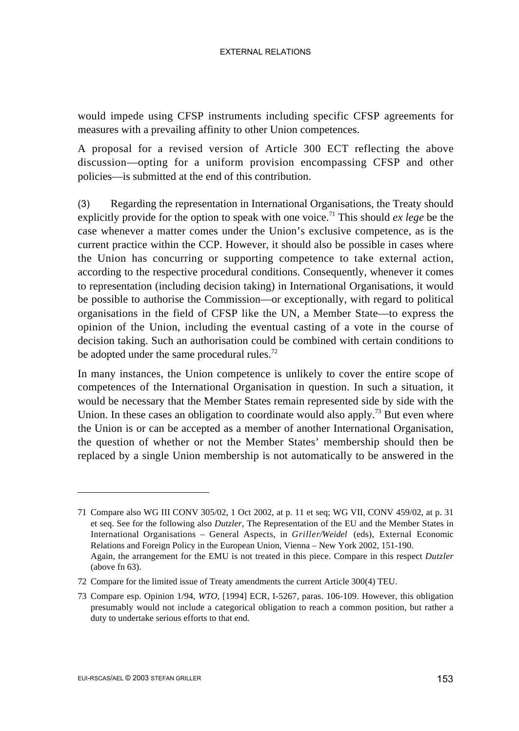would impede using CFSP instruments including specific CFSP agreements for measures with a prevailing affinity to other Union competences.

A proposal for a revised version of Article 300 ECT reflecting the above discussion—opting for a uniform provision encompassing CFSP and other policies—is submitted at the end of this contribution.

(3) Regarding the representation in International Organisations, the Treaty should explicitly provide for the option to speak with one voice.<sup>71</sup> This should *ex lege* be the case whenever a matter comes under the Union's exclusive competence, as is the current practice within the CCP. However, it should also be possible in cases where the Union has concurring or supporting competence to take external action, according to the respective procedural conditions. Consequently, whenever it comes to representation (including decision taking) in International Organisations, it would be possible to authorise the Commission—or exceptionally, with regard to political organisations in the field of CFSP like the UN, a Member State—to express the opinion of the Union, including the eventual casting of a vote in the course of decision taking. Such an authorisation could be combined with certain conditions to be adopted under the same procedural rules.<sup>72</sup>

In many instances, the Union competence is unlikely to cover the entire scope of competences of the International Organisation in question. In such a situation, it would be necessary that the Member States remain represented side by side with the Union. In these cases an obligation to coordinate would also apply.<sup>73</sup> But even where the Union is or can be accepted as a member of another International Organisation, the question of whether or not the Member States' membership should then be replaced by a single Union membership is not automatically to be answered in the

<sup>71</sup> Compare also WG III CONV 305/02, 1 Oct 2002, at p. 11 et seq; WG VII, CONV 459/02, at p. 31 et seq. See for the following also *Dutzler,* The Representation of the EU and the Member States in International Organisations – General Aspects, in *Griller/Weidel* (eds), External Economic Relations and Foreign Policy in the European Union, Vienna – New York 2002, 151-190. Again, the arrangement for the EMU is not treated in this piece. Compare in this respect *Dutzler* (above fn 63).

<sup>72</sup> Compare for the limited issue of Treaty amendments the current Article 300(4) TEU.

<sup>73</sup> Compare esp. Opinion 1/94, *WTO,* [1994] ECR, I-5267, paras. 106-109. However, this obligation presumably would not include a categorical obligation to reach a common position, but rather a duty to undertake serious efforts to that end.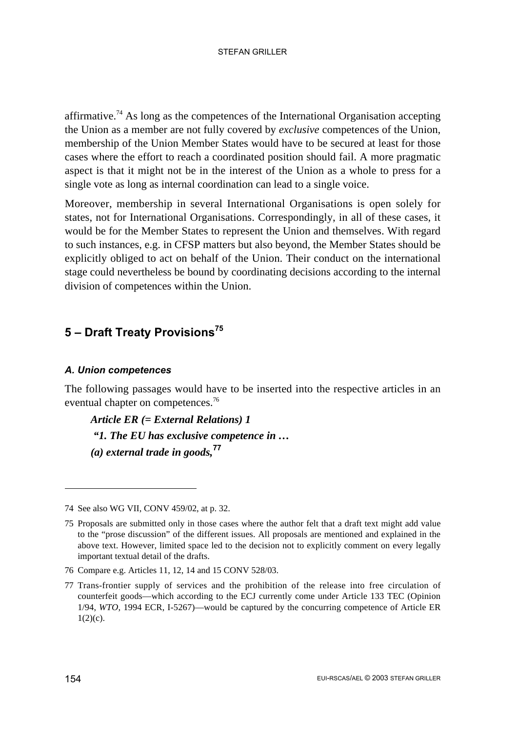affirmative.<sup>74</sup> As long as the competences of the International Organisation accepting the Union as a member are not fully covered by *exclusive* competences of the Union, membership of the Union Member States would have to be secured at least for those cases where the effort to reach a coordinated position should fail. A more pragmatic aspect is that it might not be in the interest of the Union as a whole to press for a single vote as long as internal coordination can lead to a single voice.

Moreover, membership in several International Organisations is open solely for states, not for International Organisations. Correspondingly, in all of these cases, it would be for the Member States to represent the Union and themselves. With regard to such instances, e.g. in CFSP matters but also beyond, the Member States should be explicitly obliged to act on behalf of the Union. Their conduct on the international stage could nevertheless be bound by coordinating decisions according to the internal division of competences within the Union.

# **5 – Draft Treaty Provisions75**

## *A. Union competences*

The following passages would have to be inserted into the respective articles in an eventual chapter on competences.<sup>76</sup>

*Article ER (= External Relations) 1 "1. The EU has exclusive competence in … (a) external trade in goods,***<sup>77</sup>**

<sup>74</sup> See also WG VII, CONV 459/02, at p. 32.

<sup>75</sup> Proposals are submitted only in those cases where the author felt that a draft text might add value to the "prose discussion" of the different issues. All proposals are mentioned and explained in the above text. However, limited space led to the decision not to explicitly comment on every legally important textual detail of the drafts.

<sup>76</sup> Compare e.g. Articles 11, 12, 14 and 15 CONV 528/03.

<sup>77</sup> Trans-frontier supply of services and the prohibition of the release into free circulation of counterfeit goods—which according to the ECJ currently come under Article 133 TEC (Opinion 1/94, *WTO,* 1994 ECR, I-5267)—would be captured by the concurring competence of Article ER  $1(2)(c)$ .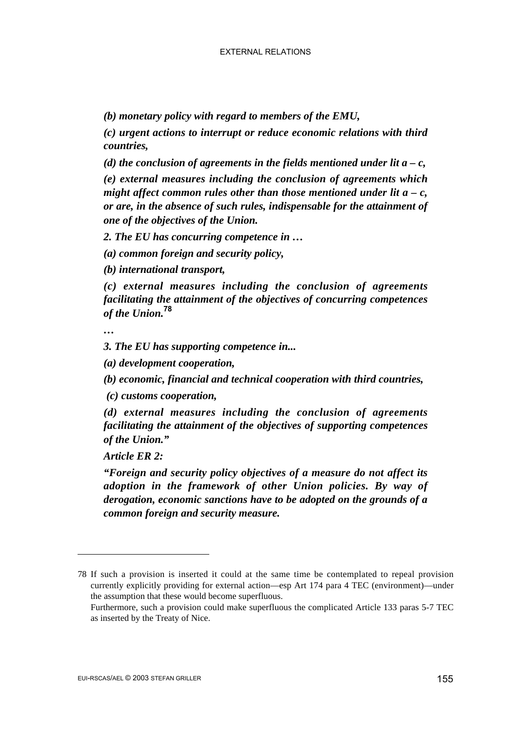*(b) monetary policy with regard to members of the EMU,*

*(c) urgent actions to interrupt or reduce economic relations with third countries,*

*(d) the conclusion of agreements in the fields mentioned under lit a – c,*

*(e) external measures including the conclusion of agreements which might affect common rules other than those mentioned under lit a – c, or are, in the absence of such rules, indispensable for the attainment of one of the objectives of the Union.*

*2. The EU has concurring competence in …*

*(a) common foreign and security policy,*

*(b) international transport,*

*(c) external measures including the conclusion of agreements facilitating the attainment of the objectives of concurring competences of the Union.***<sup>78</sup>**

*…*

*3. The EU has supporting competence in...*

*(a) development cooperation,*

*(b) economic, financial and technical cooperation with third countries,*

 *(c) customs cooperation,*

*(d) external measures including the conclusion of agreements facilitating the attainment of the objectives of supporting competences of the Union."*

*Article ER 2:*

l

*"Foreign and security policy objectives of a measure do not affect its adoption in the framework of other Union policies. By way of derogation, economic sanctions have to be adopted on the grounds of a common foreign and security measure.*

78 If such a provision is inserted it could at the same time be contemplated to repeal provision currently explicitly providing for external action—esp Art 174 para 4 TEC (environment)—under the assumption that these would become superfluous.

Furthermore, such a provision could make superfluous the complicated Article 133 paras 5-7 TEC as inserted by the Treaty of Nice.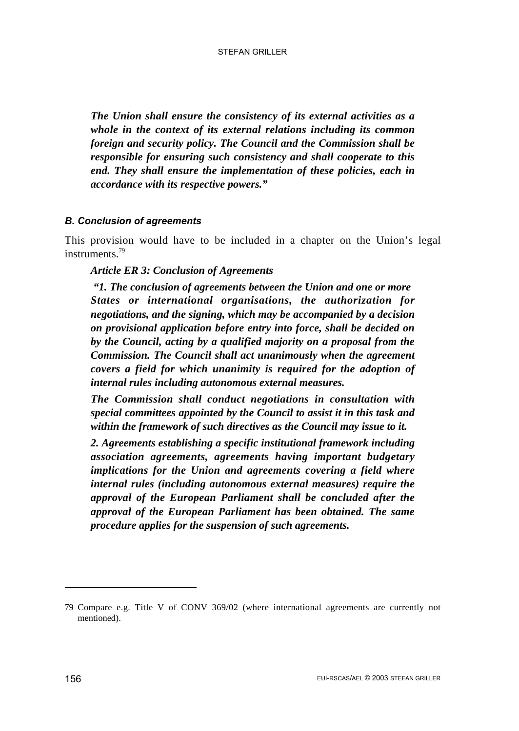*The Union shall ensure the consistency of its external activities as a whole in the context of its external relations including its common foreign and security policy. The Council and the Commission shall be responsible for ensuring such consistency and shall cooperate to this end. They shall ensure the implementation of these policies, each in accordance with its respective powers."*

# *B. Conclusion of agreements*

This provision would have to be included in a chapter on the Union's legal instruments.<sup>79</sup>

# *Article ER 3: Conclusion of Agreements*

 *"1. The conclusion of agreements between the Union and one or more States or international organisations, the authorization for negotiations, and the signing, which may be accompanied by a decision on provisional application before entry into force, shall be decided on by the Council, acting by a qualified majority on a proposal from the Commission. The Council shall act unanimously when the agreement covers a field for which unanimity is required for the adoption of internal rules including autonomous external measures.*

*The Commission shall conduct negotiations in consultation with special committees appointed by the Council to assist it in this task and within the framework of such directives as the Council may issue to it.*

*2. Agreements establishing a specific institutional framework including association agreements, agreements having important budgetary implications for the Union and agreements covering a field where internal rules (including autonomous external measures) require the approval of the European Parliament shall be concluded after the approval of the European Parliament has been obtained. The same procedure applies for the suspension of such agreements.*

<sup>79</sup> Compare e.g. Title V of CONV 369/02 (where international agreements are currently not mentioned).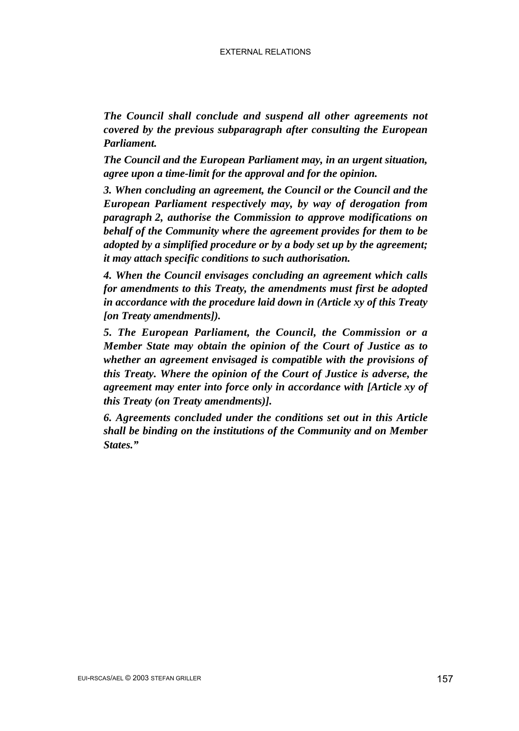*The Council shall conclude and suspend all other agreements not covered by the previous subparagraph after consulting the European Parliament.*

*The Council and the European Parliament may, in an urgent situation, agree upon a time-limit for the approval and for the opinion.*

*3. When concluding an agreement, the Council or the Council and the European Parliament respectively may, by way of derogation from paragraph 2, authorise the Commission to approve modifications on behalf of the Community where the agreement provides for them to be adopted by a simplified procedure or by a body set up by the agreement; it may attach specific conditions to such authorisation.*

*4. When the Council envisages concluding an agreement which calls for amendments to this Treaty, the amendments must first be adopted in accordance with the procedure laid down in (Article xy of this Treaty [on Treaty amendments]).*

*5. The European Parliament, the Council, the Commission or a Member State may obtain the opinion of the Court of Justice as to whether an agreement envisaged is compatible with the provisions of this Treaty. Where the opinion of the Court of Justice is adverse, the agreement may enter into force only in accordance with [Article xy of this Treaty (on Treaty amendments)].*

*6. Agreements concluded under the conditions set out in this Article shall be binding on the institutions of the Community and on Member States."*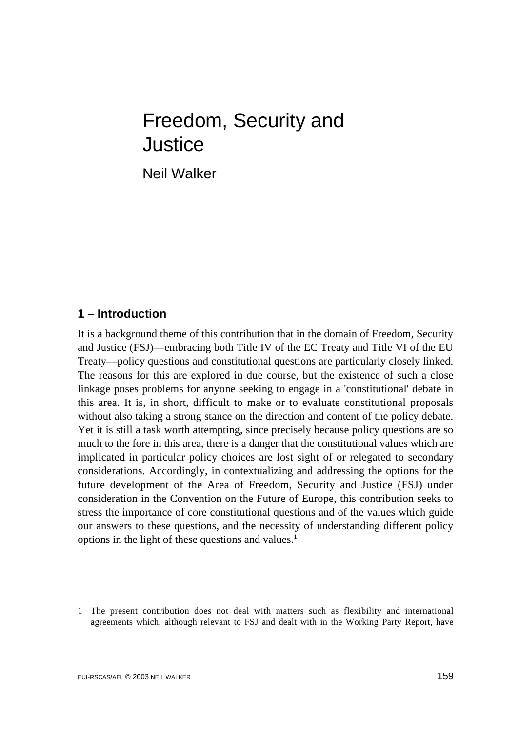# Freedom, Security and Justice

Neil Walker

# **1 – Introduction**

It is a background theme of this contribution that in the domain of Freedom, Security and Justice (FSJ)—embracing both Title IV of the EC Treaty and Title VI of the EU Treaty—policy questions and constitutional questions are particularly closely linked. The reasons for this are explored in due course, but the existence of such a close linkage poses problems for anyone seeking to engage in a 'constitutional' debate in this area. It is, in short, difficult to make or to evaluate constitutional proposals without also taking a strong stance on the direction and content of the policy debate. Yet it is still a task worth attempting, since precisely because policy questions are so much to the fore in this area, there is a danger that the constitutional values which are implicated in particular policy choices are lost sight of or relegated to secondary considerations. Accordingly, in contextualizing and addressing the options for the future development of the Area of Freedom, Security and Justice (FSJ) under consideration in the Convention on the Future of Europe, this contribution seeks to stress the importance of core constitutional questions and of the values which guide our answers to these questions, and the necessity of understanding different policy options in the light of these questions and values.**<sup>1</sup>**

 $\overline{a}$ 

<sup>1</sup> The present contribution does not deal with matters such as flexibility and international agreements which, although relevant to FSJ and dealt with in the Working Party Report, have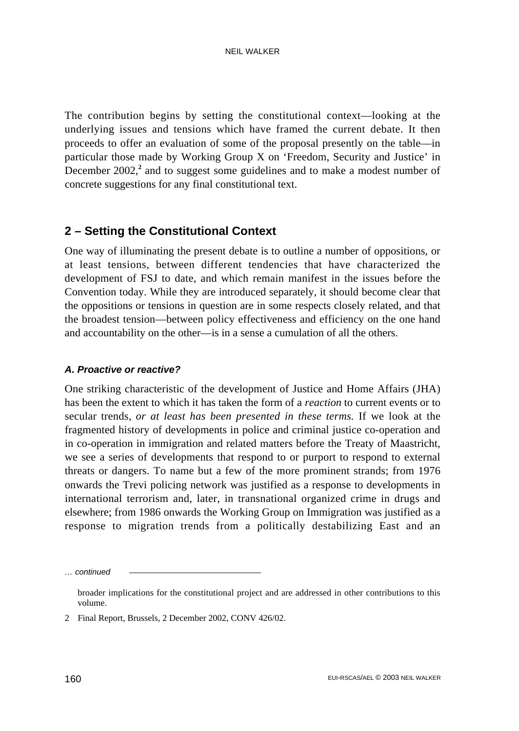The contribution begins by setting the constitutional context—looking at the underlying issues and tensions which have framed the current debate. It then proceeds to offer an evaluation of some of the proposal presently on the table—in particular those made by Working Group X on 'Freedom, Security and Justice' in December 2002,**<sup>2</sup>** and to suggest some guidelines and to make a modest number of concrete suggestions for any final constitutional text.

# **2 – Setting the Constitutional Context**

One way of illuminating the present debate is to outline a number of oppositions, or at least tensions, between different tendencies that have characterized the development of FSJ to date, and which remain manifest in the issues before the Convention today. While they are introduced separately, it should become clear that the oppositions or tensions in question are in some respects closely related, and that the broadest tension—between policy effectiveness and efficiency on the one hand and accountability on the other—is in a sense a cumulation of all the others.

#### *A. Proactive or reactive?*

One striking characteristic of the development of Justice and Home Affairs (JHA) has been the extent to which it has taken the form of a *reaction* to current events or to secular trends, *or at least has been presented in these terms.* If we look at the fragmented history of developments in police and criminal justice co-operation and in co-operation in immigration and related matters before the Treaty of Maastricht, we see a series of developments that respond to or purport to respond to external threats or dangers. To name but a few of the more prominent strands; from 1976 onwards the Trevi policing network was justified as a response to developments in international terrorism and, later, in transnational organized crime in drugs and elsewhere; from 1986 onwards the Working Group on Immigration was justified as a response to migration trends from a politically destabilizing East and an

*<sup>…</sup> continued*

broader implications for the constitutional project and are addressed in other contributions to this volume.

<sup>2</sup> Final Report, Brussels, 2 December 2002, CONV 426/02.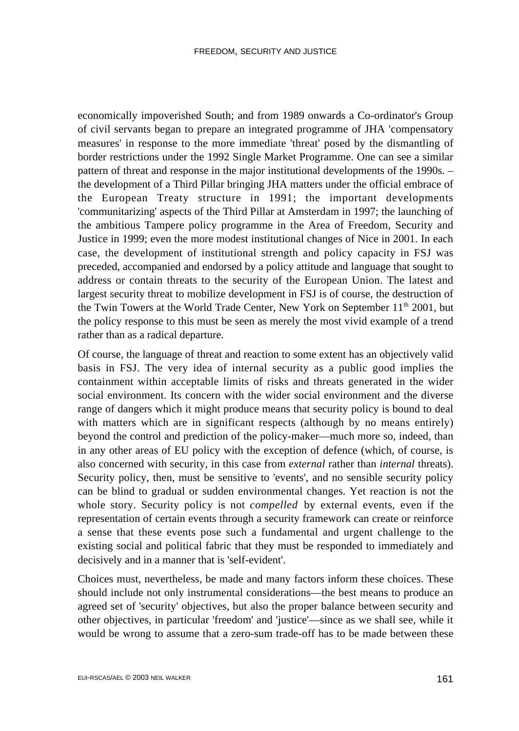economically impoverished South; and from 1989 onwards a Co-ordinator's Group of civil servants began to prepare an integrated programme of JHA 'compensatory measures' in response to the more immediate 'threat' posed by the dismantling of border restrictions under the 1992 Single Market Programme. One can see a similar pattern of threat and response in the major institutional developments of the 1990s. – the development of a Third Pillar bringing JHA matters under the official embrace of the European Treaty structure in 1991; the important developments 'communitarizing' aspects of the Third Pillar at Amsterdam in 1997; the launching of the ambitious Tampere policy programme in the Area of Freedom, Security and Justice in 1999; even the more modest institutional changes of Nice in 2001. In each case, the development of institutional strength and policy capacity in FSJ was preceded, accompanied and endorsed by a policy attitude and language that sought to address or contain threats to the security of the European Union. The latest and largest security threat to mobilize development in FSJ is of course, the destruction of the Twin Towers at the World Trade Center, New York on September 11<sup>th</sup> 2001, but the policy response to this must be seen as merely the most vivid example of a trend rather than as a radical departure.

Of course, the language of threat and reaction to some extent has an objectively valid basis in FSJ. The very idea of internal security as a public good implies the containment within acceptable limits of risks and threats generated in the wider social environment. Its concern with the wider social environment and the diverse range of dangers which it might produce means that security policy is bound to deal with matters which are in significant respects (although by no means entirely) beyond the control and prediction of the policy-maker—much more so, indeed, than in any other areas of EU policy with the exception of defence (which, of course, is also concerned with security, in this case from *external* rather than *internal* threats). Security policy, then, must be sensitive to 'events', and no sensible security policy can be blind to gradual or sudden environmental changes. Yet reaction is not the whole story. Security policy is not *compelled* by external events, even if the representation of certain events through a security framework can create or reinforce a sense that these events pose such a fundamental and urgent challenge to the existing social and political fabric that they must be responded to immediately and decisively and in a manner that is 'self-evident'.

Choices must, nevertheless, be made and many factors inform these choices. These should include not only instrumental considerations—the best means to produce an agreed set of 'security' objectives, but also the proper balance between security and other objectives, in particular 'freedom' and 'justice'—since as we shall see, while it would be wrong to assume that a zero-sum trade-off has to be made between these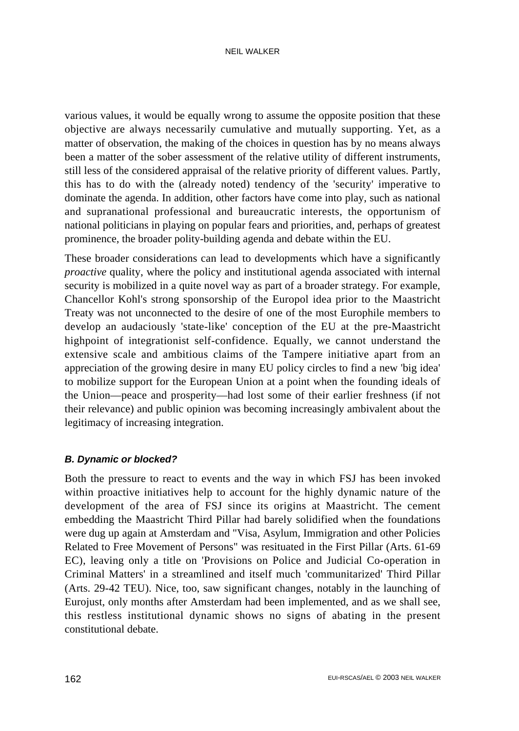various values, it would be equally wrong to assume the opposite position that these objective are always necessarily cumulative and mutually supporting. Yet, as a matter of observation, the making of the choices in question has by no means always been a matter of the sober assessment of the relative utility of different instruments, still less of the considered appraisal of the relative priority of different values. Partly, this has to do with the (already noted) tendency of the 'security' imperative to dominate the agenda. In addition, other factors have come into play, such as national and supranational professional and bureaucratic interests, the opportunism of national politicians in playing on popular fears and priorities, and, perhaps of greatest prominence, the broader polity-building agenda and debate within the EU.

These broader considerations can lead to developments which have a significantly *proactive* quality, where the policy and institutional agenda associated with internal security is mobilized in a quite novel way as part of a broader strategy. For example, Chancellor Kohl's strong sponsorship of the Europol idea prior to the Maastricht Treaty was not unconnected to the desire of one of the most Europhile members to develop an audaciously 'state-like' conception of the EU at the pre-Maastricht highpoint of integrationist self-confidence. Equally, we cannot understand the extensive scale and ambitious claims of the Tampere initiative apart from an appreciation of the growing desire in many EU policy circles to find a new 'big idea' to mobilize support for the European Union at a point when the founding ideals of the Union—peace and prosperity—had lost some of their earlier freshness (if not their relevance) and public opinion was becoming increasingly ambivalent about the legitimacy of increasing integration.

## *B. Dynamic or blocked?*

Both the pressure to react to events and the way in which FSJ has been invoked within proactive initiatives help to account for the highly dynamic nature of the development of the area of FSJ since its origins at Maastricht. The cement embedding the Maastricht Third Pillar had barely solidified when the foundations were dug up again at Amsterdam and "Visa, Asylum, Immigration and other Policies Related to Free Movement of Persons" was resituated in the First Pillar (Arts. 61-69 EC), leaving only a title on 'Provisions on Police and Judicial Co-operation in Criminal Matters' in a streamlined and itself much 'communitarized' Third Pillar (Arts. 29-42 TEU). Nice, too, saw significant changes, notably in the launching of Eurojust, only months after Amsterdam had been implemented, and as we shall see, this restless institutional dynamic shows no signs of abating in the present constitutional debate.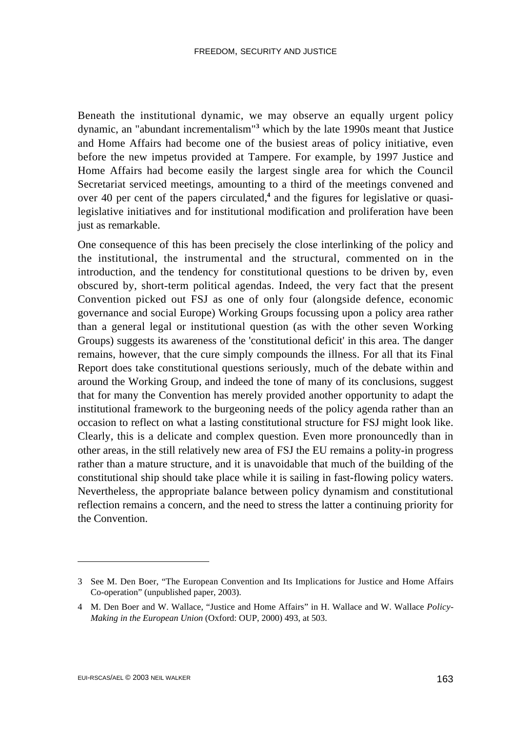Beneath the institutional dynamic, we may observe an equally urgent policy dynamic, an "abundant incrementalism"**<sup>3</sup>** which by the late 1990s meant that Justice and Home Affairs had become one of the busiest areas of policy initiative, even before the new impetus provided at Tampere. For example, by 1997 Justice and Home Affairs had become easily the largest single area for which the Council Secretariat serviced meetings, amounting to a third of the meetings convened and over 40 per cent of the papers circulated,**<sup>4</sup>** and the figures for legislative or quasilegislative initiatives and for institutional modification and proliferation have been just as remarkable.

One consequence of this has been precisely the close interlinking of the policy and the institutional, the instrumental and the structural, commented on in the introduction, and the tendency for constitutional questions to be driven by, even obscured by, short-term political agendas. Indeed, the very fact that the present Convention picked out FSJ as one of only four (alongside defence, economic governance and social Europe) Working Groups focussing upon a policy area rather than a general legal or institutional question (as with the other seven Working Groups) suggests its awareness of the 'constitutional deficit' in this area. The danger remains, however, that the cure simply compounds the illness. For all that its Final Report does take constitutional questions seriously, much of the debate within and around the Working Group, and indeed the tone of many of its conclusions, suggest that for many the Convention has merely provided another opportunity to adapt the institutional framework to the burgeoning needs of the policy agenda rather than an occasion to reflect on what a lasting constitutional structure for FSJ might look like. Clearly, this is a delicate and complex question. Even more pronouncedly than in other areas, in the still relatively new area of FSJ the EU remains a polity-in progress rather than a mature structure, and it is unavoidable that much of the building of the constitutional ship should take place while it is sailing in fast-flowing policy waters. Nevertheless, the appropriate balance between policy dynamism and constitutional reflection remains a concern, and the need to stress the latter a continuing priority for the Convention.

<sup>3</sup> See M. Den Boer, "The European Convention and Its Implications for Justice and Home Affairs Co-operation" (unpublished paper, 2003).

<sup>4</sup> M. Den Boer and W. Wallace, "Justice and Home Affairs" in H. Wallace and W. Wallace *Policy-Making in the European Union* (Oxford: OUP, 2000) 493, at 503.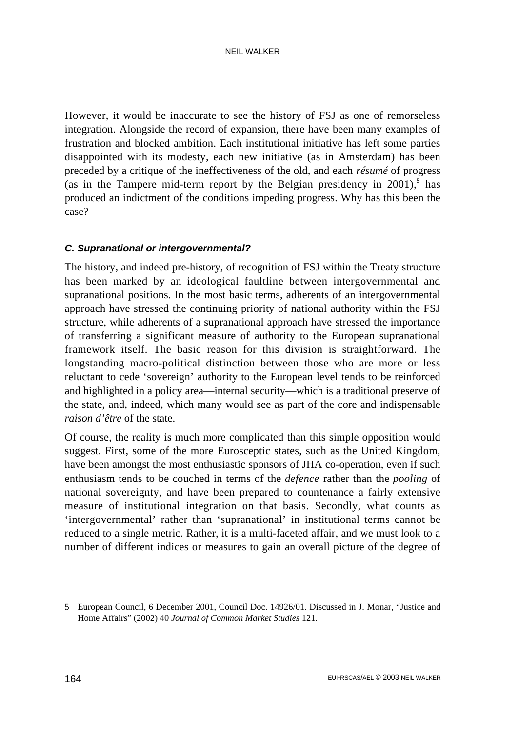However, it would be inaccurate to see the history of FSJ as one of remorseless integration. Alongside the record of expansion, there have been many examples of frustration and blocked ambition. Each institutional initiative has left some parties disappointed with its modesty, each new initiative (as in Amsterdam) has been preceded by a critique of the ineffectiveness of the old, and each *résumé* of progress (as in the Tampere mid-term report by the Belgian presidency in 2001),**<sup>5</sup>** has produced an indictment of the conditions impeding progress. Why has this been the case?

# *C. Supranational or intergovernmental?*

The history, and indeed pre-history, of recognition of FSJ within the Treaty structure has been marked by an ideological faultline between intergovernmental and supranational positions. In the most basic terms, adherents of an intergovernmental approach have stressed the continuing priority of national authority within the FSJ structure, while adherents of a supranational approach have stressed the importance of transferring a significant measure of authority to the European supranational framework itself. The basic reason for this division is straightforward. The longstanding macro-political distinction between those who are more or less reluctant to cede 'sovereign' authority to the European level tends to be reinforced and highlighted in a policy area—internal security—which is a traditional preserve of the state, and, indeed, which many would see as part of the core and indispensable *raison d'être* of the state.

Of course, the reality is much more complicated than this simple opposition would suggest. First, some of the more Eurosceptic states, such as the United Kingdom, have been amongst the most enthusiastic sponsors of JHA co-operation, even if such enthusiasm tends to be couched in terms of the *defence* rather than the *pooling* of national sovereignty, and have been prepared to countenance a fairly extensive measure of institutional integration on that basis. Secondly, what counts as 'intergovernmental' rather than 'supranational' in institutional terms cannot be reduced to a single metric. Rather, it is a multi-faceted affair, and we must look to a number of different indices or measures to gain an overall picture of the degree of

<sup>5</sup> European Council, 6 December 2001, Council Doc. 14926/01. Discussed in J. Monar, "Justice and Home Affairs" (2002) 40 *Journal of Common Market Studies* 121.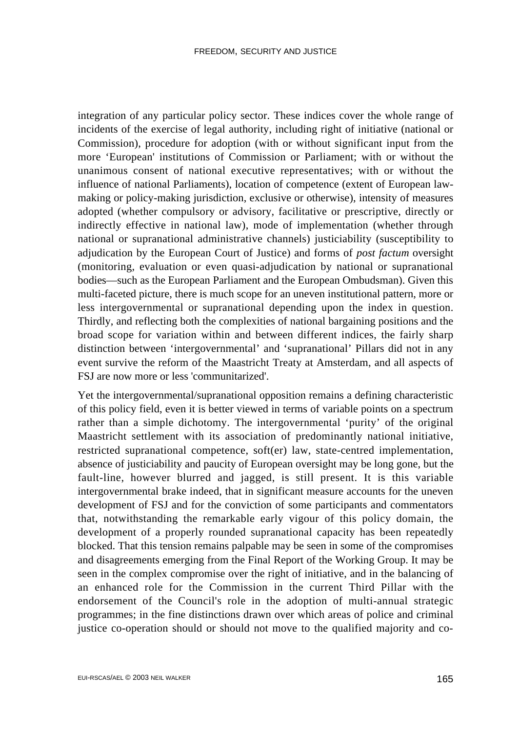integration of any particular policy sector. These indices cover the whole range of incidents of the exercise of legal authority, including right of initiative (national or Commission), procedure for adoption (with or without significant input from the more 'European' institutions of Commission or Parliament; with or without the unanimous consent of national executive representatives; with or without the influence of national Parliaments), location of competence (extent of European lawmaking or policy-making jurisdiction, exclusive or otherwise), intensity of measures adopted (whether compulsory or advisory, facilitative or prescriptive, directly or indirectly effective in national law), mode of implementation (whether through national or supranational administrative channels) justiciability (susceptibility to adjudication by the European Court of Justice) and forms of *post factum* oversight (monitoring, evaluation or even quasi-adjudication by national or supranational bodies—such as the European Parliament and the European Ombudsman). Given this multi-faceted picture, there is much scope for an uneven institutional pattern, more or less intergovernmental or supranational depending upon the index in question. Thirdly, and reflecting both the complexities of national bargaining positions and the broad scope for variation within and between different indices, the fairly sharp distinction between 'intergovernmental' and 'supranational' Pillars did not in any event survive the reform of the Maastricht Treaty at Amsterdam, and all aspects of FSJ are now more or less 'communitarized'.

Yet the intergovernmental/supranational opposition remains a defining characteristic of this policy field, even it is better viewed in terms of variable points on a spectrum rather than a simple dichotomy. The intergovernmental 'purity' of the original Maastricht settlement with its association of predominantly national initiative, restricted supranational competence, soft(er) law, state-centred implementation, absence of justiciability and paucity of European oversight may be long gone, but the fault-line, however blurred and jagged, is still present. It is this variable intergovernmental brake indeed, that in significant measure accounts for the uneven development of FSJ and for the conviction of some participants and commentators that, notwithstanding the remarkable early vigour of this policy domain, the development of a properly rounded supranational capacity has been repeatedly blocked. That this tension remains palpable may be seen in some of the compromises and disagreements emerging from the Final Report of the Working Group. It may be seen in the complex compromise over the right of initiative, and in the balancing of an enhanced role for the Commission in the current Third Pillar with the endorsement of the Council's role in the adoption of multi-annual strategic programmes; in the fine distinctions drawn over which areas of police and criminal justice co-operation should or should not move to the qualified majority and co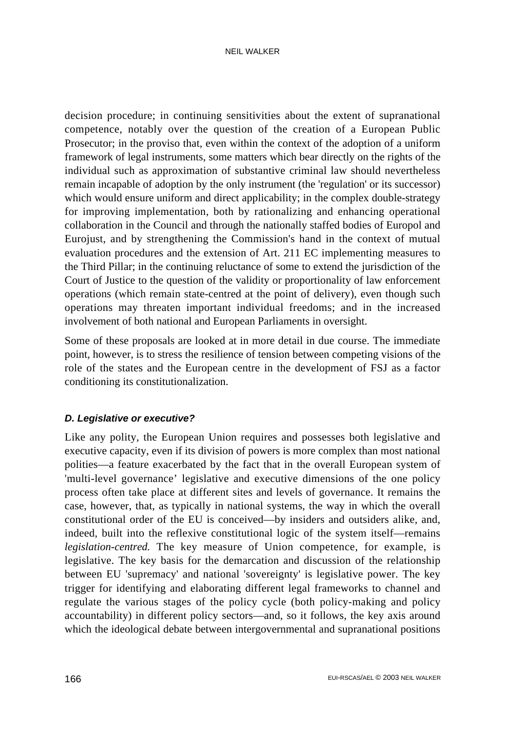decision procedure; in continuing sensitivities about the extent of supranational competence, notably over the question of the creation of a European Public Prosecutor; in the proviso that, even within the context of the adoption of a uniform framework of legal instruments, some matters which bear directly on the rights of the individual such as approximation of substantive criminal law should nevertheless remain incapable of adoption by the only instrument (the 'regulation' or its successor) which would ensure uniform and direct applicability; in the complex double-strategy for improving implementation, both by rationalizing and enhancing operational collaboration in the Council and through the nationally staffed bodies of Europol and Eurojust, and by strengthening the Commission's hand in the context of mutual evaluation procedures and the extension of Art. 211 EC implementing measures to the Third Pillar; in the continuing reluctance of some to extend the jurisdiction of the Court of Justice to the question of the validity or proportionality of law enforcement operations (which remain state-centred at the point of delivery), even though such operations may threaten important individual freedoms; and in the increased involvement of both national and European Parliaments in oversight.

Some of these proposals are looked at in more detail in due course. The immediate point, however, is to stress the resilience of tension between competing visions of the role of the states and the European centre in the development of FSJ as a factor conditioning its constitutionalization.

## *D. Legislative or executive?*

Like any polity, the European Union requires and possesses both legislative and executive capacity, even if its division of powers is more complex than most national polities—a feature exacerbated by the fact that in the overall European system of 'multi-level governance' legislative and executive dimensions of the one policy process often take place at different sites and levels of governance. It remains the case, however, that, as typically in national systems, the way in which the overall constitutional order of the EU is conceived—by insiders and outsiders alike, and, indeed, built into the reflexive constitutional logic of the system itself—remains *legislation-centred.* The key measure of Union competence, for example, is legislative. The key basis for the demarcation and discussion of the relationship between EU 'supremacy' and national 'sovereignty' is legislative power. The key trigger for identifying and elaborating different legal frameworks to channel and regulate the various stages of the policy cycle (both policy-making and policy accountability) in different policy sectors—and, so it follows, the key axis around which the ideological debate between intergovernmental and supranational positions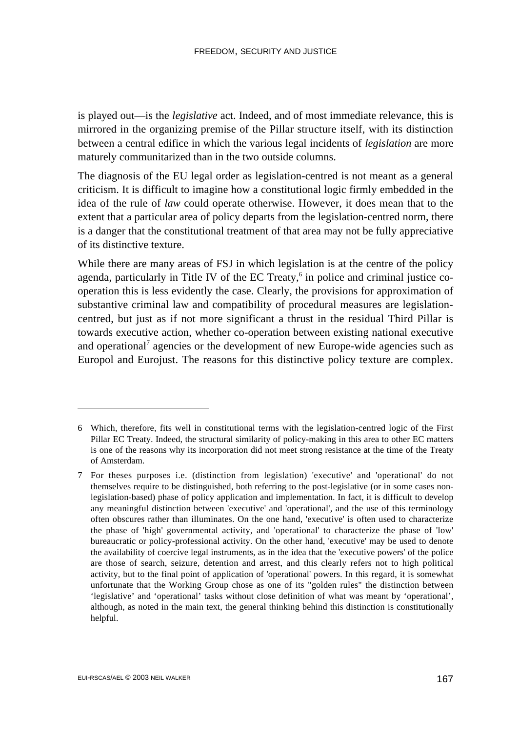is played out—is the *legislative* act. Indeed, and of most immediate relevance, this is mirrored in the organizing premise of the Pillar structure itself, with its distinction between a central edifice in which the various legal incidents of *legislation* are more maturely communitarized than in the two outside columns.

The diagnosis of the EU legal order as legislation-centred is not meant as a general criticism. It is difficult to imagine how a constitutional logic firmly embedded in the idea of the rule of *law* could operate otherwise. However, it does mean that to the extent that a particular area of policy departs from the legislation-centred norm, there is a danger that the constitutional treatment of that area may not be fully appreciative of its distinctive texture.

While there are many areas of FSJ in which legislation is at the centre of the policy agenda, particularly in Title IV of the EC Treaty, $6$  in police and criminal justice cooperation this is less evidently the case. Clearly, the provisions for approximation of substantive criminal law and compatibility of procedural measures are legislationcentred, but just as if not more significant a thrust in the residual Third Pillar is towards executive action, whether co-operation between existing national executive and operational7 agencies or the development of new Europe-wide agencies such as Europol and Eurojust. The reasons for this distinctive policy texture are complex.

<sup>6</sup> Which, therefore, fits well in constitutional terms with the legislation-centred logic of the First Pillar EC Treaty. Indeed, the structural similarity of policy-making in this area to other EC matters is one of the reasons why its incorporation did not meet strong resistance at the time of the Treaty of Amsterdam.

<sup>7</sup> For theses purposes i.e. (distinction from legislation) 'executive' and 'operational' do not themselves require to be distinguished, both referring to the post-legislative (or in some cases nonlegislation-based) phase of policy application and implementation. In fact, it is difficult to develop any meaningful distinction between 'executive' and 'operational', and the use of this terminology often obscures rather than illuminates. On the one hand, 'executive' is often used to characterize the phase of 'high' governmental activity, and 'operational' to characterize the phase of 'low' bureaucratic or policy-professional activity. On the other hand, 'executive' may be used to denote the availability of coercive legal instruments, as in the idea that the 'executive powers' of the police are those of search, seizure, detention and arrest, and this clearly refers not to high political activity, but to the final point of application of 'operational' powers. In this regard, it is somewhat unfortunate that the Working Group chose as one of its "golden rules" the distinction between 'legislative' and 'operational' tasks without close definition of what was meant by 'operational', although, as noted in the main text, the general thinking behind this distinction is constitutionally helpful.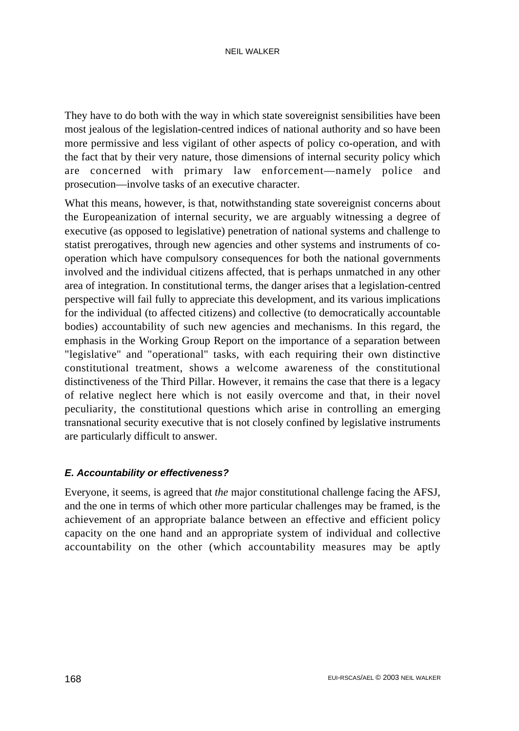They have to do both with the way in which state sovereignist sensibilities have been most jealous of the legislation-centred indices of national authority and so have been more permissive and less vigilant of other aspects of policy co-operation, and with the fact that by their very nature, those dimensions of internal security policy which are concerned with primary law enforcement—namely police and prosecution—involve tasks of an executive character.

What this means, however, is that, notwithstanding state sovereignist concerns about the Europeanization of internal security, we are arguably witnessing a degree of executive (as opposed to legislative) penetration of national systems and challenge to statist prerogatives, through new agencies and other systems and instruments of cooperation which have compulsory consequences for both the national governments involved and the individual citizens affected, that is perhaps unmatched in any other area of integration. In constitutional terms, the danger arises that a legislation-centred perspective will fail fully to appreciate this development, and its various implications for the individual (to affected citizens) and collective (to democratically accountable bodies) accountability of such new agencies and mechanisms. In this regard, the emphasis in the Working Group Report on the importance of a separation between "legislative" and "operational" tasks, with each requiring their own distinctive constitutional treatment, shows a welcome awareness of the constitutional distinctiveness of the Third Pillar. However, it remains the case that there is a legacy of relative neglect here which is not easily overcome and that, in their novel peculiarity, the constitutional questions which arise in controlling an emerging transnational security executive that is not closely confined by legislative instruments are particularly difficult to answer.

## *E. Accountability or effectiveness?*

Everyone, it seems, is agreed that *the* major constitutional challenge facing the AFSJ, and the one in terms of which other more particular challenges may be framed, is the achievement of an appropriate balance between an effective and efficient policy capacity on the one hand and an appropriate system of individual and collective accountability on the other (which accountability measures may be aptly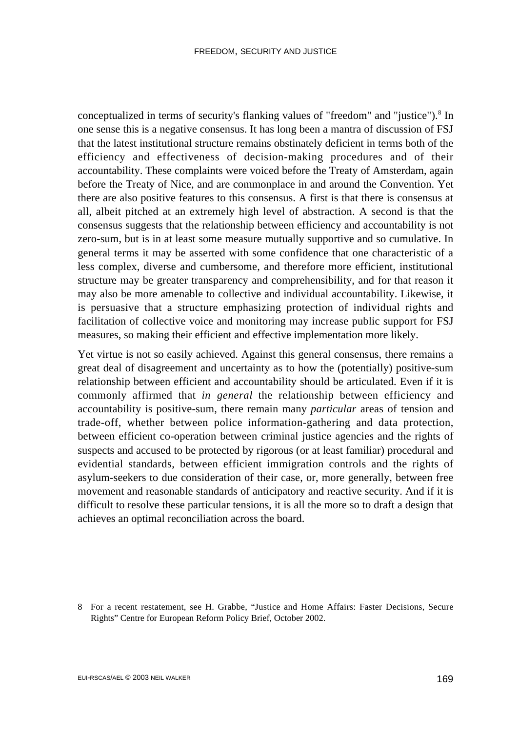conceptualized in terms of security's flanking values of "freedom" and "justice").<sup>8</sup> In one sense this is a negative consensus. It has long been a mantra of discussion of FSJ that the latest institutional structure remains obstinately deficient in terms both of the efficiency and effectiveness of decision-making procedures and of their accountability. These complaints were voiced before the Treaty of Amsterdam, again before the Treaty of Nice, and are commonplace in and around the Convention. Yet there are also positive features to this consensus. A first is that there is consensus at all, albeit pitched at an extremely high level of abstraction. A second is that the consensus suggests that the relationship between efficiency and accountability is not zero-sum, but is in at least some measure mutually supportive and so cumulative. In general terms it may be asserted with some confidence that one characteristic of a less complex, diverse and cumbersome, and therefore more efficient, institutional structure may be greater transparency and comprehensibility, and for that reason it may also be more amenable to collective and individual accountability. Likewise, it is persuasive that a structure emphasizing protection of individual rights and facilitation of collective voice and monitoring may increase public support for FSJ measures, so making their efficient and effective implementation more likely.

Yet virtue is not so easily achieved. Against this general consensus, there remains a great deal of disagreement and uncertainty as to how the (potentially) positive-sum relationship between efficient and accountability should be articulated. Even if it is commonly affirmed that *in general* the relationship between efficiency and accountability is positive-sum, there remain many *particular* areas of tension and trade-off, whether between police information-gathering and data protection, between efficient co-operation between criminal justice agencies and the rights of suspects and accused to be protected by rigorous (or at least familiar) procedural and evidential standards, between efficient immigration controls and the rights of asylum-seekers to due consideration of their case, or, more generally, between free movement and reasonable standards of anticipatory and reactive security. And if it is difficult to resolve these particular tensions, it is all the more so to draft a design that achieves an optimal reconciliation across the board.

<sup>8</sup> For a recent restatement, see H. Grabbe, "Justice and Home Affairs: Faster Decisions, Secure Rights" Centre for European Reform Policy Brief, October 2002.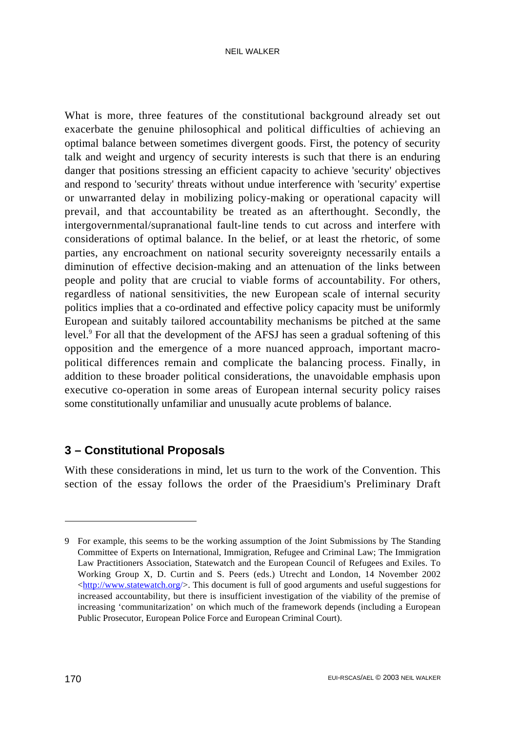#### NEIL WALKER

What is more, three features of the constitutional background already set out exacerbate the genuine philosophical and political difficulties of achieving an optimal balance between sometimes divergent goods. First, the potency of security talk and weight and urgency of security interests is such that there is an enduring danger that positions stressing an efficient capacity to achieve 'security' objectives and respond to 'security' threats without undue interference with 'security' expertise or unwarranted delay in mobilizing policy-making or operational capacity will prevail, and that accountability be treated as an afterthought. Secondly, the intergovernmental/supranational fault-line tends to cut across and interfere with considerations of optimal balance. In the belief, or at least the rhetoric, of some parties, any encroachment on national security sovereignty necessarily entails a diminution of effective decision-making and an attenuation of the links between people and polity that are crucial to viable forms of accountability. For others, regardless of national sensitivities, the new European scale of internal security politics implies that a co-ordinated and effective policy capacity must be uniformly European and suitably tailored accountability mechanisms be pitched at the same level.9 For all that the development of the AFSJ has seen a gradual softening of this opposition and the emergence of a more nuanced approach, important macropolitical differences remain and complicate the balancing process. Finally, in addition to these broader political considerations, the unavoidable emphasis upon executive co-operation in some areas of European internal security policy raises some constitutionally unfamiliar and unusually acute problems of balance.

# **3 – Constitutional Proposals**

With these considerations in mind, let us turn to the work of the Convention. This section of the essay follows the order of the Praesidium's Preliminary Draft

<sup>9</sup> For example, this seems to be the working assumption of the Joint Submissions by The Standing Committee of Experts on International, Immigration, Refugee and Criminal Law; The Immigration Law Practitioners Association, Statewatch and the European Council of Refugees and Exiles. To Working Group X, D. Curtin and S. Peers (eds.) Utrecht and London, 14 November 2002  $\langle \frac{\text{http://www.statewatch.org/}{\text{http://www.statewatch.org/}{\text{http://www.statewatch.org/}{\text{http://www.statewatch.org/}{\text{http://www.statewatch.org/}{\text{http://www.statewatch.org/}{\text{http://www.statewatch.org/}{\text{http://www.statewatch.org/}{\text{http://www.statewatch.org/}{\text{http://www.statewatch.org/}{\text{http://www.statewatch.org/}{\text{http://www.statewatch.org/}{\text{http://www.statewatch.org/}{\text{http://www.statewatch.org/}{\text{http://www.statewatch.org/}{\text{http://www.statewatch.org/}{\text{http://www.statewatch.org/}{\text{http://www.statewatch.org/}{$  $\langle \frac{\text{http://www.statewatch.org/}{\text{http://www.statewatch.org/}{\text{http://www.statewatch.org/}{\text{http://www.statewatch.org/}{\text{http://www.statewatch.org/}{\text{http://www.statewatch.org/}{\text{http://www.statewatch.org/}{\text{http://www.statewatch.org/}{\text{http://www.statewatch.org/}{\text{http://www.statewatch.org/}{\text{http://www.statewatch.org/}{\text{http://www.statewatch.org/}{\text{http://www.statewatch.org/}{\text{http://www.statewatch.org/}{\text{http://www.statewatch.org/}{\text{http://www.statewatch.org/}{\text{http://www.statewatch.org/}{\text{http://www.statewatch.org/}{$  $\langle \frac{\text{http://www.statewatch.org/}{\text{http://www.statewatch.org/}{\text{http://www.statewatch.org/}{\text{http://www.statewatch.org/}{\text{http://www.statewatch.org/}{\text{http://www.statewatch.org/}{\text{http://www.statewatch.org/}{\text{http://www.statewatch.org/}{\text{http://www.statewatch.org/}{\text{http://www.statewatch.org/}{\text{http://www.statewatch.org/}{\text{http://www.statewatch.org/}{\text{http://www.statewatch.org/}{\text{http://www.statewatch.org/}{\text{http://www.statewatch.org/}{\text{http://www.statewatch.org/}{\text{http://www.statewatch.org/}{\text{http://www.statewatch.org/}{$ increased accountability, but there is insufficient investigation of the viability of the premise of increasing 'communitarization' on which much of the framework depends (including a European Public Prosecutor, European Police Force and European Criminal Court).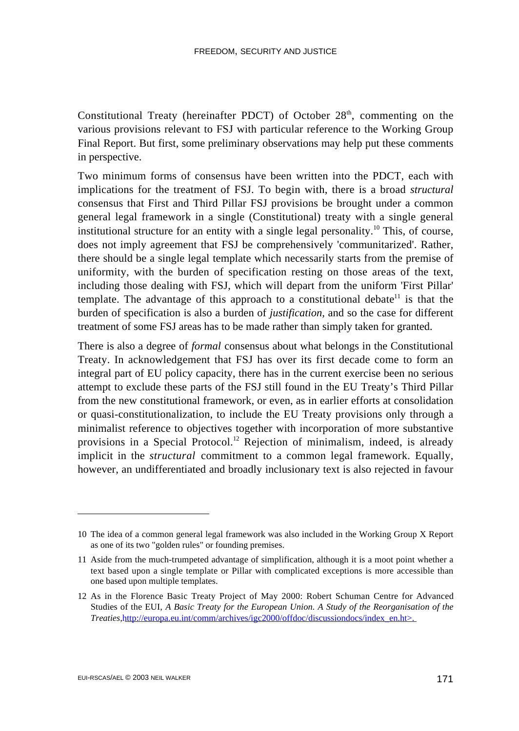Constitutional Treaty (hereinafter PDCT) of October  $28<sup>th</sup>$ , commenting on the various provisions relevant to FSJ with particular reference to the Working Group Final Report. But first, some preliminary observations may help put these comments in perspective.

Two minimum forms of consensus have been written into the PDCT, each with implications for the treatment of FSJ. To begin with, there is a broad *structural* consensus that First and Third Pillar FSJ provisions be brought under a common general legal framework in a single (Constitutional) treaty with a single general institutional structure for an entity with a single legal personality.<sup>10</sup> This, of course, does not imply agreement that FSJ be comprehensively 'communitarized'. Rather, there should be a single legal template which necessarily starts from the premise of uniformity, with the burden of specification resting on those areas of the text, including those dealing with FSJ, which will depart from the uniform 'First Pillar' template. The advantage of this approach to a constitutional debate<sup>11</sup> is that the burden of specification is also a burden of *justification,* and so the case for different treatment of some FSJ areas has to be made rather than simply taken for granted.

There is also a degree of *formal* consensus about what belongs in the Constitutional Treaty. In acknowledgement that FSJ has over its first decade come to form an integral part of EU policy capacity, there has in the current exercise been no serious attempt to exclude these parts of the FSJ still found in the EU Treaty's Third Pillar from the new constitutional framework, or even, as in earlier efforts at consolidation or quasi-constitutionalization, to include the EU Treaty provisions only through a minimalist reference to objectives together with incorporation of more substantive provisions in a Special Protocol.<sup>12</sup> Rejection of minimalism, indeed, is already implicit in the *structural* commitment to a common legal framework. Equally, however, an undifferentiated and broadly inclusionary text is also rejected in favour

<sup>10</sup> The idea of a common general legal framework was also included in the Working Group X Report as one of its two "golden rules" or founding premises.

<sup>11</sup> Aside from the much-trumpeted advantage of simplification, although it is a moot point whether a text based upon a single template or Pillar with complicated exceptions is more accessible than one based upon multiple templates.

<sup>12</sup> As in the Florence Basic Treaty Project of May 2000: Robert Schuman Centre for Advanced Studies of the EUI, *A Basic Treaty for the European Union. A Study of the Reorganisation of the Treaties,*[http://europa.eu.int/comm/archives/igc2000/offdoc/discussiondocs/index\\_en.ht>.](http://europa.eu.int/comm/archives/igc2000/offdoc/discussiondocs/index_en.htm)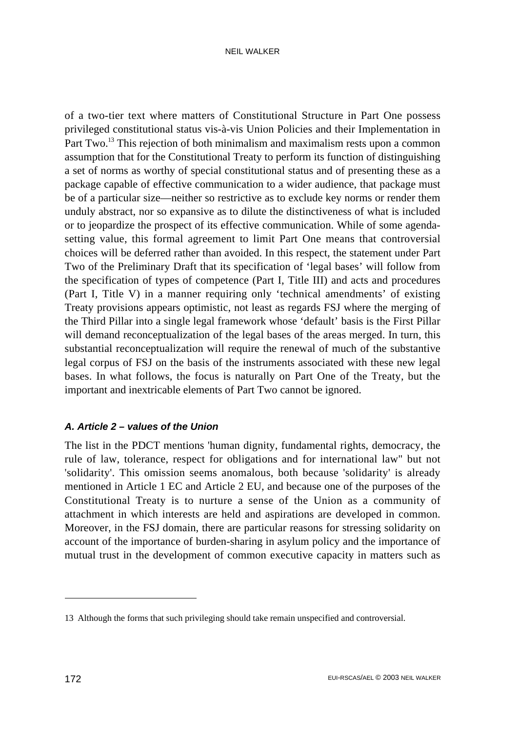of a two-tier text where matters of Constitutional Structure in Part One possess privileged constitutional status vis-à-vis Union Policies and their Implementation in Part Two.<sup>13</sup> This rejection of both minimalism and maximalism rests upon a common assumption that for the Constitutional Treaty to perform its function of distinguishing a set of norms as worthy of special constitutional status and of presenting these as a package capable of effective communication to a wider audience, that package must be of a particular size—neither so restrictive as to exclude key norms or render them unduly abstract, nor so expansive as to dilute the distinctiveness of what is included or to jeopardize the prospect of its effective communication. While of some agendasetting value, this formal agreement to limit Part One means that controversial choices will be deferred rather than avoided. In this respect, the statement under Part Two of the Preliminary Draft that its specification of 'legal bases' will follow from the specification of types of competence (Part I, Title III) and acts and procedures (Part I, Title V) in a manner requiring only 'technical amendments' of existing Treaty provisions appears optimistic, not least as regards FSJ where the merging of the Third Pillar into a single legal framework whose 'default' basis is the First Pillar will demand reconceptualization of the legal bases of the areas merged. In turn, this substantial reconceptualization will require the renewal of much of the substantive legal corpus of FSJ on the basis of the instruments associated with these new legal bases. In what follows, the focus is naturally on Part One of the Treaty, but the important and inextricable elements of Part Two cannot be ignored.

# *A. Article 2 – values of the Union*

The list in the PDCT mentions 'human dignity, fundamental rights, democracy, the rule of law, tolerance, respect for obligations and for international law" but not 'solidarity'. This omission seems anomalous, both because 'solidarity' is already mentioned in Article 1 EC and Article 2 EU, and because one of the purposes of the Constitutional Treaty is to nurture a sense of the Union as a community of attachment in which interests are held and aspirations are developed in common. Moreover, in the FSJ domain, there are particular reasons for stressing solidarity on account of the importance of burden-sharing in asylum policy and the importance of mutual trust in the development of common executive capacity in matters such as

 $\overline{a}$ 

<sup>13</sup> Although the forms that such privileging should take remain unspecified and controversial.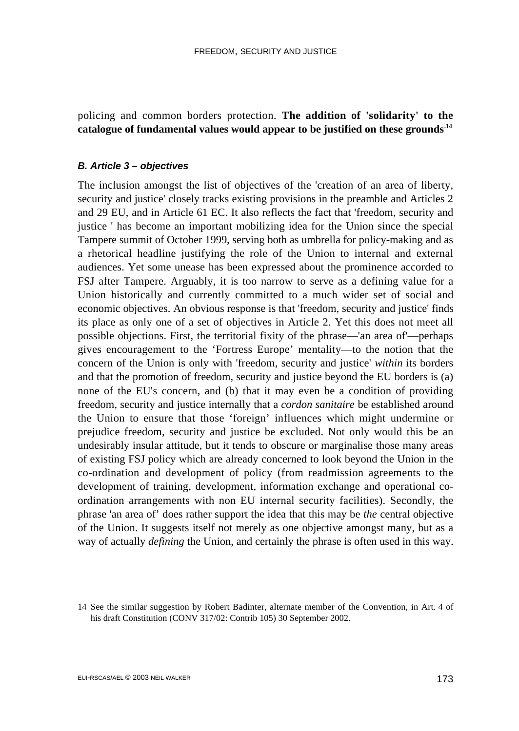# policing and common borders protection. **The addition of 'solidarity' to the catalogue of fundamental values would appear to be justified on these grounds.14**

# *B. Article 3 – objectives*

The inclusion amongst the list of objectives of the 'creation of an area of liberty, security and justice' closely tracks existing provisions in the preamble and Articles 2 and 29 EU, and in Article 61 EC. It also reflects the fact that 'freedom, security and justice ' has become an important mobilizing idea for the Union since the special Tampere summit of October 1999, serving both as umbrella for policy-making and as a rhetorical headline justifying the role of the Union to internal and external audiences. Yet some unease has been expressed about the prominence accorded to FSJ after Tampere. Arguably, it is too narrow to serve as a defining value for a Union historically and currently committed to a much wider set of social and economic objectives. An obvious response is that 'freedom, security and justice' finds its place as only one of a set of objectives in Article 2. Yet this does not meet all possible objections. First, the territorial fixity of the phrase—'an area of'—perhaps gives encouragement to the 'Fortress Europe' mentality—to the notion that the concern of the Union is only with 'freedom, security and justice' *within* its borders and that the promotion of freedom, security and justice beyond the EU borders is (a) none of the EU's concern, and (b) that it may even be a condition of providing freedom, security and justice internally that a *cordon sanitaire* be established around the Union to ensure that those 'foreign' influences which might undermine or prejudice freedom, security and justice be excluded. Not only would this be an undesirably insular attitude, but it tends to obscure or marginalise those many areas of existing FSJ policy which are already concerned to look beyond the Union in the co-ordination and development of policy (from readmission agreements to the development of training, development, information exchange and operational coordination arrangements with non EU internal security facilities). Secondly, the phrase 'an area of' does rather support the idea that this may be *the* central objective of the Union. It suggests itself not merely as one objective amongst many, but as a way of actually *defining* the Union, and certainly the phrase is often used in this way.

<sup>14</sup> See the similar suggestion by Robert Badinter, alternate member of the Convention, in Art. 4 of his draft Constitution (CONV 317/02: Contrib 105) 30 September 2002.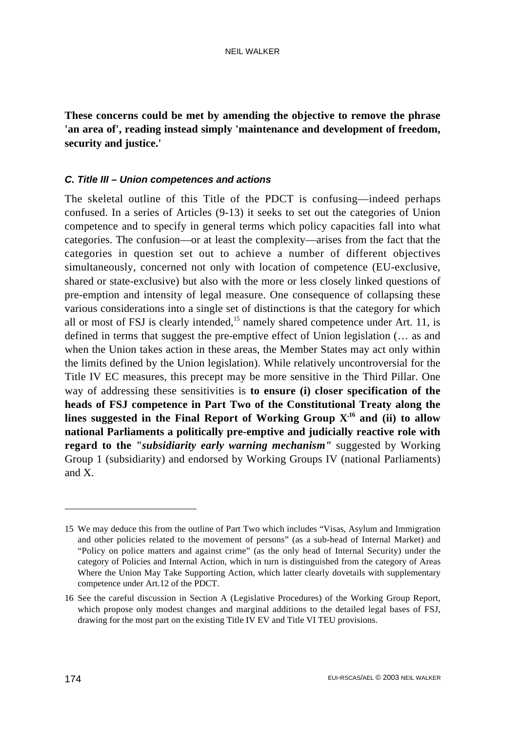**These concerns could be met by amending the objective to remove the phrase 'an area of', reading instead simply 'maintenance and development of freedom, security and justice.'**

## *C. Title III – Union competences and actions*

The skeletal outline of this Title of the PDCT is confusing—indeed perhaps confused. In a series of Articles (9-13) it seeks to set out the categories of Union competence and to specify in general terms which policy capacities fall into what categories. The confusion—or at least the complexity—arises from the fact that the categories in question set out to achieve a number of different objectives simultaneously, concerned not only with location of competence (EU-exclusive, shared or state-exclusive) but also with the more or less closely linked questions of pre-emption and intensity of legal measure. One consequence of collapsing these various considerations into a single set of distinctions is that the category for which all or most of FSJ is clearly intended, $15$  namely shared competence under Art. 11, is defined in terms that suggest the pre-emptive effect of Union legislation (… as and when the Union takes action in these areas, the Member States may act only within the limits defined by the Union legislation). While relatively uncontroversial for the Title IV EC measures, this precept may be more sensitive in the Third Pillar. One way of addressing these sensitivities is **to ensure (i) closer specification of the heads of FSJ competence in Part Two of the Constitutional Treaty along the** lines suggested in the Final Report of Working Group  $X^{16}$  and (ii) to allow **national Parliaments a politically pre-emptive and judicially reactive role with regard to the** *"subsidiarity early warning mechanism"* suggested by Working Group 1 (subsidiarity) and endorsed by Working Groups IV (national Parliaments) and X.

<sup>15</sup> We may deduce this from the outline of Part Two which includes "Visas, Asylum and Immigration and other policies related to the movement of persons" (as a sub-head of Internal Market) and "Policy on police matters and against crime" (as the only head of Internal Security) under the category of Policies and Internal Action, which in turn is distinguished from the category of Areas Where the Union May Take Supporting Action, which latter clearly dovetails with supplementary competence under Art.12 of the PDCT.

<sup>16</sup> See the careful discussion in Section A (Legislative Procedures) of the Working Group Report, which propose only modest changes and marginal additions to the detailed legal bases of FSJ, drawing for the most part on the existing Title IV EV and Title VI TEU provisions.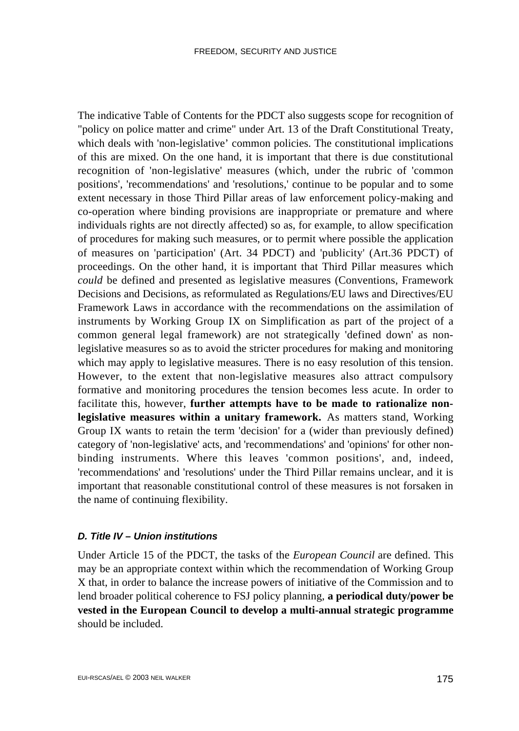The indicative Table of Contents for the PDCT also suggests scope for recognition of "policy on police matter and crime" under Art. 13 of the Draft Constitutional Treaty, which deals with 'non-legislative' common policies. The constitutional implications of this are mixed. On the one hand, it is important that there is due constitutional recognition of 'non-legislative' measures (which, under the rubric of 'common positions', 'recommendations' and 'resolutions,' continue to be popular and to some extent necessary in those Third Pillar areas of law enforcement policy-making and co-operation where binding provisions are inappropriate or premature and where individuals rights are not directly affected) so as, for example, to allow specification of procedures for making such measures, or to permit where possible the application of measures on 'participation' (Art. 34 PDCT) and 'publicity' (Art.36 PDCT) of proceedings. On the other hand, it is important that Third Pillar measures which *could* be defined and presented as legislative measures (Conventions, Framework Decisions and Decisions, as reformulated as Regulations/EU laws and Directives/EU Framework Laws in accordance with the recommendations on the assimilation of instruments by Working Group IX on Simplification as part of the project of a common general legal framework) are not strategically 'defined down' as nonlegislative measures so as to avoid the stricter procedures for making and monitoring which may apply to legislative measures. There is no easy resolution of this tension. However, to the extent that non-legislative measures also attract compulsory formative and monitoring procedures the tension becomes less acute. In order to facilitate this, however, **further attempts have to be made to rationalize nonlegislative measures within a unitary framework.** As matters stand, Working Group IX wants to retain the term 'decision' for a (wider than previously defined) category of 'non-legislative' acts, and 'recommendations' and 'opinions' for other nonbinding instruments. Where this leaves 'common positions', and, indeed, 'recommendations' and 'resolutions' under the Third Pillar remains unclear, and it is important that reasonable constitutional control of these measures is not forsaken in the name of continuing flexibility.

## *D. Title IV – Union institutions*

Under Article 15 of the PDCT, the tasks of the *European Council* are defined. This may be an appropriate context within which the recommendation of Working Group X that, in order to balance the increase powers of initiative of the Commission and to lend broader political coherence to FSJ policy planning, **a periodical duty/power be vested in the European Council to develop a multi-annual strategic programme** should be included.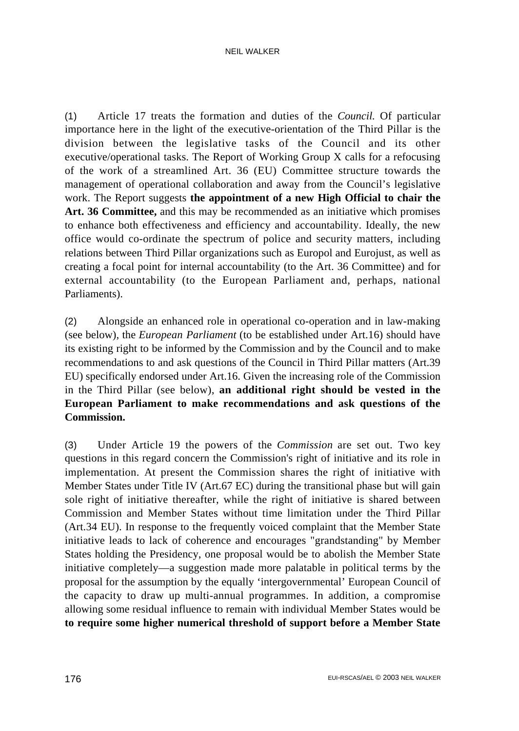(1) Article 17 treats the formation and duties of the *Council.* Of particular importance here in the light of the executive-orientation of the Third Pillar is the division between the legislative tasks of the Council and its other executive/operational tasks. The Report of Working Group X calls for a refocusing of the work of a streamlined Art. 36 (EU) Committee structure towards the management of operational collaboration and away from the Council's legislative work. The Report suggests **the appointment of a new High Official to chair the Art. 36 Committee,** and this may be recommended as an initiative which promises to enhance both effectiveness and efficiency and accountability. Ideally, the new office would co-ordinate the spectrum of police and security matters, including relations between Third Pillar organizations such as Europol and Eurojust, as well as creating a focal point for internal accountability (to the Art. 36 Committee) and for external accountability (to the European Parliament and, perhaps, national Parliaments).

(2) Alongside an enhanced role in operational co-operation and in law-making (see below), the *European Parliament* (to be established under Art.16) should have its existing right to be informed by the Commission and by the Council and to make recommendations to and ask questions of the Council in Third Pillar matters (Art.39 EU) specifically endorsed under Art.16. Given the increasing role of the Commission in the Third Pillar (see below), **an additional right should be vested in the European Parliament to make recommendations and ask questions of the Commission.**

(3) Under Article 19 the powers of the *Commission* are set out. Two key questions in this regard concern the Commission's right of initiative and its role in implementation. At present the Commission shares the right of initiative with Member States under Title IV (Art.67 EC) during the transitional phase but will gain sole right of initiative thereafter, while the right of initiative is shared between Commission and Member States without time limitation under the Third Pillar (Art.34 EU). In response to the frequently voiced complaint that the Member State initiative leads to lack of coherence and encourages "grandstanding" by Member States holding the Presidency, one proposal would be to abolish the Member State initiative completely—a suggestion made more palatable in political terms by the proposal for the assumption by the equally 'intergovernmental' European Council of the capacity to draw up multi-annual programmes. In addition, a compromise allowing some residual influence to remain with individual Member States would be **to require some higher numerical threshold of support before a Member State**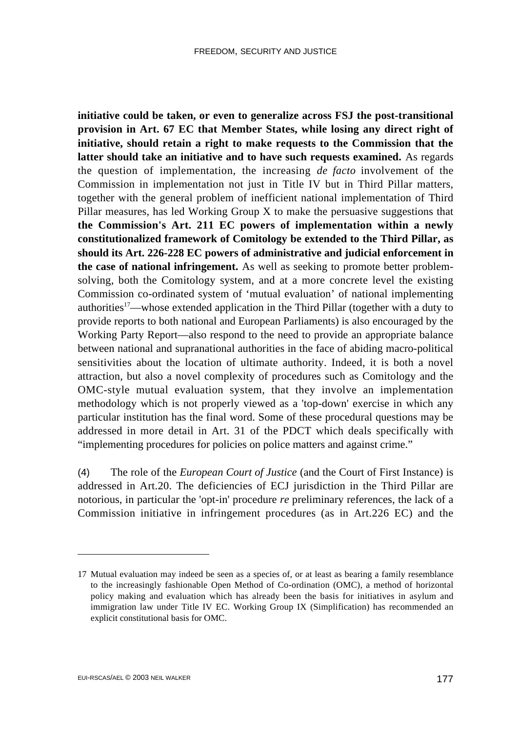**initiative could be taken, or even to generalize across FSJ the post-transitional provision in Art. 67 EC that Member States, while losing any direct right of initiative, should retain a right to make requests to the Commission that the latter should take an initiative and to have such requests examined.** As regards the question of implementation, the increasing *de facto* involvement of the Commission in implementation not just in Title IV but in Third Pillar matters, together with the general problem of inefficient national implementation of Third Pillar measures, has led Working Group  $X$  to make the persuasive suggestions that **the Commission's Art. 211 EC powers of implementation within a newly constitutionalized framework of Comitology be extended to the Third Pillar, as should its Art. 226-228 EC powers of administrative and judicial enforcement in the case of national infringement.** As well as seeking to promote better problemsolving, both the Comitology system, and at a more concrete level the existing Commission co-ordinated system of 'mutual evaluation' of national implementing authorities<sup>17</sup>—whose extended application in the Third Pillar (together with a duty to provide reports to both national and European Parliaments) is also encouraged by the Working Party Report—also respond to the need to provide an appropriate balance between national and supranational authorities in the face of abiding macro-political sensitivities about the location of ultimate authority. Indeed, it is both a novel attraction, but also a novel complexity of procedures such as Comitology and the OMC-style mutual evaluation system, that they involve an implementation methodology which is not properly viewed as a 'top-down' exercise in which any particular institution has the final word. Some of these procedural questions may be addressed in more detail in Art. 31 of the PDCT which deals specifically with "implementing procedures for policies on police matters and against crime."

(4) The role of the *European Court of Justice* (and the Court of First Instance) is addressed in Art.20. The deficiencies of ECJ jurisdiction in the Third Pillar are notorious, in particular the 'opt-in' procedure *re* preliminary references, the lack of a Commission initiative in infringement procedures (as in Art.226 EC) and the

-

<sup>17</sup> Mutual evaluation may indeed be seen as a species of, or at least as bearing a family resemblance to the increasingly fashionable Open Method of Co-ordination (OMC), a method of horizontal policy making and evaluation which has already been the basis for initiatives in asylum and immigration law under Title IV EC. Working Group IX (Simplification) has recommended an explicit constitutional basis for OMC.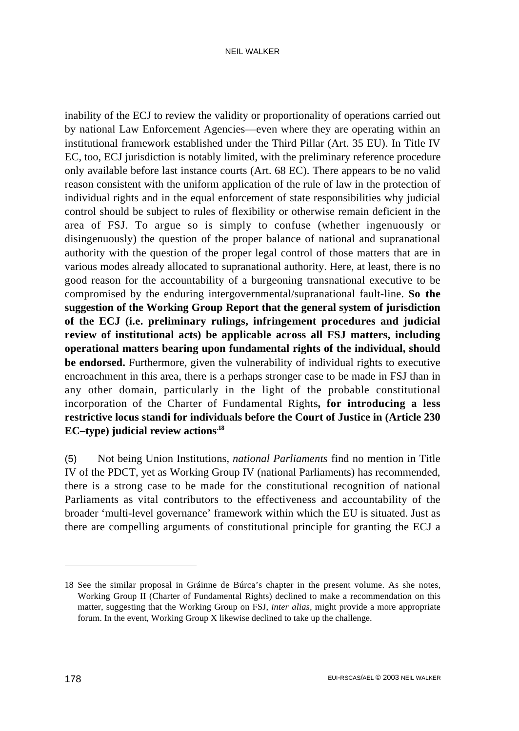inability of the ECJ to review the validity or proportionality of operations carried out by national Law Enforcement Agencies—even where they are operating within an institutional framework established under the Third Pillar (Art. 35 EU). In Title IV EC, too, ECJ jurisdiction is notably limited, with the preliminary reference procedure only available before last instance courts (Art. 68 EC). There appears to be no valid reason consistent with the uniform application of the rule of law in the protection of individual rights and in the equal enforcement of state responsibilities why judicial control should be subject to rules of flexibility or otherwise remain deficient in the area of FSJ. To argue so is simply to confuse (whether ingenuously or disingenuously) the question of the proper balance of national and supranational authority with the question of the proper legal control of those matters that are in various modes already allocated to supranational authority. Here, at least, there is no good reason for the accountability of a burgeoning transnational executive to be compromised by the enduring intergovernmental/supranational fault-line. **So the suggestion of the Working Group Report that the general system of jurisdiction of the ECJ (i.e. preliminary rulings, infringement procedures and judicial review of institutional acts) be applicable across all FSJ matters, including operational matters bearing upon fundamental rights of the individual, should be endorsed.** Furthermore, given the vulnerability of individual rights to executive encroachment in this area, there is a perhaps stronger case to be made in FSJ than in any other domain, particularly in the light of the probable constitutional incorporation of the Charter of Fundamental Rights**, for introducing a less restrictive locus standi for individuals before the Court of Justice in (Article 230 EC–type) judicial review actions.18**

(5) Not being Union Institutions, *national Parliaments* find no mention in Title IV of the PDCT, yet as Working Group IV (national Parliaments) has recommended, there is a strong case to be made for the constitutional recognition of national Parliaments as vital contributors to the effectiveness and accountability of the broader 'multi-level governance' framework within which the EU is situated. Just as there are compelling arguments of constitutional principle for granting the ECJ a

-

<sup>18</sup> See the similar proposal in Gráinne de Búrca's chapter in the present volume. As she notes, Working Group II (Charter of Fundamental Rights) declined to make a recommendation on this matter, suggesting that the Working Group on FSJ, *inter alias,* might provide a more appropriate forum. In the event, Working Group X likewise declined to take up the challenge.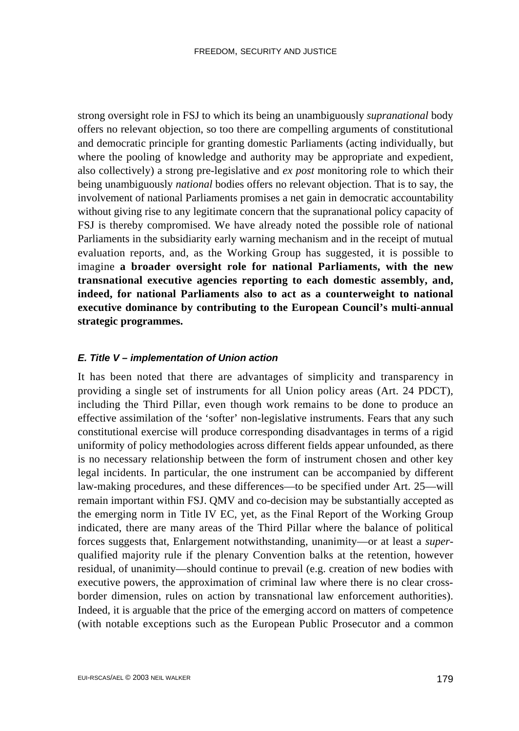strong oversight role in FSJ to which its being an unambiguously *supranational* body offers no relevant objection, so too there are compelling arguments of constitutional and democratic principle for granting domestic Parliaments (acting individually, but where the pooling of knowledge and authority may be appropriate and expedient, also collectively) a strong pre-legislative and *ex post* monitoring role to which their being unambiguously *national* bodies offers no relevant objection. That is to say, the involvement of national Parliaments promises a net gain in democratic accountability without giving rise to any legitimate concern that the supranational policy capacity of FSJ is thereby compromised. We have already noted the possible role of national Parliaments in the subsidiarity early warning mechanism and in the receipt of mutual evaluation reports, and, as the Working Group has suggested, it is possible to imagine **a broader oversight role for national Parliaments, with the new transnational executive agencies reporting to each domestic assembly, and, indeed, for national Parliaments also to act as a counterweight to national executive dominance by contributing to the European Council's multi-annual strategic programmes.**

#### *E. Title V – implementation of Union action*

It has been noted that there are advantages of simplicity and transparency in providing a single set of instruments for all Union policy areas (Art. 24 PDCT), including the Third Pillar, even though work remains to be done to produce an effective assimilation of the 'softer' non-legislative instruments. Fears that any such constitutional exercise will produce corresponding disadvantages in terms of a rigid uniformity of policy methodologies across different fields appear unfounded, as there is no necessary relationship between the form of instrument chosen and other key legal incidents. In particular, the one instrument can be accompanied by different law-making procedures, and these differences—to be specified under Art. 25—will remain important within FSJ. QMV and co-decision may be substantially accepted as the emerging norm in Title IV EC, yet, as the Final Report of the Working Group indicated, there are many areas of the Third Pillar where the balance of political forces suggests that, Enlargement notwithstanding, unanimity—or at least a *super*qualified majority rule if the plenary Convention balks at the retention, however residual, of unanimity—should continue to prevail (e.g. creation of new bodies with executive powers, the approximation of criminal law where there is no clear crossborder dimension, rules on action by transnational law enforcement authorities). Indeed, it is arguable that the price of the emerging accord on matters of competence (with notable exceptions such as the European Public Prosecutor and a common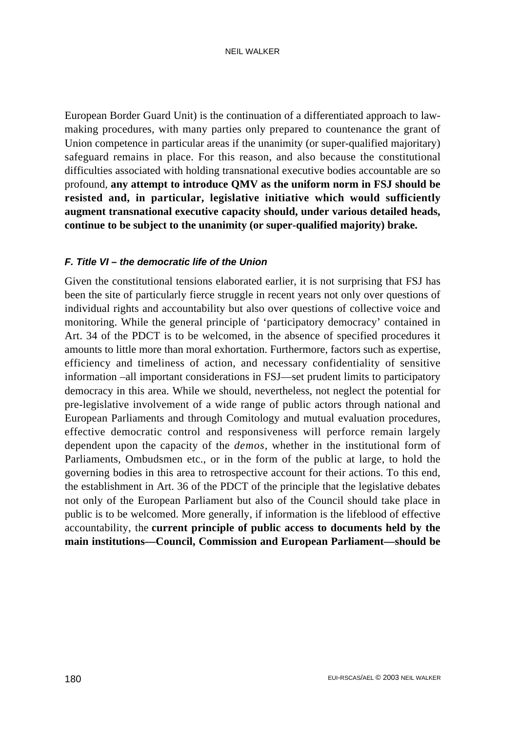European Border Guard Unit) is the continuation of a differentiated approach to lawmaking procedures, with many parties only prepared to countenance the grant of Union competence in particular areas if the unanimity (or super-qualified majoritary) safeguard remains in place. For this reason, and also because the constitutional difficulties associated with holding transnational executive bodies accountable are so profound, **any attempt to introduce QMV as the uniform norm in FSJ should be resisted and, in particular, legislative initiative which would sufficiently augment transnational executive capacity should, under various detailed heads, continue to be subject to the unanimity (or super-qualified majority) brake.**

#### *F. Title VI – the democratic life of the Union*

Given the constitutional tensions elaborated earlier, it is not surprising that FSJ has been the site of particularly fierce struggle in recent years not only over questions of individual rights and accountability but also over questions of collective voice and monitoring. While the general principle of 'participatory democracy' contained in Art. 34 of the PDCT is to be welcomed, in the absence of specified procedures it amounts to little more than moral exhortation. Furthermore, factors such as expertise, efficiency and timeliness of action, and necessary confidentiality of sensitive information –all important considerations in FSJ—set prudent limits to participatory democracy in this area. While we should, nevertheless, not neglect the potential for pre-legislative involvement of a wide range of public actors through national and European Parliaments and through Comitology and mutual evaluation procedures, effective democratic control and responsiveness will perforce remain largely dependent upon the capacity of the *demos,* whether in the institutional form of Parliaments, Ombudsmen etc., or in the form of the public at large, to hold the governing bodies in this area to retrospective account for their actions. To this end, the establishment in Art. 36 of the PDCT of the principle that the legislative debates not only of the European Parliament but also of the Council should take place in public is to be welcomed. More generally, if information is the lifeblood of effective accountability, the **current principle of public access to documents held by the main institutions—Council, Commission and European Parliament—should be**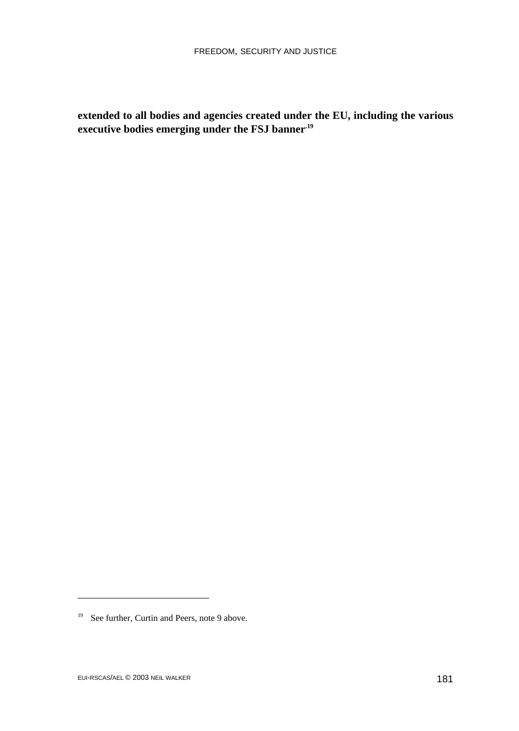**extended to all bodies and agencies created under the EU, including the various executive bodies emerging under the FSJ banner.19**

 $\overline{a}$ 

<sup>&</sup>lt;sup>19</sup> See further, Curtin and Peers, note 9 above.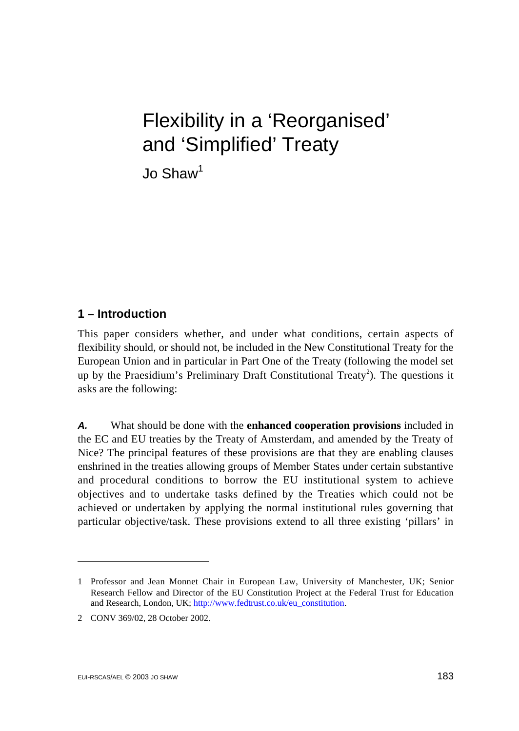# Flexibility in a 'Reorganised' and 'Simplified' Treaty

 $I_0$  Shaw<sup>1</sup>

## **1 – Introduction**

This paper considers whether, and under what conditions, certain aspects of flexibility should, or should not, be included in the New Constitutional Treaty for the European Union and in particular in Part One of the Treaty (following the model set up by the Praesidium's Preliminary Draft Constitutional Treaty<sup>2</sup>). The questions it asks are the following:

*A.* What should be done with the **enhanced cooperation provisions** included in the EC and EU treaties by the Treaty of Amsterdam, and amended by the Treaty of Nice? The principal features of these provisions are that they are enabling clauses enshrined in the treaties allowing groups of Member States under certain substantive and procedural conditions to borrow the EU institutional system to achieve objectives and to undertake tasks defined by the Treaties which could not be achieved or undertaken by applying the normal institutional rules governing that particular objective/task. These provisions extend to all three existing 'pillars' in

<sup>1</sup> Professor and Jean Monnet Chair in European Law, University of Manchester, UK; Senior Research Fellow and Director of the EU Constitution Project at the Federal Trust for Education and Research, London, UK; [http://www.fedtrust.co.uk/eu\\_constitution.](http://www.fedtrust.co.uk/eu_constitution)

<sup>2</sup> CONV 369/02, 28 October 2002.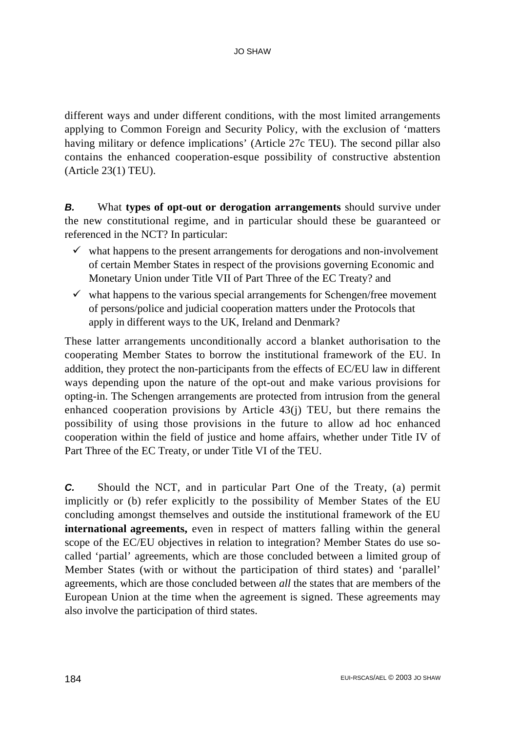different ways and under different conditions, with the most limited arrangements applying to Common Foreign and Security Policy, with the exclusion of 'matters having military or defence implications' (Article 27c TEU). The second pillar also contains the enhanced cooperation-esque possibility of constructive abstention (Article 23(1) TEU).

*B.* What **types of opt-out or derogation arrangements** should survive under the new constitutional regime, and in particular should these be guaranteed or referenced in the NCT? In particular:

- $\checkmark$  what happens to the present arrangements for derogations and non-involvement of certain Member States in respect of the provisions governing Economic and Monetary Union under Title VII of Part Three of the EC Treaty? and
- $\checkmark$  what happens to the various special arrangements for Schengen/free movement of persons/police and judicial cooperation matters under the Protocols that apply in different ways to the UK, Ireland and Denmark?

These latter arrangements unconditionally accord a blanket authorisation to the cooperating Member States to borrow the institutional framework of the EU. In addition, they protect the non-participants from the effects of EC/EU law in different ways depending upon the nature of the opt-out and make various provisions for opting-in. The Schengen arrangements are protected from intrusion from the general enhanced cooperation provisions by Article 43(j) TEU, but there remains the possibility of using those provisions in the future to allow ad hoc enhanced cooperation within the field of justice and home affairs, whether under Title IV of Part Three of the EC Treaty, or under Title VI of the TEU.

*C.* Should the NCT, and in particular Part One of the Treaty, (a) permit implicitly or (b) refer explicitly to the possibility of Member States of the EU concluding amongst themselves and outside the institutional framework of the EU **international agreements,** even in respect of matters falling within the general scope of the EC/EU objectives in relation to integration? Member States do use socalled 'partial' agreements, which are those concluded between a limited group of Member States (with or without the participation of third states) and 'parallel' agreements, which are those concluded between *all* the states that are members of the European Union at the time when the agreement is signed. These agreements may also involve the participation of third states.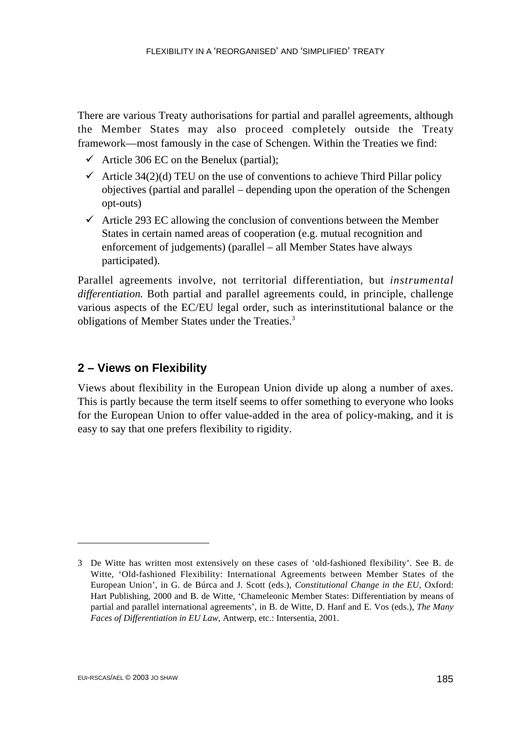There are various Treaty authorisations for partial and parallel agreements, although the Member States may also proceed completely outside the Treaty framework—most famously in the case of Schengen. Within the Treaties we find:

- $\checkmark$  Article 306 EC on the Benelux (partial);
- $\checkmark$  Article 34(2)(d) TEU on the use of conventions to achieve Third Pillar policy objectives (partial and parallel – depending upon the operation of the Schengen opt-outs)
- $\checkmark$  Article 293 EC allowing the conclusion of conventions between the Member States in certain named areas of cooperation (e.g. mutual recognition and enforcement of judgements) (parallel – all Member States have always participated).

Parallel agreements involve, not territorial differentiation, but *instrumental differentiation.* Both partial and parallel agreements could, in principle, challenge various aspects of the EC/EU legal order, such as interinstitutional balance or the obligations of Member States under the Treaties.<sup>3</sup>

# **2 – Views on Flexibility**

Views about flexibility in the European Union divide up along a number of axes. This is partly because the term itself seems to offer something to everyone who looks for the European Union to offer value-added in the area of policy-making, and it is easy to say that one prefers flexibility to rigidity.

 $\overline{a}$ 

<sup>3</sup> De Witte has written most extensively on these cases of 'old-fashioned flexibility'. See B. de Witte, 'Old-fashioned Flexibility: International Agreements between Member States of the European Union', in G. de Búrca and J. Scott (eds.), *Constitutional Change in the EU,* Oxford: Hart Publishing, 2000 and B. de Witte, 'Chameleonic Member States: Differentiation by means of partial and parallel international agreements', in B. de Witte, D. Hanf and E. Vos (eds.), *The Many Faces of Differentiation in EU Law,* Antwerp, etc.: Intersentia, 2001.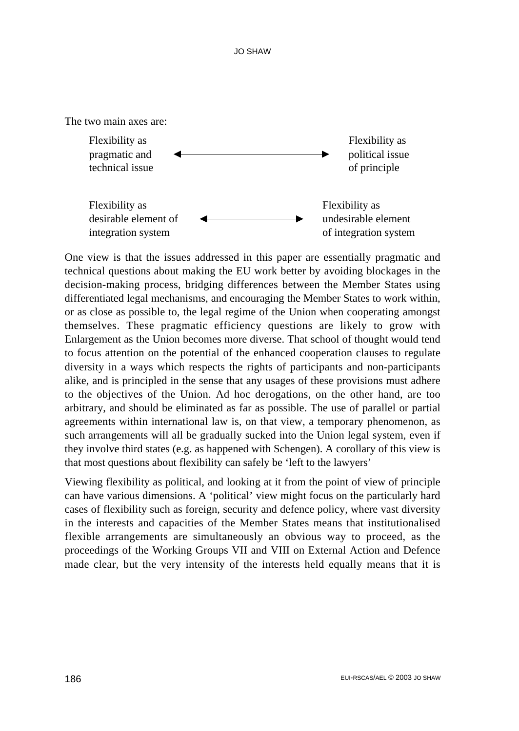



One view is that the issues addressed in this paper are essentially pragmatic and technical questions about making the EU work better by avoiding blockages in the decision-making process, bridging differences between the Member States using differentiated legal mechanisms, and encouraging the Member States to work within, or as close as possible to, the legal regime of the Union when cooperating amongst themselves. These pragmatic efficiency questions are likely to grow with Enlargement as the Union becomes more diverse. That school of thought would tend to focus attention on the potential of the enhanced cooperation clauses to regulate diversity in a ways which respects the rights of participants and non-participants alike, and is principled in the sense that any usages of these provisions must adhere to the objectives of the Union. Ad hoc derogations, on the other hand, are too arbitrary, and should be eliminated as far as possible. The use of parallel or partial agreements within international law is, on that view, a temporary phenomenon, as such arrangements will all be gradually sucked into the Union legal system, even if they involve third states (e.g. as happened with Schengen). A corollary of this view is that most questions about flexibility can safely be 'left to the lawyers'

Viewing flexibility as political, and looking at it from the point of view of principle can have various dimensions. A 'political' view might focus on the particularly hard cases of flexibility such as foreign, security and defence policy, where vast diversity in the interests and capacities of the Member States means that institutionalised flexible arrangements are simultaneously an obvious way to proceed, as the proceedings of the Working Groups VII and VIII on External Action and Defence made clear, but the very intensity of the interests held equally means that it is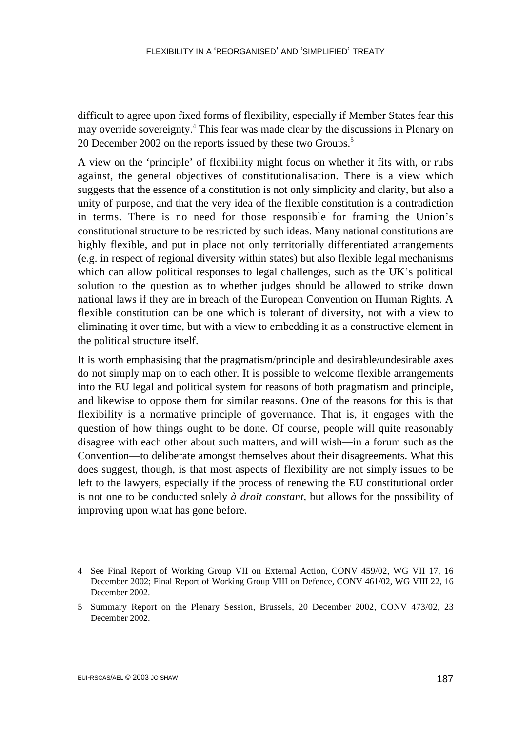difficult to agree upon fixed forms of flexibility, especially if Member States fear this may override sovereignty.4 This fear was made clear by the discussions in Plenary on 20 December 2002 on the reports issued by these two Groups.<sup>5</sup>

A view on the 'principle' of flexibility might focus on whether it fits with, or rubs against, the general objectives of constitutionalisation. There is a view which suggests that the essence of a constitution is not only simplicity and clarity, but also a unity of purpose, and that the very idea of the flexible constitution is a contradiction in terms. There is no need for those responsible for framing the Union's constitutional structure to be restricted by such ideas. Many national constitutions are highly flexible, and put in place not only territorially differentiated arrangements (e.g. in respect of regional diversity within states) but also flexible legal mechanisms which can allow political responses to legal challenges, such as the UK's political solution to the question as to whether judges should be allowed to strike down national laws if they are in breach of the European Convention on Human Rights. A flexible constitution can be one which is tolerant of diversity, not with a view to eliminating it over time, but with a view to embedding it as a constructive element in the political structure itself.

It is worth emphasising that the pragmatism/principle and desirable/undesirable axes do not simply map on to each other. It is possible to welcome flexible arrangements into the EU legal and political system for reasons of both pragmatism and principle, and likewise to oppose them for similar reasons. One of the reasons for this is that flexibility is a normative principle of governance. That is, it engages with the question of how things ought to be done. Of course, people will quite reasonably disagree with each other about such matters, and will wish—in a forum such as the Convention—to deliberate amongst themselves about their disagreements. What this does suggest, though, is that most aspects of flexibility are not simply issues to be left to the lawyers, especially if the process of renewing the EU constitutional order is not one to be conducted solely *à droit constant,* but allows for the possibility of improving upon what has gone before.

<sup>4</sup> See Final Report of Working Group VII on External Action, CONV 459/02, WG VII 17, 16 December 2002; Final Report of Working Group VIII on Defence, CONV 461/02, WG VIII 22, 16 December 2002.

<sup>5</sup> Summary Report on the Plenary Session, Brussels, 20 December 2002, CONV 473/02, 23 December 2002.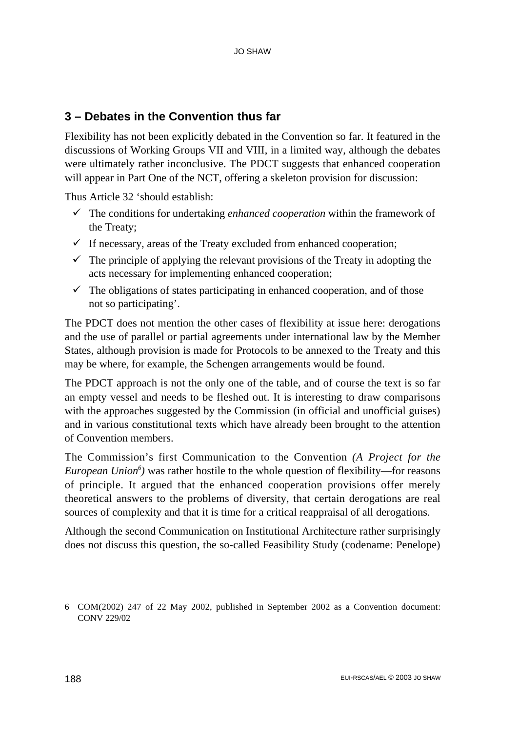## **3 – Debates in the Convention thus far**

Flexibility has not been explicitly debated in the Convention so far. It featured in the discussions of Working Groups VII and VIII, in a limited way, although the debates were ultimately rather inconclusive. The PDCT suggests that enhanced cooperation will appear in Part One of the NCT, offering a skeleton provision for discussion:

Thus Article 32 'should establish:

- ! The conditions for undertaking *enhanced cooperation* within the framework of the Treaty;
- $\checkmark$  If necessary, areas of the Treaty excluded from enhanced cooperation;
- $\checkmark$  The principle of applying the relevant provisions of the Treaty in adopting the acts necessary for implementing enhanced cooperation;
- $\checkmark$  The obligations of states participating in enhanced cooperation, and of those not so participating'.

The PDCT does not mention the other cases of flexibility at issue here: derogations and the use of parallel or partial agreements under international law by the Member States, although provision is made for Protocols to be annexed to the Treaty and this may be where, for example, the Schengen arrangements would be found.

The PDCT approach is not the only one of the table, and of course the text is so far an empty vessel and needs to be fleshed out. It is interesting to draw comparisons with the approaches suggested by the Commission (in official and unofficial guises) and in various constitutional texts which have already been brought to the attention of Convention members.

The Commission's first Communication to the Convention *(A Project for the European Union*<sup>6</sup>) was rather hostile to the whole question of flexibility—for reasons of principle. It argued that the enhanced cooperation provisions offer merely theoretical answers to the problems of diversity, that certain derogations are real sources of complexity and that it is time for a critical reappraisal of all derogations.

Although the second Communication on Institutional Architecture rather surprisingly does not discuss this question, the so-called Feasibility Study (codename: Penelope)

<sup>6</sup> COM(2002) 247 of 22 May 2002, published in September 2002 as a Convention document: CONV 229/02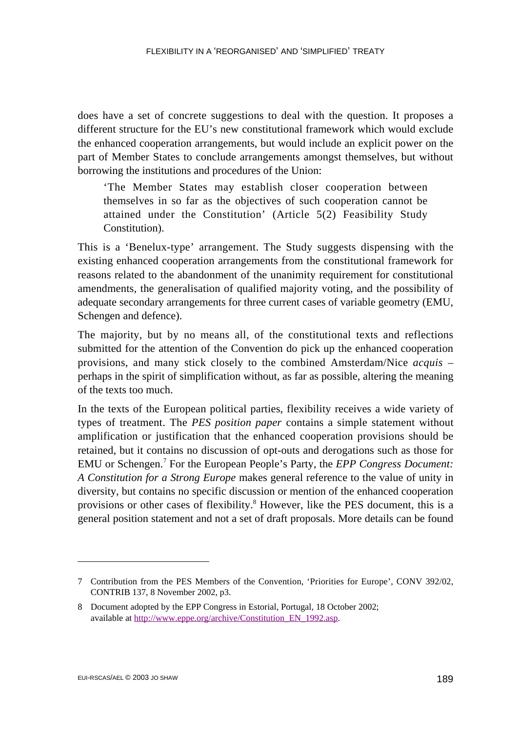does have a set of concrete suggestions to deal with the question. It proposes a different structure for the EU's new constitutional framework which would exclude the enhanced cooperation arrangements, but would include an explicit power on the part of Member States to conclude arrangements amongst themselves, but without borrowing the institutions and procedures of the Union:

'The Member States may establish closer cooperation between themselves in so far as the objectives of such cooperation cannot be attained under the Constitution' (Article 5(2) Feasibility Study Constitution).

This is a 'Benelux-type' arrangement. The Study suggests dispensing with the existing enhanced cooperation arrangements from the constitutional framework for reasons related to the abandonment of the unanimity requirement for constitutional amendments, the generalisation of qualified majority voting, and the possibility of adequate secondary arrangements for three current cases of variable geometry (EMU, Schengen and defence).

The majority, but by no means all, of the constitutional texts and reflections submitted for the attention of the Convention do pick up the enhanced cooperation provisions, and many stick closely to the combined Amsterdam/Nice *acquis –* perhaps in the spirit of simplification without, as far as possible, altering the meaning of the texts too much.

In the texts of the European political parties, flexibility receives a wide variety of types of treatment. The *PES position paper* contains a simple statement without amplification or justification that the enhanced cooperation provisions should be retained, but it contains no discussion of opt-outs and derogations such as those for EMU or Schengen.7 For the European People's Party, the *EPP Congress Document: A Constitution for a Strong Europe* makes general reference to the value of unity in diversity, but contains no specific discussion or mention of the enhanced cooperation provisions or other cases of flexibility.8 However, like the PES document, this is a general position statement and not a set of draft proposals. More details can be found

<sup>7</sup> Contribution from the PES Members of the Convention, 'Priorities for Europe', CONV 392/02, CONTRIB 137, 8 November 2002, p3.

<sup>8</sup> Document adopted by the EPP Congress in Estorial, Portugal, 18 October 2002; available at [http://www.eppe.org/archive/Constitution\\_EN\\_1992.asp.](http://www.eppe.org/archive/Constitution_EN_1992.asp.)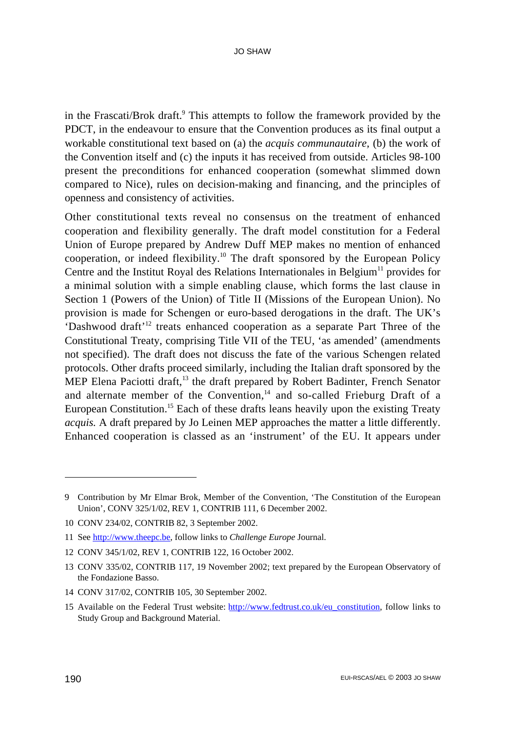in the Frascati/Brok draft.<sup>9</sup> This attempts to follow the framework provided by the PDCT, in the endeavour to ensure that the Convention produces as its final output a workable constitutional text based on (a) the *acquis communautaire,* (b) the work of the Convention itself and (c) the inputs it has received from outside. Articles 98-100 present the preconditions for enhanced cooperation (somewhat slimmed down compared to Nice), rules on decision-making and financing, and the principles of openness and consistency of activities.

Other constitutional texts reveal no consensus on the treatment of enhanced cooperation and flexibility generally. The draft model constitution for a Federal Union of Europe prepared by Andrew Duff MEP makes no mention of enhanced cooperation, or indeed flexibility.10 The draft sponsored by the European Policy Centre and the Institut Royal des Relations Internationales in Belgium<sup>11</sup> provides for a minimal solution with a simple enabling clause, which forms the last clause in Section 1 (Powers of the Union) of Title II (Missions of the European Union). No provision is made for Schengen or euro-based derogations in the draft. The UK's 'Dashwood draft'12 treats enhanced cooperation as a separate Part Three of the Constitutional Treaty, comprising Title VII of the TEU, 'as amended' (amendments not specified). The draft does not discuss the fate of the various Schengen related protocols. Other drafts proceed similarly, including the Italian draft sponsored by the MEP Elena Paciotti draft, $13$  the draft prepared by Robert Badinter, French Senator and alternate member of the Convention, $14$  and so-called Frieburg Draft of a European Constitution.<sup>15</sup> Each of these drafts leans heavily upon the existing Treaty *acquis.* A draft prepared by Jo Leinen MEP approaches the matter a little differently. Enhanced cooperation is classed as an 'instrument' of the EU. It appears under

<sup>9</sup> Contribution by Mr Elmar Brok, Member of the Convention, 'The Constitution of the European Union', CONV 325/1/02, REV 1, CONTRIB 111, 6 December 2002.

<sup>10</sup> CONV 234/02, CONTRIB 82, 3 September 2002.

<sup>11</sup> See [http://www.theepc.be,](http://www.theepc.be) follow links to *Challenge Europe* Journal.

<sup>12</sup> CONV 345/1/02, REV 1, CONTRIB 122, 16 October 2002.

<sup>13</sup> CONV 335/02, CONTRIB 117, 19 November 2002; text prepared by the European Observatory of the Fondazione Basso.

<sup>14</sup> CONV 317/02, CONTRIB 105, 30 September 2002.

<sup>15</sup> Available on the Federal Trust website: [http://www.fedtrust.co.uk/eu\\_constitution,](http://www.fedtrust.co.uk/eu_constitution) follow links to Study Group and Background Material.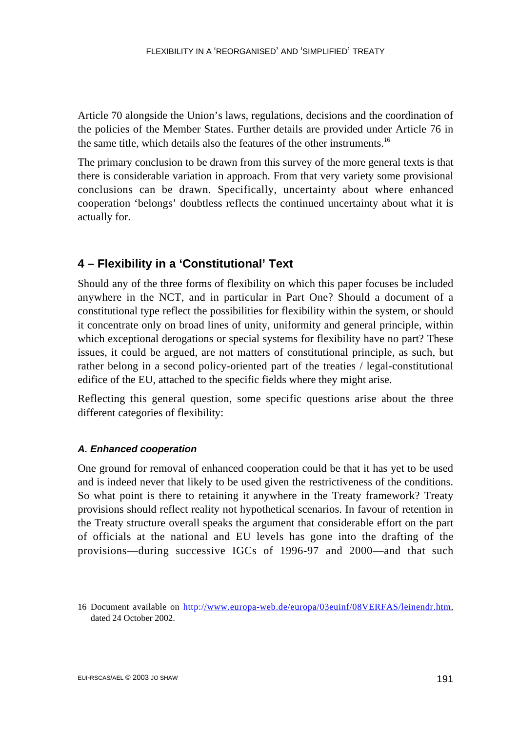Article 70 alongside the Union's laws, regulations, decisions and the coordination of the policies of the Member States. Further details are provided under Article 76 in the same title, which details also the features of the other instruments.<sup>16</sup>

The primary conclusion to be drawn from this survey of the more general texts is that there is considerable variation in approach. From that very variety some provisional conclusions can be drawn. Specifically, uncertainty about where enhanced cooperation 'belongs' doubtless reflects the continued uncertainty about what it is actually for.

## **4 – Flexibility in a 'Constitutional' Text**

Should any of the three forms of flexibility on which this paper focuses be included anywhere in the NCT, and in particular in Part One? Should a document of a constitutional type reflect the possibilities for flexibility within the system, or should it concentrate only on broad lines of unity, uniformity and general principle, within which exceptional derogations or special systems for flexibility have no part? These issues, it could be argued, are not matters of constitutional principle, as such, but rather belong in a second policy-oriented part of the treaties / legal-constitutional edifice of the EU, attached to the specific fields where they might arise.

Reflecting this general question, some specific questions arise about the three different categories of flexibility:

## *A. Enhanced cooperation*

One ground for removal of enhanced cooperation could be that it has yet to be used and is indeed never that likely to be used given the restrictiveness of the conditions. So what point is there to retaining it anywhere in the Treaty framework? Treaty provisions should reflect reality not hypothetical scenarios. In favour of retention in the Treaty structure overall speaks the argument that considerable effort on the part of officials at the national and EU levels has gone into the drafting of the provisions—during successive IGCs of 1996-97 and 2000—and that such

<sup>16</sup> Document available on [http://www.europa-web.de/europa/03euinf/08VERFAS/leinendr.htm,](http://www.europa-web.de/europa/03euinf/08VERFAS/leinendr.htm) dated 24 October 2002.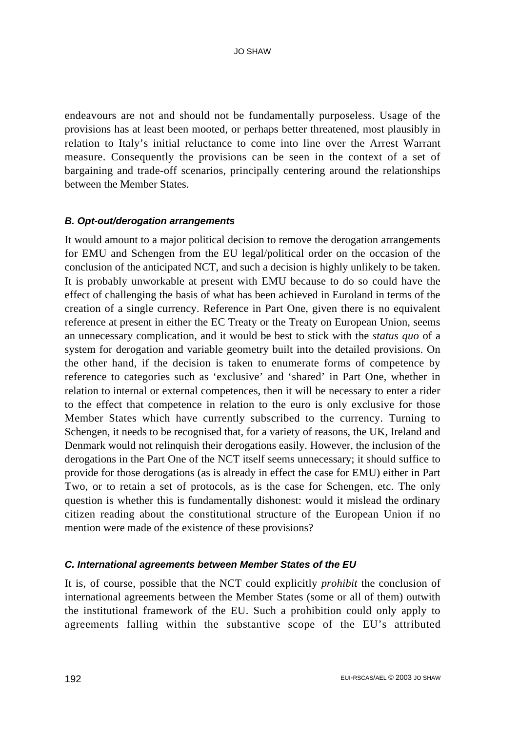endeavours are not and should not be fundamentally purposeless. Usage of the provisions has at least been mooted, or perhaps better threatened, most plausibly in relation to Italy's initial reluctance to come into line over the Arrest Warrant measure. Consequently the provisions can be seen in the context of a set of bargaining and trade-off scenarios, principally centering around the relationships between the Member States.

#### *B. Opt-out/derogation arrangements*

It would amount to a major political decision to remove the derogation arrangements for EMU and Schengen from the EU legal/political order on the occasion of the conclusion of the anticipated NCT, and such a decision is highly unlikely to be taken. It is probably unworkable at present with EMU because to do so could have the effect of challenging the basis of what has been achieved in Euroland in terms of the creation of a single currency. Reference in Part One, given there is no equivalent reference at present in either the EC Treaty or the Treaty on European Union, seems an unnecessary complication, and it would be best to stick with the *status quo* of a system for derogation and variable geometry built into the detailed provisions. On the other hand, if the decision is taken to enumerate forms of competence by reference to categories such as 'exclusive' and 'shared' in Part One, whether in relation to internal or external competences, then it will be necessary to enter a rider to the effect that competence in relation to the euro is only exclusive for those Member States which have currently subscribed to the currency. Turning to Schengen, it needs to be recognised that, for a variety of reasons, the UK, Ireland and Denmark would not relinquish their derogations easily. However, the inclusion of the derogations in the Part One of the NCT itself seems unnecessary; it should suffice to provide for those derogations (as is already in effect the case for EMU) either in Part Two, or to retain a set of protocols, as is the case for Schengen, etc. The only question is whether this is fundamentally dishonest: would it mislead the ordinary citizen reading about the constitutional structure of the European Union if no mention were made of the existence of these provisions?

#### *C. International agreements between Member States of the EU*

It is, of course, possible that the NCT could explicitly *prohibit* the conclusion of international agreements between the Member States (some or all of them) outwith the institutional framework of the EU. Such a prohibition could only apply to agreements falling within the substantive scope of the EU's attributed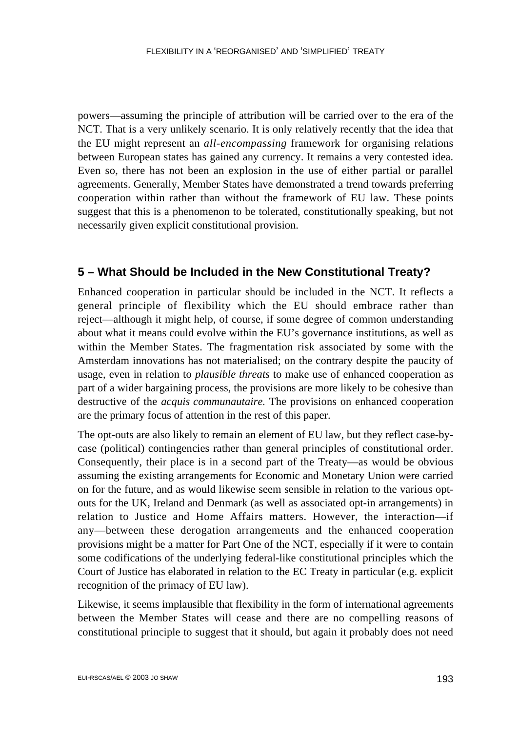powers—assuming the principle of attribution will be carried over to the era of the NCT. That is a very unlikely scenario. It is only relatively recently that the idea that the EU might represent an *all-encompassing* framework for organising relations between European states has gained any currency. It remains a very contested idea. Even so, there has not been an explosion in the use of either partial or parallel agreements. Generally, Member States have demonstrated a trend towards preferring cooperation within rather than without the framework of EU law. These points suggest that this is a phenomenon to be tolerated, constitutionally speaking, but not necessarily given explicit constitutional provision.

## **5 – What Should be Included in the New Constitutional Treaty?**

Enhanced cooperation in particular should be included in the NCT. It reflects a general principle of flexibility which the EU should embrace rather than reject—although it might help, of course, if some degree of common understanding about what it means could evolve within the EU's governance institutions, as well as within the Member States. The fragmentation risk associated by some with the Amsterdam innovations has not materialised; on the contrary despite the paucity of usage, even in relation to *plausible threats* to make use of enhanced cooperation as part of a wider bargaining process, the provisions are more likely to be cohesive than destructive of the *acquis communautaire.* The provisions on enhanced cooperation are the primary focus of attention in the rest of this paper.

The opt-outs are also likely to remain an element of EU law, but they reflect case-bycase (political) contingencies rather than general principles of constitutional order. Consequently, their place is in a second part of the Treaty—as would be obvious assuming the existing arrangements for Economic and Monetary Union were carried on for the future, and as would likewise seem sensible in relation to the various optouts for the UK, Ireland and Denmark (as well as associated opt-in arrangements) in relation to Justice and Home Affairs matters. However, the interaction—if any—between these derogation arrangements and the enhanced cooperation provisions might be a matter for Part One of the NCT, especially if it were to contain some codifications of the underlying federal-like constitutional principles which the Court of Justice has elaborated in relation to the EC Treaty in particular (e.g. explicit recognition of the primacy of EU law).

Likewise, it seems implausible that flexibility in the form of international agreements between the Member States will cease and there are no compelling reasons of constitutional principle to suggest that it should, but again it probably does not need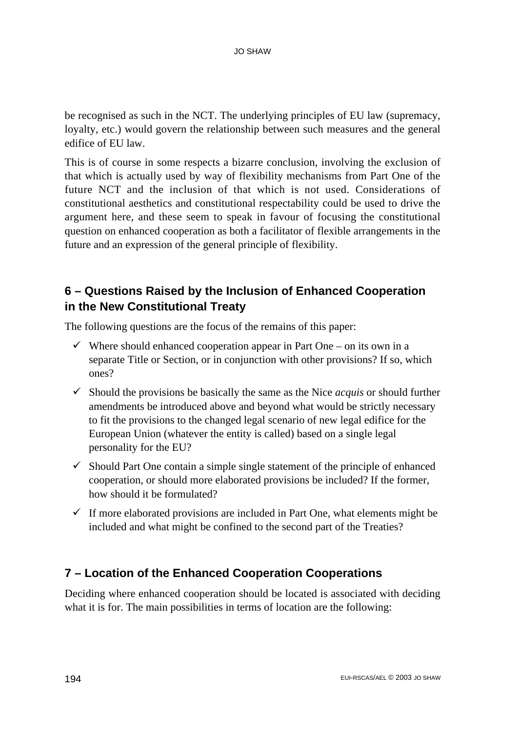be recognised as such in the NCT. The underlying principles of EU law (supremacy, loyalty, etc.) would govern the relationship between such measures and the general edifice of EU law.

This is of course in some respects a bizarre conclusion, involving the exclusion of that which is actually used by way of flexibility mechanisms from Part One of the future NCT and the inclusion of that which is not used. Considerations of constitutional aesthetics and constitutional respectability could be used to drive the argument here, and these seem to speak in favour of focusing the constitutional question on enhanced cooperation as both a facilitator of flexible arrangements in the future and an expression of the general principle of flexibility.

# **6 – Questions Raised by the Inclusion of Enhanced Cooperation in the New Constitutional Treaty**

The following questions are the focus of the remains of this paper:

- $\checkmark$  Where should enhanced cooperation appear in Part One on its own in a separate Title or Section, or in conjunction with other provisions? If so, which ones?
- $\checkmark$  Should the provisions be basically the same as the Nice *acquis* or should further amendments be introduced above and beyond what would be strictly necessary to fit the provisions to the changed legal scenario of new legal edifice for the European Union (whatever the entity is called) based on a single legal personality for the EU?
- $\checkmark$  Should Part One contain a simple single statement of the principle of enhanced cooperation, or should more elaborated provisions be included? If the former, how should it be formulated?
- $\checkmark$  If more elaborated provisions are included in Part One, what elements might be included and what might be confined to the second part of the Treaties?

# **7 – Location of the Enhanced Cooperation Cooperations**

Deciding where enhanced cooperation should be located is associated with deciding what it is for. The main possibilities in terms of location are the following: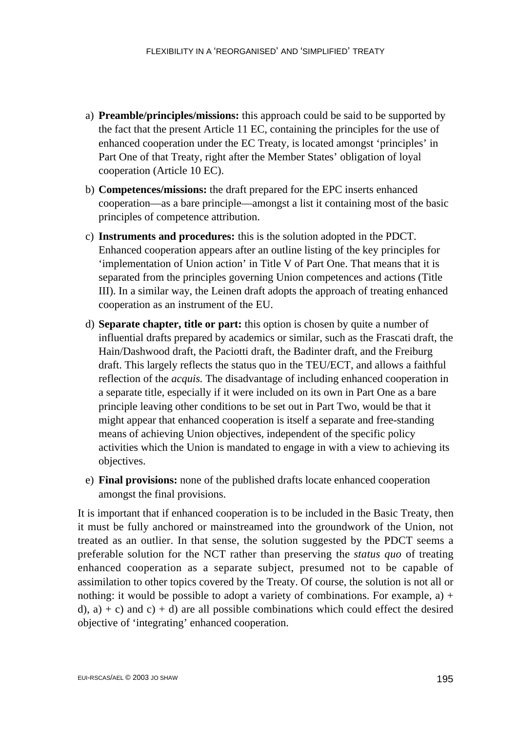- a) **Preamble/principles/missions:** this approach could be said to be supported by the fact that the present Article 11 EC, containing the principles for the use of enhanced cooperation under the EC Treaty, is located amongst 'principles' in Part One of that Treaty, right after the Member States' obligation of loyal cooperation (Article 10 EC).
- b) **Competences/missions:** the draft prepared for the EPC inserts enhanced cooperation—as a bare principle—amongst a list it containing most of the basic principles of competence attribution.
- c) **Instruments and procedures:** this is the solution adopted in the PDCT. Enhanced cooperation appears after an outline listing of the key principles for 'implementation of Union action' in Title V of Part One. That means that it is separated from the principles governing Union competences and actions (Title III). In a similar way, the Leinen draft adopts the approach of treating enhanced cooperation as an instrument of the EU.
- d) **Separate chapter, title or part:** this option is chosen by quite a number of influential drafts prepared by academics or similar, such as the Frascati draft, the Hain/Dashwood draft, the Paciotti draft, the Badinter draft, and the Freiburg draft. This largely reflects the status quo in the TEU/ECT, and allows a faithful reflection of the *acquis.* The disadvantage of including enhanced cooperation in a separate title, especially if it were included on its own in Part One as a bare principle leaving other conditions to be set out in Part Two, would be that it might appear that enhanced cooperation is itself a separate and free-standing means of achieving Union objectives, independent of the specific policy activities which the Union is mandated to engage in with a view to achieving its objectives.
- e) **Final provisions:** none of the published drafts locate enhanced cooperation amongst the final provisions.

It is important that if enhanced cooperation is to be included in the Basic Treaty, then it must be fully anchored or mainstreamed into the groundwork of the Union, not treated as an outlier. In that sense, the solution suggested by the PDCT seems a preferable solution for the NCT rather than preserving the *status quo* of treating enhanced cooperation as a separate subject, presumed not to be capable of assimilation to other topics covered by the Treaty. Of course, the solution is not all or nothing: it would be possible to adopt a variety of combinations. For example,  $a$ ) + d), a) + c) and c) + d) are all possible combinations which could effect the desired objective of 'integrating' enhanced cooperation.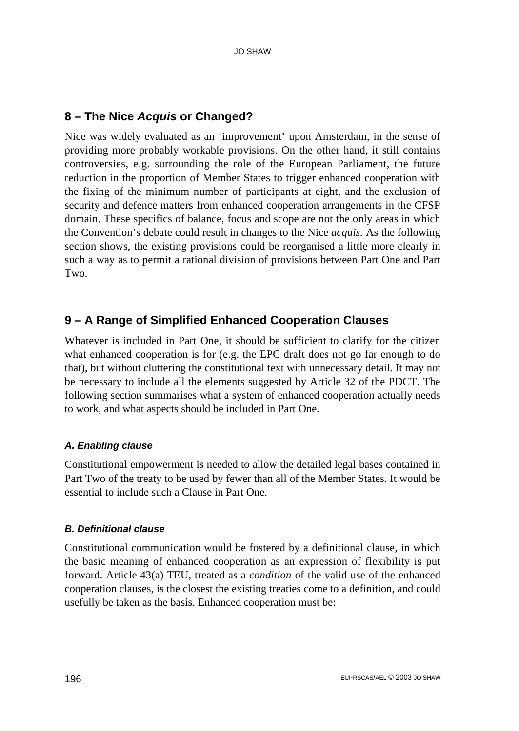## **8 – The Nice** *Acquis* **or Changed?**

Nice was widely evaluated as an 'improvement' upon Amsterdam, in the sense of providing more probably workable provisions. On the other hand, it still contains controversies, e.g. surrounding the role of the European Parliament, the future reduction in the proportion of Member States to trigger enhanced cooperation with the fixing of the minimum number of participants at eight, and the exclusion of security and defence matters from enhanced cooperation arrangements in the CFSP domain. These specifics of balance, focus and scope are not the only areas in which the Convention's debate could result in changes to the Nice *acquis.* As the following section shows, the existing provisions could be reorganised a little more clearly in such a way as to permit a rational division of provisions between Part One and Part Two.

## **9 – A Range of Simplified Enhanced Cooperation Clauses**

Whatever is included in Part One, it should be sufficient to clarify for the citizen what enhanced cooperation is for (e.g. the EPC draft does not go far enough to do that), but without cluttering the constitutional text with unnecessary detail. It may not be necessary to include all the elements suggested by Article 32 of the PDCT. The following section summarises what a system of enhanced cooperation actually needs to work, and what aspects should be included in Part One.

## *A. Enabling clause*

Constitutional empowerment is needed to allow the detailed legal bases contained in Part Two of the treaty to be used by fewer than all of the Member States. It would be essential to include such a Clause in Part One.

## *B. Definitional clause*

Constitutional communication would be fostered by a definitional clause, in which the basic meaning of enhanced cooperation as an expression of flexibility is put forward. Article 43(a) TEU, treated as a *condition* of the valid use of the enhanced cooperation clauses, is the closest the existing treaties come to a definition, and could usefully be taken as the basis. Enhanced cooperation must be: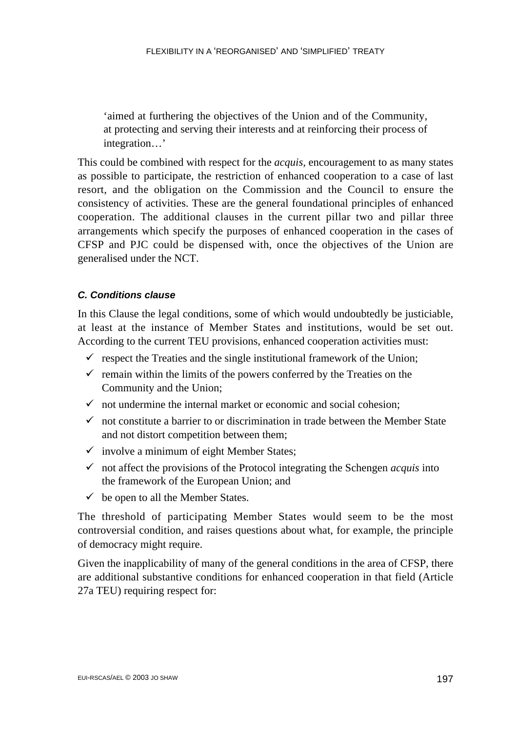'aimed at furthering the objectives of the Union and of the Community, at protecting and serving their interests and at reinforcing their process of integration…'

This could be combined with respect for the *acquis,* encouragement to as many states as possible to participate, the restriction of enhanced cooperation to a case of last resort, and the obligation on the Commission and the Council to ensure the consistency of activities. These are the general foundational principles of enhanced cooperation. The additional clauses in the current pillar two and pillar three arrangements which specify the purposes of enhanced cooperation in the cases of CFSP and PJC could be dispensed with, once the objectives of the Union are generalised under the NCT.

## *C. Conditions clause*

In this Clause the legal conditions, some of which would undoubtedly be justiciable, at least at the instance of Member States and institutions, would be set out. According to the current TEU provisions, enhanced cooperation activities must:

- $\checkmark$  respect the Treaties and the single institutional framework of the Union;
- $\checkmark$  remain within the limits of the powers conferred by the Treaties on the Community and the Union;
- $\checkmark$  not undermine the internal market or economic and social cohesion;
- $\checkmark$  not constitute a barrier to or discrimination in trade between the Member State and not distort competition between them;
- $\checkmark$  involve a minimum of eight Member States;
- $\checkmark$  not affect the provisions of the Protocol integrating the Schengen *acquis* into the framework of the European Union; and
- $\checkmark$  be open to all the Member States.

The threshold of participating Member States would seem to be the most controversial condition, and raises questions about what, for example, the principle of democracy might require.

Given the inapplicability of many of the general conditions in the area of CFSP, there are additional substantive conditions for enhanced cooperation in that field (Article 27a TEU) requiring respect for: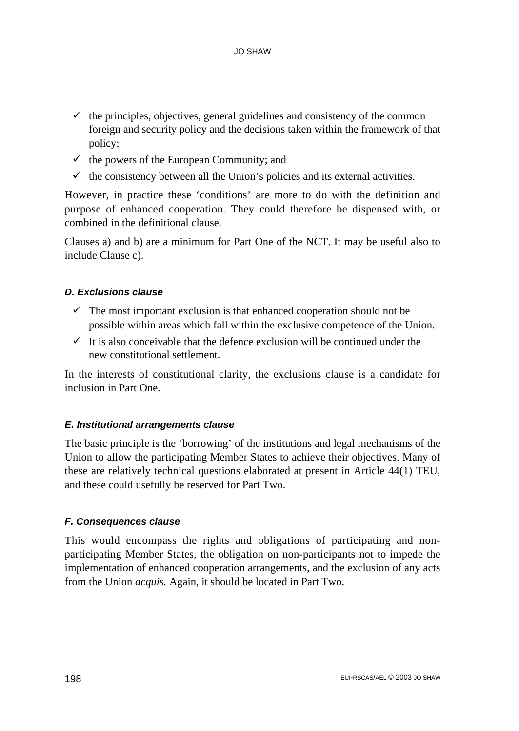- $\checkmark$  the principles, objectives, general guidelines and consistency of the common foreign and security policy and the decisions taken within the framework of that policy;
- $\checkmark$  the powers of the European Community; and
- $\checkmark$  the consistency between all the Union's policies and its external activities.

However, in practice these 'conditions' are more to do with the definition and purpose of enhanced cooperation. They could therefore be dispensed with, or combined in the definitional clause.

Clauses a) and b) are a minimum for Part One of the NCT. It may be useful also to include Clause c).

## *D. Exclusions clause*

- $\checkmark$  The most important exclusion is that enhanced cooperation should not be possible within areas which fall within the exclusive competence of the Union.
- $\checkmark$  It is also conceivable that the defence exclusion will be continued under the new constitutional settlement.

In the interests of constitutional clarity, the exclusions clause is a candidate for inclusion in Part One.

## *E. Institutional arrangements clause*

The basic principle is the 'borrowing' of the institutions and legal mechanisms of the Union to allow the participating Member States to achieve their objectives. Many of these are relatively technical questions elaborated at present in Article 44(1) TEU, and these could usefully be reserved for Part Two.

## *F. Consequences clause*

This would encompass the rights and obligations of participating and nonparticipating Member States, the obligation on non-participants not to impede the implementation of enhanced cooperation arrangements, and the exclusion of any acts from the Union *acquis.* Again, it should be located in Part Two.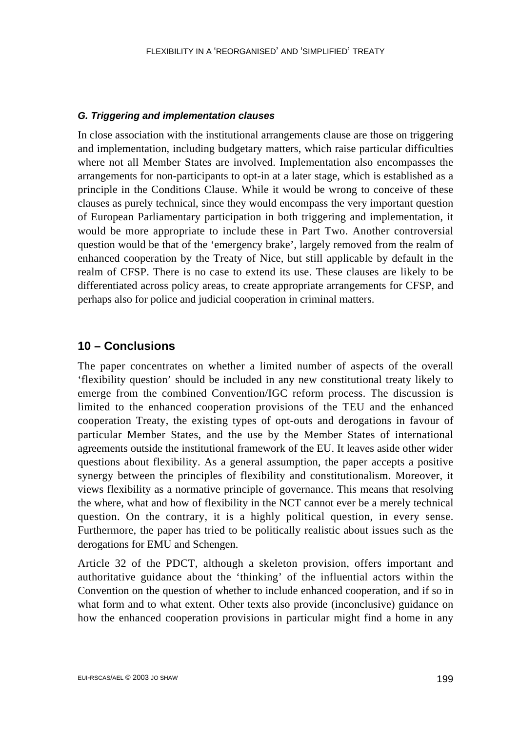#### *G. Triggering and implementation clauses*

In close association with the institutional arrangements clause are those on triggering and implementation, including budgetary matters, which raise particular difficulties where not all Member States are involved. Implementation also encompasses the arrangements for non-participants to opt-in at a later stage, which is established as a principle in the Conditions Clause. While it would be wrong to conceive of these clauses as purely technical, since they would encompass the very important question of European Parliamentary participation in both triggering and implementation, it would be more appropriate to include these in Part Two. Another controversial question would be that of the 'emergency brake', largely removed from the realm of enhanced cooperation by the Treaty of Nice, but still applicable by default in the realm of CFSP. There is no case to extend its use. These clauses are likely to be differentiated across policy areas, to create appropriate arrangements for CFSP, and perhaps also for police and judicial cooperation in criminal matters.

#### **10 – Conclusions**

The paper concentrates on whether a limited number of aspects of the overall 'flexibility question' should be included in any new constitutional treaty likely to emerge from the combined Convention/IGC reform process. The discussion is limited to the enhanced cooperation provisions of the TEU and the enhanced cooperation Treaty, the existing types of opt-outs and derogations in favour of particular Member States, and the use by the Member States of international agreements outside the institutional framework of the EU. It leaves aside other wider questions about flexibility. As a general assumption, the paper accepts a positive synergy between the principles of flexibility and constitutionalism. Moreover, it views flexibility as a normative principle of governance. This means that resolving the where, what and how of flexibility in the NCT cannot ever be a merely technical question. On the contrary, it is a highly political question, in every sense. Furthermore, the paper has tried to be politically realistic about issues such as the derogations for EMU and Schengen.

Article 32 of the PDCT, although a skeleton provision, offers important and authoritative guidance about the 'thinking' of the influential actors within the Convention on the question of whether to include enhanced cooperation, and if so in what form and to what extent. Other texts also provide (inconclusive) guidance on how the enhanced cooperation provisions in particular might find a home in any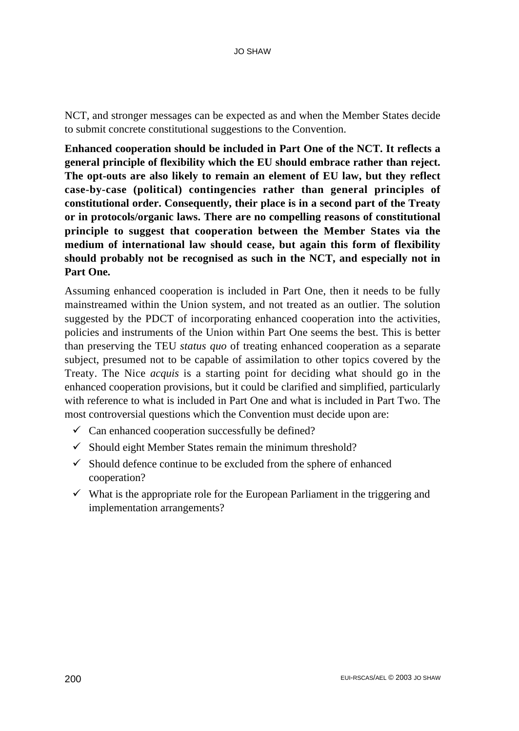NCT, and stronger messages can be expected as and when the Member States decide to submit concrete constitutional suggestions to the Convention.

**Enhanced cooperation should be included in Part One of the NCT. It reflects a general principle of flexibility which the EU should embrace rather than reject. The opt-outs are also likely to remain an element of EU law, but they reflect case-by-case (political) contingencies rather than general principles of constitutional order. Consequently, their place is in a second part of the Treaty or in protocols/organic laws. There are no compelling reasons of constitutional principle to suggest that cooperation between the Member States via the medium of international law should cease, but again this form of flexibility should probably not be recognised as such in the NCT, and especially not in Part One.**

Assuming enhanced cooperation is included in Part One, then it needs to be fully mainstreamed within the Union system, and not treated as an outlier. The solution suggested by the PDCT of incorporating enhanced cooperation into the activities, policies and instruments of the Union within Part One seems the best. This is better than preserving the TEU *status quo* of treating enhanced cooperation as a separate subject, presumed not to be capable of assimilation to other topics covered by the Treaty. The Nice *acquis* is a starting point for deciding what should go in the enhanced cooperation provisions, but it could be clarified and simplified, particularly with reference to what is included in Part One and what is included in Part Two. The most controversial questions which the Convention must decide upon are:

- $\checkmark$  Can enhanced cooperation successfully be defined?
- $\checkmark$  Should eight Member States remain the minimum threshold?
- $\checkmark$  Should defence continue to be excluded from the sphere of enhanced cooperation?
- $\checkmark$  What is the appropriate role for the European Parliament in the triggering and implementation arrangements?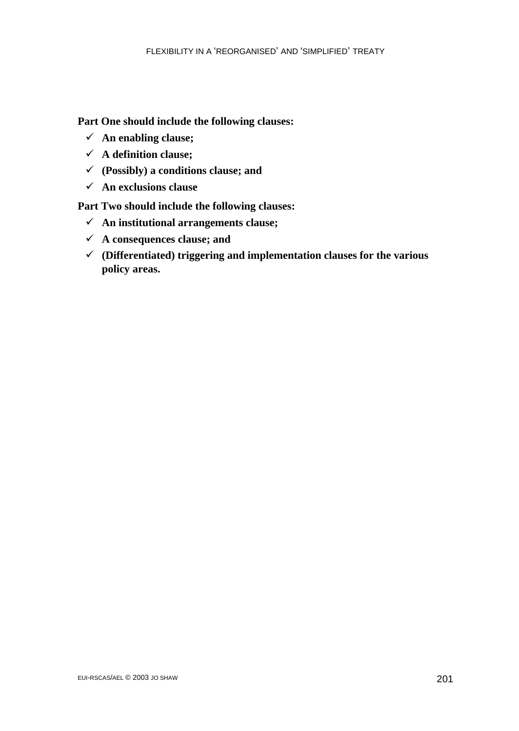**Part One should include the following clauses:**

- ! **An enabling clause;**
- ! **A definition clause;**
- ! **(Possibly) a conditions clause; and**
- ! **An exclusions clause**

**Part Two should include the following clauses:**

- ! **An institutional arrangements clause;**
- ! **A consequences clause; and**
- ! **(Differentiated) triggering and implementation clauses for the various policy areas.**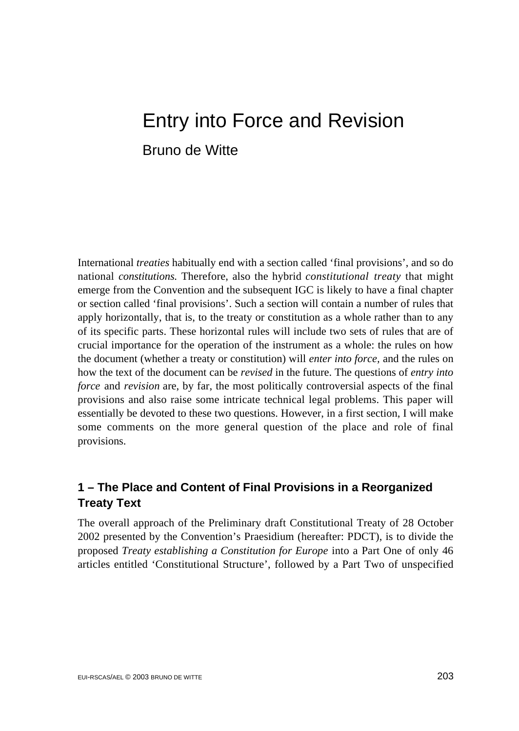# Entry into Force and Revision

Bruno de Witte

International *treaties* habitually end with a section called 'final provisions', and so do national *constitutions.* Therefore, also the hybrid *constitutional treaty* that might emerge from the Convention and the subsequent IGC is likely to have a final chapter or section called 'final provisions'. Such a section will contain a number of rules that apply horizontally, that is, to the treaty or constitution as a whole rather than to any of its specific parts. These horizontal rules will include two sets of rules that are of crucial importance for the operation of the instrument as a whole: the rules on how the document (whether a treaty or constitution) will *enter into force,* and the rules on how the text of the document can be *revised* in the future. The questions of *entry into force* and *revision* are, by far, the most politically controversial aspects of the final provisions and also raise some intricate technical legal problems. This paper will essentially be devoted to these two questions. However, in a first section, I will make some comments on the more general question of the place and role of final provisions.

# **1 – The Place and Content of Final Provisions in a Reorganized Treaty Text**

The overall approach of the Preliminary draft Constitutional Treaty of 28 October 2002 presented by the Convention's Praesidium (hereafter: PDCT), is to divide the proposed *Treaty establishing a Constitution for Europe* into a Part One of only 46 articles entitled 'Constitutional Structure', followed by a Part Two of unspecified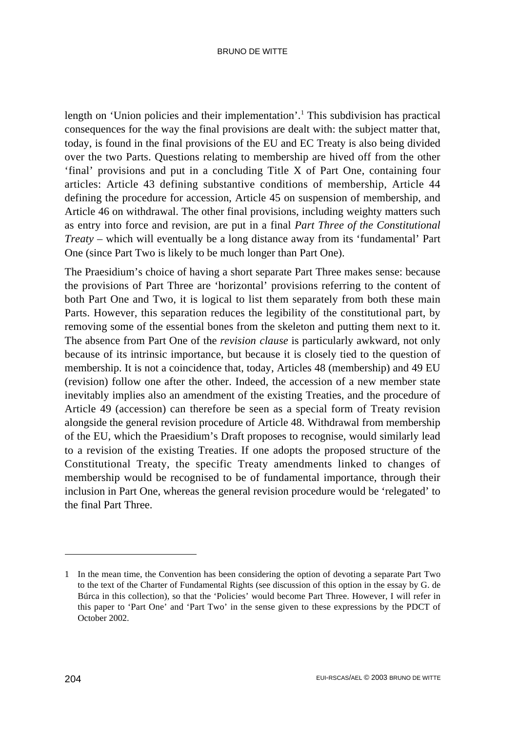length on 'Union policies and their implementation'.<sup>1</sup> This subdivision has practical consequences for the way the final provisions are dealt with: the subject matter that, today, is found in the final provisions of the EU and EC Treaty is also being divided over the two Parts. Questions relating to membership are hived off from the other 'final' provisions and put in a concluding Title X of Part One, containing four articles: Article 43 defining substantive conditions of membership, Article 44 defining the procedure for accession, Article 45 on suspension of membership, and Article 46 on withdrawal. The other final provisions, including weighty matters such as entry into force and revision, are put in a final *Part Three of the Constitutional Treaty –* which will eventually be a long distance away from its 'fundamental' Part One (since Part Two is likely to be much longer than Part One).

The Praesidium's choice of having a short separate Part Three makes sense: because the provisions of Part Three are 'horizontal' provisions referring to the content of both Part One and Two, it is logical to list them separately from both these main Parts. However, this separation reduces the legibility of the constitutional part, by removing some of the essential bones from the skeleton and putting them next to it. The absence from Part One of the *revision clause* is particularly awkward, not only because of its intrinsic importance, but because it is closely tied to the question of membership. It is not a coincidence that, today, Articles 48 (membership) and 49 EU (revision) follow one after the other. Indeed, the accession of a new member state inevitably implies also an amendment of the existing Treaties, and the procedure of Article 49 (accession) can therefore be seen as a special form of Treaty revision alongside the general revision procedure of Article 48. Withdrawal from membership of the EU, which the Praesidium's Draft proposes to recognise, would similarly lead to a revision of the existing Treaties. If one adopts the proposed structure of the Constitutional Treaty, the specific Treaty amendments linked to changes of membership would be recognised to be of fundamental importance, through their inclusion in Part One, whereas the general revision procedure would be 'relegated' to the final Part Three.

-

<sup>1</sup> In the mean time, the Convention has been considering the option of devoting a separate Part Two to the text of the Charter of Fundamental Rights (see discussion of this option in the essay by G. de Búrca in this collection), so that the 'Policies' would become Part Three. However, I will refer in this paper to 'Part One' and 'Part Two' in the sense given to these expressions by the PDCT of October 2002.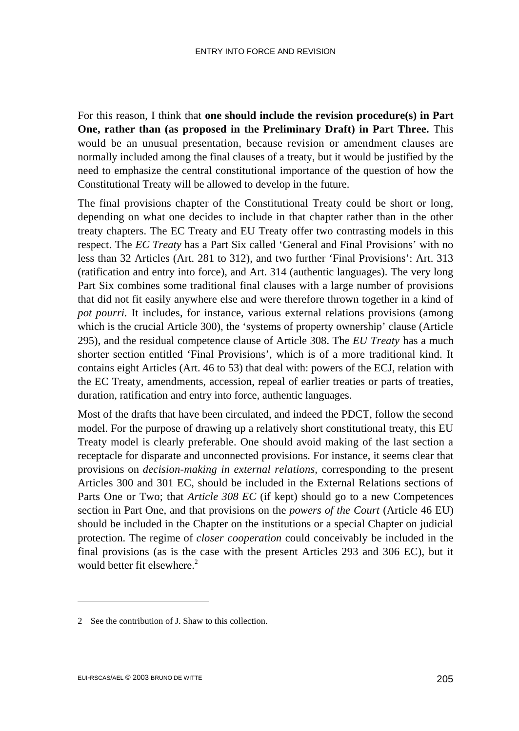For this reason, I think that **one should include the revision procedure(s) in Part One, rather than (as proposed in the Preliminary Draft) in Part Three.** This would be an unusual presentation, because revision or amendment clauses are normally included among the final clauses of a treaty, but it would be justified by the need to emphasize the central constitutional importance of the question of how the Constitutional Treaty will be allowed to develop in the future.

The final provisions chapter of the Constitutional Treaty could be short or long, depending on what one decides to include in that chapter rather than in the other treaty chapters. The EC Treaty and EU Treaty offer two contrasting models in this respect. The *EC Treaty* has a Part Six called 'General and Final Provisions' with no less than 32 Articles (Art. 281 to 312), and two further 'Final Provisions': Art. 313 (ratification and entry into force), and Art. 314 (authentic languages). The very long Part Six combines some traditional final clauses with a large number of provisions that did not fit easily anywhere else and were therefore thrown together in a kind of *pot pourri.* It includes, for instance, various external relations provisions (among which is the crucial Article 300), the 'systems of property ownership' clause (Article 295), and the residual competence clause of Article 308. The *EU Treaty* has a much shorter section entitled 'Final Provisions', which is of a more traditional kind. It contains eight Articles (Art. 46 to 53) that deal with: powers of the ECJ, relation with the EC Treaty, amendments, accession, repeal of earlier treaties or parts of treaties, duration, ratification and entry into force, authentic languages.

Most of the drafts that have been circulated, and indeed the PDCT, follow the second model. For the purpose of drawing up a relatively short constitutional treaty, this EU Treaty model is clearly preferable. One should avoid making of the last section a receptacle for disparate and unconnected provisions. For instance, it seems clear that provisions on *decision-making in external relations,* corresponding to the present Articles 300 and 301 EC, should be included in the External Relations sections of Parts One or Two; that *Article 308 EC* (if kept) should go to a new Competences section in Part One, and that provisions on the *powers of the Court* (Article 46 EU) should be included in the Chapter on the institutions or a special Chapter on judicial protection. The regime of *closer cooperation* could conceivably be included in the final provisions (as is the case with the present Articles 293 and 306 EC), but it would better fit elsewhere.<sup>2</sup>

<sup>2</sup> See the contribution of J. Shaw to this collection.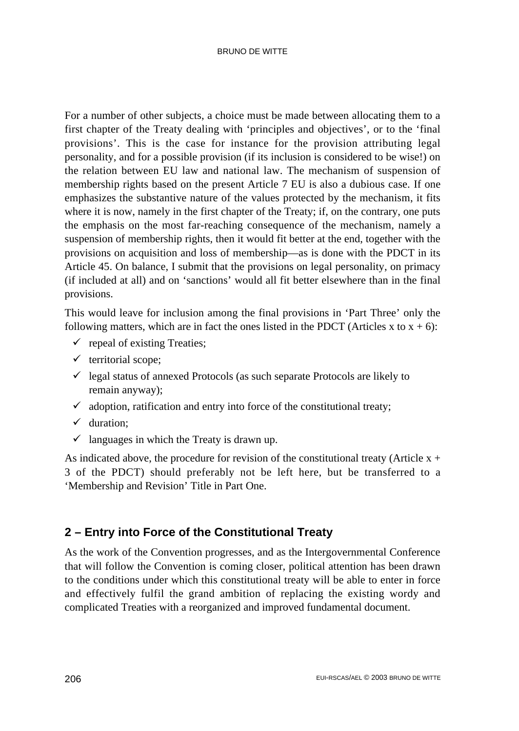#### BRUNO DE WITTE

For a number of other subjects, a choice must be made between allocating them to a first chapter of the Treaty dealing with 'principles and objectives', or to the 'final provisions'. This is the case for instance for the provision attributing legal personality, and for a possible provision (if its inclusion is considered to be wise!) on the relation between EU law and national law. The mechanism of suspension of membership rights based on the present Article 7 EU is also a dubious case. If one emphasizes the substantive nature of the values protected by the mechanism, it fits where it is now, namely in the first chapter of the Treaty; if, on the contrary, one puts the emphasis on the most far-reaching consequence of the mechanism, namely a suspension of membership rights, then it would fit better at the end, together with the provisions on acquisition and loss of membership—as is done with the PDCT in its Article 45. On balance, I submit that the provisions on legal personality, on primacy (if included at all) and on 'sanctions' would all fit better elsewhere than in the final provisions.

This would leave for inclusion among the final provisions in 'Part Three' only the following matters, which are in fact the ones listed in the PDCT (Articles x to  $x + 6$ ):

- $\checkmark$  repeal of existing Treaties;
- $\checkmark$  territorial scope:
- $\checkmark$  legal status of annexed Protocols (as such separate Protocols are likely to remain anyway);
- $\checkmark$  adoption, ratification and entry into force of the constitutional treaty;
- $\checkmark$  duration:
- $\checkmark$  languages in which the Treaty is drawn up.

As indicated above, the procedure for revision of the constitutional treaty (Article  $x +$ 3 of the PDCT) should preferably not be left here, but be transferred to a 'Membership and Revision' Title in Part One.

# **2 – Entry into Force of the Constitutional Treaty**

As the work of the Convention progresses, and as the Intergovernmental Conference that will follow the Convention is coming closer, political attention has been drawn to the conditions under which this constitutional treaty will be able to enter in force and effectively fulfil the grand ambition of replacing the existing wordy and complicated Treaties with a reorganized and improved fundamental document.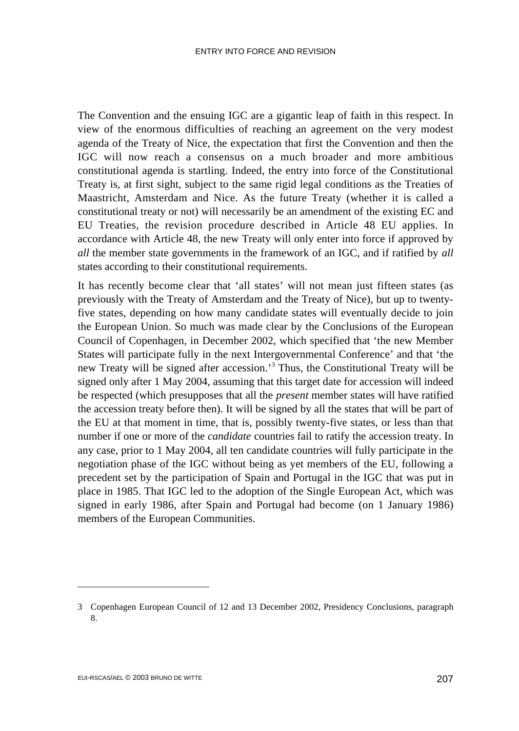The Convention and the ensuing IGC are a gigantic leap of faith in this respect. In view of the enormous difficulties of reaching an agreement on the very modest agenda of the Treaty of Nice, the expectation that first the Convention and then the IGC will now reach a consensus on a much broader and more ambitious constitutional agenda is startling. Indeed, the entry into force of the Constitutional Treaty is, at first sight, subject to the same rigid legal conditions as the Treaties of Maastricht, Amsterdam and Nice. As the future Treaty (whether it is called a constitutional treaty or not) will necessarily be an amendment of the existing EC and EU Treaties, the revision procedure described in Article 48 EU applies. In accordance with Article 48, the new Treaty will only enter into force if approved by *all* the member state governments in the framework of an IGC, and if ratified by *all* states according to their constitutional requirements.

It has recently become clear that 'all states' will not mean just fifteen states (as previously with the Treaty of Amsterdam and the Treaty of Nice), but up to twentyfive states, depending on how many candidate states will eventually decide to join the European Union. So much was made clear by the Conclusions of the European Council of Copenhagen, in December 2002, which specified that 'the new Member States will participate fully in the next Intergovernmental Conference' and that 'the new Treaty will be signed after accession.'3 Thus, the Constitutional Treaty will be signed only after 1 May 2004, assuming that this target date for accession will indeed be respected (which presupposes that all the *present* member states will have ratified the accession treaty before then). It will be signed by all the states that will be part of the EU at that moment in time, that is, possibly twenty-five states, or less than that number if one or more of the *candidate* countries fail to ratify the accession treaty. In any case, prior to 1 May 2004, all ten candidate countries will fully participate in the negotiation phase of the IGC without being as yet members of the EU, following a precedent set by the participation of Spain and Portugal in the IGC that was put in place in 1985. That IGC led to the adoption of the Single European Act, which was signed in early 1986, after Spain and Portugal had become (on 1 January 1986) members of the European Communities.

<sup>3</sup> Copenhagen European Council of 12 and 13 December 2002, Presidency Conclusions, paragraph 8.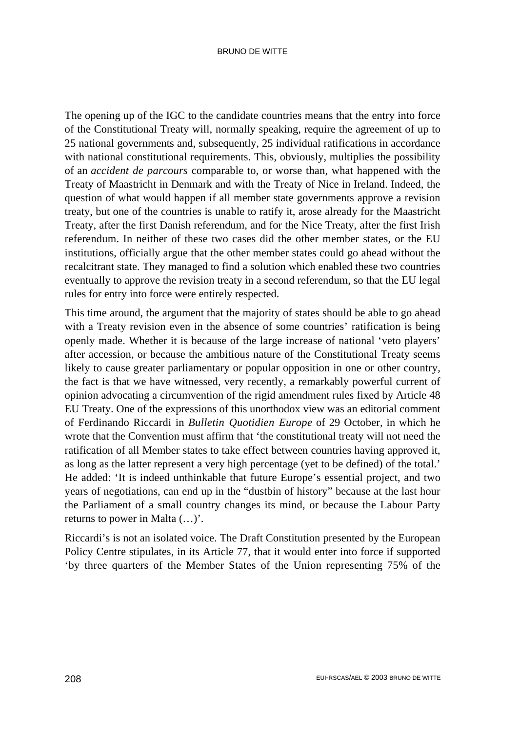The opening up of the IGC to the candidate countries means that the entry into force of the Constitutional Treaty will, normally speaking, require the agreement of up to 25 national governments and, subsequently, 25 individual ratifications in accordance with national constitutional requirements. This, obviously, multiplies the possibility of an *accident de parcours* comparable to, or worse than, what happened with the Treaty of Maastricht in Denmark and with the Treaty of Nice in Ireland. Indeed, the question of what would happen if all member state governments approve a revision treaty, but one of the countries is unable to ratify it, arose already for the Maastricht Treaty, after the first Danish referendum, and for the Nice Treaty, after the first Irish referendum. In neither of these two cases did the other member states, or the EU institutions, officially argue that the other member states could go ahead without the recalcitrant state. They managed to find a solution which enabled these two countries eventually to approve the revision treaty in a second referendum, so that the EU legal rules for entry into force were entirely respected.

This time around, the argument that the majority of states should be able to go ahead with a Treaty revision even in the absence of some countries' ratification is being openly made. Whether it is because of the large increase of national 'veto players' after accession, or because the ambitious nature of the Constitutional Treaty seems likely to cause greater parliamentary or popular opposition in one or other country, the fact is that we have witnessed, very recently, a remarkably powerful current of opinion advocating a circumvention of the rigid amendment rules fixed by Article 48 EU Treaty. One of the expressions of this unorthodox view was an editorial comment of Ferdinando Riccardi in *Bulletin Quotidien Europe* of 29 October, in which he wrote that the Convention must affirm that 'the constitutional treaty will not need the ratification of all Member states to take effect between countries having approved it, as long as the latter represent a very high percentage (yet to be defined) of the total.' He added: 'It is indeed unthinkable that future Europe's essential project, and two years of negotiations, can end up in the "dustbin of history" because at the last hour the Parliament of a small country changes its mind, or because the Labour Party returns to power in Malta (…)'.

Riccardi's is not an isolated voice. The Draft Constitution presented by the European Policy Centre stipulates, in its Article 77, that it would enter into force if supported 'by three quarters of the Member States of the Union representing 75% of the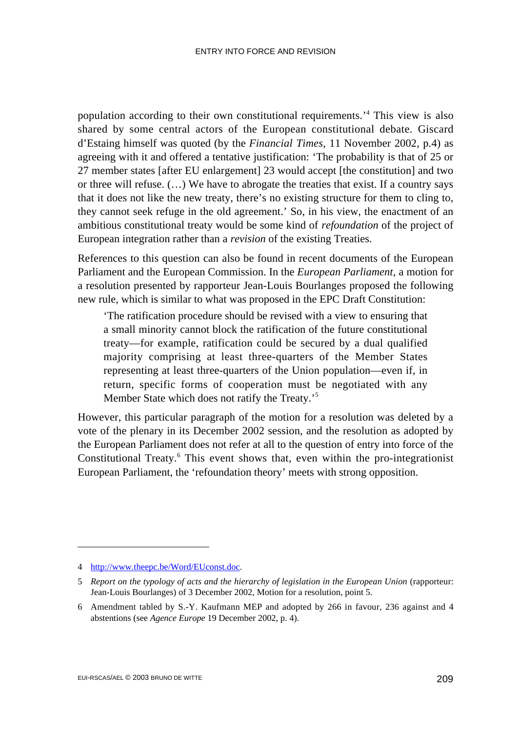population according to their own constitutional requirements.'4 This view is also shared by some central actors of the European constitutional debate. Giscard d'Estaing himself was quoted (by the *Financial Times,* 11 November 2002, p.4) as agreeing with it and offered a tentative justification: 'The probability is that of 25 or 27 member states [after EU enlargement] 23 would accept [the constitution] and two or three will refuse.  $(\ldots)$  We have to abrogate the treaties that exist. If a country says that it does not like the new treaty, there's no existing structure for them to cling to, they cannot seek refuge in the old agreement.' So, in his view, the enactment of an ambitious constitutional treaty would be some kind of *refoundation* of the project of European integration rather than a *revision* of the existing Treaties.

References to this question can also be found in recent documents of the European Parliament and the European Commission. In the *European Parliament,* a motion for a resolution presented by rapporteur Jean-Louis Bourlanges proposed the following new rule, which is similar to what was proposed in the EPC Draft Constitution:

'The ratification procedure should be revised with a view to ensuring that a small minority cannot block the ratification of the future constitutional treaty—for example, ratification could be secured by a dual qualified majority comprising at least three-quarters of the Member States representing at least three-quarters of the Union population—even if, in return, specific forms of cooperation must be negotiated with any Member State which does not ratify the Treaty.<sup>55</sup>

However, this particular paragraph of the motion for a resolution was deleted by a vote of the plenary in its December 2002 session, and the resolution as adopted by the European Parliament does not refer at all to the question of entry into force of the Constitutional Treaty.<sup>6</sup> This event shows that, even within the pro-integrationist European Parliament, the 'refoundation theory' meets with strong opposition.

-

<sup>4</sup> [http://www.theepc.be/Word/EUconst.doc.](http://www.theepc.be/Word/EUconst.doc)

<sup>5</sup> *Report on the typology of acts and the hierarchy of legislation in the European Union* (rapporteur: Jean-Louis Bourlanges) of 3 December 2002, Motion for a resolution, point 5.

<sup>6</sup> Amendment tabled by S.-Y. Kaufmann MEP and adopted by 266 in favour, 236 against and 4 abstentions (see *Agence Europe* 19 December 2002, p. 4).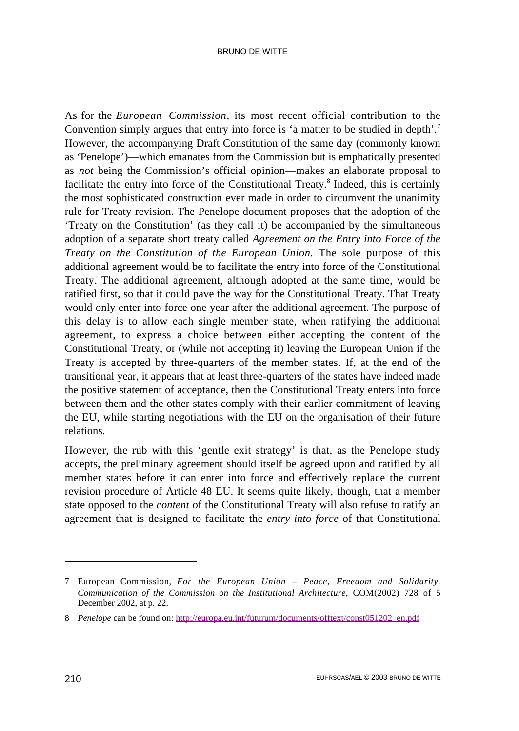#### BRUNO DE WITTE

As for the *European Commission,* its most recent official contribution to the Convention simply argues that entry into force is 'a matter to be studied in depth'.<sup>7</sup> However, the accompanying Draft Constitution of the same day (commonly known as 'Penelope')—which emanates from the Commission but is emphatically presented as *not* being the Commission's official opinion—makes an elaborate proposal to facilitate the entry into force of the Constitutional Treaty.8 Indeed, this is certainly the most sophisticated construction ever made in order to circumvent the unanimity rule for Treaty revision. The Penelope document proposes that the adoption of the 'Treaty on the Constitution' (as they call it) be accompanied by the simultaneous adoption of a separate short treaty called *Agreement on the Entry into Force of the Treaty on the Constitution of the European Union.* The sole purpose of this additional agreement would be to facilitate the entry into force of the Constitutional Treaty. The additional agreement, although adopted at the same time, would be ratified first, so that it could pave the way for the Constitutional Treaty. That Treaty would only enter into force one year after the additional agreement. The purpose of this delay is to allow each single member state, when ratifying the additional agreement, to express a choice between either accepting the content of the Constitutional Treaty, or (while not accepting it) leaving the European Union if the Treaty is accepted by three-quarters of the member states. If, at the end of the transitional year, it appears that at least three-quarters of the states have indeed made the positive statement of acceptance, then the Constitutional Treaty enters into force between them and the other states comply with their earlier commitment of leaving the EU, while starting negotiations with the EU on the organisation of their future relations.

However, the rub with this 'gentle exit strategy' is that, as the Penelope study accepts, the preliminary agreement should itself be agreed upon and ratified by all member states before it can enter into force and effectively replace the current revision procedure of Article 48 EU. It seems quite likely, though, that a member state opposed to the *content* of the Constitutional Treaty will also refuse to ratify an agreement that is designed to facilitate the *entry into force* of that Constitutional

<sup>7</sup> European Commission, *For the European Union – Peace, Freedom and Solidarity. Communication of the Commission on the Institutional Architecture,* COM(2002) 728 of 5 December 2002, at p. 22.

<sup>8</sup> *Penelope* can be found on: [http://europa.eu.int/futurum/documents/offtext/const051202\\_en.pdf](http://europa.eu.int/futurum/documents/offtext/const051202_en.pdf)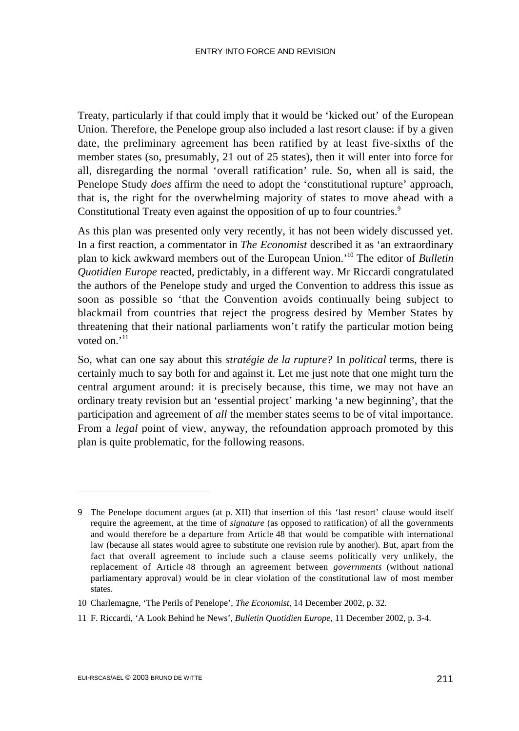Treaty, particularly if that could imply that it would be 'kicked out' of the European Union. Therefore, the Penelope group also included a last resort clause: if by a given date, the preliminary agreement has been ratified by at least five-sixths of the member states (so, presumably, 21 out of 25 states), then it will enter into force for all, disregarding the normal 'overall ratification' rule. So, when all is said, the Penelope Study *does* affirm the need to adopt the 'constitutional rupture' approach, that is, the right for the overwhelming majority of states to move ahead with a Constitutional Treaty even against the opposition of up to four countries.<sup>9</sup>

As this plan was presented only very recently, it has not been widely discussed yet. In a first reaction, a commentator in *The Economist* described it as 'an extraordinary plan to kick awkward members out of the European Union.'10 The editor of *Bulletin Quotidien Europe* reacted, predictably, in a different way. Mr Riccardi congratulated the authors of the Penelope study and urged the Convention to address this issue as soon as possible so 'that the Convention avoids continually being subject to blackmail from countries that reject the progress desired by Member States by threatening that their national parliaments won't ratify the particular motion being voted on.'<sup>11</sup>

So, what can one say about this *stratégie de la rupture?* In *political* terms, there is certainly much to say both for and against it. Let me just note that one might turn the central argument around: it is precisely because, this time, we may not have an ordinary treaty revision but an 'essential project' marking 'a new beginning', that the participation and agreement of *all* the member states seems to be of vital importance. From a *legal* point of view, anyway, the refoundation approach promoted by this plan is quite problematic, for the following reasons.

-

<sup>9</sup> The Penelope document argues (at p. XII) that insertion of this 'last resort' clause would itself require the agreement, at the time of *signature* (as opposed to ratification) of all the governments and would therefore be a departure from Article 48 that would be compatible with international law (because all states would agree to substitute one revision rule by another). But, apart from the fact that overall agreement to include such a clause seems politically very unlikely, the replacement of Article 48 through an agreement between *governments* (without national parliamentary approval) would be in clear violation of the constitutional law of most member states.

<sup>10</sup> Charlemagne, 'The Perils of Penelope', *The Economist,* 14 December 2002, p. 32.

<sup>11</sup> F. Riccardi, 'A Look Behind he News', *Bulletin Quotidien Europe,* 11 December 2002, p. 3-4.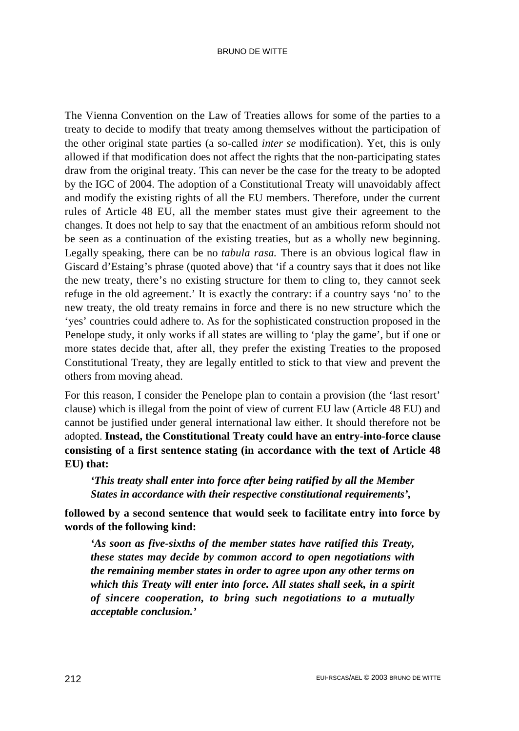#### BRUNO DE WITTE

The Vienna Convention on the Law of Treaties allows for some of the parties to a treaty to decide to modify that treaty among themselves without the participation of the other original state parties (a so-called *inter se* modification). Yet, this is only allowed if that modification does not affect the rights that the non-participating states draw from the original treaty. This can never be the case for the treaty to be adopted by the IGC of 2004. The adoption of a Constitutional Treaty will unavoidably affect and modify the existing rights of all the EU members. Therefore, under the current rules of Article 48 EU, all the member states must give their agreement to the changes. It does not help to say that the enactment of an ambitious reform should not be seen as a continuation of the existing treaties, but as a wholly new beginning. Legally speaking, there can be no *tabula rasa.* There is an obvious logical flaw in Giscard d'Estaing's phrase (quoted above) that 'if a country says that it does not like the new treaty, there's no existing structure for them to cling to, they cannot seek refuge in the old agreement.' It is exactly the contrary: if a country says 'no' to the new treaty, the old treaty remains in force and there is no new structure which the 'yes' countries could adhere to. As for the sophisticated construction proposed in the Penelope study, it only works if all states are willing to 'play the game', but if one or more states decide that, after all, they prefer the existing Treaties to the proposed Constitutional Treaty, they are legally entitled to stick to that view and prevent the others from moving ahead.

For this reason, I consider the Penelope plan to contain a provision (the 'last resort' clause) which is illegal from the point of view of current EU law (Article 48 EU) and cannot be justified under general international law either. It should therefore not be adopted. **Instead, the Constitutional Treaty could have an entry-into-force clause consisting of a first sentence stating (in accordance with the text of Article 48 EU) that:**

*'This treaty shall enter into force after being ratified by all the Member States in accordance with their respective constitutional requirements',*

**followed by a second sentence that would seek to facilitate entry into force by words of the following kind:**

*'As soon as five-sixths of the member states have ratified this Treaty, these states may decide by common accord to open negotiations with the remaining member states in order to agree upon any other terms on which this Treaty will enter into force. All states shall seek, in a spirit of sincere cooperation, to bring such negotiations to a mutually acceptable conclusion.'*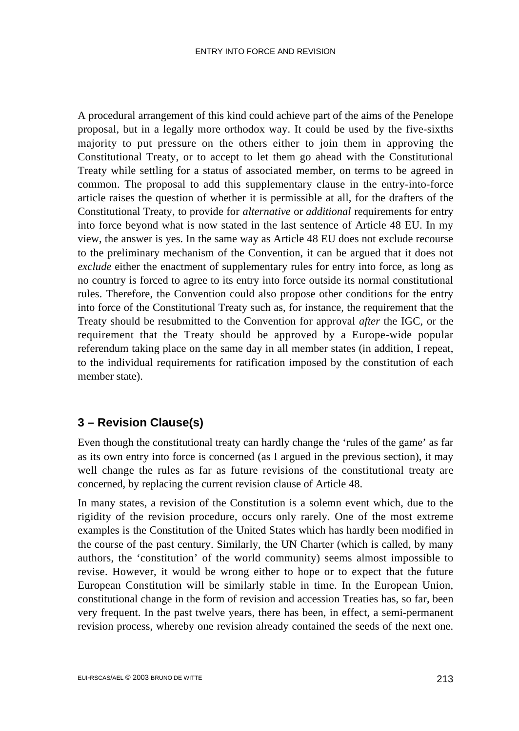A procedural arrangement of this kind could achieve part of the aims of the Penelope proposal, but in a legally more orthodox way. It could be used by the five-sixths majority to put pressure on the others either to join them in approving the Constitutional Treaty, or to accept to let them go ahead with the Constitutional Treaty while settling for a status of associated member, on terms to be agreed in common. The proposal to add this supplementary clause in the entry-into-force article raises the question of whether it is permissible at all, for the drafters of the Constitutional Treaty, to provide for *alternative* or *additional* requirements for entry into force beyond what is now stated in the last sentence of Article 48 EU. In my view, the answer is yes. In the same way as Article 48 EU does not exclude recourse to the preliminary mechanism of the Convention, it can be argued that it does not *exclude* either the enactment of supplementary rules for entry into force, as long as no country is forced to agree to its entry into force outside its normal constitutional rules. Therefore, the Convention could also propose other conditions for the entry into force of the Constitutional Treaty such as, for instance, the requirement that the Treaty should be resubmitted to the Convention for approval *after* the IGC, or the requirement that the Treaty should be approved by a Europe-wide popular referendum taking place on the same day in all member states (in addition, I repeat, to the individual requirements for ratification imposed by the constitution of each member state).

## **3 – Revision Clause(s)**

Even though the constitutional treaty can hardly change the 'rules of the game' as far as its own entry into force is concerned (as I argued in the previous section), it may well change the rules as far as future revisions of the constitutional treaty are concerned, by replacing the current revision clause of Article 48.

In many states, a revision of the Constitution is a solemn event which, due to the rigidity of the revision procedure, occurs only rarely. One of the most extreme examples is the Constitution of the United States which has hardly been modified in the course of the past century. Similarly, the UN Charter (which is called, by many authors, the 'constitution' of the world community) seems almost impossible to revise. However, it would be wrong either to hope or to expect that the future European Constitution will be similarly stable in time. In the European Union, constitutional change in the form of revision and accession Treaties has, so far, been very frequent. In the past twelve years, there has been, in effect, a semi-permanent revision process, whereby one revision already contained the seeds of the next one.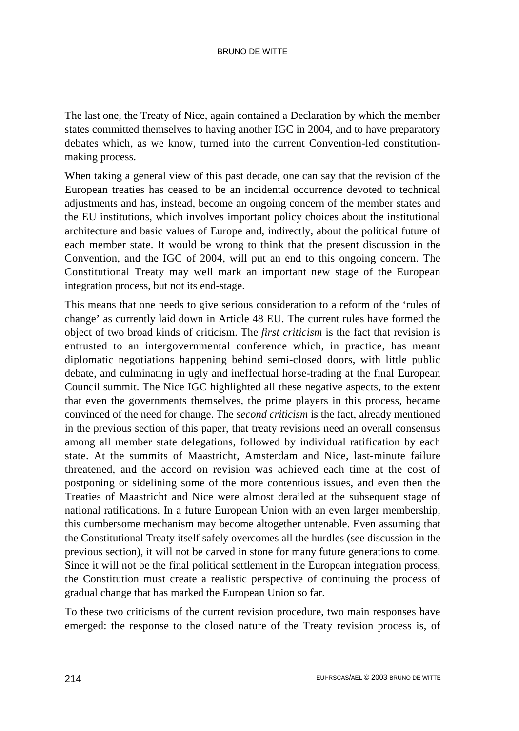The last one, the Treaty of Nice, again contained a Declaration by which the member states committed themselves to having another IGC in 2004, and to have preparatory debates which, as we know, turned into the current Convention-led constitutionmaking process.

When taking a general view of this past decade, one can say that the revision of the European treaties has ceased to be an incidental occurrence devoted to technical adjustments and has, instead, become an ongoing concern of the member states and the EU institutions, which involves important policy choices about the institutional architecture and basic values of Europe and, indirectly, about the political future of each member state. It would be wrong to think that the present discussion in the Convention, and the IGC of 2004, will put an end to this ongoing concern. The Constitutional Treaty may well mark an important new stage of the European integration process, but not its end-stage.

This means that one needs to give serious consideration to a reform of the 'rules of change' as currently laid down in Article 48 EU. The current rules have formed the object of two broad kinds of criticism. The *first criticism* is the fact that revision is entrusted to an intergovernmental conference which, in practice, has meant diplomatic negotiations happening behind semi-closed doors, with little public debate, and culminating in ugly and ineffectual horse-trading at the final European Council summit. The Nice IGC highlighted all these negative aspects, to the extent that even the governments themselves, the prime players in this process, became convinced of the need for change. The *second criticism* is the fact, already mentioned in the previous section of this paper, that treaty revisions need an overall consensus among all member state delegations, followed by individual ratification by each state. At the summits of Maastricht, Amsterdam and Nice, last-minute failure threatened, and the accord on revision was achieved each time at the cost of postponing or sidelining some of the more contentious issues, and even then the Treaties of Maastricht and Nice were almost derailed at the subsequent stage of national ratifications. In a future European Union with an even larger membership, this cumbersome mechanism may become altogether untenable. Even assuming that the Constitutional Treaty itself safely overcomes all the hurdles (see discussion in the previous section), it will not be carved in stone for many future generations to come. Since it will not be the final political settlement in the European integration process, the Constitution must create a realistic perspective of continuing the process of gradual change that has marked the European Union so far.

To these two criticisms of the current revision procedure, two main responses have emerged: the response to the closed nature of the Treaty revision process is, of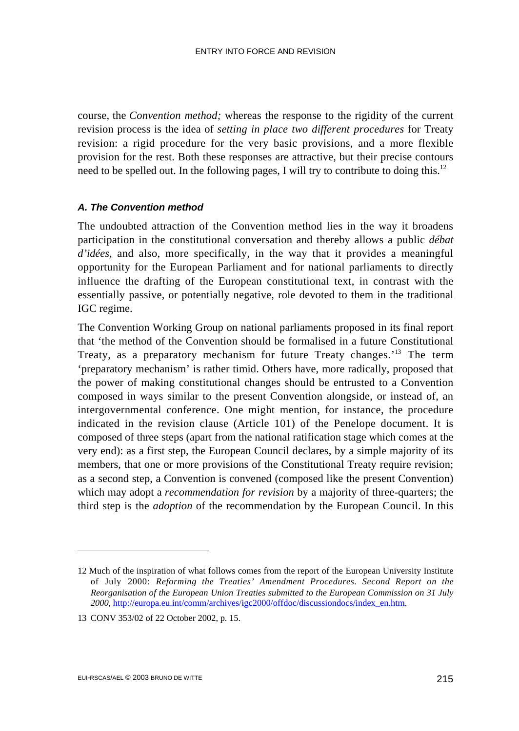course, the *Convention method;* whereas the response to the rigidity of the current revision process is the idea of *setting in place two different procedures* for Treaty revision: a rigid procedure for the very basic provisions, and a more flexible provision for the rest. Both these responses are attractive, but their precise contours need to be spelled out. In the following pages, I will try to contribute to doing this.<sup>12</sup>

## *A. The Convention method*

The undoubted attraction of the Convention method lies in the way it broadens participation in the constitutional conversation and thereby allows a public *débat d'idées,* and also, more specifically, in the way that it provides a meaningful opportunity for the European Parliament and for national parliaments to directly influence the drafting of the European constitutional text, in contrast with the essentially passive, or potentially negative, role devoted to them in the traditional IGC regime.

The Convention Working Group on national parliaments proposed in its final report that 'the method of the Convention should be formalised in a future Constitutional Treaty, as a preparatory mechanism for future Treaty changes.<sup>'13</sup> The term 'preparatory mechanism' is rather timid. Others have, more radically, proposed that the power of making constitutional changes should be entrusted to a Convention composed in ways similar to the present Convention alongside, or instead of, an intergovernmental conference. One might mention, for instance, the procedure indicated in the revision clause (Article 101) of the Penelope document. It is composed of three steps (apart from the national ratification stage which comes at the very end): as a first step, the European Council declares, by a simple majority of its members, that one or more provisions of the Constitutional Treaty require revision; as a second step, a Convention is convened (composed like the present Convention) which may adopt a *recommendation for revision* by a majority of three-quarters; the third step is the *adoption* of the recommendation by the European Council. In this

<sup>12</sup> Much of the inspiration of what follows comes from the report of the European University Institute of July 2000: *Reforming the Treaties' Amendment Procedures. Second Report on the Reorganisation of the European Union Treaties submitted to the European Commission on 31 July 2000,* [http://europa.eu.int/comm/archives/igc2000/offdoc/discussiondocs/index\\_en.htm.](http://europa.eu.int/comm/archives/igc2000/offdoc/discussiondocs/index_en.htm)

<sup>13</sup> CONV 353/02 of 22 October 2002, p. 15.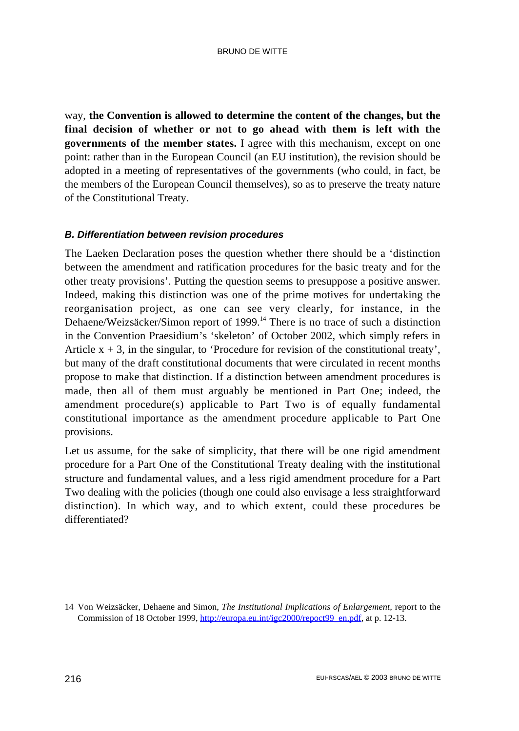way, **the Convention is allowed to determine the content of the changes, but the final decision of whether or not to go ahead with them is left with the governments of the member states.** I agree with this mechanism, except on one point: rather than in the European Council (an EU institution), the revision should be adopted in a meeting of representatives of the governments (who could, in fact, be the members of the European Council themselves), so as to preserve the treaty nature of the Constitutional Treaty.

## *B. Differentiation between revision procedures*

The Laeken Declaration poses the question whether there should be a 'distinction between the amendment and ratification procedures for the basic treaty and for the other treaty provisions'. Putting the question seems to presuppose a positive answer. Indeed, making this distinction was one of the prime motives for undertaking the reorganisation project, as one can see very clearly, for instance, in the Dehaene/Weizsäcker/Simon report of 1999.14 There is no trace of such a distinction in the Convention Praesidium's 'skeleton' of October 2002, which simply refers in Article  $x + 3$ , in the singular, to 'Procedure for revision of the constitutional treaty', but many of the draft constitutional documents that were circulated in recent months propose to make that distinction. If a distinction between amendment procedures is made, then all of them must arguably be mentioned in Part One; indeed, the amendment procedure(s) applicable to Part Two is of equally fundamental constitutional importance as the amendment procedure applicable to Part One provisions.

Let us assume, for the sake of simplicity, that there will be one rigid amendment procedure for a Part One of the Constitutional Treaty dealing with the institutional structure and fundamental values, and a less rigid amendment procedure for a Part Two dealing with the policies (though one could also envisage a less straightforward distinction). In which way, and to which extent, could these procedures be differentiated?

<sup>14</sup> Von Weizsäcker, Dehaene and Simon, *The Institutional Implications of Enlargement,* report to the Commission of 18 October 1999, [http://europa.eu.int/igc2000/repoct99\\_en.pdf,](http://europa.eu.int/igc2000/repoct99_en.pdf) at p. 12-13.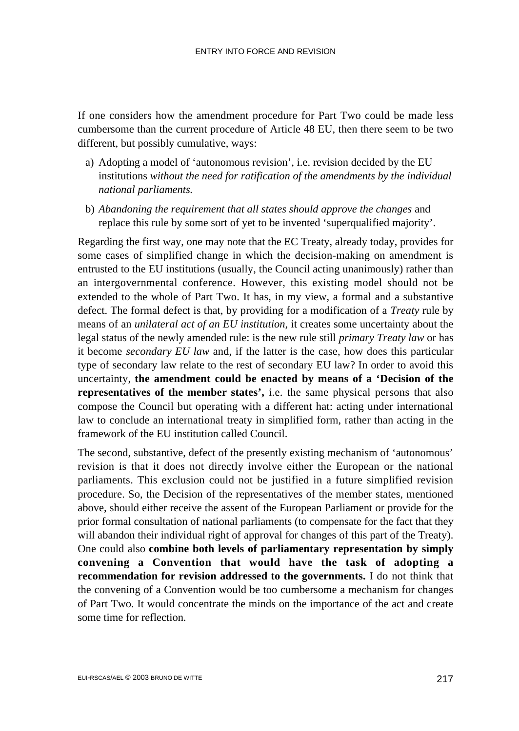If one considers how the amendment procedure for Part Two could be made less cumbersome than the current procedure of Article 48 EU, then there seem to be two different, but possibly cumulative, ways:

- a) Adopting a model of 'autonomous revision', i.e. revision decided by the EU institutions *without the need for ratification of the amendments by the individual national parliaments.*
- b) *Abandoning the requirement that all states should approve the changes* and replace this rule by some sort of yet to be invented 'superqualified majority'.

Regarding the first way, one may note that the EC Treaty, already today, provides for some cases of simplified change in which the decision-making on amendment is entrusted to the EU institutions (usually, the Council acting unanimously) rather than an intergovernmental conference. However, this existing model should not be extended to the whole of Part Two. It has, in my view, a formal and a substantive defect. The formal defect is that, by providing for a modification of a *Treaty* rule by means of an *unilateral act of an EU institution,* it creates some uncertainty about the legal status of the newly amended rule: is the new rule still *primary Treaty law* or has it become *secondary EU law* and, if the latter is the case, how does this particular type of secondary law relate to the rest of secondary EU law? In order to avoid this uncertainty, **the amendment could be enacted by means of a 'Decision of the representatives of the member states',** i.e. the same physical persons that also compose the Council but operating with a different hat: acting under international law to conclude an international treaty in simplified form, rather than acting in the framework of the EU institution called Council.

The second, substantive, defect of the presently existing mechanism of 'autonomous' revision is that it does not directly involve either the European or the national parliaments. This exclusion could not be justified in a future simplified revision procedure. So, the Decision of the representatives of the member states, mentioned above, should either receive the assent of the European Parliament or provide for the prior formal consultation of national parliaments (to compensate for the fact that they will abandon their individual right of approval for changes of this part of the Treaty). One could also **combine both levels of parliamentary representation by simply convening a Convention that would have the task of adopting a recommendation for revision addressed to the governments.** I do not think that the convening of a Convention would be too cumbersome a mechanism for changes of Part Two. It would concentrate the minds on the importance of the act and create some time for reflection.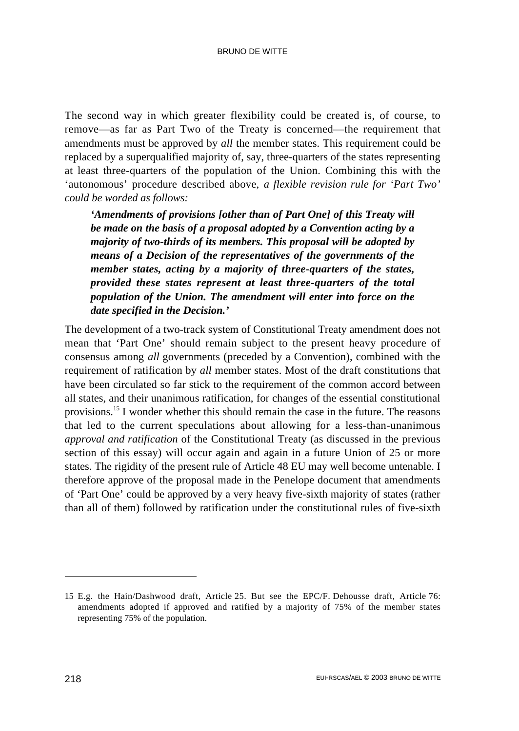The second way in which greater flexibility could be created is, of course, to remove—as far as Part Two of the Treaty is concerned—the requirement that amendments must be approved by *all* the member states. This requirement could be replaced by a superqualified majority of, say, three-quarters of the states representing at least three-quarters of the population of the Union. Combining this with the 'autonomous' procedure described above, *a flexible revision rule for 'Part Two' could be worded as follows:*

*'Amendments of provisions [other than of Part One] of this Treaty will be made on the basis of a proposal adopted by a Convention acting by a majority of two-thirds of its members. This proposal will be adopted by means of a Decision of the representatives of the governments of the member states, acting by a majority of three-quarters of the states, provided these states represent at least three-quarters of the total population of the Union. The amendment will enter into force on the date specified in the Decision.'*

The development of a two-track system of Constitutional Treaty amendment does not mean that 'Part One' should remain subject to the present heavy procedure of consensus among *all* governments (preceded by a Convention), combined with the requirement of ratification by *all* member states. Most of the draft constitutions that have been circulated so far stick to the requirement of the common accord between all states, and their unanimous ratification, for changes of the essential constitutional provisions.15 I wonder whether this should remain the case in the future. The reasons that led to the current speculations about allowing for a less-than-unanimous *approval and ratification* of the Constitutional Treaty (as discussed in the previous section of this essay) will occur again and again in a future Union of 25 or more states. The rigidity of the present rule of Article 48 EU may well become untenable. I therefore approve of the proposal made in the Penelope document that amendments of 'Part One' could be approved by a very heavy five-sixth majority of states (rather than all of them) followed by ratification under the constitutional rules of five-sixth

<sup>15</sup> E.g. the Hain/Dashwood draft, Article 25. But see the EPC/F. Dehousse draft, Article 76: amendments adopted if approved and ratified by a majority of 75% of the member states representing 75% of the population.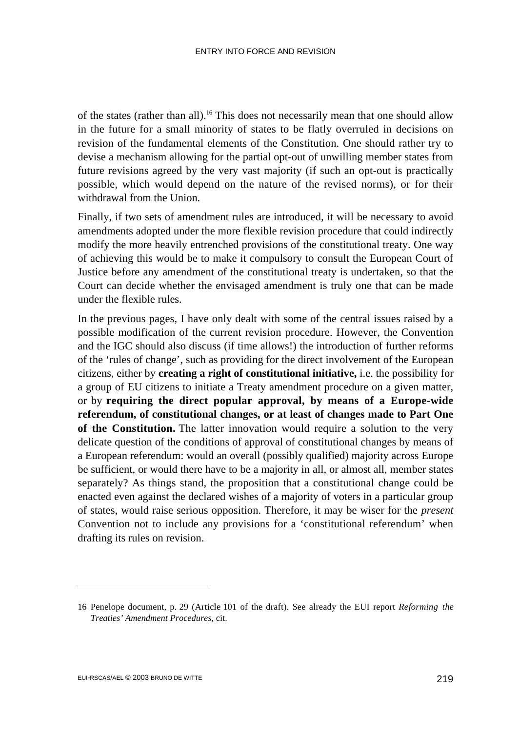of the states (rather than all).<sup>16</sup> This does not necessarily mean that one should allow in the future for a small minority of states to be flatly overruled in decisions on revision of the fundamental elements of the Constitution. One should rather try to devise a mechanism allowing for the partial opt-out of unwilling member states from future revisions agreed by the very vast majority (if such an opt-out is practically possible, which would depend on the nature of the revised norms), or for their withdrawal from the Union.

Finally, if two sets of amendment rules are introduced, it will be necessary to avoid amendments adopted under the more flexible revision procedure that could indirectly modify the more heavily entrenched provisions of the constitutional treaty. One way of achieving this would be to make it compulsory to consult the European Court of Justice before any amendment of the constitutional treaty is undertaken, so that the Court can decide whether the envisaged amendment is truly one that can be made under the flexible rules.

In the previous pages, I have only dealt with some of the central issues raised by a possible modification of the current revision procedure. However, the Convention and the IGC should also discuss (if time allows!) the introduction of further reforms of the 'rules of change', such as providing for the direct involvement of the European citizens, either by **creating a right of constitutional initiative,** i.e. the possibility for a group of EU citizens to initiate a Treaty amendment procedure on a given matter, or by **requiring the direct popular approval, by means of a Europe-wide referendum, of constitutional changes, or at least of changes made to Part One of the Constitution.** The latter innovation would require a solution to the very delicate question of the conditions of approval of constitutional changes by means of a European referendum: would an overall (possibly qualified) majority across Europe be sufficient, or would there have to be a majority in all, or almost all, member states separately? As things stand, the proposition that a constitutional change could be enacted even against the declared wishes of a majority of voters in a particular group of states, would raise serious opposition. Therefore, it may be wiser for the *present* Convention not to include any provisions for a 'constitutional referendum' when drafting its rules on revision.

<sup>16</sup> Penelope document, p. 29 (Article 101 of the draft). See already the EUI report *Reforming the Treaties' Amendment Procedures,* cit.